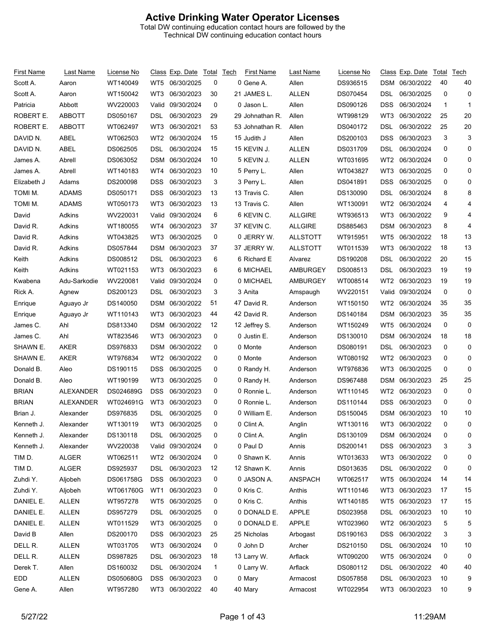## **Active Drinking Water Operator Licenses**

Total DW continuing education contact hours are followed by the Technical DW continuing education contact hours

| First Name   | Last Name                    | License No           |                 | Class Exp. Date Total Tech |              | First Name      | Last Name         | License No           |                 | Class Exp. Date Total    |              | Tech |
|--------------|------------------------------|----------------------|-----------------|----------------------------|--------------|-----------------|-------------------|----------------------|-----------------|--------------------------|--------------|------|
| Scott A.     | Aaron                        | WT140049             | WT5             | 06/30/2025                 | 0            | 0 Gene A.       | Allen             | DS936515             | DSM             | 06/30/2022               | 40           | 40   |
| Scott A.     | Aaron                        | WT150042             | WT3             | 06/30/2023                 | 30           | 21 JAMES L.     | <b>ALLEN</b>      | DS070454             | DSL             | 06/30/2025               | 0            | 0    |
| Patricia     | Abbott                       | WV220003             | Valid           | 09/30/2024                 | 0            | 0 Jason L.      | Allen             | DS090126             | DSS             | 06/30/2024               | $\mathbf{1}$ | 1    |
| ROBERT E.    | <b>ABBOTT</b>                | DS050167             | DSL             | 06/30/2023                 | 29           | 29 Johnathan R. | Allen             | WT998129             | WT3             | 06/30/2022               | 25           | 20   |
| ROBERT E.    | <b>ABBOTT</b>                | WT062497             | WT3             | 06/30/2021                 | 53           | 53 Johnathan R. | Allen             | DS040172             | DSL             | 06/30/2022               | 25           | 20   |
| DAVID N.     | ABEL                         | WT062503             | WT <sub>2</sub> | 06/30/2024                 | 15           | 15 Judith J     | Allen             | DS200103             | DSS             | 06/30/2023               | 3            | 3    |
| DAVID N.     | ABEL                         | DS062505             | DSL             | 06/30/2024                 | 15           | 15 KEVIN J.     | <b>ALLEN</b>      | DS031709             | DSL             | 06/30/2024               | 0            | 0    |
| James A.     | Abrell                       | DS063052             | <b>DSM</b>      | 06/30/2024                 | 10           | 5 KEVIN J.      | <b>ALLEN</b>      | WT031695             | WT2             | 06/30/2024               | 0            | 0    |
| James A.     | Abrell                       | WT140183             | WT4             | 06/30/2023                 | 10           | 5 Perry L.      | Allen             | WT043827             | WT3             | 06/30/2025               | 0            | 0    |
| Elizabeth J  | Adams                        | DS200098             | <b>DSS</b>      | 06/30/2023                 | 3            | 3 Perry L.      | Allen             | DS041891             | DSS             | 06/30/2025               | 0            | 0    |
| TOMI M.      | <b>ADAMS</b>                 | DS050171             | <b>DSS</b>      | 06/30/2023                 | 13           | 13 Travis C.    | Allen             | DS130090             | DSL             | 06/30/2024               | 8            | 8    |
| TOMI M.      | <b>ADAMS</b>                 | WT050173             | WT3             | 06/30/2023                 | 13           | 13 Travis C.    | Allen             | WT130091             | WT2             | 06/30/2024               | 4            | 4    |
| David        | Adkins                       | WV220031             | Valid           | 09/30/2024                 | 6            | 6 KEVIN C.      | <b>ALLGIRE</b>    | WT936513             | WT3             | 06/30/2022               | 9            | 4    |
| David R.     | Adkins                       | WT180055             | WT4             | 06/30/2023                 | 37           | 37 KEVIN C.     | <b>ALLGIRE</b>    | DS885463             | DSM             | 06/30/2023               | 8            | 4    |
| David R.     | Adkins                       | WT043825             | WT3             | 06/30/2025                 | 0            | 0 JERRY W.      | <b>ALLSTOTT</b>   | WT915951             | WT5             | 06/30/2022               | 18           | 13   |
| David R.     | Adkins                       | DS057844             | <b>DSM</b>      | 06/30/2023                 | 37           | 37 JERRY W.     | <b>ALLSTOTT</b>   | WT011539             | WT3             | 06/30/2022               | 18           | 13   |
| Keith        | Adkins                       | DS008512             | DSL             | 06/30/2023                 | 6            | 6 Richard E     | Alvarez           | DS190208             | DSL             | 06/30/2022               | 20           | 15   |
| Keith        | Adkins                       | WT021153             | WT3             | 06/30/2023                 | 6            | 6 MICHAEL       | <b>AMBURGEY</b>   | DS008513             | <b>DSL</b>      | 06/30/2023               | 19           | 19   |
| Kwabena      | Adu-Sarkodie                 | WV220081             | Valid           | 09/30/2024                 | 0            | 0 MICHAEL       | <b>AMBURGEY</b>   | WT008514             | WT2             | 06/30/2023               | 19           | 19   |
| Rick A.      | Agnew                        | DS200123             | DSL             | 06/30/2023                 | 3            | 3 Anita         | Amspaugh          | WV220151             | Valid           | 09/30/2024               | 0            | 0    |
| Enrique      | Aguayo Jr                    | DS140050             | <b>DSM</b>      | 06/30/2022                 | 51           | 47 David R.     | Anderson          | WT150150             | WT <sub>2</sub> | 06/30/2024               | 35           | 35   |
| Enrique      | Aguayo Jr                    | WT110143             | WT3             | 06/30/2023                 | 44           | 42 David R.     | Anderson          | DS140184             | DSM             | 06/30/2023               | 35           | 35   |
| James C.     | Ahl                          | DS813340             | <b>DSM</b>      | 06/30/2022                 | 12           | 12 Jeffrey S.   | Anderson          | WT150249             | WT5             | 06/30/2024               | 0            | 0    |
| James C.     | Ahl                          | WT823546             | WT3             | 06/30/2023                 | 0            | 0 Justin E.     | Anderson          | DS130010             | DSM             | 06/30/2024               | 18           | 18   |
| SHAWN E.     | AKER                         | DS976833             | <b>DSM</b>      | 06/30/2022                 | 0            | 0 Monte         | Anderson          | DS080191             | DSL             | 06/30/2023               | 0            | 0    |
| SHAWN E.     | <b>AKER</b>                  | WT976834             | WT <sub>2</sub> | 06/30/2022                 | 0            | 0 Monte         | Anderson          | WT080192             | WT <sub>2</sub> | 06/30/2023               | 0            | 0    |
| Donald B.    | Aleo                         | DS190115             | <b>DSS</b>      | 06/30/2025                 | 0            | 0 Randy H.      | Anderson          | WT976836             | WT3             | 06/30/2025               | 0            | 0    |
| Donald B.    | Aleo                         | WT190199             | WT3             | 06/30/2025                 | 0            | 0 Randy H.      | Anderson          | DS967488             | <b>DSM</b>      | 06/30/2023               | 25           | 25   |
| <b>BRIAN</b> | ALEXANDER                    | DS024689G            | DSS             | 06/30/2023                 | 0            | 0 Ronnie L.     | Anderson          | WT110145             | WT2             | 06/30/2023               | 0            | 0    |
| <b>BRIAN</b> | ALEXANDER                    | WT024691G            | WT3             | 06/30/2023                 | 0            | 0 Ronnie L.     | Anderson          | DS110144             | DSS             | 06/30/2023               | 0            | 0    |
| Brian J.     | Alexander                    | DS976835             | <b>DSL</b>      | 06/30/2025                 | 0            | 0 William E.    | Anderson          | DS150045             |                 | DSM 06/30/2023           | 10           | 10   |
| Kenneth J.   | Alexander                    | WT130119             | WT3             | 06/30/2025                 | 0            | 0 Clint A.      | Anglin            | WT130116             | WT3             | 06/30/2022               |              | 0    |
| Kenneth J.   | Alexander                    | DS130118             | DSL             | 06/30/2025                 | 0            | 0 Clint A.      | Anglin            | DS130109             |                 | DSM 06/30/2024           | 0            | 0    |
| Kenneth J.   | Alexander                    | WV220038             |                 | Valid 09/30/2024           | 0            | 0 Paul D        | Annis             | DS200141             | <b>DSS</b>      | 06/30/2023               | 3            | 3    |
| TIM D.       | <b>ALGER</b>                 | WT062511             | WT2             | 06/30/2024                 | 0            | 0 Shawn K.      | Annis             | WT013633             | WT3             | 06/30/2022               | 0            | 0    |
| TIM D.       | <b>ALGER</b>                 | DS925937             | <b>DSL</b>      | 06/30/2023                 | 12           | 12 Shawn K.     | Annis             | DS013635             | <b>DSL</b>      | 06/30/2022               | 0            | 0    |
| Zuhdi Y.     | Aljobeh                      | DS061758G            | DSS.            | 06/30/2023                 | 0            | 0 JASON A.      | <b>ANSPACH</b>    | WT062517             | WT5             | 06/30/2024               | 14           | 14   |
| Zuhdi Y.     | Aljobeh                      | WT061760G            | WT1             | 06/30/2023                 | 0            | 0 Kris C.       | Anthis            | WT110146             | WT3             | 06/30/2023               | 17           | 15   |
| DANIEL E.    | <b>ALLEN</b>                 | WT957278             | WT5             | 06/30/2025                 | 0            | 0 Kris C.       | Anthis            | WT140185             | WT5             | 06/30/2023               | 17           | 15   |
| DANIEL E.    | ALLEN                        | DS957279             | DSL             | 06/30/2025                 | 0            | 0 DONALD E.     | <b>APPLE</b>      | DS023958             | <b>DSL</b>      | 06/30/2023               | 10           | 10   |
| DANIEL E.    | <b>ALLEN</b>                 | WT011529             | WT3             | 06/30/2025                 | 0            | 0 DONALD E.     | <b>APPLE</b>      | WT023960             | WT <sub>2</sub> | 06/30/2023               | 5            | 5    |
| David B      | Allen                        | DS200170             |                 | 06/30/2023                 |              | 25 Nicholas     |                   |                      |                 | 06/30/2022               | 3            | 3    |
|              |                              |                      | DSS.            |                            | 25           | 0 John D        | Arbogast          | DS190163             | <b>DSS</b>      |                          |              |      |
| DELL R.      | <b>ALLEN</b><br><b>ALLEN</b> | WT031705<br>DS987825 | WT3             | 06/30/2024<br>06/30/2023   | 0            | 13 Larry W.     | Archer<br>Arflack | DS210150<br>WT090200 | <b>DSL</b>      | 06/30/2024<br>06/30/2024 | 10           | 10   |
| DELL R.      |                              |                      | <b>DSL</b>      |                            | 18           |                 |                   |                      | WT5             |                          | 0            | 0    |
| Derek T.     | Allen                        | DS160032             | DSL             | 06/30/2024                 | $\mathbf{1}$ | 0 Larry W.      | Arflack           | DS080112             | DSL             | 06/30/2022               | 40           | 40   |
| EDD          | <b>ALLEN</b>                 | DS050680G            | <b>DSS</b>      | 06/30/2023                 | 0            | 0 Mary          | Armacost          | DS057858             | <b>DSL</b>      | 06/30/2023               | 10           | 9    |
| Gene A.      | Allen                        | WT957280             | WT3             | 06/30/2022                 | 40           | 40 Mary         | Armacost          | WT022954             | WT3             | 06/30/2023               | 10           | 9    |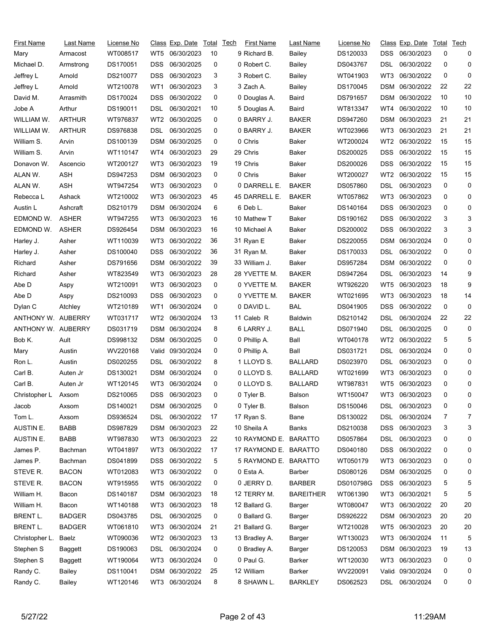| First Name         | Last Name      | License No |                 | Class Exp. Date Total Tech |    | <b>First Name</b>     | Last Name        | License No |            | <u>Class Exp. Date Total Tech</u> |    |    |
|--------------------|----------------|------------|-----------------|----------------------------|----|-----------------------|------------------|------------|------------|-----------------------------------|----|----|
| Mary               | Armacost       | WT008517   | WT5             | 06/30/2023                 | 10 | 9 Richard B.          | Bailey           | DS120033   | DSS        | 06/30/2023                        | 0  | 0  |
| Michael D.         | Armstrong      | DS170051   | <b>DSS</b>      | 06/30/2025                 | 0  | 0 Robert C.           | Bailey           | DS043767   | DSL        | 06/30/2022                        | 0  | 0  |
| Jeffrey L          | Arnold         | DS210077   | <b>DSS</b>      | 06/30/2023                 | 3  | 3 Robert C.           | Bailey           | WT041903   | WT3        | 06/30/2022                        | 0  | 0  |
| Jeffrey L          | Arnold         | WT210078   | WT1             | 06/30/2023                 | 3  | 3 Zach A.             | Bailey           | DS170045   | DSM        | 06/30/2022                        | 22 | 22 |
| David M.           | Arrasmith      | DS170024   | <b>DSS</b>      | 06/30/2022                 | 0  | 0 Douglas A.          | Baird            | DS791657   | <b>DSM</b> | 06/30/2022                        | 10 | 10 |
| Jobe A             | Arthur         | DS190011   | DSL             | 06/30/2021                 | 10 | 5 Douglas A.          | Baird            | WT813347   | WT4        | 06/30/2022                        | 10 | 10 |
| WILLIAM W.         | ARTHUR         | WT976837   | WT <sub>2</sub> | 06/30/2025                 | 0  | 0 BARRY J.            | <b>BAKER</b>     | DS947260   | <b>DSM</b> | 06/30/2023                        | 21 | 21 |
| WILLIAM W.         | <b>ARTHUR</b>  | DS976838   | DSL             | 06/30/2025                 | 0  | 0 BARRY J.            | <b>BAKER</b>     | WT023966   | WT3        | 06/30/2023                        | 21 | 21 |
| William S.         | Arvin          | DS100139   | DSM             | 06/30/2025                 | 0  | 0 Chris               | Baker            | WT200024   | WT2        | 06/30/2022                        | 15 | 15 |
| William S.         | Arvin          | WT110147   | WT4             | 06/30/2023                 | 29 | 29 Chris              | Baker            | DS200025   | DSS        | 06/30/2022                        | 15 | 15 |
| Donavon W.         | Ascencio       | WT200127   | WT3             | 06/30/2023                 | 19 | 19 Chris              | Baker            | DS200026   | DSS        | 06/30/2022                        | 15 | 15 |
| ALAN W.            | <b>ASH</b>     | DS947253   | DSM             | 06/30/2023                 | 0  | 0 Chris               | <b>Baker</b>     | WT200027   | WT2        | 06/30/2022                        | 15 | 15 |
| ALAN W.            | <b>ASH</b>     | WT947254   | WT3             | 06/30/2023                 | 0  | 0 DARRELL E.          | <b>BAKER</b>     | DS057860   | DSL        | 06/30/2023                        | 0  | 0  |
| Rebecca L          | Ashack         | WT210002   | WT3             | 06/30/2023                 | 45 | 45 DARRELL E.         | <b>BAKER</b>     | WT057862   | WT3        | 06/30/2023                        | 0  | 0  |
| Austin L           | Ashcraft       | DS210179   | DSM             | 06/30/2024                 | 6  | 6 Deb L.              | Baker            | DS140164   | DSS        | 06/30/2023                        | 0  | 0  |
| EDMOND W.          | <b>ASHER</b>   | WT947255   | WT3             | 06/30/2023                 | 16 | 10 Mathew T           | Baker            | DS190162   | <b>DSS</b> | 06/30/2022                        | 3  | 3  |
| EDMOND W.          | <b>ASHER</b>   | DS926454   | DSM             | 06/30/2023                 | 16 | 10 Michael A          | Baker            | DS200002   | <b>DSS</b> | 06/30/2022                        | 3  | 3  |
| Harley J.          | Asher          | WT110039   | WT3             | 06/30/2022                 | 36 | 31 Ryan E             | Baker            | DS220055   | <b>DSM</b> | 06/30/2024                        | 0  | 0  |
| Harley J.          | Asher          | DS100040   | DSS             | 06/30/2022                 | 36 | 31 Ryan M.            | Baker            | DS170033   | DSL        | 06/30/2022                        | 0  | 0  |
| Richard            | Asher          | DS791656   | DSM             | 06/30/2022                 | 39 | 33 William J.         | Baker            | DS957284   | <b>DSM</b> | 06/30/2022                        | 0  | 0  |
| Richard            | Asher          | WT823549   | WT3             | 06/30/2023                 | 28 | 28 YVETTE M.          | <b>BAKER</b>     | DS947264   | DSL        | 06/30/2023                        | 14 | 9  |
| Abe D              | Aspy           | WT210091   | WT3             | 06/30/2023                 | 0  | 0 YVETTE M.           | <b>BAKER</b>     | WT926220   | WT5        | 06/30/2023                        | 18 | 9  |
| Abe D              | Aspy           | DS210093   | <b>DSS</b>      | 06/30/2023                 | 0  | 0 YVETTE M.           | <b>BAKER</b>     | WT021695   | WT3        | 06/30/2023                        | 18 | 14 |
| Dylan C            | Atchley        | WT210189   | WT1             | 06/30/2024                 | 0  | 0 DAVID L.            | <b>BAL</b>       | DS041905   | <b>DSS</b> | 06/30/2022                        | 0  | 0  |
| ANTHONY W.         | AUBERRY        | WT031717   | WT2             | 06/30/2024                 | 13 | 11 Caleb R            | <b>Baldwin</b>   | DS210142   | DSL        | 06/30/2024                        | 22 | 22 |
| ANTHONY W. AUBERRY |                | DS031719   | DSM             | 06/30/2024                 | 8  | 6 LARRY J.            | <b>BALL</b>      | DS071940   | DSL        | 06/30/2025                        | 0  | 0  |
| Bob K.             | Ault           | DS998132   | DSM             | 06/30/2025                 | 0  | 0 Phillip A.          | Ball             | WT040178   | WT2        | 06/30/2022                        | 5  | 5  |
| Mary               | Austin         | WV220168   | Valid           | 09/30/2024                 | 0  | 0 Phillip A.          | Ball             | DS031721   | DSL        | 06/30/2024                        | 0  | 0  |
| Ron L.             | Austin         | DS020255   | DSL             | 06/30/2022                 | 8  | 1 LLOYD S.            | <b>BALLARD</b>   | DS023970   | DSL        | 06/30/2023                        | 0  | 0  |
| Carl B.            | Auten Jr       | DS130021   | DSM             | 06/30/2024                 | 0  | 0 LLOYD S.            | <b>BALLARD</b>   | WT021699   | WT3        | 06/30/2023                        | 0  | 0  |
| Carl B.            | Auten Jr       | WT120145   | WT3             | 06/30/2024                 | 0  | 0 LLOYD S.            | <b>BALLARD</b>   | WT987831   | WT5        | 06/30/2023                        | 0  | 0  |
| Christopher L      | Axsom          | DS210065   |                 | DSS 06/30/2023             | 0  | 0 Tyler B.            | Balson           | WT150047   |            | WT3 06/30/2023                    | 0  | 0  |
| Jacob              | Axsom          | DS140021   | DSM             | 06/30/2025                 | 0  | 0 Tyler B.            | Balson           | DS150046   | DSL        | 06/30/2023                        | 0  | 0  |
| Tom L.             | Axsom          | DS936524   | DSL.            | 06/30/2022                 | 17 | 17 Ryan S.            | Bane             | DS130022   | DSL        | 06/30/2024                        | 7  | 7  |
| AUSTIN E.          | <b>BABB</b>    | DS987829   | DSM             | 06/30/2023                 | 22 | 10 Sheila A           | Banks            | DS210038   | <b>DSS</b> | 06/30/2023                        | 3  | 3  |
| AUSTIN E.          | <b>BABB</b>    | WT987830   | WT3             | 06/30/2023                 | 22 | 10 RAYMOND E. BARATTO |                  | DS057864   | <b>DSL</b> | 06/30/2023                        | 0  | 0  |
| James P.           | Bachman        | WT041897   | WT3             | 06/30/2022                 | 17 | 17 RAYMOND E. BARATTO |                  | DS040180   | <b>DSS</b> | 06/30/2022                        | 0  | 0  |
| James P.           | Bachman        | DS041899   | <b>DSS</b>      | 06/30/2022                 | 5  | 5 RAYMOND E.          | <b>BARATTO</b>   | WT050179   | WT3        | 06/30/2023                        | 0  | 0  |
| STEVE R.           | <b>BACON</b>   | WT012083   | WT3             | 06/30/2022                 | 0  | 0 Esta A.             | Barber           | DS080126   | <b>DSM</b> | 06/30/2025                        | 0  | 0  |
| STEVE R.           | <b>BACON</b>   | WT915955   | WT5             | 06/30/2022                 | 0  | 0 JERRY D.            | <b>BARBER</b>    | DS010798G  | <b>DSS</b> | 06/30/2023                        | 5  | 5  |
| William H.         | Bacon          | DS140187   | DSM             | 06/30/2023                 | 18 | 12 TERRY M.           | <b>BAREITHER</b> | WT061390   | WT3        | 06/30/2021                        | 5  | 5  |
| William H.         | Bacon          | WT140188   | WT3             | 06/30/2023                 | 18 | 12 Ballard G.         | Barger           | WT080047   | WT3        | 06/30/2022                        | 20 | 20 |
| BRENT L.           | <b>BADGER</b>  | DS043785   | <b>DSL</b>      | 06/30/2025                 | 0  | 0 Ballard G.          | Barger           | DS926222   | <b>DSM</b> | 06/30/2023                        | 20 | 20 |
| BRENT L.           | <b>BADGER</b>  | WT061810   | WT3             | 06/30/2024                 | 21 | 21 Ballard G.         | Barger           | WT210028   | WT5        | 06/30/2023                        | 20 | 20 |
| Christopher L.     | Baelz          | WT090036   | WT2             | 06/30/2023                 | 13 | 13 Bradley A.         | Barger           | WT130023   | WT3        | 06/30/2024                        | 11 | 5  |
| Stephen S          | <b>Baggett</b> | DS190063   | DSL             | 06/30/2024                 | 0  | 0 Bradley A.          | Barger           | DS120053   | <b>DSM</b> | 06/30/2023                        | 19 | 13 |
| Stephen S          | <b>Baggett</b> | WT190064   | WT3             | 06/30/2024                 | 0  | 0 Paul G.             | <b>Barker</b>    | WT120030   | WT3        | 06/30/2023                        | 0  | 0  |
| Randy C.           | Bailey         | DS110041   | DSM             | 06/30/2022                 | 25 | 12 William            | Barker           | WV220091   | Valid      | 09/30/2024                        | 0  | 0  |
| Randy C.           | Bailey         | WT120146   |                 | WT3 06/30/2024             | 8  | 8 SHAWN L.            | <b>BARKLEY</b>   | DS062523   |            | DSL 06/30/2024                    | 0  | 0  |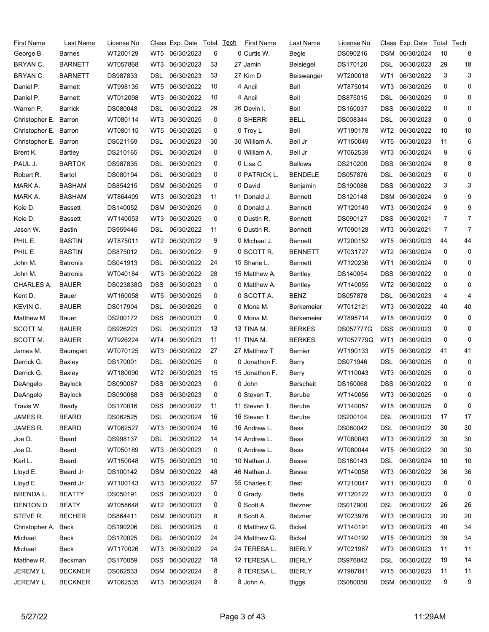| First Name            | Last Name       | License No |                 | Class Exp. Date | Total | <u>Tech</u> | First Name     | Last Name         | License No       |                 | <u>Class</u> Exp. Date | Total | Tech           |
|-----------------------|-----------------|------------|-----------------|-----------------|-------|-------------|----------------|-------------------|------------------|-----------------|------------------------|-------|----------------|
| George B              | <b>Barnes</b>   | WT200129   | WT5             | 06/30/2023      | 6     |             | 0 Curtis W.    | Begle             | DS090216         | DSM             | 06/30/2024             | 10    | 8              |
| BRYAN C.              | <b>BARNETT</b>  | WT057868   | WT3             | 06/30/2023      | 33    |             | 27 Jamin       | Beisiegel         | DS170120         | DSL             | 06/30/2023             | 29    | 18             |
| BRYAN C.              | <b>BARNETT</b>  | DS987833   | DSL             | 06/30/2023      | 33    |             | 27 Kim D       | Beiswanger        | WT200018         | WT1             | 06/30/2022             | 3     | 3              |
| Daniel P.             | <b>Barnett</b>  | WT998135   | WT5             | 06/30/2022      | 10    |             | 4 Ancil        | Bell              | WT875014         | WT3             | 06/30/2025             | 0     | 0              |
| Daniel P.             | Barnett         | WT012098   | WT3             | 06/30/2022      | 10    |             | 4 Ancil        | Bell              | DS875015         | DSL             | 06/30/2025             | 0     | 0              |
| Warren P.             | <b>Barrick</b>  | DS080048   | DSL             | 06/30/2022      | 29    |             | 26 Devin I.    | Bell              | DS160037         | <b>DSS</b>      | 06/30/2022             | 0     | 0              |
| Christopher E.        | Barron          | WT080114   | WT3             | 06/30/2025      | 0     |             | 0 SHERRI       | <b>BELL</b>       | DS008344         | DSL             | 06/30/2023             | 0     | 0              |
| Christopher E. Barron |                 | WT080115   | WT <sub>5</sub> | 06/30/2025      | 0     |             | 0 Troy L       | Bell              | WT190178         | WT <sub>2</sub> | 06/30/2022             | 10    | 10             |
| Christopher E.        | Barron          | DS021169   | DSL             | 06/30/2023      | 30    |             | 30 William A.  | Bell Jr           | WT150049         | WT5             | 06/30/2023             | 11    | 6              |
| Brent K.              | Bartley         | DS210165   | DSL             | 06/30/2024      | 0     |             | 0 William A.   | Bell Jr           | WT062539         | WT3             | 06/30/2024             | 9     | 6              |
| PAUL J.               | <b>BARTOK</b>   | DS987835   | DSL             | 06/30/2023      | 0     |             | 0 Lisa C       | <b>Bellows</b>    | DS210200         | DSS             | 06/30/2024             | 8     | 8              |
| Robert R.             | Bartol          | DS080194   | DSL             | 06/30/2023      | 0     |             | 0 PATRICK L.   | <b>BENDELE</b>    | DS057876         | DSL             | 06/30/2023             | 6     | 0              |
| MARK A.               | <b>BASHAM</b>   | DS854215   | DSM             | 06/30/2025      | 0     |             | 0 David        | Benjamin          | DS190086         | <b>DSS</b>      | 06/30/2022             | 3     | 3              |
| MARK A.               | <b>BASHAM</b>   | WT864409   | WT3             | 06/30/2023      | 11    |             | 11 Donald J.   | <b>Bennett</b>    | DS120148         | <b>DSM</b>      | 06/30/2024             | 9     | 9              |
| Kole D.               | <b>Bassett</b>  | DS140052   | <b>DSM</b>      | 06/30/2025      | 0     |             | 0 Donald J.    | <b>Bennett</b>    | WT120149         | WT3             | 06/30/2024             | 9     | 9              |
| Kole D.               | Bassett         | WT140053   | WT3             | 06/30/2025      | 0     |             | 0 Dustin R.    | <b>Bennett</b>    | DS090127         | DSS             | 06/30/2021             | 7     | 7              |
| Jason W.              | Bastin          | DS959446   | DSL             | 06/30/2022      | 11    |             | 6 Dustin R.    | <b>Bennett</b>    | WT090128         | WT3             | 06/30/2021             | 7     | $\overline{7}$ |
| PHIL E.               | <b>BASTIN</b>   | WT875011   | WT <sub>2</sub> | 06/30/2022      | 9     |             | 0 Michael J.   | <b>Bennett</b>    | WT200152         | WT <sub>5</sub> | 06/30/2023             | 44    | 44             |
| PHIL E.               | <b>BASTIN</b>   | DS875012   | DSL             | 06/30/2022      | 9     |             | 0 SCOTT R.     | <b>BENNETT</b>    | WT031727         | WT2             | 06/30/2024             | 0     | 0              |
| John M.               | <b>Batronis</b> | DS041913   | DSL             | 06/30/2022      | 24    |             | 15 Sharie L.   | <b>Bennett</b>    | WT120236         | WT1             | 06/30/2024             | 0     | 0              |
| John M.               | <b>Batronis</b> | WT040184   | WT3             | 06/30/2022      | 28    |             | 15 Matthew A.  | Bentley           | DS140054         | DSS             | 06/30/2022             | 0     | 0              |
| CHARLES A.            | <b>BAUER</b>    | DS023838G  | <b>DSS</b>      | 06/30/2023      | 0     |             | 0 Matthew A.   | Bentley           | WT140055         | WT2             | 06/30/2022             | 0     | 0              |
| Kent D.               | Bauer           | WT160058   | WT <sub>5</sub> | 06/30/2025      | 0     |             | 0 SCOTT A.     | <b>BENZ</b>       | DS057878         | <b>DSL</b>      | 06/30/2023             | 4     | 4              |
| KEVIN C.              | <b>BAUER</b>    | DS017904   | DSL             | 06/30/2025      | 0     |             | 0 Mona M.      | <b>Berkemeier</b> | WT012121         | WT3             | 06/30/2022             | 40    | 40             |
| Matthew M             | Bauer           | DS200172   | <b>DSS</b>      | 06/30/2023      | 0     |             | 0 Mona M.      | Berkemeier        | WT895714         | WT <sub>5</sub> | 06/30/2022             | 0     | 0              |
| SCOTT M.              | <b>BAUER</b>    | DS926223   | DSL             | 06/30/2023      | 13    |             | 13 TINA M.     | <b>BERKES</b>     | <b>DS057777G</b> | <b>DSS</b>      | 06/30/2023             | 0     | 0              |
| SCOTT M.              | <b>BAUER</b>    | WT926224   | WT4             | 06/30/2023      | 11    |             | 11 TINA M.     | <b>BERKES</b>     | WT057779G        | WT1             | 06/30/2023             | 0     | 0              |
| James M.              | Baumgart        | WT070125   | WT3             | 06/30/2022      | 27    |             | 27 Matthew T   | <b>Bernier</b>    | WT190133         | WT <sub>5</sub> | 06/30/2022             | 41    | 41             |
| Derrick G.            | Baxley          | DS170001   | DSL             | 06/30/2025      | 0     |             | 0 Jonathon F.  | Berry             | DS071946         | DSL             | 06/30/2025             | 0     | 0              |
| Derrick G.            | Baxley          | WT180090   | WT <sub>2</sub> | 06/30/2023      | 15    |             | 15 Jonathon F. | Berry             | WT110043         | WT3             | 06/30/2025             | 0     | 0              |
| DeAngelo              | Baylock         | DS090087   | <b>DSS</b>      | 06/30/2023      | 0     |             | 0 John         | <b>Berscheit</b>  | DS160068         | DSS             | 06/30/2022             | 0     | 0              |
| DeAngelo              | Baylock         | DS090088   |                 | DSS 06/30/2023  | 0     |             | 0 Steven T.    | Berube            | WT140056         |                 | WT3 06/30/2025         | 0     | 0              |
| Travis W.             | Beady           | DS170016   | DSS             | 06/30/2022      | 11    |             | 11 Steven T.   | Berube            | WT140057         | WT5             | 06/30/2025             | 0     | 0              |
| JAMES R.              | <b>BEARD</b>    | DS062525   | DSL.            | 06/30/2024      | 16    |             | 16 Steven T.   | Berube            | DS200104         | DSL             | 06/30/2023             | 17    | 17             |
| JAMES R.              | <b>BEARD</b>    | WT062527   | WT3             | 06/30/2024      | 16    |             | 16 Andrew L.   | Bess              | DS080042         | <b>DSL</b>      | 06/30/2022             | 30    | 30             |
| Joe D.                | Beard           | DS998137   | DSL             | 06/30/2022      | 14    |             | 14 Andrew L.   | Bess              | WT080043         | WT3             | 06/30/2022             | 30    | 30             |
| Joe D.                | Beard           | WT050189   | WT3             | 06/30/2023      | 0     |             | 0 Andrew L.    | Bess              | WT080044         | WT5             | 06/30/2022             | 30    | 30             |
| Karl L.               | Beard           | WT150048   | WT5             | 06/30/2023      | 10    |             | 10 Nathan J.   | Besse             | DS180143         | <b>DSL</b>      | 06/30/2024             | 10    | 10             |
| Lloyd E.              | Beard Jr        | DS100142   |                 | DSM 06/30/2022  | 48    |             | 46 Nathan J.   | Besse             | WT140058         | WT3             | 06/30/2022             | 36    | 36             |
| Lloyd E.              | Beard Jr        | WT100143   | WT3             | 06/30/2022      | 57    |             | 55 Charles E   | Best              | WT210047         | WT1             | 06/30/2023             | 0     | 0              |
| <b>BRENDAL.</b>       | <b>BEATTY</b>   | DS050191   | <b>DSS</b>      | 06/30/2023      | 0     |             | 0 Grady        | <b>Betts</b>      | WT120122         | WT3             | 06/30/2023             | 0     | 0              |
| DENTON D.             | <b>BEATY</b>    | WT058648   |                 | WT2 06/30/2023  | 0     |             | 0 Scott A.     | <b>Betzner</b>    | DS017900         | DSL             | 06/30/2022             | 26    | 26             |
| STEVE R.              | <b>BECHER</b>   | DS864411   |                 | DSM 06/30/2023  | 8     |             | 8 Scott A.     | <b>Betzner</b>    | WT023976         | WT3             | 06/30/2023             | 20    | 20             |
| Christopher A.        | Beck            | DS190206   | DSL             | 06/30/2025      | 0     |             | 0 Matthew G.   | <b>Bickel</b>     | WT140191         | WT3             | 06/30/2023             | 40    | 34             |
| Michael               | Beck            | DS170025   | DSL.            | 06/30/2022      | 24    |             | 24 Matthew G.  | <b>Bickel</b>     | WT140192         | WT5             | 06/30/2023             | 39    | 34             |
| Michael               | Beck            | WT170026   | WT3             | 06/30/2022      | 24    |             | 24 TERESA L.   | <b>BIERLY</b>     | WT021987         | WT3             | 06/30/2023             | 11    | 11             |
| Matthew R.            | Beckman         | DS170059   | <b>DSS</b>      | 06/30/2022      | 18    |             | 12 TERESA L.   | <b>BIERLY</b>     | DS976842         | DSL             | 06/30/2022             | 19    | 14             |
| JEREMY L.             | <b>BECKNER</b>  | DS062533   | DSM             | 06/30/2024      | 8     |             | 8 TERESA L.    | <b>BIERLY</b>     | WT987841         | WT5             | 06/30/2023             | 11    | 11             |
| JEREMY L.             | <b>BECKNER</b>  | WT062535   |                 | WT3 06/30/2024  | 8     |             | 8 John A.      | Biggs             | DS080050         |                 | DSM 06/30/2022         | 9     | 9              |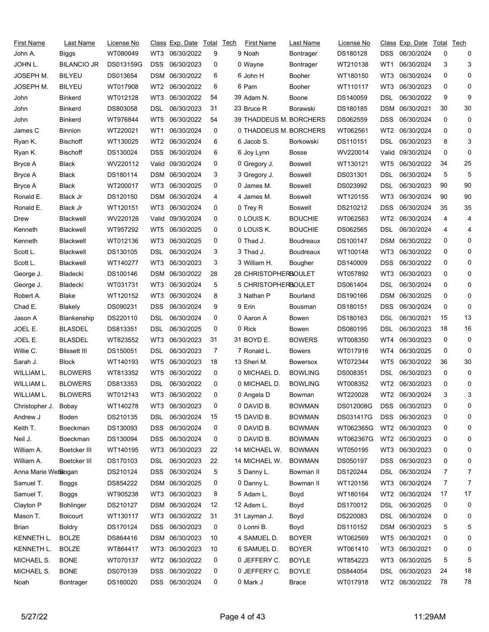| First Name          | Last Name           | License No |                 | Class Exp. Date | Total        | <b>Tech</b> | First Name              | Last Name        | License No |                 | Class Exp. Date | Total | Tech |
|---------------------|---------------------|------------|-----------------|-----------------|--------------|-------------|-------------------------|------------------|------------|-----------------|-----------------|-------|------|
| John A.             | Biggs               | WT080049   | WT3             | 06/30/2022      | 9            |             | 9 Noah                  | <b>Bontrager</b> | DS180128   | DSS             | 06/30/2024      | 0     | 0    |
| JOHN L.             | <b>BILANCIO JR</b>  | DS013159G  | <b>DSS</b>      | 06/30/2023      | 0            |             | 0 Wayne                 | Bontrager        | WT210138   | WT1             | 06/30/2024      | 3     | 3    |
| JOSEPH M.           | <b>BILYEU</b>       | DS013654   | <b>DSM</b>      | 06/30/2022      | 6            |             | 6 John H                | Booher           | WT180150   | WT3             | 06/30/2024      | 0     | 0    |
| JOSEPH M.           | BILYEU              | WT017908   | WT <sub>2</sub> | 06/30/2022      | 6            |             | 6 Pam                   | Booher           | WT110117   | WT3             | 06/30/2023      | 0     | 0    |
| John                | <b>Binkerd</b>      | WT012128   | WT3             | 06/30/2022      | 54           |             | 39 Adam N.              | Boone            | DS140059   | DSL             | 06/30/2022      | 9     | 9    |
| John                | <b>Binkerd</b>      | DS803058   | DSL             | 06/30/2023      | 31           |             | 23 Bruce R              | Borawski         | DS180185   | DSM             | 06/30/2021      | 30    | 30   |
| John                | <b>Binkerd</b>      | WT976844   | WT5             | 06/30/2022      | 54           |             | 39 THADDEUS M. BORCHERS |                  | DS062559   | DSS             | 06/30/2024      | 0     | 0    |
| James C             | <b>Binnion</b>      | WT220021   | WT1             | 06/30/2024      | 0            |             | 0 THADDEUS M. BORCHERS  |                  | WT062561   | WT2             | 06/30/2024      | 0     | 0    |
| Ryan K.             | Bischoff            | WT130025   | WT2             | 06/30/2024      | 6            |             | 6 Jacob S.              | Borkowski        | DS110151   | DSL             | 06/30/2023      | 8     | 3    |
| Ryan K.             | Bischoff            | DS130024   | <b>DSS</b>      | 06/30/2024      | 6            |             | 6 Joy Lynn              | Bosse            | WV220014   | Valid           | 09/30/2024      | 0     | 0    |
| Bryce A             | <b>Black</b>        | WV220112   | Valid           | 09/30/2024      | 0            |             | 0 Gregory J.            | <b>Boswell</b>   | WT130121   | WT5             | 06/30/2022      | 34    | 25   |
| Bryce A             | Black               | DS180114   | DSM             | 06/30/2024      | 3            |             | 3 Gregory J.            | <b>Boswell</b>   | DS031301   | DSL             | 06/30/2024      | 5     | 5    |
| Bryce A             | <b>Black</b>        | WT200017   | WT3             | 06/30/2025      | 0            |             | 0 James M.              | <b>Boswell</b>   | DS023992   | DSL             | 06/30/2023      | 90    | 90   |
| Ronald E.           | Black Jr            | DS120150   | DSM             | 06/30/2024      | 4            |             | 4 James M.              | <b>Boswell</b>   | WT120155   | WT3             | 06/30/2024      | 90    | 90   |
| Ronald E.           | Black Jr            | WT120151   | WT3             | 06/30/2024      | 0            |             | 0 Trey R                | <b>Boswell</b>   | DS210212   | <b>DSS</b>      | 06/30/2024      | 35    | 35   |
| Drew                | Blackwell           | WV220126   | Valid           | 09/30/2024      | 0            |             | 0 LOUIS K.              | <b>BOUCHIE</b>   | WT062563   | WT2             | 06/30/2024      | 4     | 4    |
| Kenneth             | Blackwell           | WT957292   | WT5             | 06/30/2025      | 0            |             | 0 LOUIS K.              | <b>BOUCHIE</b>   | DS062565   | DSL             | 06/30/2024      | 4     | 4    |
| Kenneth             | Blackwell           | WT012136   | WT3             | 06/30/2025      | 0            |             | 0 Thad J.               | <b>Boudreaux</b> | DS100147   | <b>DSM</b>      | 06/30/2022      | 0     | 0    |
| Scott L.            | Blackwell           | DS130105   | DSL             | 06/30/2024      | 3            |             | 3 Thad J.               | <b>Boudreaux</b> | WT100148   | WT3             | 06/30/2022      | 0     | 0    |
| Scott L.            | Blackwell           | WT140277   | WT3             | 06/30/2023      | 3            |             | 3 William H.            | Bougher          | DS140009   | <b>DSS</b>      | 06/30/2022      | 0     | 0    |
| George J.           | Bladecki            | DS100146   | DSM             | 06/30/2022      | 28           |             | 28 CHRISTOPHERBOULET    |                  | WT057892   | WT3             | 06/30/2023      | 0     | 0    |
| George J.           | Bladecki            | WT031731   | WT3             | 06/30/2024      | 5            |             | 5 CHRISTOPHERBOULET     |                  | DS061404   | DSL             | 06/30/2024      | 0     | 0    |
| Robert A.           | Blake               | WT120152   | WT3             | 06/30/2024      | 8            |             | 3 Nathan P              | Bourland         | DS190166   | DSM             | 06/30/2025      | 0     | 0    |
| Chad E.             | Blakely             | DS090231   | <b>DSS</b>      | 06/30/2024      | 9            |             | 9 Erin                  | <b>Bousman</b>   | DS180151   | DSS             | 06/30/2024      | 0     | 0    |
| Jason A             | Blankenship         | DS220110   | DSL             | 06/30/2024      | 0            |             | 0 Aaron A               | Bowen            | DS180163   | DSL             | 06/30/2021      | 15    | 13   |
| JOEL E.             | BLASDEL             | DS813351   | DSL             | 06/30/2025      | 0            |             | 0 Rick                  | Bowen            | DS080195   | DSL             | 06/30/2023      | 18    | 16   |
| JOEL E.             | <b>BLASDEL</b>      | WT823552   | WT3             | 06/30/2023      | 31           |             | 31 BOYD E.              | <b>BOWERS</b>    | WT008350   | WT4             | 06/30/2023      | 0     | 0    |
| Willie C.           | <b>Blissett III</b> | DS150051   | DSL             | 06/30/2023      | 7            |             | 7 Ronald L.             | <b>Bowers</b>    | WT017916   | WT4             | 06/30/2025      | 0     | 0    |
| Sarah J.            | Block               | WT140193   | WT5             | 06/30/2023      | 18           |             | 13 Sheri M.             | <b>Bowersox</b>  | WT072344   | WT5             | 06/30/2022      | 36    | 30   |
| WILLIAM L.          | <b>BLOWERS</b>      | WT813352   | WT <sub>5</sub> | 06/30/2022      | 0            |             | 0 MICHAEL D.            | <b>BOWLING</b>   | DS008351   | DSL             | 06/30/2023      | 0     | 0    |
| WILLIAM L.          | <b>BLOWERS</b>      | DS813353   | DSL             | 06/30/2022      | 0            |             | 0 MICHAEL D.            | <b>BOWLING</b>   | WT008352   |                 | WT2 06/30/2023  | 0     | 0    |
| WILLIAM L.          | <b>BLOWERS</b>      | WT012143   |                 | WT3 06/30/2022  | $\mathbf{0}$ |             | 0 Angela D              | Bowman           | WT220028   |                 | WT2 06/30/2024  | 3     | 3    |
| Christopher J.      | Bobay               | WT140278   | WT3             | 06/30/2023      | 0            |             | 0 DAVID B.              | <b>BOWMAN</b>    | DS012008G  | DSS             | 06/30/2023      | 0     | 0    |
| Andrew J            | Boden               | DS210135   | DSL             | 06/30/2024      | 15           |             | 15 DAVID B.             | <b>BOWMAN</b>    | DS031417G  | <b>DSS</b>      | 06/30/2023      | 0     | 0    |
| Keith T.            | Boeckman            | DS130093   | <b>DSS</b>      | 06/30/2024      | 0            |             | 0 DAVID B.              | <b>BOWMAN</b>    | WT062365G  | WT <sub>2</sub> | 06/30/2023      | 0     | 0    |
| Neil J.             | Boeckman            | DS130094   | <b>DSS</b>      | 06/30/2024      | 0            |             | 0 DAVID B.              | <b>BOWMAN</b>    | WT062367G  |                 | WT2 06/30/2023  | 0     | 0    |
| William A.          | Boetcker III        | WT140195   | WT3             | 06/30/2023      | 22           |             | 14 MICHAEL W.           | <b>BOWMAN</b>    | WT050195   | WT3             | 06/30/2023      | 0     | 0    |
| William A.          | Boetcker III        | DS170103   | <b>DSL</b>      | 06/30/2023      | 22           |             | 14 MICHAEL W.           | <b>BOWMAN</b>    | DS050197   | <b>DSS</b>      | 06/30/2023      | 0     | 0    |
| Anna Marie Websogan |                     | DS210124   | <b>DSS</b>      | 06/30/2024      | 5            |             | 5 Danny L.              | Bowman II        | DS120244   | DSL.            | 06/30/2024      | 7     | 7    |
| Samuel T.           | Boggs               | DS854222   | DSM             | 06/30/2025      | 0            |             | 0 Danny L.              | Bowman II        | WT120156   | WT3             | 06/30/2024      | 7     | 7    |
| Samuel T.           | <b>Boggs</b>        | WT905238   | WT3             | 06/30/2023      | 8            |             | 5 Adam L.               | Boyd             | WT180164   | WT2             | 06/30/2024      | 17    | 17   |
| Clayton P           | <b>Bohlinger</b>    | DS210127   | DSM             | 06/30/2024      | 12           |             | 12 Adam L.              | Boyd             | DS170012   | DSL.            | 06/30/2025      | 0     | 0    |
| Mason T.            | <b>Boicourt</b>     | WT130117   | WT3             | 06/30/2022      | 31           |             | 31 Layman J.            | Boyd             | DS220083   | <b>DSL</b>      | 06/30/2024      | 0     | 0    |
| Brian               | <b>Boldry</b>       | DS170124   | <b>DSS</b>      | 06/30/2023      | 0            |             | 0 Lonni B.              | Boyd             | DS110152   |                 | DSM 06/30/2023  | 5     | 5    |
| KENNETH L.          | <b>BOLZE</b>        | DS864416   | DSM             | 06/30/2023      | 10           |             | 4 SAMUEL D.             | <b>BOYER</b>     | WT062569   | WT5             | 06/30/2021      | 0     | 0    |
| KENNETH L.          | BOLZE               | WT864417   | WT3             | 06/30/2023      | 10           |             | 6 SAMUEL D.             | <b>BOYER</b>     | WT061410   | WT3             | 06/30/2021      | 0     | 0    |
| MICHAEL S.          | <b>BONE</b>         | WT070137   | WT2             | 06/30/2022      | 0            |             | 0 JEFFERY C.            | <b>BOYLE</b>     | WT854223   | WT3             | 06/30/2025      | 5     | 5    |
| MICHAEL S.          | <b>BONE</b>         | DS070139   | <b>DSS</b>      | 06/30/2022      | 0            |             | 0 JEFFERY C.            | <b>BOYLE</b>     | DS844054   | <b>DSL</b>      | 06/30/2023      | 24    | 18   |
|                     |                     |            |                 |                 |              |             |                         |                  |            |                 |                 |       |      |
| Noah                | Bontrager           | DS160020   | <b>DSS</b>      | 06/30/2024      | 0            |             | 0 Mark J                | <b>Brace</b>     | WT017918   | WT2             | 06/30/2022      | 78    | 78   |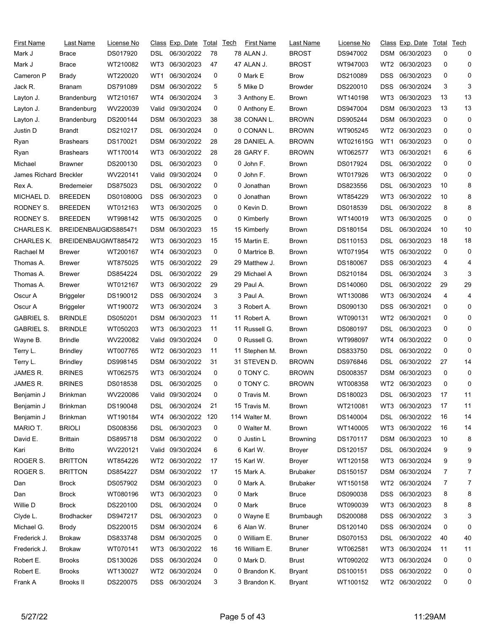| <b>First Name</b>      | Last Name            | License No |            | Class Exp. Date  | Total | Tech | First Name    | Last Name       | <u>License No</u> |                 | Class Exp. Date | Total | Tech |
|------------------------|----------------------|------------|------------|------------------|-------|------|---------------|-----------------|-------------------|-----------------|-----------------|-------|------|
| Mark J                 | Brace                | DS017920   | DSL        | 06/30/2022       | 78    |      | 78 ALAN J.    | <b>BROST</b>    | DS947002          |                 | DSM 06/30/2023  | 0     | 0    |
| Mark J                 | Brace                | WT210082   | WT3        | 06/30/2023       | 47    |      | 47 ALAN J.    | <b>BROST</b>    | WT947003          | WT <sub>2</sub> | 06/30/2023      | 0     | 0    |
| Cameron P              | Brady                | WT220020   | WT1        | 06/30/2024       | 0     |      | 0 Mark E      | <b>Brow</b>     | DS210089          | DSS             | 06/30/2023      | 0     | 0    |
| Jack R.                | Branam               | DS791089   | DSM        | 06/30/2022       | 5     |      | 5 Mike D      | <b>Browder</b>  | DS220010          | DSS             | 06/30/2024      | 3     | 3    |
| Layton J.              | Brandenburg          | WT210167   | WT4        | 06/30/2024       | 3     |      | 3 Anthony E.  | <b>Brown</b>    | WT140198          | WT3             | 06/30/2023      | 13    | 13   |
| Layton J.              | Brandenburg          | WV220039   | Valid      | 09/30/2024       | 0     |      | 0 Anthony E.  | <b>Brown</b>    | DS947004          | <b>DSM</b>      | 06/30/2023      | 13    | 13   |
| Layton J.              | Brandenburg          | DS200144   | DSM        | 06/30/2023       | 38    |      | 38 CONAN L.   | <b>BROWN</b>    | DS905244          | DSM             | 06/30/2023      | 0     | 0    |
| Justin D               | Brandt               | DS210217   | DSL        | 06/30/2024       | 0     |      | 0 CONAN L.    | <b>BROWN</b>    | WT905245          | WT2             | 06/30/2023      | 0     | 0    |
| Ryan                   | <b>Brashears</b>     | DS170021   | DSM        | 06/30/2022       | 28    |      | 28 DANIEL A.  | <b>BROWN</b>    | WT021615G         | WT1             | 06/30/2023      | 0     | 0    |
| Ryan                   | <b>Brashears</b>     | WT170014   | WT3        | 06/30/2022       | 28    |      | 28 GARY F.    | <b>BROWN</b>    | WT062577          | WT3             | 06/30/2021      | 6     | 6    |
| Michael                | <b>Brawner</b>       | DS200130   | DSL        | 06/30/2023       | 0     |      | 0 John F.     | <b>Brown</b>    | DS017924          | DSL             | 06/30/2022      | 0     | 0    |
| James Richard Breckler |                      | WV220141   | Valid      | 09/30/2024       | 0     |      | 0 John F.     | <b>Brown</b>    | WT017926          | WT3             | 06/30/2022      | 0     | 0    |
| Rex A.                 | Bredemeier           | DS875023   | DSL        | 06/30/2022       | 0     |      | 0 Jonathan    | <b>Brown</b>    | DS823556          | DSL             | 06/30/2023      | 10    | 8    |
| MICHAEL D.             | <b>BREEDEN</b>       | DS010800G  | <b>DSS</b> | 06/30/2023       | 0     |      | 0 Jonathan    | <b>Brown</b>    | WT854229          | WT3             | 06/30/2022      | 10    | 8    |
| RODNEY S.              | <b>BREEDEN</b>       | WT012163   | WT3        | 06/30/2025       | 0     |      | 0 Kevin D.    | <b>Brown</b>    | DS018539          | DSL             | 06/30/2022      | 8     | 8    |
| RODNEY S.              | <b>BREEDEN</b>       | WT998142   | WT5        | 06/30/2025       | 0     |      | 0 Kimberly    | <b>Brown</b>    | WT140019          | WT3             | 06/30/2025      | 0     | 0    |
| CHARLES K.             | BREIDENBAUGIDS885471 |            | <b>DSM</b> | 06/30/2023       | 15    |      | 15 Kimberly   | <b>Brown</b>    | DS180154          | DSL             | 06/30/2024      | 10    | 10   |
| CHARLES K.             | BREIDENBAUGIWT885472 |            | WT3        | 06/30/2023       | 15    |      | 15 Martin E.  | <b>Brown</b>    | DS110153          | DSL             | 06/30/2023      | 18    | 18   |
| Rachael M              | Brewer               | WT200167   | WT4        | 06/30/2023       | 0     |      | 0 Martrice B. | <b>Brown</b>    | WT071954          | WT5             | 06/30/2022      | 0     | 0    |
| Thomas A.              | Brewer               | WT875025   | WT5        | 06/30/2022       | 29    |      | 29 Matthew J. | <b>Brown</b>    | DS180067          | <b>DSS</b>      | 06/30/2023      | 4     | 4    |
| Thomas A.              | <b>Brewer</b>        | DS854224   | DSL        | 06/30/2022       | 29    |      | 29 Michael A  | <b>Brown</b>    | DS210184          | DSL             | 06/30/2024      | 3     | 3    |
| Thomas A.              | Brewer               | WT012167   | WT3        | 06/30/2022       | 29    |      | 29 Paul A.    | <b>Brown</b>    | DS140060          | DSL             | 06/30/2022      | 29    | 29   |
| Oscur A                | Briggeler            | DS190012   | DSS        | 06/30/2024       | 3     |      | 3 Paul A.     | <b>Brown</b>    | WT130086          | WT3             | 06/30/2024      | 4     | 4    |
| Oscur A                | <b>Briggeler</b>     | WT190072   | WT3        | 06/30/2024       | 3     |      | 3 Robert A.   | <b>Brown</b>    | DS090130          | DSS             | 06/30/2021      | 0     | 0    |
| <b>GABRIEL S.</b>      | <b>BRINDLE</b>       | DS050201   | <b>DSM</b> | 06/30/2023       | 11    |      | 11 Robert A.  | <b>Brown</b>    | WT090131          | WT <sub>2</sub> | 06/30/2021      | 0     | 0    |
| <b>GABRIEL S.</b>      | <b>BRINDLE</b>       | WT050203   | WT3        | 06/30/2023       | 11    |      | 11 Russell G. | <b>Brown</b>    | DS080197          | <b>DSL</b>      | 06/30/2023      | 0     | 0    |
| Wayne B.               | <b>Brindle</b>       | WV220082   | Valid      | 09/30/2024       | 0     |      | 0 Russell G.  | <b>Brown</b>    | WT998097          | WT4             | 06/30/2022      | 0     | 0    |
| Terry L.               | <b>Brindley</b>      | WT007765   | WT2        | 06/30/2023       | 11    |      | 11 Stephen M. | <b>Brown</b>    | DS833750          | DSL             | 06/30/2022      | 0     | 0    |
| Terry L.               |                      | DS998145   | <b>DSM</b> | 06/30/2022       | 31    |      | 31 STEVEN D.  | <b>BROWN</b>    | DS976846          | DSL             | 06/30/2022      | 27    | 14   |
|                        | <b>Brindley</b>      |            |            |                  | 0     |      | 0 TONY C.     |                 |                   |                 |                 | 0     | 0    |
| JAMES R.               | <b>BRINES</b>        | WT062575   | WT3        | 06/30/2024       | 0     |      | 0 TONY C.     | <b>BROWN</b>    | DS008357          | <b>DSM</b>      | 06/30/2023      |       | 0    |
| JAMES R.               | <b>BRINES</b>        | DS018538   | DSL        | 06/30/2025       |       |      |               | <b>BROWN</b>    | WT008358          | WT <sub>2</sub> | 06/30/2023      | 0     |      |
| Benjamin J             | <b>Brinkman</b>      | WV220086   |            | Valid 09/30/2024 | 0     |      | 0 Travis M.   | Brown           | DS180023          | <b>DSL</b>      | 06/30/2023      | 17    | 11   |
| Benjamin J             | Brinkman             | DS190048   | DSL.       | 06/30/2024       | 21    |      | 15 Travis M.  | <b>Brown</b>    | WT210081          | WT3             | 06/30/2023      | 17    | 11   |
| Benjamin J             | <b>Brinkman</b>      | WT190184   | WT4        | 06/30/2022       | 120   |      | 114 Walter M. | <b>Brown</b>    | DS140004          | DSL             | 06/30/2022      | 16    | 14   |
| MARIO T.               | <b>BRIOLI</b>        | DS008356   | DSL        | 06/30/2023       | 0     |      | 0 Walter M.   | <b>Brown</b>    | WT140005          | WT3             | 06/30/2022      | 16    | 14   |
| David E.               | <b>Brittain</b>      | DS895718   | DSM        | 06/30/2022       | 0     |      | 0 Justin L    | <b>Browning</b> | DS170117          | <b>DSM</b>      | 06/30/2023      | 10    | 8    |
| Kari                   | <b>Britto</b>        | WV220121   |            | Valid 09/30/2024 | 6     |      | 6 Karl W.     | <b>Broyer</b>   | DS120157          | <b>DSL</b>      | 06/30/2024      | 9     | 9    |
| ROGER S.               | <b>BRITTON</b>       | WT854226   | WT2        | 06/30/2022       | 17    |      | 15 Karl W.    | <b>Broyer</b>   | WT120158          | WT3             | 06/30/2024      | 9     | 9    |
| ROGER S.               | <b>BRITTON</b>       | DS854227   |            | DSM 06/30/2022   | 17    |      | 15 Mark A.    | <b>Brubaker</b> | DS150157          | DSM             | 06/30/2024      | 7     | 7    |
| Dan                    | <b>Brock</b>         | DS057902   |            | DSM 06/30/2023   | 0     |      | 0 Mark A.     | <b>Brubaker</b> | WT150158          | WT2             | 06/30/2024      | 7     | 7    |
| Dan                    | <b>Brock</b>         | WT080196   | WT3        | 06/30/2023       | 0     |      | 0 Mark        | <b>Bruce</b>    | DS090038          | <b>DSS</b>      | 06/30/2023      | 8     | 8    |
| Willie D               | <b>Brock</b>         | DS220100   | <b>DSL</b> | 06/30/2024       | 0     |      | 0 Mark        | <b>Bruce</b>    | WT090039          | WT3             | 06/30/2023      | 8     | 8    |
| Clyde L.               | <b>Brodhacker</b>    | DS947217   | DSL        | 06/30/2023       | 0     |      | 0 Wayne E     | Brumbaugh       | DS200088          | <b>DSS</b>      | 06/30/2022      | 3     | 3    |
| Michael G.             | Brody                | DS220015   |            | DSM 06/30/2024   | 6     |      | 6 Alan W.     | <b>Bruner</b>   | DS120140          | <b>DSS</b>      | 06/30/2024      | 0     | 0    |
| Frederick J.           | <b>Brokaw</b>        | DS833748   |            | DSM 06/30/2025   | 0     |      | 0 William E.  | <b>Bruner</b>   | DS070153          | <b>DSL</b>      | 06/30/2022      | 40    | 40   |
| Frederick J.           | <b>Brokaw</b>        | WT070141   | WT3        | 06/30/2022       | 16    |      | 16 William E. | <b>Bruner</b>   | WT062581          | WT3             | 06/30/2024      | 11    | 11   |
| Robert E.              | <b>Brooks</b>        | DS130026   | <b>DSS</b> | 06/30/2024       | 0     |      | 0 Mark D.     | Brust           | WT090202          | WT3             | 06/30/2024      | 0     | 0    |
| Robert E.              | <b>Brooks</b>        | WT130027   | WT2        | 06/30/2024       | 0     |      | 0 Brandon K.  | <b>Bryant</b>   | DS100151          | <b>DSS</b>      | 06/30/2022      | 0     | 0    |
| Frank A                | Brooks II            | DS220075   |            | DSS 06/30/2024   | 3     |      | 3 Brandon K.  | <b>Bryant</b>   | WT100152          | WT <sub>2</sub> | 06/30/2022      | 0     | 0    |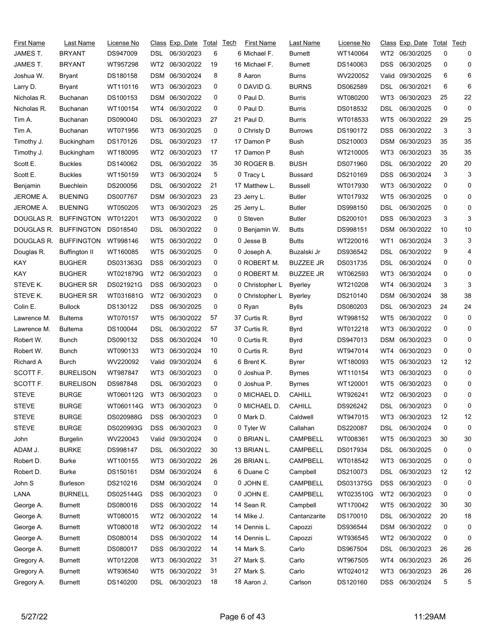| First Name   | Last Name            | License No               |                 | Class Exp. Date Total |    | Tech | First Name      | Last Name        | License No |                 | Class Exp. Date | Total | Tech |
|--------------|----------------------|--------------------------|-----------------|-----------------------|----|------|-----------------|------------------|------------|-----------------|-----------------|-------|------|
| JAMES T.     | <b>BRYANT</b>        | DS947009                 | DSL.            | 06/30/2023            | 6  |      | 6 Michael F.    | <b>Burnett</b>   | WT140064   | WT2             | 06/30/2025      | 0     | 0    |
| JAMES T.     | <b>BRYANT</b>        | WT957298                 | WT2             | 06/30/2022            | 19 |      | 16 Michael F.   | <b>Burnett</b>   | DS140063   | <b>DSS</b>      | 06/30/2025      | 0     | 0    |
| Joshua W.    | Bryant               | DS180158                 | <b>DSM</b>      | 06/30/2024            | 8  |      | 8 Aaron         | <b>Burns</b>     | WV220052   | Valid           | 09/30/2025      | 6     | 6    |
| Larry D.     | Bryant               | WT110116                 | WT3             | 06/30/2023            | 0  |      | 0 DAVID G.      | <b>BURNS</b>     | DS062589   | DSL             | 06/30/2021      | 6     | 6    |
| Nicholas R.  | <b>Buchanan</b>      | DS100153                 | <b>DSM</b>      | 06/30/2022            | 0  |      | 0 Paul D.       | <b>Burris</b>    | WT080200   | WT3             | 06/30/2023      | 25    | 22   |
| Nicholas R.  | <b>Buchanan</b>      | WT100154                 | WT4             | 06/30/2022            | 0  |      | 0 Paul D.       | <b>Burris</b>    | DS018532   | DSL             | 06/30/2025      | 0     | 0    |
| Tim A.       | Buchanan             | DS090040                 | DSL             | 06/30/2023            | 27 |      | 21 Paul D.      | <b>Burris</b>    | WT018533   | WT5             | 06/30/2022      | 29    | 25   |
| Tim A.       | Buchanan             | WT071956                 | WT3             | 06/30/2025            | 0  |      | 0 Christy D     | <b>Burrows</b>   | DS190172   | <b>DSS</b>      | 06/30/2022      | 3     | 3    |
| Timothy J.   | <b>Buckingham</b>    | DS170126                 | DSL             | 06/30/2023            | 17 |      | 17 Damon P      | Bush             | DS210003   | <b>DSM</b>      | 06/30/2023      | 35    | 35   |
| Timothy J.   | Buckingham           | WT180095                 | WT <sub>2</sub> | 06/30/2023            | 17 |      | 17 Damon P      | Bush             | WT210005   | WT3             | 06/30/2023      | 35    | 35   |
| Scott E.     | <b>Buckles</b>       | DS140062                 | DSL             | 06/30/2022            | 35 |      | 30 ROGER B.     | <b>BUSH</b>      | DS071960   | DSL             | 06/30/2022      | 20    | 20   |
| Scott E.     | <b>Buckles</b>       | WT150159                 | WT3             | 06/30/2024            | 5  |      | 0 Tracy L       | <b>Bussard</b>   | DS210169   | <b>DSS</b>      | 06/30/2024      | 3     | 3    |
| Benjamin     | <b>Buechlein</b>     | DS200056                 | DSL             | 06/30/2022            | 21 |      | 17 Matthew L.   | <b>Bussell</b>   | WT017930   | WT3             | 06/30/2022      | 0     | 0    |
| JEROME A.    | <b>BUENING</b>       | DS007767                 | DSM             | 06/30/2023            | 23 |      | 23 Jerry L.     | <b>Butler</b>    | WT017932   | WT5             | 06/30/2025      | 0     | 0    |
| JEROME A.    | <b>BUENING</b>       | WT050205                 | WT3             | 06/30/2023            | 25 |      | 25 Jerry L.     | <b>Butler</b>    | DS998150   | DSL             | 06/30/2025      | 0     | 0    |
| DOUGLAS R.   | <b>BUFFINGTON</b>    | WT012201                 | WT3             | 06/30/2022            | 0  |      | 0 Steven        | <b>Butler</b>    | DS200101   | <b>DSS</b>      | 06/30/2023      | 3     | 3    |
| DOUGLAS R.   | <b>BUFFINGTON</b>    | DS018540                 | DSL             | 06/30/2022            | 0  |      | 0 Benjamin W.   | <b>Butts</b>     | DS998151   | <b>DSM</b>      | 06/30/2022      | 10    | 10   |
| DOUGLAS R.   | <b>BUFFINGTON</b>    | WT998146                 | WT <sub>5</sub> | 06/30/2022            | 0  |      | 0 Jesse B       | <b>Butts</b>     | WT220016   | WT1             | 06/30/2024      | 3     | 3    |
| Douglas R.   | <b>Buffington II</b> | WT160085                 | WT5             | 06/30/2025            | 0  |      | 0 Joseph A.     | Buzalski Jr      | DS936542   | <b>DSL</b>      | 06/30/2022      | 9     | 4    |
| KAY          | <b>BUGHER</b>        | DS031363G                | <b>DSS</b>      | 06/30/2023            | 0  |      | 0 ROBERT M.     | <b>BUZZEE JR</b> | DS031735   | DSL             | 06/30/2024      | 0     | 0    |
| KAY          | <b>BUGHER</b>        | WT021879G                | WT <sub>2</sub> | 06/30/2023            | 0  |      | 0 ROBERT M.     | <b>BUZZEE JR</b> | WT062593   | WT3             | 06/30/2024      | 0     | 0    |
| STEVE K.     | <b>BUGHER SR</b>     | DS021921G                | <b>DSS</b>      | 06/30/2023            | 0  |      | 0 Christopher L | Byerley          | WT210208   | WT4             | 06/30/2024      | 3     | 3    |
| STEVE K.     | <b>BUGHER SR</b>     | WT031681G                | WT2             | 06/30/2023            | 0  |      | 0 Christopher L | <b>Byerley</b>   | DS210140   | <b>DSM</b>      | 06/30/2024      | 38    | 38   |
| Colin E.     | <b>Bullock</b>       | DS130122                 | <b>DSS</b>      | 06/30/2025            | 0  |      | 0 Ryan          | Bylls            | DS080203   | DSL             | 06/30/2023      | 24    | 24   |
| Lawrence M.  | <b>Bultema</b>       | WT070157                 | WT <sub>5</sub> | 06/30/2022            | 57 |      | 37 Curtis R.    | Byrd             | WT998152   | WT <sub>5</sub> | 06/30/2022      | 0     | 0    |
| Lawrence M.  | <b>Bultema</b>       | DS100044                 | DSL             | 06/30/2022            | 57 |      | 37 Curtis R.    | Byrd             | WT012218   | WT3             | 06/30/2022      | 0     | 0    |
| Robert W.    | Bunch                | DS090132                 | <b>DSS</b>      | 06/30/2024            | 10 |      | 0 Curtis R.     | Byrd             | DS947013   | <b>DSM</b>      | 06/30/2023      | 0     | 0    |
| Robert W.    | Bunch                | WT090133                 | WT3             | 06/30/2024            | 10 |      | 0 Curtis R.     | Byrd             | WT947014   | WT4             | 06/30/2023      | 0     | 0    |
| Richard A    | Burch                | WV220092                 | Valid           | 09/30/2024            | 6  |      | 6 Brent K.      | Byrer            | WT180093   | WT5             | 06/30/2023      | 12    | 12   |
| SCOTT F.     | <b>BURELISON</b>     | WT987847                 | WT3             | 06/30/2023            | 0  |      | 0 Joshua P.     | <b>Byrnes</b>    | WT110154   | WT3             | 06/30/2023      | 0     | 0    |
| SCOTT F.     | <b>BURELISON</b>     | DS987848                 | DSL.            | 06/30/2023            | 0  |      | 0 Joshua P.     | <b>Byrnes</b>    | WT120001   | WT5             | 06/30/2023      | 0     | 0    |
| <b>STEVE</b> | <b>BURGE</b>         | WT060112G WT3 06/30/2023 |                 |                       | 0  |      | 0 MICHAEL D.    | <b>CAHILL</b>    | WT926241   |                 | WT2 06/30/2023  | 0     | 0    |
| <b>STEVE</b> | <b>BURGE</b>         | WT060114G                | WT3             | 06/30/2023            | 0  |      | 0 MICHAEL D.    | <b>CAHILL</b>    | DS926242   | DSL             | 06/30/2023      | 0     | 0    |
| <b>STEVE</b> | <b>BURGE</b>         | DS020988G                | <b>DSS</b>      | 06/30/2023            | 0  |      | 0 Mark D.       | Caldwell         | WT947015   | WT3             | 06/30/2023      | 12    | 12   |
| <b>STEVE</b> | <b>BURGE</b>         | DS020993G                | <b>DSS</b>      | 06/30/2023            | 0  |      | 0 Tyler W       | Callahan         | DS220087   | <b>DSL</b>      | 06/30/2024      | 0     | 0    |
| John         | <b>Burgelin</b>      | WV220043                 |                 | Valid 09/30/2024      | 0  |      | 0 BRIAN L.      | CAMPBELL         | WT008361   | WT5             | 06/30/2023      | 30    | 30   |
| ADAM J.      | <b>BURKE</b>         | DS998147                 | DSL             | 06/30/2022            | 30 |      | 13 BRIAN L.     | <b>CAMPBELL</b>  | DS017934   | <b>DSL</b>      | 06/30/2025      | 0     | 0    |
| Robert D.    | <b>Burke</b>         | WT100155                 | WT3             | 06/30/2022            | 26 |      | 26 BRIAN L.     | CAMPBELL         | WT018542   | WT3             | 06/30/2025      | 0     | 0    |
| Robert D.    | <b>Burke</b>         | DS150161                 |                 | DSM 06/30/2024        | 6  |      | 6 Duane C       | Campbell         | DS210073   | <b>DSL</b>      | 06/30/2023      | 12    | 12   |
| John S       | <b>Burleson</b>      | DS210216                 |                 | DSM 06/30/2024        | 0  |      | 0 JOHN E.       | <b>CAMPBELL</b>  | DS031375G  | <b>DSS</b>      | 06/30/2023      | 0     | 0    |
| LANA         | <b>BURNELL</b>       | DS025144G                | <b>DSS</b>      | 06/30/2023            | 0  |      | 0 JOHN E.       | CAMPBELL         | WT023510G  | WT <sub>2</sub> | 06/30/2023      | 0     | 0    |
| George A.    | <b>Burnett</b>       | DS080016                 | <b>DSS</b>      | 06/30/2022            | 14 |      | 14 Sean R.      | Campbell         | WT170042   | WT5             | 06/30/2022      | 30    | 30   |
| George A.    | <b>Burnett</b>       | WT080015                 | WT <sub>2</sub> | 06/30/2022            | 14 |      | 14 Mike J.      | Cantanzarite     | DS170010   | <b>DSL</b>      | 06/30/2022      | 20    | 18   |
| George A.    | <b>Burnett</b>       | WT080018                 | WT2             | 06/30/2022            | 14 |      | 14 Dennis L.    | Capozzi          | DS936544   | <b>DSM</b>      | 06/30/2022      | 0     | 0    |
| George A.    | <b>Burnett</b>       | DS080014                 | <b>DSS</b>      | 06/30/2022            | 14 |      | 14 Dennis L.    | Capozzi          | WT936545   | WT <sub>2</sub> | 06/30/2022      | 0     | 0    |
| George A.    | <b>Burnett</b>       | DS080017                 | <b>DSS</b>      | 06/30/2022            | 14 |      | 14 Mark S.      | Carlo            | DS967504   | <b>DSL</b>      | 06/30/2023      | 26    | 26   |
| Gregory A.   | <b>Burnett</b>       | WT012208                 | WT3             | 06/30/2022            | 31 |      | 27 Mark S.      | Carlo            | WT967505   | WT4             | 06/30/2023      | 26    | 26   |
| Gregory A.   | <b>Burnett</b>       | WT936540                 | WT <sub>5</sub> | 06/30/2022            | 31 |      | 27 Mark S.      | Carlo            | WT024012   | WT3             | 06/30/2023      | 26    | 26   |
| Gregory A.   | <b>Burnett</b>       | DS140200                 |                 | DSL 06/30/2023        | 18 |      | 18 Aaron J.     | Carlson          | DS120160   |                 | DSS 06/30/2024  | 5     | 5    |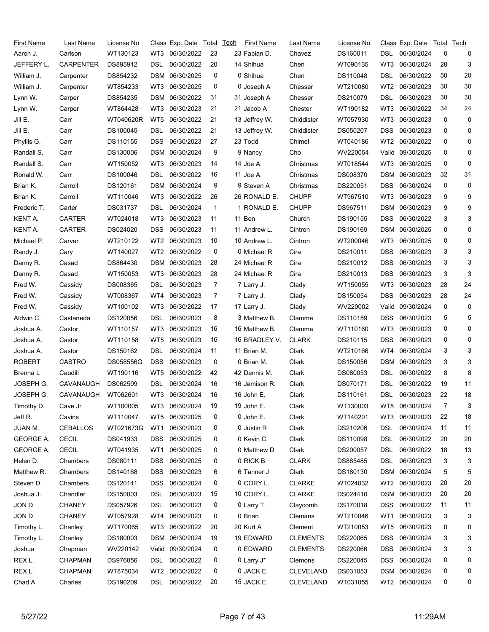| First Name       | Last Name          | License No |                 | Class Exp. Date Total |    | Tech | <b>First Name</b> | Last Name        | License No |                 | Class Exp. Date Total |    | Tech |
|------------------|--------------------|------------|-----------------|-----------------------|----|------|-------------------|------------------|------------|-----------------|-----------------------|----|------|
| Aaron J.         | Carlson            | WT130123   | WT3             | 06/30/2022            | 23 |      | 23 Fabian D.      | Chavez           | DS160011   | DSL             | 06/30/2024            | 0  | 0    |
| JEFFERY L.       | <b>CARPENTER</b>   | DS895912   | DSL             | 06/30/2022            | 20 |      | 14 Shihua         | Chen             | WT090135   | WT3             | 06/30/2024            | 28 | 3    |
| William J.       | Carpenter          | DS854232   | DSM             | 06/30/2025            | 0  |      | 0 Shihua          | Chen             | DS110048   | DSL             | 06/30/2022            | 50 | 20   |
| William J.       | Carpenter          | WT854233   | WT3             | 06/30/2025            | 0  |      | 0 Joseph A        | Chesser          | WT210080   | WT <sub>2</sub> | 06/30/2023            | 30 | 30   |
| Lynn W.          | Carper             | DS854235   | DSM             | 06/30/2022            | 31 |      | 31 Joseph A       | Chesser          | DS210079   | DSL             | 06/30/2023            | 30 | 30   |
| Lynn W.          | Carper             | WT864428   | WT3             | 06/30/2023            | 21 |      | 21 Jacob A        | Chester          | WT190182   | WT3             | 06/30/2022            | 34 | 24   |
| Jill E.          | Carr               | WT040620R  | WT <sub>5</sub> | 06/30/2022            | 21 |      | 13 Jeffrey W.     | Chiddister       | WT057930   | WT3             | 06/30/2023            | 0  | 0    |
| Jill E.          | Carr               | DS100045   | DSL             | 06/30/2022            | 21 |      | 13 Jeffrey W.     | Chiddister       | DS050207   | <b>DSS</b>      | 06/30/2023            | 0  | 0    |
| Phyllis G.       | Carr               | DS110155   | DSS             | 06/30/2023            | 27 |      | 23 Todd           | Chimel           | WT040186   | WT2             | 06/30/2022            | 0  | 0    |
| Randall S.       | Carr               | DS130006   | DSM             | 06/30/2024            | 9  |      | 9 Nancy           | Cho              | WV220054   | Valid           | 09/30/2025            | 0  | 0    |
| Randall S.       | Carr               | WT150052   | WT3             | 06/30/2023            | 14 |      | 14 Joe A.         | Christmas        | WT018544   | WT3             | 06/30/2025            | 0  | 0    |
| Ronald W.        | Carr               | DS100046   | DSL             | 06/30/2022            | 16 |      | 11 Joe A.         | Christmas        | DS008370   | <b>DSM</b>      | 06/30/2023            | 32 | 31   |
| Brian K.         | Carroll            | DS120161   | DSM             | 06/30/2024            | 9  |      | 9 Steven A        | Christmas        | DS220051   | <b>DSS</b>      | 06/30/2024            | 0  | 0    |
| Brian K.         | Carroll            | WT110046   | WT3             | 06/30/2022            | 26 |      | 26 RONALD E.      | <b>CHUPP</b>     | WT967510   | WT3             | 06/30/2023            | 9  | 9    |
| Frederic T.      | Carter             | DS031737   | DSL             | 06/30/2024            | 1  |      | 1 RONALD E.       | <b>CHUPP</b>     | DS967511   | <b>DSM</b>      | 06/30/2023            | 9  | 9    |
| KENT A.          | CARTER             | WT024018   | WT3             | 06/30/2023            | 11 |      | 11 Ben            | Church           | DS190155   | <b>DSS</b>      | 06/30/2022            | 3  | 3    |
| KENT A.          | CARTER             | DS024020   | DSS             | 06/30/2023            | 11 |      | 11 Andrew L.      | Cintron          | DS190169   | <b>DSM</b>      | 06/30/2025            | 0  | 0    |
| Michael P.       | Carver             | WT210122   | WT2             | 06/30/2023            | 10 |      | 10 Andrew L.      | Cintron          | WT200046   | WT3             | 06/30/2025            | 0  | 0    |
| Randy J.         | Cary               | WT140027   | WT2             | 06/30/2022            | 0  |      | 0 Michael R       | Cira             | DS210011   | <b>DSS</b>      | 06/30/2023            | 3  | 3    |
| Danny R.         | Casad              | DS864430   | DSM             | 06/30/2023            | 28 |      | 24 Michael R      | Cira             | DS210012   | DSS             | 06/30/2023            | 3  | 3    |
| Danny R.         | Casad              | WT150053   | WT3             | 06/30/2023            | 28 |      | 24 Michael R      | Cira             | DS210013   | <b>DSS</b>      | 06/30/2023            | 3  | 3    |
| Fred W.          | Cassidy            | DS008365   | DSL             | 06/30/2023            | 7  |      | 7 Larry J.        | Clady            | WT150055   | WT3             | 06/30/2023            | 28 | 24   |
| Fred W.          | Cassidy            | WT008367   | WT4             | 06/30/2023            | 7  |      | 7 Larry J.        | Clady            | DS150054   | <b>DSS</b>      | 06/30/2023            | 28 | 24   |
| Fred W.          | Cassidy            | WT100102   | WT3             | 06/30/2022            | 17 |      | 17 Larry J.       | Clady            | WV220002   | Valid           | 09/30/2024            | 0  | 0    |
| Aldwin C.        | Castaneda          | DS120056   | DSL             | 06/30/2023            | 8  |      | 3 Matthew B.      | Clamme           | DS110159   | <b>DSS</b>      | 06/30/2023            | 5  | 5    |
| Joshua A.        | Castor             | WT110157   | WT3             | 06/30/2023            | 16 |      | 16 Matthew B.     | Clamme           | WT110160   | WT3             | 06/30/2023            | 0  | 0    |
| Joshua A.        | Castor             | WT110158   | WT5             | 06/30/2023            | 16 |      | 16 BRADLEY V.     | <b>CLARK</b>     | DS210115   | <b>DSS</b>      | 06/30/2023            | 0  | 0    |
| Joshua A.        | Castor             | DS150162   | DSL             | 06/30/2024            | 11 |      | 11 Brian M.       | Clark            | WT210166   | WT4             | 06/30/2024            | 3  | 3    |
| ROBERT           | CASTRO             | DS058556G  | <b>DSS</b>      | 06/30/2023            | 0  |      | 0 Brian M.        | Clark            | DS150056   | <b>DSM</b>      | 06/30/2023            | 3  | 3    |
| Brenna L         | Caudill            | WT190116   | WT5             | 06/30/2022            | 42 |      | 42 Dennis M.      | Clark            | DS080053   | DSL             | 06/30/2022            | 8  | 8    |
| JOSEPH G.        | CAVANAUGH          | DS062599   | DSL             | 06/30/2024            | 16 |      | 16 Jamison R.     | Clark            | DS070171   | DSL             | 06/30/2022            | 19 | 11   |
| JOSEPH G.        | CAVANAUGH WT062601 |            |                 | WT3 06/30/2024        | 16 |      | 16 John E.        | Clark            | DS110161   | <b>DSL</b>      | 06/30/2023            | 22 | 18   |
| Timothy D.       | Cave Jr            | WT100005   | WT3             | 06/30/2024            | 19 |      | 19 John E.        | Clark            | WT130003   | WT5             | 06/30/2024            | 7  | 3    |
| Jeff R.          | Cavins             | WT110047   | WT5             | 06/30/2025            | 0  |      | 0 John E.         | Clark            | WT140201   | WT3             | 06/30/2023            | 22 | 18   |
| JUAN M.          | <b>CEBALLOS</b>    | WT021673G  | WT1             | 06/30/2023            | 0  |      | 0 Justin R        | Clark            | DS210206   | <b>DSL</b>      | 06/30/2024            | 11 | 11   |
| <b>GEORGE A.</b> | <b>CECIL</b>       | DS041933   | DSS             | 06/30/2025            | 0  |      | 0 Kevin C.        | Clark            | DS110098   | <b>DSL</b>      | 06/30/2022            | 20 | 20   |
| <b>GEORGE A.</b> | <b>CECIL</b>       | WT041935   | WT1             | 06/30/2025            | 0  |      | 0 Matthew D       | Clark            | DS200057   | <b>DSL</b>      | 06/30/2022            | 18 | 13   |
| Helen D.         | Chambers           | DS080111   | <b>DSS</b>      | 06/30/2025            | 0  |      | 0 RICK B.         | <b>CLARK</b>     | DS885485   | <b>DSL</b>      | 06/30/2023            | 3  | 3    |
| Matthew R.       | Chambers           | DS140168   | DSS             | 06/30/2023            | 6  |      | 6 Tanner J        | Clark            | DS180130   | <b>DSM</b>      | 06/30/2024            | 5  | 5    |
| Steven D.        | Chambers           | DS120141   | <b>DSS</b>      | 06/30/2024            | 0  |      | 0 CORY L.         | <b>CLARKE</b>    | WT024032   | WT2             | 06/30/2023            | 20 | 20   |
| Joshua J.        | Chandler           | DS150003   | DSL             | 06/30/2023            | 15 |      | 10 CORY L.        | <b>CLARKE</b>    | DS024410   | <b>DSM</b>      | 06/30/2023            | 20 | 20   |
| JON D.           | <b>CHANEY</b>      | DS057926   | DSL             | 06/30/2023            | 0  |      | 0 Larry T.        | Claycomb         | DS170018   | <b>DSS</b>      | 06/30/2022            | 11 | 11   |
| JON D.           | <b>CHANEY</b>      | WT057928   | WT4             | 06/30/2023            | 0  |      | 0 Brian           | Clemans          | WT210046   | WT1             | 06/30/2023            | 3  | 3    |
| Timothy L.       | Chanley            | WT170065   | WT3             | 06/30/2022            | 20 |      | 20 Kurt A         | Clement          | WT210053   | WT5             | 06/30/2023            | 0  | 0    |
| Timothy L.       | Chanley            | DS180003   | DSM             | 06/30/2024            | 19 |      | 19 EDWARD         | <b>CLEMENTS</b>  | DS220065   | DSS             | 06/30/2024            | 3  | 3    |
| Joshua           | Chapman            | WV220142   |                 | Valid 09/30/2024      | 0  |      | 0 EDWARD          | <b>CLEMENTS</b>  | DS220066   | <b>DSS</b>      | 06/30/2024            | 3  | 3    |
| REX L.           | <b>CHAPMAN</b>     | DS976856   | <b>DSL</b>      | 06/30/2022            | 0  |      | 0 Larry J*        | Clemons          | DS220045   | <b>DSS</b>      | 06/30/2024            | 0  | 0    |
| REX L.           | <b>CHAPMAN</b>     | WT875034   | WT <sub>2</sub> | 06/30/2022            | 0  |      | 0 JACK E.         | <b>CLEVELAND</b> | DS031053   | <b>DSM</b>      | 06/30/2024            | 0  | 0    |
| Chad A           | Charles            | DS190209   |                 | DSL 06/30/2022        | 20 |      | 15 JACK E.        | <b>CLEVELAND</b> | WT031055   |                 | WT2 06/30/2024        | 0  | 0    |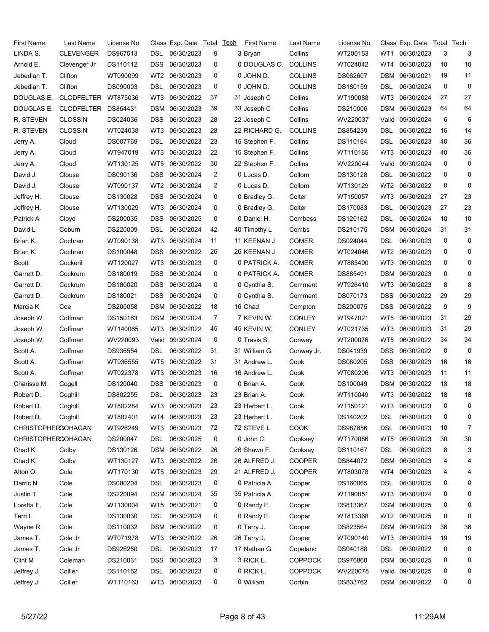| First Name                | Last Name           | License No |                 | Class Exp. Date | Total | <b>Tech</b> | <b>First Name</b> | Last Name          | License No |                 | Class Exp. Date | Total | Tech |
|---------------------------|---------------------|------------|-----------------|-----------------|-------|-------------|-------------------|--------------------|------------|-----------------|-----------------|-------|------|
| LINDA S.                  | <b>CLEVENGER</b>    | DS967513   | DSL.            | 06/30/2023      | 9     |             | 3 Bryan           | Collins            | WT200153   | WT1             | 06/30/2023      | 3     | 3    |
| Arnold E.                 | Clevenger Jr        | DS110112   | <b>DSS</b>      | 06/30/2023      | 0     |             | 0 DOUGLAS O.      | <b>COLLINS</b>     | WT024042   | WT4             | 06/30/2023      | 10    | 10   |
| Jebediah T.               | Clifton             | WT090099   | WT2             | 06/30/2023      | 0     |             | 0 JOHN D.         | <b>COLLINS</b>     | DS062607   | <b>DSM</b>      | 06/30/2021      | 19    | 11   |
| Jebediah T.               | Clifton             | DS090003   | DSL             | 06/30/2023      | 0     |             | 0 JOHN D.         | <b>COLLINS</b>     | DS180159   | DSL             | 06/30/2024      | 0     | 0    |
| DOUGLAS E.                | <b>CLODFELTER</b>   | WT875036   | WT3             | 06/30/2022      | 37    |             | 31 Joseph C       | Collins            | WT190088   | WT3             | 06/30/2024      | 27    | 27   |
| DOUGLAS E.                | CLODFELTER DS864431 |            | DSM             | 06/30/2023      | 39    |             | 33 Joseph C       | Collins            | DS210006   | <b>DSM</b>      | 06/30/2023      | 64    | 64   |
| R. STEVEN                 | <b>CLOSSIN</b>      | DS024036   | <b>DSS</b>      | 06/30/2023      | 28    |             | 22 Joseph C       | Collins            | WV220037   | Valid           | 09/30/2024      | 6     | 6    |
| R. STEVEN                 | <b>CLOSSIN</b>      | WT024038   | WT3             | 06/30/2023      | 28    |             | 22 RICHARD G.     | COLLINS            | DS854239   | DSL             | 06/30/2022      | 16    | 14   |
| Jerry A.                  | Cloud               | DS007769   | DSL             | 06/30/2023      | 23    |             | 15 Stephen F.     | Collins            | DS110164   | DSL             | 06/30/2023      | 40    | 36   |
| Jerry A.                  | Cloud               | WT947019   | WT3             | 06/30/2023      | 22    |             | 15 Stephen F.     | Collins            | WT110165   | WT3             | 06/30/2023      | 40    | 36   |
| Jerry A.                  | Cloud               | WT130125   | WT <sub>5</sub> | 06/30/2022      | 30    |             | 22 Stephen F.     | Collins            | WV220044   | Valid           | 09/30/2024      | 0     | 0    |
| David J.                  | Clouse              | DS090136   | <b>DSS</b>      | 06/30/2024      | 2     |             | 0 Lucas D.        | Collom             | DS130128   | DSL             | 06/30/2022      | 0     | 0    |
| David J.                  | Clouse              | WT090137   | WT2             | 06/30/2024      | 2     |             | 0 Lucas D.        | Collom             | WT130129   | WT2             | 06/30/2022      | 0     | 0    |
| Jeffrey H.                | Clouse              | DS130028   | <b>DSS</b>      | 06/30/2024      | 0     |             | 0 Bradley G.      | Colter             | WT150057   | WT3             | 06/30/2023      | 27    | 23   |
| Jeffrey H.                | Clouse              | WT130029   | WT3             | 06/30/2024      | 0     |             | 0 Bradley G.      | Colter             | DS170083   | DSL             | 06/30/2023      | 27    | 23   |
| Patrick A                 | Cloyd               | DS200035   | <b>DSS</b>      | 06/30/2025      | 0     |             | 0 Daniel H.       | Combess            | DS120162   | DSL             | 06/30/2024      | 10    | 10   |
| David L                   | Coburn              | DS220009   | DSL             | 06/30/2024      | 42    |             | 40 Timothy L      | Combs              | DS210175   | <b>DSM</b>      | 06/30/2024      | 31    | 31   |
| Brian K.                  | Cochran             | WT090138   | WT3             | 06/30/2024      | 11    |             | 11 KEENAN J.      | <b>COMER</b>       | DS024044   | DSL             | 06/30/2023      | 0     | 0    |
| Brian K.                  | Cochran             | DS100048   | DSS             | 06/30/2022      | 26    |             | 26 KEENAN J.      | <b>COMER</b>       | WT024046   | WT2             | 06/30/2023      | 0     | 0    |
| Scott                     | Cockeril            | WT120027   | WT3             | 06/30/2023      | 0     |             | 0 PATRICK A.      | COMER              | WT885490   | WT3             | 06/30/2023      | 0     | 0    |
| Garrett D.                | Cockrum             | DS180019   | <b>DSS</b>      | 06/30/2024      | 0     |             | 0 PATRICK A.      | <b>COMER</b>       | DS885491   | <b>DSM</b>      | 06/30/2023      | 0     | 0    |
| Garrett D.                | Cockrum             | DS180020   | <b>DSS</b>      | 06/30/2024      | 0     |             | 0 Cynthia S.      | Comment            | WT926410   | WT3             | 06/30/2023      | 8     | 8    |
| Garrett D.                | Cockrum             | DS180021   | <b>DSS</b>      | 06/30/2024      | 0     |             | 0 Cynthia S.      | Comment            | DS070173   | <b>DSS</b>      | 06/30/2022      | 29    | 29   |
| Marcia K                  | Coe                 | DS200058   | <b>DSM</b>      | 06/30/2022      | 18    |             | 16 Chad           | Compton            | DS200075   | <b>DSS</b>      | 06/30/2022      | 9     | 9    |
| Joseph W.                 | Coffman             | DS150163   | <b>DSM</b>      | 06/30/2024      | 7     |             | 7 KEVIN W.        | <b>CONLEY</b>      | WT947021   | WT <sub>5</sub> | 06/30/2023      | 31    | 29   |
| Joseph W.                 | Coffman             | WT140065   | WT3             | 06/30/2022      | 45    |             | 45 KEVIN W.       | <b>CONLEY</b>      | WT021735   | WT3             | 06/30/2023      | 31    | 29   |
| Joseph W.                 | Coffman             | WV220093   | Valid           | 09/30/2024      | 0     |             | 0 Travis S.       | Conway             | WT200076   | WT5             | 06/30/2022      | 34    | 34   |
| Scott A.                  | Coffman             | DS936554   | DSL             | 06/30/2022      | 31    |             | 31 William G.     |                    | DS041939   | DSS             | 06/30/2022      | 0     | 0    |
| Scott A.                  | Coffman             | WT936555   | WT5             | 06/30/2022      | 31    |             | 31 Andrew L.      | Conway Jr.<br>Cook | DS080205   | <b>DSS</b>      | 06/30/2023      | 16    | 16   |
| Scott A.                  |                     | WT022378   | WT3             | 06/30/2023      | 16    |             | 16 Andrew L.      |                    |            |                 | 06/30/2023      | 11    | 11   |
|                           | Coffman             |            |                 | 06/30/2023      | 0     |             |                   | Cook               | WT080206   | WT3             | 06/30/2022      | 18    | 18   |
| Charisse M.               | Cogell              | DS120040   | <b>DSS</b>      |                 |       |             | 0 Brian A.        | Cook               | DS100049   | DSM             |                 |       | 18   |
| Robert D.                 | Coghill             | DS802255   | <b>DSL</b>      | 06/30/2023      | 23    |             | 23 Brian A.       | Cook               | WT110049   |                 | WT3 06/30/2022  | 18    |      |
| Robert D.                 | Coghill             | WT802284   | WT3             | 06/30/2023      | 23    |             | 23 Herbert L.     | Cook               | WT150121   | WT3             | 06/30/2023      | 0     | 0    |
| Robert D.                 | Coghill             | WT802401   | WT4             | 06/30/2023      | 23    |             | 23 Herbert L.     | Cook               | DS140202   | DSL             | 06/30/2023      | 0     | 0    |
| <b>CHRISTOPHEROOHAGAN</b> |                     | WT926249   | WT3             | 06/30/2023      | 72    |             | 72 STEVE L.       | <b>COOK</b>        | DS987856   | <b>DSL</b>      | 06/30/2023      | 10    | 7    |
| <b>CHRISTOPHEROOHAGAN</b> |                     | DS200047   | DSL.            | 06/30/2025      | 0     |             | 0 John C.         | Cooksey            | WT170086   | WT5             | 06/30/2023      | 30    | 30   |
| Chad K.                   | Colby               | DS130126   |                 | DSM 06/30/2022  | 26    |             | 26 Shawn F.       | Cooksey            | DS110167   | DSL             | 06/30/2023      | 8     | 3    |
| Chad K.                   | Colby               | WT130127   | WT3             | 06/30/2022      | 26    |             | 26 ALFRED J.      | <b>COOPER</b>      | DS844072   | <b>DSM</b>      | 06/30/2023      | 4     | 4    |
| Alton O.                  | Cole                | WT170130   | WT5             | 06/30/2023      | 29    |             | 21 ALFRED J.      | <b>COOPER</b>      | WT803078   | WT4             | 06/30/2023      | 4     | 4    |
| Darric N.                 | Cole                | DS080204   | <b>DSL</b>      | 06/30/2023      | 0     |             | 0 Patricia A.     | Cooper             | DS160065   | DSL             | 06/30/2025      | 0     | 0    |
| Justin T                  | Cole                | DS220094   |                 | DSM 06/30/2024  | 35    |             | 35 Patricia A.    | Cooper             | WT190051   | WT3             | 06/30/2024      | 0     | 0    |
| Loretta E.                | Cole                | WT130004   | WT5             | 06/30/2021      | 0     |             | 0 Randy E.        | Cooper             | DS813367   | <b>DSM</b>      | 06/30/2025      | 0     | 0    |
| Terri L.                  | Cole                | DS130030   | DSL.            | 06/30/2024      | 0     |             | 0 Randy E.        | Cooper             | WT813368   |                 | WT2 06/30/2025  | 0     | 0    |
| Wayne R.                  | Cole                | DS110032   |                 | DSM 06/30/2022  | 0     |             | 0 Terry J.        | Cooper             | DS823564   | DSM             | 06/30/2023      | 36    | 36   |
| James T.                  | Cole Jr             | WT071978   | WT3             | 06/30/2022      | 26    |             | 26 Terry J.       | Cooper             | WT090140   | WT3             | 06/30/2024      | 19    | 19   |
| James T.                  | Cole Jr             | DS926250   | DSL.            | 06/30/2023      | 17    |             | 17 Nathan G.      | Copeland           | DS040188   | DSL             | 06/30/2022      | 0     | 0    |
| Clint M                   | Coleman             | DS210031   | <b>DSS</b>      | 06/30/2023      | 3     |             | 3 RICK L.         | <b>COPPOCK</b>     | DS976860   | DSM             | 06/30/2025      | 0     | 0    |
| Jeffrey J.                | Collier             | DS110162   | <b>DSL</b>      | 06/30/2023      | 0     |             | 0 RICK L.         | <b>COPPOCK</b>     | WV220078   | Valid           | 09/30/2025      | 0     | 0    |
| Jeffrey J.                | Collier             | WT110163   |                 | WT3 06/30/2023  | 0     |             | 0 William         | Corbin             | DS833762   |                 | DSM 06/30/2022  | 0     | 0    |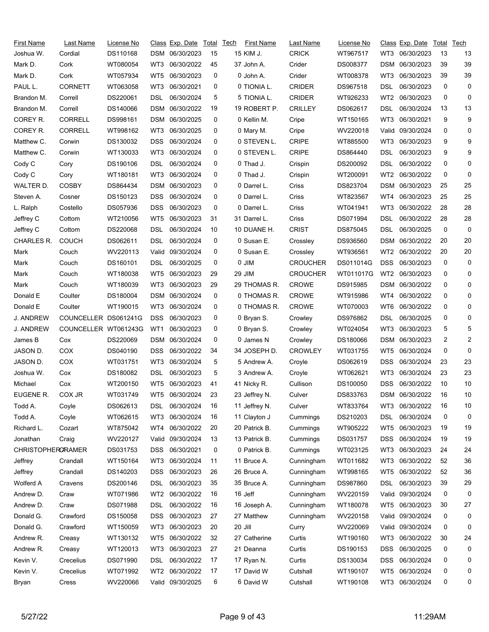| First Name               | Last Name            | License No |            | Class Exp. Date Total |    | <u>Tech</u> | First Name    | Last Name                 | License No |                 | <u>Class</u> Exp. Date | Total | Tech           |
|--------------------------|----------------------|------------|------------|-----------------------|----|-------------|---------------|---------------------------|------------|-----------------|------------------------|-------|----------------|
| Joshua W.                | Cordial              | DS110168   |            | DSM 06/30/2023        | 15 |             | 15 KIM J.     | <b>CRICK</b>              | WT967517   | WT3             | 06/30/2023             | 13    | 13             |
| Mark D.                  | Cork                 | WT080054   | WT3        | 06/30/2022            | 45 |             | 37 John A.    | Crider                    | DS008377   | DSM             | 06/30/2023             | 39    | 39             |
| Mark D.                  | Cork                 | WT057934   | WT5        | 06/30/2023            | 0  |             | 0 John A.     | Crider                    | WT008378   | WT3             | 06/30/2023             | 39    | 39             |
| PAUL L.                  | <b>CORNETT</b>       | WT063058   | WT3        | 06/30/2021            | 0  |             | 0 TIONIA L.   | <b>CRIDER</b>             | DS967518   | DSL             | 06/30/2023             | 0     | 0              |
| Brandon M.               | Correll              | DS220061   | DSL        | 06/30/2024            | 5  |             | 5 TIONIA L.   | <b>CRIDER</b>             | WT926233   | WT <sub>2</sub> | 06/30/2023             | 0     | 0              |
| Brandon M.               | Correll              | DS140066   |            | DSM 06/30/2022        | 19 |             | 19 ROBERT P.  | <b>CRILLEY</b>            | DS062617   | DSL             | 06/30/2024             | 13    | 13             |
| COREY R.                 | <b>CORRELL</b>       | DS998161   |            | DSM 06/30/2025        | 0  |             | 0 Kellin M.   | Cripe                     | WT150165   | WT3             | 06/30/2021             | 9     | 9              |
| COREY R.                 | <b>CORRELL</b>       | WT998162   | WT3        | 06/30/2025            | 0  |             | 0 Mary M.     | Cripe                     | WV220018   | Valid           | 09/30/2024             | 0     | 0              |
| Matthew C.               | Corwin               | DS130032   | DSS        | 06/30/2024            | 0  |             | 0 STEVEN L.   | <b>CRIPE</b>              | WT885500   | WT3             | 06/30/2023             | 9     | 9              |
| Matthew C.               | Corwin               | WT130033   | WT3        | 06/30/2024            | 0  |             | 0 STEVEN L.   | <b>CRIPE</b>              | DS864440   | DSL             | 06/30/2023             | 9     | 9              |
| Cody C                   | Cory                 | DS190106   | DSL        | 06/30/2024            | 0  |             | 0 Thad J.     | Crispin                   | DS200092   | DSL             | 06/30/2022             | 0     | 0              |
| Cody C                   | Cory                 | WT180181   | WT3        | 06/30/2024            | 0  |             | 0 Thad J.     | Crispin                   | WT200091   | WT2             | 06/30/2022             | 0     | 0              |
| WALTER D.                | <b>COSBY</b>         | DS864434   | DSM        | 06/30/2023            | 0  |             | 0 Darrel L.   | Criss                     | DS823704   | <b>DSM</b>      | 06/30/2023             | 25    | 25             |
| Steven A.                | Cosner               | DS150123   | <b>DSS</b> | 06/30/2024            | 0  |             | 0 Darrel L.   | Criss                     | WT823567   | WT4             | 06/30/2023             | 25    | 25             |
| L. Ralph                 | Costello             | DS057936   | <b>DSS</b> | 06/30/2023            | 0  |             | 0 Darrel L.   | Criss                     | WT041941   | WT3             | 06/30/2022             | 28    | 28             |
| Jeffrey C                | Cottom               | WT210056   | WT5        | 06/30/2023            | 31 |             | 31 Darrel L.  | Criss                     | DS071994   | DSL             | 06/30/2022             | 28    | 28             |
| Jeffrey C                | Cottom               | DS220068   | DSL        | 06/30/2024            | 10 |             | 10 DUANE H.   | <b>CRIST</b>              | DS875045   | DSL             | 06/30/2025             | 0     | 0              |
| CHARLES R.               | <b>COUCH</b>         | DS062611   | DSL        | 06/30/2024            | 0  |             | 0 Susan E.    | Crossley                  | DS936560   | DSM             | 06/30/2022             | 20    | 20             |
| Mark                     | Couch                | WV220113   | Valid      | 09/30/2024            | 0  |             | 0 Susan E.    | Crossley                  | WT936561   | WT2             | 06/30/2022             | 20    | 20             |
| Mark                     | Couch                | DS160101   | DSL        | 06/30/2025            | 0  |             | 0 JIM         | <b>CROUCHER</b>           | DS011014G  | <b>DSS</b>      | 06/30/2023             | 0     | 0              |
| Mark                     | Couch                | WT180038   | WT5        | 06/30/2023            | 29 |             | 29 JIM        | <b>CROUCHER</b>           | WT011017G  | WT2             | 06/30/2023             | 0     | 0              |
| Mark                     | Couch                | WT180039   | WT3        | 06/30/2023            | 29 |             | 29 THOMAS R.  | <b>CROWE</b>              | DS915985   | DSM             | 06/30/2022             | 0     | 0              |
| Donald E                 | Coulter              | DS180004   | DSM        | 06/30/2024            | 0  |             | 0 THOMAS R.   | <b>CROWE</b>              | WT915986   | WT4             | 06/30/2022             | 0     | 0              |
| Donald E                 | Coulter              | WT190015   | WT3        | 06/30/2024            | 0  |             | 0 THOMAS R.   | <b>CROWE</b>              | WT070003   | WT6             | 06/30/2022             | 0     | 0              |
| J. ANDREW                | COUNCELLER DS061241G |            | <b>DSS</b> | 06/30/2023            | 0  |             | 0 Bryan S.    | Crowley                   | DS976862   | DSL             | 06/30/2025             | 0     | 0              |
| J. ANDREW                | COUNCELLER WT061243G |            | WT1        | 06/30/2023            | 0  |             | 0 Bryan S.    | Crowley                   | WT024054   | WT3             | 06/30/2023             | 5     | 5              |
|                          | Cox                  | DS220069   |            | DSM 06/30/2024        | 0  |             | 0 James N     |                           | DS180066   | DSM             | 06/30/2023             | 2     | $\overline{c}$ |
| James B<br>JASON D.      | COX                  | DS040190   | <b>DSS</b> | 06/30/2022            | 34 |             | 34 JOSEPH D.  | Crowley<br><b>CROWLEY</b> | WT031755   |                 | 06/30/2024             | 0     | 0              |
|                          | COX                  |            | WT3        | 06/30/2024            | 5  |             | 5 Andrew A.   |                           |            | WT5<br>DSS      | 06/30/2024             | 23    | 23             |
| JASON D.                 |                      | WT031751   |            | 06/30/2023            | 5  |             |               | Croyle                    | DS062619   |                 | 06/30/2024             | 23    | 23             |
| Joshua W.                | Cox                  | DS180082   | DSL        |                       |    |             | 3 Andrew A.   | Croyle                    | WT062621   | WT3             | 06/30/2022             |       | 10             |
| Michael                  | Cox                  | WT200150   | WT5        | 06/30/2023            | 41 |             | 41 Nicky R.   | Cullison                  | DS100050   | DSS             |                        | 10    |                |
| EUGENE R.                | COX JR               | WT031749   |            | WT5 06/30/2024        | 23 |             | 23 Jeffrey N. | Culver                    | DS833763   |                 | DSM 06/30/2022         | 16    | 10             |
| Todd A.                  | Coyle                | DS062613   | DSL        | 06/30/2024            | 16 |             | 11 Jeffrey N. | Culver                    | WT833764   | WT3             | 06/30/2022             | 16    | 10             |
| Todd A.                  | Coyle                | WT062615   | WT3        | 06/30/2024            | 16 |             | 11 Clayton J  | Cummings                  | DS210203   | <b>DSL</b>      | 06/30/2024             | 0     | 0              |
| Richard L.               | Cozart               | WT875042   | WT4        | 06/30/2022            | 20 |             | 20 Patrick B. | Cummings                  | WT905222   | WT5             | 06/30/2023             | 19    | 19             |
| Jonathan                 | Craig                | WV220127   |            | Valid 09/30/2024      | 13 |             | 13 Patrick B. | Cummings                  | DS031757   | DSS             | 06/30/2024             | 19    | 19             |
| <b>CHRISTOPHERORAMER</b> |                      | DS031753   | DSS.       | 06/30/2021            | 0  |             | 0 Patrick B.  | Cummings                  | WT023125   | WT3             | 06/30/2023             | 24    | 24             |
| Jeffrey                  | Crandall             | WT150164   | WT3        | 06/30/2024            | 11 |             | 11 Bruce A.   | Cunningham                | WT011682   | WT3             | 06/30/2022             | 52    | 36             |
| Jeffrey                  | Crandall             | DS140203   | <b>DSS</b> | 06/30/2023            | 26 |             | 26 Bruce A.   | Cunningham                | WT998165   | WT5             | 06/30/2022             | 52    | 36             |
| Wolferd A                | Cravens              | DS200146   | DSL        | 06/30/2023            | 35 |             | 35 Bruce A.   | Cunningham                | DS987860   | <b>DSL</b>      | 06/30/2023             | 39    | 29             |
| Andrew D.                | Craw                 | WT071986   | WT2        | 06/30/2022            | 16 |             | 16 Jeff       | Cunningham                | WV220159   | Valid           | 09/30/2024             | 0     | 0              |
| Andrew D.                | Craw                 | DS071988   | DSL        | 06/30/2022            | 16 |             | 16 Joseph A.  | Cunningham                | WT180078   | WT5             | 06/30/2023             | 30    | 27             |
| Donald G.                | Crawford             | DS150058   | <b>DSS</b> | 06/30/2023            | 27 |             | 27 Matthew    | Cunningham                | WV220158   | Valid           | 09/30/2024             | 0     | 0              |
| Donald G.                | Crawford             | WT150059   | WT3        | 06/30/2023            | 20 |             | 20 Jill       | Curry                     | WV220069   |                 | Valid 09/30/2024       | 0     | 0              |
| Andrew R.                | Creasy               | WT130132   | WT5        | 06/30/2022            | 32 |             | 27 Catherine  | Curtis                    | WT190160   | WT3             | 06/30/2022             | 30    | 24             |
| Andrew R.                | Creasy               | WT120013   | WT3        | 06/30/2023            | 27 |             | 21 Deanna     | Curtis                    | DS190153   | DSS             | 06/30/2025             | 0     | 0              |
| Kevin V.                 | Crecelius            | DS071990   | DSL        | 06/30/2022            | 17 |             | 17 Ryan N.    | Curtis                    | DS130034   | <b>DSS</b>      | 06/30/2024             | 0     | 0              |
| Kevin V.                 | Crecelius            | WT071992   | WT2        | 06/30/2022            | 17 |             | 17 David W    | Cutshall                  | WT190107   | WT5             | 06/30/2024             | 0     | 0              |
| Bryan                    | Cress                | WV220066   |            | Valid 09/30/2025      | 6  |             | 6 David W     | Cutshall                  | WT190108   | WT3             | 06/30/2024             | 0     | 0              |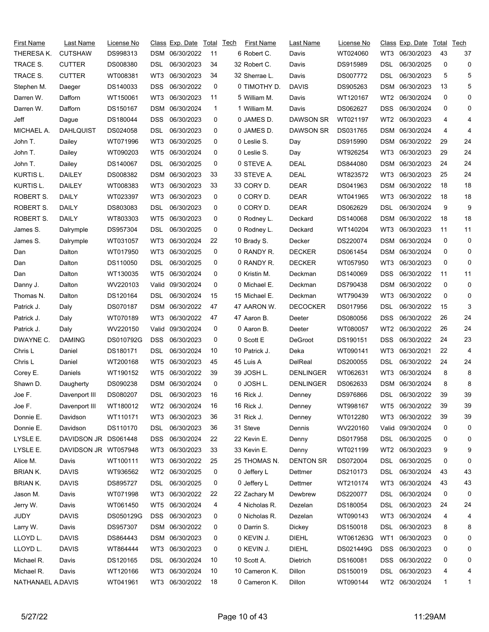| First Name        | Last Name            | License No |                 | <u>Class</u> Exp. Date | Total | Tech | First Name    | Last Name        | License No |                 | Class Exp. Date | Total | Tech |
|-------------------|----------------------|------------|-----------------|------------------------|-------|------|---------------|------------------|------------|-----------------|-----------------|-------|------|
| THERESA K.        | <b>CUTSHAW</b>       | DS998313   |                 | DSM 06/30/2022         | 11    |      | 6 Robert C.   | Davis            | WT024060   | WT3             | 06/30/2023      | 43    | 37   |
| TRACE S.          | <b>CUTTER</b>        | DS008380   | DSL             | 06/30/2023             | 34    |      | 32 Robert C.  | Davis            | DS915989   | DSL             | 06/30/2025      | 0     | 0    |
| TRACE S.          | <b>CUTTER</b>        | WT008381   | WT3             | 06/30/2023             | 34    |      | 32 Sherrae L. | Davis            | DS007772   | <b>DSL</b>      | 06/30/2023      | 5     | 5    |
| Stephen M.        | Daeger               | DS140033   | <b>DSS</b>      | 06/30/2022             | 0     |      | 0 TIMOTHY D.  | <b>DAVIS</b>     | DS905263   | <b>DSM</b>      | 06/30/2023      | 13    | 5    |
| Darren W.         | Dafforn              | WT150061   | WT3             | 06/30/2023             | 11    |      | 5 William M.  | Davis            | WT120167   | WT2             | 06/30/2024      | 0     | 0    |
| Darren W.         | Dafforn              | DS150167   |                 | DSM 06/30/2024         | 1     |      | 1 William M.  | Davis            | DS062627   | <b>DSS</b>      | 06/30/2024      | 0     | 0    |
| Jeff              | Dague                | DS180044   | <b>DSS</b>      | 06/30/2023             | 0     |      | 0 JAMES D.    | <b>DAWSON SR</b> | WT021197   | WT2             | 06/30/2023      | 4     | 4    |
| MICHAEL A.        | <b>DAHLQUIST</b>     | DS024058   | DSL             | 06/30/2023             | 0     |      | 0 JAMES D.    | <b>DAWSON SR</b> | DS031765   | <b>DSM</b>      | 06/30/2024      | 4     | 4    |
| John T.           | Dailey               | WT071996   | WT3             | 06/30/2025             | 0     |      | 0 Leslie S.   | Day              | DS915990   | <b>DSM</b>      | 06/30/2022      | 29    | 24   |
| John T.           | Dailey               | WT090203   | WT <sub>5</sub> | 06/30/2024             | 0     |      | 0 Leslie S.   | Day              | WT926254   | WT3             | 06/30/2023      | 29    | 24   |
| John T.           | Dailey               | DS140067   | DSL             | 06/30/2025             | 0     |      | 0 STEVE A.    | <b>DEAL</b>      | DS844080   | <b>DSM</b>      | 06/30/2023      | 24    | 24   |
| KURTIS L.         | DAILEY               | DS008382   | <b>DSM</b>      | 06/30/2023             | 33    |      | 33 STEVE A.   | <b>DEAL</b>      | WT823572   | WT3             | 06/30/2023      | 25    | 24   |
| KURTIS L.         | DAILEY               | WT008383   | WT3             | 06/30/2023             | 33    |      | 33 CORY D.    | <b>DEAR</b>      | DS041963   | <b>DSM</b>      | 06/30/2022      | 18    | 18   |
| <b>ROBERT S.</b>  | <b>DAILY</b>         | WT023397   | WT3             | 06/30/2023             | 0     |      | 0 CORY D.     | <b>DEAR</b>      | WT041965   | WT3             | 06/30/2022      | 18    | 18   |
| <b>ROBERT S.</b>  | DAILY                | DS803083   | DSL             | 06/30/2023             | 0     |      | 0 CORY D.     | <b>DEAR</b>      | DS062629   | DSL             | 06/30/2024      | 9     | 9    |
| ROBERT S.         | <b>DAILY</b>         | WT803303   | WT5             | 06/30/2023             | 0     |      | 0 Rodney L.   | Deckard          | DS140068   | <b>DSM</b>      | 06/30/2022      | 18    | 18   |
| James S.          | Dalrymple            | DS957304   | DSL             | 06/30/2025             | 0     |      | 0 Rodney L.   | Deckard          | WT140204   | WT3             | 06/30/2023      | 11    | 11   |
| James S.          | Dalrymple            | WT031057   | WT3             | 06/30/2024             | 22    |      | 10 Brady S.   | Decker           | DS220074   | <b>DSM</b>      | 06/30/2024      | 0     | 0    |
| Dan               | Dalton               | WT017950   | WT3             | 06/30/2025             | 0     |      | 0 RANDY R.    | <b>DECKER</b>    | DS061454   | <b>DSM</b>      | 06/30/2024      | 0     | 0    |
| Dan               | Dalton               | DS110050   | DSL             | 06/30/2025             | 0     |      | 0 RANDY R.    | <b>DECKER</b>    | WT057950   | WT3             | 06/30/2023      | 0     | 0    |
| Dan               | Dalton               | WT130035   | WT5             | 06/30/2024             | 0     |      | 0 Kristin M.  | Deckman          | DS140069   | DSS             | 06/30/2022      | 11    | 11   |
| Danny J.          | Dalton               | WV220103   | Valid           | 09/30/2024             | 0     |      | 0 Michael E.  | Deckman          | DS790438   | <b>DSM</b>      | 06/30/2022      | 0     | 0    |
| Thomas N.         | Dalton               | DS120164   | <b>DSL</b>      | 06/30/2024             | 15    |      | 15 Michael E. | Deckman          | WT790439   | WT3             | 06/30/2022      | 0     | 0    |
| Patrick J.        | Daly                 | DS070187   | <b>DSM</b>      | 06/30/2022             | 47    |      | 47 AARON W.   | <b>DECOCKER</b>  | DS017956   | DSL             | 06/30/2022      | 15    | 3    |
| Patrick J.        | Daly                 | WT070189   | WT3             | 06/30/2022             | 47    |      | 47 Aaron B.   | Deeter           | DS080056   | <b>DSS</b>      | 06/30/2022      | 26    | 24   |
| Patrick J.        | Daly                 | WV220150   |                 | Valid 09/30/2024       | 0     |      | 0 Aaron B.    | Deeter           | WT080057   | WT <sub>2</sub> | 06/30/2022      | 26    | 24   |
| DWAYNE C.         | <b>DAMING</b>        | DS010792G  | <b>DSS</b>      | 06/30/2023             | 0     |      | 0 Scott E     | DeGroot          | DS190151   | <b>DSS</b>      | 06/30/2022      | 24    | 23   |
| Chris L           | Daniel               | DS180171   | DSL             | 06/30/2024             | 10    |      | 10 Patrick J. | Deka             | WT090141   | WT3             | 06/30/2021      | 22    | 4    |
| Chris L           | Daniel               | WT200168   | WT5             | 06/30/2023             | 45    |      | 45 Luis A     | DelReal          | DS200055   | DSL             | 06/30/2022      | 24    | 24   |
|                   |                      |            | WT <sub>5</sub> | 06/30/2022             | 39    |      | 39 JOSH L.    | <b>DENLINGER</b> |            | WT3             | 06/30/2024      | 8     | 8    |
| Corey E.          | Daniels              | WT190152   |                 | DSM 06/30/2024         | 0     |      |               |                  | WT062631   |                 | DSM 06/30/2024  | 8     | 8    |
| Shawn D.          | Daugherty            | DS090238   |                 |                        |       |      | 0 JOSH L.     | <b>DENLINGER</b> | DS062633   |                 |                 |       |      |
| Joe F.            | Davenport III        | DS080207   |                 | DSL 06/30/2023         | 16    |      | 16 Rick J.    | Denney           | DS976866   | <b>DSL</b>      | 06/30/2022      | 39    | 39   |
| Joe F.            | Davenport III        | WT180012   | WT2             | 06/30/2024             | 16    |      | 16 Rick J.    | Denney           | WT998167   | WT5             | 06/30/2022      | 39    | 39   |
| Donnie E.         | Davidson             | WT110171   | WT3             | 06/30/2023             | 36    |      | 31 Rick J.    | Denney           | WT012280   | WT3             | 06/30/2022      | 39    | 39   |
| Donnie E.         | Davidson             | DS110170   | DSL             | 06/30/2023             | 36    |      | 31 Steve      | Dennis           | WV220160   | Valid           | 09/30/2024      | 0     | 0    |
| LYSLE E.          | DAVIDSON JR DS061448 |            | DSS.            | 06/30/2024             | 22    |      | 22 Kevin E.   | Denny            | DS017958   | DSL             | 06/30/2025      | 0     | 0    |
| LYSLE E.          | DAVIDSON JR WT057948 |            | WT3             | 06/30/2023             | 33    |      | 33 Kevin E.   | Denny            | WT021199   | WT2             | 06/30/2023      | 9     | 9    |
| Alice M.          | Davis                | WT100111   | WT3             | 06/30/2022             | 25    |      | 25 THOMAS N.  | <b>DENTON SR</b> | DS072004   | <b>DSL</b>      | 06/30/2025      | 0     | 0    |
| <b>BRIAN K.</b>   | <b>DAVIS</b>         | WT936562   | WT2             | 06/30/2025             | 0     |      | 0 Jeffery L   | Dettmer          | DS210173   | DSL             | 06/30/2024      | 43    | 43   |
| <b>BRIAN K.</b>   | <b>DAVIS</b>         | DS895727   | DSL             | 06/30/2025             | 0     |      | 0 Jeffery L   | Dettmer          | WT210174   | WT3             | 06/30/2024      | 43    | 43   |
| Jason M.          | Davis                | WT071998   | WT3             | 06/30/2022             | 22    |      | 22 Zachary M  | Dewbrew          | DS220077   | DSL             | 06/30/2024      | 0     | 0    |
| Jerry W.          | Davis                | WT061450   | WT5             | 06/30/2024             | 4     |      | 4 Nicholas R. | Dezelan          | DS180054   | <b>DSL</b>      | 06/30/2023      | 24    | 24   |
| <b>JUDY</b>       | <b>DAVIS</b>         | DS050129G  | DSS             | 06/30/2023             | 0     |      | 0 Nicholas R. | Dezelan          | WT090143   | WT3             | 06/30/2024      | 4     | 4    |
| Larry W.          | Davis                | DS957307   |                 | DSM 06/30/2022         | 0     |      | 0 Darrin S.   | Dickey           | DS150018   | <b>DSL</b>      | 06/30/2023      | 8     | 8    |
| LLOYD L.          | <b>DAVIS</b>         | DS864443   |                 | DSM 06/30/2023         | 0     |      | 0 KEVIN J.    | <b>DIEHL</b>     | WT061263G  | WT1             | 06/30/2023      | 0     | 0    |
| LLOYD L.          | <b>DAVIS</b>         | WT864444   | WT3             | 06/30/2023             | 0     |      | 0 KEVIN J.    | <b>DIEHL</b>     | DS021449G  | <b>DSS</b>      | 06/30/2023      | 0     | 0    |
| Michael R.        | Davis                | DS120165   | DSL.            | 06/30/2024             | 10    |      | 10 Scott A.   | Dietrich         | DS160081   | <b>DSS</b>      | 06/30/2022      | 0     | 0    |
| Michael R.        | Davis                | WT120166   | WT3             | 06/30/2024             | 10    |      | 10 Cameron K. | Dillon           | DS150019   | <b>DSL</b>      | 06/30/2023      | 4     | 4    |
| NATHANAEL A.DAVIS |                      | WT041961   |                 | WT3 06/30/2022         | 18    |      | 0 Cameron K.  | Dillon           | WT090144   |                 | WT2 06/30/2024  | 1     | 1    |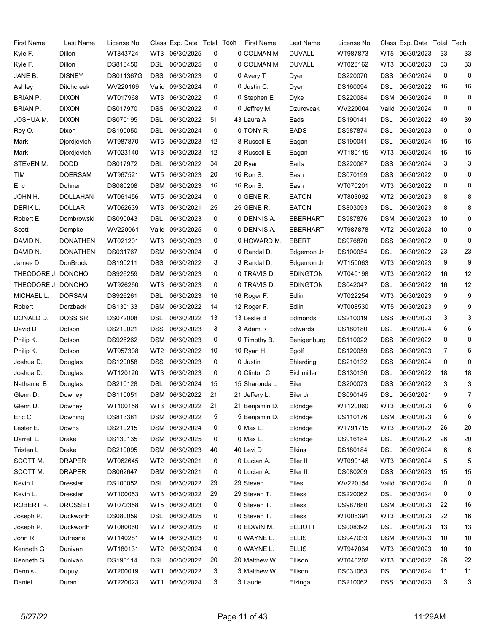| <b>First Name</b>  | Last Name         | License No |                 | <u>Class</u> Exp. Date | Total | Tech | <b>First Name</b> | Last Name       | License No |            | <u>Class</u> Exp. Date | Total | Tech |
|--------------------|-------------------|------------|-----------------|------------------------|-------|------|-------------------|-----------------|------------|------------|------------------------|-------|------|
| Kyle F.            | Dillon            | WT843724   | WT3             | 06/30/2025             | 0     |      | 0 COLMAN M.       | <b>DUVALL</b>   | WT987873   | WT5        | 06/30/2023             | 33    | 33   |
| Kyle F.            | Dillon            | DS813450   | DSL             | 06/30/2025             | 0     |      | 0 COLMAN M.       | <b>DUVALL</b>   | WT023162   | WT3        | 06/30/2023             | 33    | 33   |
| JANE B.            | <b>DISNEY</b>     | DS011367G  | <b>DSS</b>      | 06/30/2023             | 0     |      | 0 Avery T         | Dyer            | DS220070   | DSS        | 06/30/2024             | 0     | 0    |
| Ashley             | <b>Ditchcreek</b> | WV220169   | Valid           | 09/30/2024             | 0     |      | 0 Justin C.       | Dyer            | DS160094   | DSL        | 06/30/2022             | 16    | 16   |
| BRIAN P.           | <b>DIXON</b>      | WT017968   | WT3             | 06/30/2022             | 0     |      | 0 Stephen E       | Dyke            | DS220084   | DSM        | 06/30/2024             | 0     | 0    |
| BRIAN P.           | <b>DIXON</b>      | DS017970   | DSS             | 06/30/2022             | 0     |      | 0 Jeffrey M.      | Dzurovcak       | WV220004   | Valid      | 09/30/2024             | 0     | 0    |
| JOSHUA M.          | <b>DIXON</b>      | DS070195   | DSL             | 06/30/2022             | 51    |      | 43 Laura A        | Eads            | DS190141   | DSL        | 06/30/2022             | 49    | 39   |
| Roy O.             | Dixon             | DS190050   | DSL             | 06/30/2024             | 0     |      | 0 TONY R.         | <b>EADS</b>     | DS987874   | DSL        | 06/30/2023             | 0     | 0    |
| Mark               | Djordjevich       | WT987870   | WT5             | 06/30/2023             | 12    |      | 8 Russell E       | Eagan           | DS190041   | DSL        | 06/30/2024             | 15    | 15   |
| Mark               | Djordjevich       | WT023140   | WT3             | 06/30/2023             | 12    |      | 8 Russell E       | Eagan           | WT180115   | WT3        | 06/30/2024             | 15    | 15   |
| STEVEN M.          | DODD              | DS017972   | DSL             | 06/30/2022             | 34    |      | 28 Ryan           | Earls           | DS220067   | DSS        | 06/30/2024             | 3     | 3    |
| TIM                | <b>DOERSAM</b>    | WT967521   | WT5             | 06/30/2023             | 20    |      | 16 Ron S.         | Eash            | DS070199   | DSS        | 06/30/2022             | 0     | 0    |
| Eric               | Dohner            | DS080208   | DSM             | 06/30/2023             | 16    |      | 16 Ron S.         | Eash            | WT070201   | WT3        | 06/30/2022             | 0     | 0    |
| JOHN H.            | <b>DOLLAHAN</b>   | WT061456   | WT5             | 06/30/2024             | 0     |      | 0 GENE R.         | <b>EATON</b>    | WT803092   | WT2        | 06/30/2023             | 8     | 8    |
| DERIK L.           | <b>DOLLAR</b>     | WT062639   | WT3             | 06/30/2021             | 25    |      | 25 GENE R.        | <b>EATON</b>    | DS803093   | DSL        | 06/30/2023             | 8     | 8    |
| Robert E.          | Dombrowski        | DS090043   | DSL             | 06/30/2023             | 0     |      | 0 DENNIS A.       | EBERHART        | DS987876   | DSM        | 06/30/2023             | 10    | 0    |
| Scott              | Dompke            | WV220061   | Valid           | 09/30/2025             | 0     |      | 0 DENNIS A.       | <b>EBERHART</b> | WT987878   | WT2        | 06/30/2023             | 10    | 0    |
| DAVID N.           | <b>DONATHEN</b>   | WT021201   | WT3             | 06/30/2023             | 0     |      | 0 HOWARD M.       | <b>EBERT</b>    | DS976870   | DSS        | 06/30/2022             | 0     | 0    |
| DAVID N.           | <b>DONATHEN</b>   | DS031767   | DSM             | 06/30/2024             | 0     |      | 0 Randal D.       | Edgemon Jr      | DS100054   | DSL        | 06/30/2022             | 23    | 23   |
| James D            | DonBrock          | DS190211   | DSS             | 06/30/2022             | 3     |      | 3 Randal D.       | Edgemon Jr      | WT150063   | WT3        | 06/30/2023             | 9     | 9    |
| THEODORE J. DONOHO |                   | DS926259   | DSM             | 06/30/2023             | 0     |      | 0 TRAVIS D.       | <b>EDINGTON</b> | WT040198   | WT3        | 06/30/2022             | 16    | 12   |
| THEODORE J. DONOHO |                   | WT926260   | WT3             | 06/30/2023             | 0     |      | 0 TRAVIS D.       | <b>EDINGTON</b> | DS042047   | DSL        | 06/30/2022             | 16    | 12   |
| MICHAEL L.         | <b>DORSAM</b>     | DS926261   | DSL             | 06/30/2023             | 16    |      | 16 Roger F.       | Edlin           | WT022254   | WT3        | 06/30/2023             | 9     | 9    |
| Robert             | Dorzback          | DS130133   | DSM             | 06/30/2022             | 14    |      | 12 Roger F.       | Edlin           | WT008530   | WT5        | 06/30/2023             | 9     | 9    |
| DONALD D.          | DOSS SR           | DS072008   | DSL             | 06/30/2022             | 13    |      | 13 Leslie B       | Edmonds         | DS210019   | DSS        | 06/30/2023             | 3     | 3    |
| David D            | Dotson            | DS210021   | DSS             | 06/30/2023             | 3     |      | 3 Adam R          | Edwards         | DS180180   | DSL        | 06/30/2024             | 6     | 6    |
| Philip K.          | Dotson            | DS926262   | DSM             | 06/30/2023             | 0     |      | 0 Timothy B.      | Eenigenburg     | DS110022   | DSS        | 06/30/2022             | 0     | 0    |
| Philip K.          | Dotson            | WT957308   | WT2             | 06/30/2022             | 10    |      | 10 Ryan H.        | Egolf           | DS120059   | DSS        | 06/30/2023             | 7     | 5    |
| Joshua D.          | Douglas           | DS120058   | DSS             | 06/30/2023             | 0     |      | 0 Justin          | Ehlerding       | DS210132   | DSS        | 06/30/2024             | 0     | 0    |
| Joshua D.          | Douglas           | WT120120   | WT3             | 06/30/2023             | 0     |      | 0 Clinton C.      | Eichmiller      | DS130136   | DSL        | 06/30/2022             | 18    | 18   |
| Nathaniel B        | Douglas           | DS210128   | DSL             | 06/30/2024             | 15    |      | 15 Sharonda L     | Eiler           | DS200073   | DSS        | 06/30/2022             | 3     | 3    |
| Glenn D.           | Downey            | DS110051   |                 | DSM 06/30/2022         | 21    |      | 21 Jeffery L.     | Eiler Jr        | DS090145   | <b>DSL</b> | 06/30/2021             | 9     | 7    |
| Glenn D.           | Downey            | WT100158   | WT3             | 06/30/2022             | 21    |      | 21 Benjamin D.    | Eldridge        | WT120060   | WT3        | 06/30/2023             | 6     | 6    |
| Eric C.            | Downing           | DS813381   |                 | DSM 06/30/2022         | 5     |      | 5 Benjamin D.     | Eldridge        | DS110176   | DSM        | 06/30/2023             | 6     | 6    |
| Lester E.          | Downs             | DS210215   |                 | DSM 06/30/2024         | 0     |      | 0 Max L.          | Eldridge        | WT791715   | WT3        | 06/30/2022             | 26    | 20   |
| Darrell L.         | Drake             | DS130135   |                 | DSM 06/30/2025         | 0     |      | 0 Max L.          | Eldridge        | DS916184   | DSL        | 06/30/2022             | 26    | 20   |
| Tristen L          | Drake             | DS210095   |                 | DSM 06/30/2023         | 40    |      | 40 Levi D         | <b>Elkins</b>   | DS180184   | DSL.       | 06/30/2024             | 6     | 6    |
| SCOTT M.           | <b>DRAPER</b>     | WT062645   | WT2             | 06/30/2021             | 0     |      | 0 Lucian A.       | Eller II        | WT090146   | WT3        | 06/30/2024             | 5     | 5    |
| SCOTT M.           | <b>DRAPER</b>     | DS062647   |                 | DSM 06/30/2021         | 0     |      | 0 Lucian A.       | Eller II        | DS080209   | DSS        | 06/30/2023             | 15    | 15   |
| Kevin L.           | Dressler          | DS100052   | DSL             | 06/30/2022             | 29    |      | 29 Steven         | Elles           | WV220154   | Valid      | 09/30/2024             | 0     | 0    |
| Kevin L.           | <b>Dressler</b>   | WT100053   | WT3             | 06/30/2022             | 29    |      | 29 Steven T.      | <b>Elless</b>   | DS220062   | DSL        | 06/30/2024             | 0     | 0    |
| ROBERT R.          | <b>DROSSET</b>    | WT072358   | WT5             | 06/30/2023             | 0     |      | 0 Steven T.       | Elless          | DS987880   | DSM        | 06/30/2023             | 22    | 16   |
| Joseph P.          | Duckworth         | DS080059   | <b>DSL</b>      | 06/30/2025             | 0     |      | 0 Steven T.       | Elless          | WT008391   | WT3        | 06/30/2023             | 22    | 16   |
| Joseph P.          | Duckworth         | WT080060   | WT2             | 06/30/2025             | 0     |      | 0 EDWIN M.        | <b>ELLIOTT</b>  | DS008392   | DSL        | 06/30/2023             | 13    | 13   |
| John R.            | Dufresne          | WT140281   | WT4             | 06/30/2023             | 0     |      | 0 WAYNE L.        | <b>ELLIS</b>    | DS947033   | DSM        | 06/30/2023             | 10    | 10   |
| Kenneth G          | Dunivan           | WT180131   | WT2             | 06/30/2024             | 0     |      | 0 WAYNE L.        | <b>ELLIS</b>    | WT947034   | WT3        | 06/30/2023             | 10    | 10   |
| Kenneth G          | Dunivan           | DS190114   | DSL             | 06/30/2022             | 20    |      | 20 Matthew W.     | Ellison         | WT040202   | WT3        | 06/30/2022             | 26    | 22   |
| Dennis J           | Dupuy             | WT200019   | WT <sub>1</sub> | 06/30/2022             | 3     |      | 3 Matthew W.      | Ellison         | DS031063   | <b>DSL</b> | 06/30/2024             | 11    | 11   |
| Daniel             | Duran             | WT220023   | WT1             | 06/30/2024             | 3     |      | 3 Laurie          | Elzinga         | DS210062   | <b>DSS</b> | 06/30/2023             | 3     | 3    |
|                    |                   |            |                 |                        |       |      |                   |                 |            |            |                        |       |      |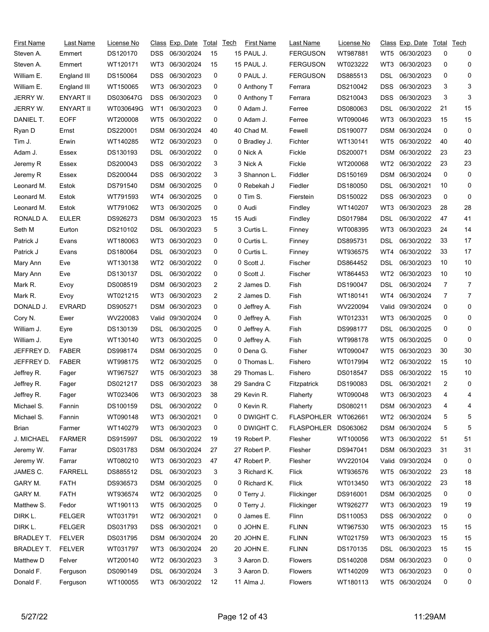| First Name        | Last Name      | License No |            | Class Exp. Date | Total | <b>Tech</b> | <b>First Name</b> | Last Name         | License No |            | <u>Class</u> Exp. Date | Total | Tech     |
|-------------------|----------------|------------|------------|-----------------|-------|-------------|-------------------|-------------------|------------|------------|------------------------|-------|----------|
| Steven A.         | Emmert         | DS120170   | DSS        | 06/30/2024      | 15    |             | <b>15 PAUL J.</b> | <b>FERGUSON</b>   | WT987881   | WT5        | 06/30/2023             | 0     | 0        |
| Steven A.         | Emmert         | WT120171   | WT3        | 06/30/2024      | 15    |             | 15 PAUL J.        | <b>FERGUSON</b>   | WT023222   | WT3        | 06/30/2023             | 0     | 0        |
| William E.        | England III    | DS150064   | DSS        | 06/30/2023      | 0     |             | 0 PAUL J.         | <b>FERGUSON</b>   | DS885513   | DSL        | 06/30/2023             | 0     | 0        |
| William E.        | England III    | WT150065   | WT3        | 06/30/2023      | 0     |             | 0 Anthony T       | Ferrara           | DS210042   | <b>DSS</b> | 06/30/2023             | 3     | 3        |
| JERRY W.          | ENYART II      | DS030647G  | DSS        | 06/30/2023      | 0     |             | 0 Anthony T       | Ferrara           | DS210043   | <b>DSS</b> | 06/30/2023             | 3     | 3        |
| JERRY W.          | ENYART II      | WT030649G  | WT1        | 06/30/2023      | 0     |             | 0 Adam J.         | Ferree            | DS080063   | DSL        | 06/30/2022             | 21    | 15       |
| DANIEL T.         | <b>EOFF</b>    | WT200008   | WT5        | 06/30/2022      | 0     |             | 0 Adam J.         | Ferree            | WT090046   | WT3        | 06/30/2023             | 15    | 15       |
| Ryan D            | Ernst          | DS220001   | DSM        | 06/30/2024      | 40    |             | 40 Chad M.        | Fewell            | DS190077   | <b>DSM</b> | 06/30/2024             | 0     | 0        |
| Tim J.            | Erwin          | WT140285   | WT2        | 06/30/2023      | 0     |             | 0 Bradley J.      | Fichter           | WT130141   | WT5        | 06/30/2022             | 40    | 40       |
| Adam J.           | Essex          | DS130193   | DSL        | 06/30/2022      | 0     |             | 0 Nick A          | Fickle            | DS200071   | <b>DSM</b> | 06/30/2022             | 23    | 23       |
| Jeremy R          | Essex          | DS200043   | DSS        | 06/30/2022      | 3     |             | 3 Nick A          | Fickle            | WT200068   | WT2        | 06/30/2022             | 23    | 23       |
| Jeremy R          | Essex          | DS200044   | DSS        | 06/30/2022      | 3     |             | 3 Shannon L.      | Fiddler           | DS150169   | <b>DSM</b> | 06/30/2024             | 0     | 0        |
| Leonard M.        | Estok          | DS791540   | DSM        | 06/30/2025      | 0     |             | 0 Rebekah J       | Fiedler           | DS180050   | DSL        | 06/30/2021             | 10    | 0        |
| Leonard M.        | Estok          | WT791593   | WT4        | 06/30/2025      | 0     |             | 0 Tim S.          | Fierstein         | DS150022   | DSS        | 06/30/2023             | 0     | 0        |
| Leonard M.        | Estok          | WT791062   | WT3        | 06/30/2025      | 0     |             | 0 Audi            | Findley           | WT140207   | WT3        | 06/30/2023             | 28    | 28       |
| RONALD A.         | <b>EULER</b>   | DS926273   | DSM        | 06/30/2023      | 15    |             | 15 Audi           | Findley           | DS017984   | DSL        | 06/30/2022             | 47    | 41       |
| Seth M            | Eurton         | DS210102   | DSL        | 06/30/2023      | 5     |             | 3 Curtis L.       | Finney            | WT008395   | WT3        | 06/30/2023             | 24    | 14       |
| Patrick J         | Evans          | WT180063   | WT3        | 06/30/2023      | 0     |             | 0 Curtis L.       | Finney            | DS895731   | DSL        | 06/30/2022             | 33    | 17       |
| Patrick J         | Evans          | DS180064   | DSL        | 06/30/2023      | 0     |             | 0 Curtis L.       | Finney            | WT936575   | WT4        | 06/30/2022             | 33    | 17       |
| Mary Ann          | Eve            | WT130138   | WT2        | 06/30/2022      | 0     |             | 0 Scott J.        | Fischer           | DS864452   | DSL        | 06/30/2023             | 10    | 10       |
| Mary Ann          | Eve            | DS130137   | DSL        | 06/30/2022      | 0     |             | 0 Scott J.        | Fischer           | WT864453   | WT2        | 06/30/2023             | 10    | 10       |
| Mark R.           | Evoy           | DS008519   | DSM        | 06/30/2023      | 2     |             | 2 James D.        | Fish              | DS190047   | DSL        | 06/30/2024             | 7     | 7        |
| Mark R.           | Evoy           | WT021215   | WT3        | 06/30/2023      | 2     |             | 2 James D.        | Fish              | WT180141   | WT4        | 06/30/2024             | 7     | 7        |
| DONALD J.         | <b>EVRARD</b>  | DS905271   | DSM        | 06/30/2023      | 0     |             | 0 Jeffrey A.      | Fish              | WV220094   | Valid      | 09/30/2024             | 0     | 0        |
| Cory N.           | Ewer           | WV220083   | Valid      | 09/30/2024      | 0     |             | 0 Jeffrey A.      | Fish              | WT012331   | WT3        | 06/30/2025             | 0     | 0        |
| William J.        | Eyre           | DS130139   | DSL        | 06/30/2025      | 0     |             | 0 Jeffrey A.      | Fish              | DS998177   | DSL        | 06/30/2025             | 0     | 0        |
| William J.        | Eyre           | WT130140   | WT3        | 06/30/2025      | 0     |             | 0 Jeffrey A.      | Fish              | WT998178   | WT5        | 06/30/2025             | 0     | 0        |
| JEFFREY D.        | <b>FABER</b>   | DS998174   | DSM        | 06/30/2025      | 0     |             | 0 Dena G.         | Fisher            | WT090047   | WT5        | 06/30/2023             | 30    | 30       |
| JEFFREY D.        | <b>FABER</b>   | WT998175   | WT2        | 06/30/2025      | 0     |             | 0 Thomas L.       | Fishero           | WT017994   | WT2        | 06/30/2022             | 15    | 10       |
| Jeffrey R.        | Fager          | WT967527   | WT5        | 06/30/2023      | 38    |             | 29 Thomas L.      | Fishero           | DS018547   | <b>DSS</b> | 06/30/2022             | 15    | 10       |
| Jeffrey R.        | Fager          | DS021217   | DSS        | 06/30/2023      | 38    |             | 29 Sandra C       | Fitzpatrick       | DS190083   | DSL        | 06/30/2021             | 2     | 0        |
| Jeffrey R.        | Fager          | WT023406   |            | WT3 06/30/2023  | 38    |             | 29 Kevin R.       | Flaherty          | WT090048   |            | WT3 06/30/2023         | 4     | $\Delta$ |
| Michael S.        | Fannin         | DS100159   | DSL        | 06/30/2022      | 0     |             | 0 Kevin R.        | Flaherty          | DS080211   |            | DSM 06/30/2023         | 4     | 4        |
| Michael S.        | Fannin         | WT090148   | WT3        | 06/30/2021      | 0     |             | 0 DWIGHT C.       | <b>FLASPOHLER</b> | WT062661   | WT2        | 06/30/2024             | 5     | 5        |
| Brian             | Farmer         | WT140279   | WT3        | 06/30/2023      | 0     |             | 0 DWIGHT C.       | <b>FLASPOHLER</b> | DS063062   | DSM        | 06/30/2024             | 5     | 5        |
| J. MICHAEL        | <b>FARMER</b>  | DS915997   | DSL        | 06/30/2022      | 19    |             | 19 Robert P.      | Flesher           | WT100056   | WT3        | 06/30/2022             | 51    | 51       |
| Jeremy W.         | Farrar         | DS031783   |            | DSM 06/30/2024  | 27    |             | 27 Robert P.      | Flesher           | DS947041   |            | DSM 06/30/2023         | 31    | 31       |
| Jeremy W.         | Farrar         | WT080210   | WT3        | 06/30/2023      | 47    |             | 47 Robert P.      | Flesher           | WV220104   | Valid      | 09/30/2024             | 0     | 0        |
| JAMES C.          | <b>FARRELL</b> | DS885512   | DSL        | 06/30/2023      | 3     |             | 3 Richard K.      | Flick             | WT936576   | WT5        | 06/30/2022             | 23    | 18       |
| GARY M.           | <b>FATH</b>    | DS936573   |            | DSM 06/30/2025  | 0     |             | 0 Richard K.      | Flick             | WT013450   | WT3        | 06/30/2022             | 23    | 18       |
| GARY M.           | <b>FATH</b>    | WT936574   | WT2        | 06/30/2025      | 0     |             | 0 Terry J.        | Flickinger        | DS916001   | <b>DSM</b> | 06/30/2025             | 0     | 0        |
| Matthew S.        | Fedor          | WT190113   | WT5        | 06/30/2025      | 0     |             | 0 Terry J.        | Flickinger        | WT926277   | WT3        | 06/30/2023             | 19    | 19       |
| DIRK L.           | <b>FELGER</b>  | WT031791   | WT2        | 06/30/2021      | 0     |             | 0 James E.        | Flinn             | DS110053   | <b>DSS</b> | 06/30/2022             | 0     | 0        |
| DIRK L.           | <b>FELGER</b>  | DS031793   | <b>DSS</b> | 06/30/2021      | 0     |             | 0 JOHN E.         | <b>FLINN</b>      | WT967530   | WT5        | 06/30/2023             | 15    | 15       |
| BRADLEY T.        | <b>FELVER</b>  | DS031795   | DSM        | 06/30/2024      | 20    |             | 20 JOHN E.        | <b>FLINN</b>      | WT021759   | WT3        | 06/30/2023             | 15    | 15       |
| <b>BRADLEY T.</b> | <b>FELVER</b>  | WT031797   | WT3        | 06/30/2024      | 20    |             | 20 JOHN E.        | <b>FLINN</b>      | DS170135   | DSL        | 06/30/2023             | 15    | 15       |
| Matthew D         | Felver         | WT200140   | WT2        | 06/30/2023      | 3     |             | 3 Aaron D.        | <b>Flowers</b>    | DS140208   | DSM        | 06/30/2023             | 0     | 0        |
| Donald F.         | Ferguson       | DS090149   | <b>DSL</b> | 06/30/2024      | 3     |             | 3 Aaron D.        | Flowers           | WT140209   | WT3        | 06/30/2023             | 0     | 0        |
| Donald F.         | Ferguson       | WT100055   |            | WT3 06/30/2022  | 12    |             | 11 Alma J.        | Flowers           | WT180113   |            | WT5 06/30/2024         | 0     | 0        |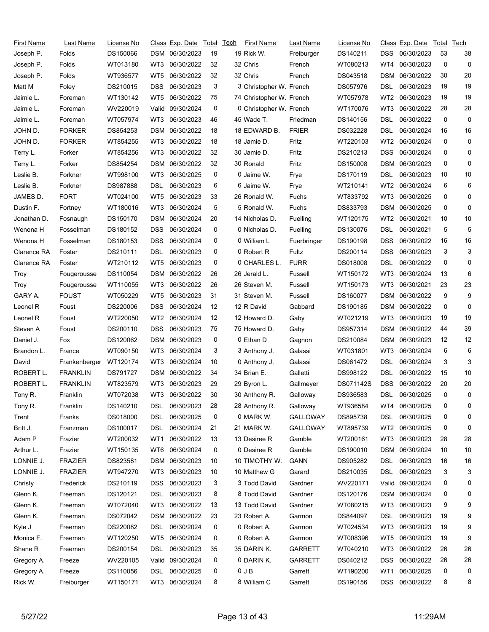| First Name  | Last Name              | License No |            | Class Exp. Date  | Total | Tech | <b>First Name</b>        | Last Name       | License No |                 | Class Exp. Date  | Total    | Tech         |
|-------------|------------------------|------------|------------|------------------|-------|------|--------------------------|-----------------|------------|-----------------|------------------|----------|--------------|
| Joseph P.   | Folds                  | DS150066   |            | DSM 06/30/2023   | 19    |      | 19 Rick W.               | Freiburger      | DS140211   | <b>DSS</b>      | 06/30/2023       | 53       | 38           |
| Joseph P.   | Folds                  | WT013180   | WT3        | 06/30/2022       | 32    |      | 32 Chris                 | French          | WT080213   | WT4             | 06/30/2023       | 0        | 0            |
| Joseph P.   | Folds                  | WT936577   | WT5        | 06/30/2022       | 32    |      | 32 Chris                 | French          | DS043518   | <b>DSM</b>      | 06/30/2022       | 30       | 20           |
| Matt M      | Foley                  | DS210015   | DSS        | 06/30/2023       | 3     |      | 3 Christopher W. French  |                 | DS057976   | DSL             | 06/30/2023       | 19       | 19           |
| Jaimie L.   | Foreman                | WT130142   | WT5        | 06/30/2022       | 75    |      | 74 Christopher W. French |                 | WT057978   | WT <sub>2</sub> | 06/30/2023       | 19       | 19           |
| Jaimie L.   | Foreman                | WV220019   | Valid      | 09/30/2024       | 0     |      | 0 Christopher W. French  |                 | WT170076   | WT3             | 06/30/2022       | 28       | 28           |
| Jaimie L.   | Foreman                | WT057974   | WT3        | 06/30/2023       | 46    |      | 45 Wade T.               | Friedman        | DS140156   | DSL             | 06/30/2022       | 0        | 0            |
| JOHN D.     | <b>FORKER</b>          | DS854253   | DSM        | 06/30/2022       | 18    |      | 18 EDWARD B.             | <b>FRIER</b>    | DS032228   | DSL             | 06/30/2024       | 16       | 16           |
| JOHN D.     | <b>FORKER</b>          | WT854255   | WT3        | 06/30/2022       | 18    |      | 18 Jamie D.              | Fritz           | WT220103   | WT <sub>2</sub> | 06/30/2024       | 0        | 0            |
| Terry L.    | Forker                 | WT854256   | WT3        | 06/30/2022       | 32    |      | 30 Jamie D.              | Fritz           | DS210213   | DSS             | 06/30/2024       | 0        | 0            |
| Terry L.    | Forker                 | DS854254   | DSM        | 06/30/2022       | 32    |      | 30 Ronald                | Fritz           | DS150008   | DSM             | 06/30/2023       | 0        | 0            |
| Leslie B.   | Forkner                | WT998100   | WT3        | 06/30/2025       | 0     |      | 0 Jaime W.               | Frye            | DS170119   | DSL             | 06/30/2023       | 10       | 10           |
| Leslie B.   | Forkner                | DS987888   | DSL        | 06/30/2023       | 6     |      | 6 Jaime W.               | Frye            | WT210141   | WT2             | 06/30/2024       | 6        | 6            |
| JAMES D.    | <b>FORT</b>            | WT024100   | WT5        | 06/30/2023       | 33    |      | 26 Ronald W.             | Fuchs           | WT833792   | WT3             | 06/30/2025       | 0        | 0            |
| Dustin F.   | Fortney                | WT180016   | WT3        | 06/30/2024       | 5     |      | 5 Ronald W.              | Fuchs           | DS833793   | <b>DSM</b>      | 06/30/2025       | 0        | 0            |
| Jonathan D. | Fosnaugh               | DS150170   | DSM        | 06/30/2024       | 20    |      | 14 Nicholas D.           | Fuelling        | WT120175   | WT2             | 06/30/2021       | 10       | 10           |
| Wenona H    | Fosselman              | DS180152   | DSS        | 06/30/2024       | 0     |      | 0 Nicholas D.            | Fuelling        | DS130076   | DSL             | 06/30/2021       | 5        | 5            |
| Wenona H    | Fosselman              | DS180153   | DSS        | 06/30/2024       | 0     |      | 0 William L              | Fuerbringer     | DS190198   | DSS             | 06/30/2022       | 16       | 16           |
| Clarence RA | Foster                 | DS210111   | DSL        | 06/30/2023       | 0     |      | 0 Robert R               | Fultz           | DS200114   | DSS             | 06/30/2023       | 3        | 3            |
| Clarence RA | Foster                 | WT210112   | WT5        | 06/30/2023       | 0     |      | 0 CHARLES L.             | <b>FURR</b>     | DS018008   | DSL             | 06/30/2022       | 0        | 0            |
| Troy        | Fougerousse            | DS110054   | DSM        | 06/30/2022       | 26    |      | 26 Jerald L.             | Fussell         | WT150172   | WT3             | 06/30/2024       | 13       | 6            |
| Troy        | Fougerousse            | WT110055   | WT3        | 06/30/2022       | 26    |      | 26 Steven M.             | Fussell         | WT150173   | WT3             | 06/30/2021       | 23       | 23           |
| GARY A.     | <b>FOUST</b>           | WT050229   | WT5        | 06/30/2023       | 31    |      | 31 Steven M.             | Fussell         | DS160077   | <b>DSM</b>      | 06/30/2022       | 9        | 9            |
| Leonel R    | Foust                  | DS220006   | DSS        | 06/30/2024       | 12    |      | 12 R David               | Gabbard         | DS190185   | DSM             | 06/30/2022       | 0        | 0            |
| Leonel R    | Foust                  | WT220050   | WT2        | 06/30/2024       | 12    |      | 12 Howard D.             | Gaby            | WT021219   | WT3             | 06/30/2023       | 19       | 19           |
| Steven A    | Foust                  | DS200110   | DSS        | 06/30/2023       | 75    |      | 75 Howard D.             | Gaby            | DS957314   | <b>DSM</b>      | 06/30/2022       | 44       | 39           |
| Daniel J.   | Fox                    | DS120062   | DSM        | 06/30/2023       | 0     |      | 0 Ethan D                | Gagnon          | DS210084   | DSM             | 06/30/2023       | 12       | 12           |
| Brandon L.  | France                 | WT090150   | WT3        | 06/30/2024       | 3     |      | 3 Anthony J.             | Galassi         | WT031801   | WT3             | 06/30/2024       | 6        | 6            |
| David       | Frankenberger WT120174 |            | WT3        | 06/30/2024       | 10    |      | 0 Anthony J.             | Galassi         | DS061472   | DSL             | 06/30/2024       | 3        | 3            |
| ROBERT L.   | <b>FRANKLIN</b>        | DS791727   | DSM        | 06/30/2022       | 34    |      | 34 Brian E.              | Galletti        | DS998122   | DSL             | 06/30/2022       | 15       | 10           |
| ROBERT L.   | <b>FRANKLIN</b>        | WT823579   | WT3        | 06/30/2023       | 29    |      | 29 Byron L.              | Gallmeyer       | DS071142S  | <b>DSS</b>      | 06/30/2022       | 20       | 20           |
| Tony R.     | Franklin               | WT072038   |            | WT3 06/30/2022   | 30    |      | 30 Anthony R.            | Galloway        | DS936583   | <b>DSL</b>      | 06/30/2025       | $\Omega$ | <sup>0</sup> |
| Tony R.     | Franklin               | DS140210   | DSL.       | 06/30/2023       | 28    |      | 28 Anthony R.            | Galloway        | WT936584   | WT4             | 06/30/2025       | 0        | 0            |
| Trent       | Franks                 | DS018000   | DSL        | 06/30/2025       | 0     |      | 0 MARK W.                | <b>GALLOWAY</b> | DS895738   | DSL             | 06/30/2025       | 0        | 0            |
| Britt J.    | Franzman               | DS100017   | <b>DSL</b> | 06/30/2024       | 21    |      | 21 MARK W.               | <b>GALLOWAY</b> | WT895739   | WT <sub>2</sub> | 06/30/2025       | 0        | 0            |
| Adam P      | Frazier                | WT200032   | WT1        | 06/30/2022       | 13    |      | 13 Desiree R             | Gamble          | WT200161   | WT3             | 06/30/2023       | 28       | 28           |
| Arthur L.   | Frazier                | WT150135   | WT6        | 06/30/2024       | 0     |      | 0 Desiree R              | Gamble          | DS190010   | DSM             | 06/30/2024       | 10       | 10           |
| LONNIE J.   | <b>FRAZIER</b>         | DS823581   |            | DSM 06/30/2023   | 10    |      | 10 TIMOTHY W.            | <b>GANN</b>     | DS905282   | DSL             | 06/30/2023       | 16       | 16           |
| LONNIE J.   | <b>FRAZIER</b>         | WT947270   | WT3        | 06/30/2023       | 10    |      | 10 Matthew G             | Garard          | DS210035   | DSL.            | 06/30/2023       | 3        | 3            |
| Christy     | Frederick              | DS210119   | DSS        | 06/30/2023       | 3     |      | 3 Todd David             | Gardner         | WV220171   |                 | Valid 09/30/2024 | 0        | 0            |
| Glenn K.    | Freeman                | DS120121   | DSL        | 06/30/2023       | 8     |      | 8 Todd David             | Gardner         | DS120176   |                 | DSM 06/30/2024   | 0        | 0            |
| Glenn K.    | Freeman                | WT072040   | WT3        | 06/30/2022       | 13    |      | 13 Todd David            | Gardner         | WT080215   | WT3             | 06/30/2023       | 9        | 9            |
| Glenn K.    | Freeman                | DS072042   |            | DSM 06/30/2022   | 23    |      | 23 Robert A.             | Garmon          | DS844097   | DSL             | 06/30/2023       | 19       | 9            |
| Kyle J      | Freeman                | DS220082   | DSL        | 06/30/2024       | 0     |      | 0 Robert A.              | Garmon          | WT024534   | WT3             | 06/30/2023       | 19       | 9            |
| Monica F.   | Freeman                | WT120250   | WT5        | 06/30/2024       | 0     |      | 0 Robert A.              | Garmon          | WT008396   | WT5             | 06/30/2023       | 19       | 9            |
| Shane R     | Freeman                | DS200154   | DSL        | 06/30/2023       | 35    |      | 35 DARINK.               | <b>GARRETT</b>  | WT040210   | WT3             | 06/30/2022       | 26       | 26           |
| Gregory A.  | Freeze                 | WV220105   |            | Valid 09/30/2024 | 0     |      | 0 DARIN K.               | <b>GARRETT</b>  | DS040212   | <b>DSS</b>      | 06/30/2022       | 26       | 26           |
| Gregory A.  | Freeze                 | DS110056   | DSL        | 06/30/2025       | 0     |      | $0$ JB                   | Garrett         | WT190200   | WT <sub>1</sub> | 06/30/2025       | 0        | 0            |
| Rick W.     | Freiburger             | WT150171   |            | WT3 06/30/2024   | 8     |      | 8 William C              | Garrett         | DS190156   | DSS             | 06/30/2022       | 8        | 8            |
|             |                        |            |            |                  |       |      |                          |                 |            |                 |                  |          |              |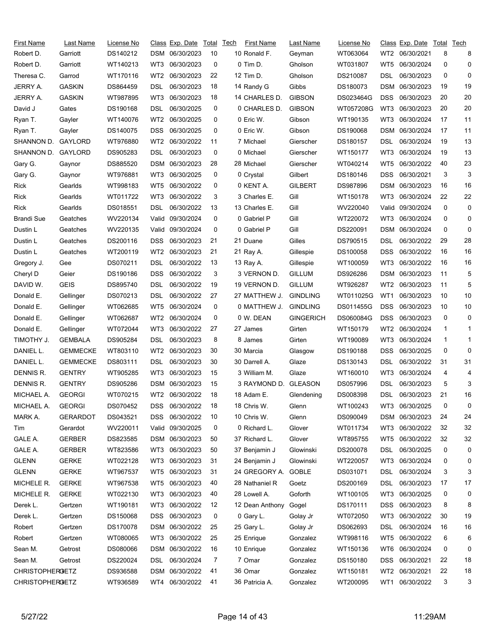| First Name             | Last Name       | License No |                 | Class Exp. Date | Total | Tech | <b>First Name</b>    | Last Name        | License No |                 | Class Exp. Date | Total | Tech         |
|------------------------|-----------------|------------|-----------------|-----------------|-------|------|----------------------|------------------|------------|-----------------|-----------------|-------|--------------|
| Robert D.              | Garriott        | DS140212   |                 | DSM 06/30/2023  | 10    |      | 10 Ronald F.         | Geyman           | WT063064   | WT2             | 06/30/2021      | 8     | 8            |
| Robert D.              | Garriott        | WT140213   | WT3             | 06/30/2023      | 0     |      | 0 Tim D.             | Gholson          | WT031807   | WT5             | 06/30/2024      | 0     | 0            |
| Theresa C.             | Garrod          | WT170116   | WT2             | 06/30/2023      | 22    |      | 12 Tim D.            | Gholson          | DS210087   | DSL             | 06/30/2023      | 0     | 0            |
| <b>JERRY A.</b>        | <b>GASKIN</b>   | DS864459   | DSL             | 06/30/2023      | 18    |      | 14 Randy G           | Gibbs            | DS180073   | DSM             | 06/30/2023      | 19    | 19           |
| JERRY A.               | <b>GASKIN</b>   | WT987895   | WT3             | 06/30/2023      | 18    |      | 14 CHARLES D.        | <b>GIBSON</b>    | DS023464G  | DSS             | 06/30/2023      | 20    | 20           |
| David J                | Gates           | DS190168   | DSL             | 06/30/2025      | 0     |      | 0 CHARLES D.         | <b>GIBSON</b>    | WT057208G  | WT3             | 06/30/2023      | 20    | 20           |
| Ryan T.                | Gayler          | WT140076   | WT <sub>2</sub> | 06/30/2025      | 0     |      | 0 Eric W.            | Gibson           | WT190135   | WT3             | 06/30/2024      | 17    | 11           |
| Ryan T.                | Gayler          | DS140075   | DSS.            | 06/30/2025      | 0     |      | 0 Eric W.            | Gibson           | DS190068   | <b>DSM</b>      | 06/30/2024      | 17    | 11           |
| SHANNON D.             | GAYLORD         | WT976880   | WT2             | 06/30/2022      | 11    |      | 7 Michael            | Gierscher        | DS180157   | DSL             | 06/30/2024      | 19    | 13           |
| SHANNON D.             | GAYLORD         | DS905283   | DSL             | 06/30/2023      | 0     |      | 0 Michael            | Gierscher        | WT150177   | WT3             | 06/30/2024      | 19    | 13           |
| Gary G.                | Gaynor          | DS885520   | <b>DSM</b>      | 06/30/2023      | 28    |      | 28 Michael           | Gierscher        | WT040214   | WT5             | 06/30/2022      | 40    | 23           |
| Gary G.                | Gaynor          | WT976881   | WT3             | 06/30/2025      | 0     |      | 0 Crystal            | Gilbert          | DS180146   | DSS             | 06/30/2021      | 3     | 3            |
| Rick                   | Gearlds         | WT998183   | WT5             | 06/30/2022      | 0     |      | 0 KENT A.            | <b>GILBERT</b>   | DS987896   | <b>DSM</b>      | 06/30/2023      | 16    | 16           |
| Rick                   | Gearlds         | WT011722   | WT3             | 06/30/2022      | 3     |      | 3 Charles E.         | Gill             | WT150178   | WT3             | 06/30/2024      | 22    | 22           |
| Rick                   | Gearlds         | DS018551   | DSL             | 06/30/2022      | 13    |      | 13 Charles E.        | Gill             | WV220040   | Valid           | 09/30/2024      | 0     | 0            |
| <b>Brandi Sue</b>      | Geatches        | WV220134   | Valid           | 09/30/2024      | 0     |      | 0 Gabriel P          | Gill             | WT220072   | WT3             | 06/30/2024      | 0     | 0            |
| Dustin L               | Geatches        | WV220135   | Valid           | 09/30/2024      | 0     |      | 0 Gabriel P          | Gill             | DS220091   | DSM             | 06/30/2024      | 0     | 0            |
| Dustin L               | Geatches        | DS200116   | DSS             | 06/30/2023      | 21    |      | 21 Duane             | Gilles           | DS790515   | DSL             | 06/30/2022      | 29    | 28           |
| Dustin L               | Geatches        | WT200119   | WT2             | 06/30/2023      | 21    |      | 21 Ray A.            | Gillespie        | DS100058   | DSS             | 06/30/2022      | 16    | 16           |
| Gregory J.             | Gee             | DS070211   | DSL             | 06/30/2022      | 13    |      | 13 Ray A.            | Gillespie        | WT100059   | WT3             | 06/30/2022      | 16    | 16           |
| Cheryl D               | Geier           | DS190186   | <b>DSS</b>      | 06/30/2022      | 3     |      | 3 VERNON D.          | <b>GILLUM</b>    | DS926286   | DSM             | 06/30/2023      | 11    | 5            |
| DAVID W.               | <b>GEIS</b>     | DS895740   | DSL             | 06/30/2022      | 19    |      | 19 VERNON D.         | <b>GILLUM</b>    | WT926287   | WT2             | 06/30/2023      | 11    | 5            |
| Donald E.              | Gellinger       | DS070213   | DSL             | 06/30/2022      | 27    |      | 27 MATTHEW J.        | <b>GINDLING</b>  | WT011025G  | WT1             | 06/30/2023      | 10    | 10           |
| Donald E.              | Gellinger       | WT062685   | WT5             | 06/30/2024      | 0     |      | 0 MATTHEW J.         | <b>GINDLING</b>  | DS011455G  | <b>DSS</b>      | 06/30/2023      | 10    | 10           |
| Donald E.              | Gellinger       | WT062687   | WT <sub>2</sub> | 06/30/2024      | 0     |      | 0 W. DEAN            | <b>GINGERICH</b> | DS060084G  | <b>DSS</b>      | 06/30/2023      | 0     | 0            |
| Donald E.              | Gellinger       | WT072044   | WT3             | 06/30/2022      | 27    |      | 27 James             | Girten           | WT150179   | WT2             | 06/30/2024      | 1     | 1            |
| TIMOTHY J.             | <b>GEMBALA</b>  | DS905284   | DSL             | 06/30/2023      | 8     |      | 8 James              | Girten           | WT190089   | WT3             | 06/30/2024      | 1     | $\mathbf{1}$ |
| DANIEL L.              | <b>GEMMECKE</b> | WT803110   | WT2             | 06/30/2023      | 30    |      | 30 Marcia            | Glasgow          | DS190188   | DSS             | 06/30/2025      | 0     | 0            |
| DANIEL L.              | <b>GEMMECKE</b> | DS803111   | DSL             | 06/30/2023      | 30    |      | 30 Darrell A.        | Glaze            | DS130143   | DSL             | 06/30/2022      | 31    | 31           |
| DENNIS R.              | <b>GENTRY</b>   | WT905285   | WT3             | 06/30/2023      | 15    |      | 3 William M.         | Glaze            | WT160010   | WT3             | 06/30/2024      | 4     | 4            |
| DENNIS R.              | <b>GENTRY</b>   | DS905286   |                 | DSM 06/30/2023  | 15    |      | 3 RAYMOND D. GLEASON |                  | DS057996   | DSL             | 06/30/2023      | 5     | 3            |
| MICHAEL A.             | <b>GEORGI</b>   | WT070215   |                 | WT2 06/30/2022  | 18    |      | 18 Adam E.           | Glendening       | DS008398   | <b>DSL</b>      | 06/30/2023      | 21    | 16           |
| MICHAEL A.             | <b>GEORGI</b>   | DS070452   | DSS.            | 06/30/2022      | 18    |      | 18 Chris W.          | Glenn            | WT100243   | WT3             | 06/30/2025      | 0     | 0            |
| MARK A.                | <b>GERARDOT</b> | DS043521   | <b>DSS</b>      | 06/30/2022      | 10    |      | 10 Chris W.          | Glenn            | DS090049   | DSM             | 06/30/2023      | 24    | 24           |
| Tim                    | Gerardot        | WV220011   | Valid           | 09/30/2025      | 0     |      | 0 Richard L.         | Glover           | WT011734   | WT3             | 06/30/2022      | 32    | 32           |
| GALE A.                | <b>GERBER</b>   | DS823585   |                 | DSM 06/30/2023  | 50    |      | 37 Richard L.        | Glover           | WT895755   | WT5             | 06/30/2022      | 32    | 32           |
| GALE A.                | <b>GERBER</b>   | WT823586   | WT3             | 06/30/2023      | 50    |      | 37 Benjamin J        | Glowinski        | DS200078   | DSL             | 06/30/2025      | 0     | 0            |
| <b>GLENN</b>           | <b>GERKE</b>    | WT022128   | WT3             | 06/30/2023      | 31    |      | 24 Benjamin J        | Glowinski        | WT220057   | WT3             | 06/30/2024      | 0     | 0            |
| <b>GLENN</b>           | <b>GERKE</b>    | WT967537   | WT5             | 06/30/2023      | 31    |      | 24 GREGORY A. GOBLE  |                  | DS031071   | DSL             | 06/30/2024      | 3     | 3            |
| MICHELE R.             | <b>GERKE</b>    | WT967538   | WT5             | 06/30/2023      | 40    |      | 28 Nathaniel R       | Goetz            | DS200169   | <b>DSL</b>      | 06/30/2023      | 17    | 17           |
| MICHELE R.             | <b>GERKE</b>    | WT022130   | WT3             | 06/30/2023      | 40    |      | 28 Lowell A.         | Goforth          | WT100105   | WT3             | 06/30/2025      | 0     | 0            |
| Derek L.               | Gertzen         | WT190181   | WT3             | 06/30/2022      | 12    |      | 12 Dean Anthony      | Gogel            | DS170111   | DSS             | 06/30/2023      | 8     | 8            |
| Derek L.               | Gertzen         | DS150068   | DSS.            | 06/30/2023      | 0     |      | 0 Gary L.            | Golay Jr         | WT072050   | WT3             | 06/30/2022      | 30    | 19           |
| Robert                 | Gertzen         | DS170078   |                 | DSM 06/30/2022  | 25    |      | 25 Gary L.           | Golay Jr         | DS062693   | DSL             | 06/30/2024      | 16    | 16           |
| Robert                 | Gertzen         | WT080065   | WT3             | 06/30/2022      | 25    |      | 25 Enrique           | Gonzalez         | WT998116   | WT5             | 06/30/2022      | 6     | 6            |
| Sean M.                | Getrost         | DS080066   |                 | DSM 06/30/2022  | 16    |      | 10 Enrique           | Gonzalez         | WT150136   | WT6             | 06/30/2024      | 0     | 0            |
| Sean M.                | Getrost         | DS220024   | DSL.            | 06/30/2024      | 7     |      | 7 Omar               | Gonzalez         | DS150180   | DSS             | 06/30/2021      | 22    | 18           |
| <b>CHRISTOPHERGETZ</b> |                 | DS936588   |                 | DSM 06/30/2022  | 41    |      | 36 Omar              | Gonzalez         | WT150181   | WT <sub>2</sub> | 06/30/2021      | 22    | 18           |
| <b>CHRISTOPHERGETZ</b> |                 | WT936589   |                 | WT4 06/30/2022  | 41    |      | 36 Patricia A.       | Gonzalez         | WT200095   | WT1             | 06/30/2022      | 3     | 3            |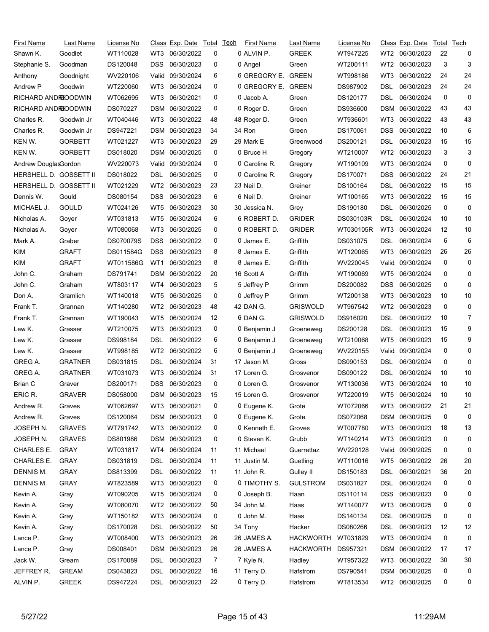| First Name             | Last Name      | License No       |                 | Class Exp. Date | Total | <u>Tech</u> | First Name         | Last Name        | License No |                 | <u>Class</u> Exp. Date | Total | Tech |
|------------------------|----------------|------------------|-----------------|-----------------|-------|-------------|--------------------|------------------|------------|-----------------|------------------------|-------|------|
| Shawn K.               | Goodlet        | WT110028         | WT3             | 06/30/2022      | 0     |             | 0 ALVIN P.         | <b>GREEK</b>     | WT947225   | WT2             | 06/30/2023             | 22    | 0    |
| Stephanie S.           | Goodman        | DS120048         | DSS             | 06/30/2023      | 0     |             | 0 Angel            | Green            | WT200111   | WT <sub>2</sub> | 06/30/2023             | 3     | 3    |
| Anthony                | Goodnight      | WV220106         | Valid           | 09/30/2024      | 6     |             | 6 GREGORY E. GREEN |                  | WT998186   | WT3             | 06/30/2022             | 24    | 24   |
| Andrew P               | Goodwin        | WT220060         | WT3             | 06/30/2024      | 0     |             | 0 GREGORY E. GREEN |                  | DS987902   | DSL             | 06/30/2023             | 24    | 24   |
| RICHARD ANDROODWIN     |                | WT062695         | WT3             | 06/30/2021      | 0     |             | 0 Jacob A.         | Green            | DS120177   | DSL             | 06/30/2024             | 0     | 0    |
| RICHARD ANDROODWIN     |                | DS070227         | DSM             | 06/30/2022      | 0     |             | 0 Roger D.         | Green            | DS936600   | <b>DSM</b>      | 06/30/2022             | 43    | 43   |
| Charles R.             | Goodwin Jr     | WT040446         | WT3             | 06/30/2022      | 48    |             | 48 Roger D.        | Green            | WT936601   | WT3             | 06/30/2022             | 43    | 43   |
| Charles R.             | Goodwin Jr     | DS947221         | <b>DSM</b>      | 06/30/2023      | 34    |             | 34 Ron             | Green            | DS170061   | <b>DSS</b>      | 06/30/2022             | 10    | 6    |
| KEN W.                 | <b>GORBETT</b> | WT021227         | WT3             | 06/30/2023      | 29    |             | 29 Mark E          | Greenwood        | DS200121   | DSL             | 06/30/2023             | 15    | 15   |
| KEN W.                 | GORBETT        | DS018020         | DSM             | 06/30/2025      | 0     |             | 0 Bruce H          | Gregory          | WT210007   | WT <sub>2</sub> | 06/30/2023             | 3     | 3    |
| Andrew DouglasGordon   |                | WV220073         | Valid           | 09/30/2024      | 0     |             | 0 Caroline R.      | Gregory          | WT190109   | WT3             | 06/30/2024             | 0     | 0    |
| HERSHELL D. GOSSETT II |                | DS018022         | DSL             | 06/30/2025      | 0     |             | 0 Caroline R.      | Gregory          | DS170071   | <b>DSS</b>      | 06/30/2022             | 24    | 21   |
| HERSHELL D. GOSSETT II |                | WT021229         | WT2             | 06/30/2023      | 23    |             | 23 Neil D.         | Greiner          | DS100164   | <b>DSL</b>      | 06/30/2022             | 15    | 15   |
| Dennis W.              | Gould          | DS080154         | <b>DSS</b>      | 06/30/2023      | 6     |             | 6 Neil D.          | Greiner          | WT100165   | WT3             | 06/30/2022             | 15    | 15   |
| MICHAEL J.             | <b>GOULD</b>   | WT024126         | WT <sub>5</sub> | 06/30/2023      | 30    |             | 30 Jessica N.      | Grey             | DS190180   | DSL             | 06/30/2025             | 0     | 0    |
| Nicholas A.            | Goyer          | WT031813         | WT5             | 06/30/2024      | 6     |             | 6 ROBERT D.        | <b>GRIDER</b>    | DS030103R  | DSL             | 06/30/2024             | 10    | 10   |
| Nicholas A.            | Goyer          | WT080068         | WT3             | 06/30/2025      | 0     |             | 0 ROBERT D.        | <b>GRIDER</b>    | WT030105R  | WT3             | 06/30/2024             | 12    | 10   |
| Mark A.                | Graber         | <b>DS070079S</b> | <b>DSS</b>      | 06/30/2022      | 0     |             | 0 James E.         | Griffith         | DS031075   | DSL             | 06/30/2024             | 6     | 6    |
| KIM                    | GRAFT          | DS011584G        | <b>DSS</b>      | 06/30/2023      | 8     |             | 8 James E.         | Griffith         | WT120065   | WT3             | 06/30/2023             | 26    | 26   |
| <b>KIM</b>             | <b>GRAFT</b>   | WT011586G        | WT1             | 06/30/2023      | 8     |             | 8 James E.         | Griffith         | WV220045   | Valid           | 09/30/2024             | 0     | 0    |
| John C.                | Graham         | DS791741         | DSM             | 06/30/2022      | 20    |             | 16 Scott A         | Griffith         | WT190069   | WT5             | 06/30/2024             | 0     | 0    |
| John C.                | Graham         | WT803117         | WT4             | 06/30/2023      | 5     |             | 5 Jeffrey P        | Grimm            | DS200082   | <b>DSS</b>      | 06/30/2025             | 0     | 0    |
| Don A.                 | Gramlich       | WT140018         | WT <sub>5</sub> | 06/30/2025      | 0     |             | 0 Jeffrey P        | Grimm            | WT200138   | WT3             | 06/30/2023             | 10    | 10   |
| Frank T.               | Grannan        | WT140280         | WT2             | 06/30/2023      | 48    |             | 42 DAN G.          | <b>GRISWOLD</b>  | WT967542   | WT <sub>2</sub> | 06/30/2023             | 0     | 0    |
| Frank T.               |                | WT190043         | WT <sub>5</sub> | 06/30/2024      | 12    |             | 6 DAN G.           | <b>GRISWOLD</b>  | DS916020   | DSL             | 06/30/2022             | 10    | 7    |
|                        | Grannan        |                  |                 | 06/30/2023      | 0     |             |                    |                  |            |                 | 06/30/2023             | 15    | 9    |
| Lew K.                 | Grasser        | WT210075         | WT3             |                 |       |             | 0 Benjamin J       | Groeneweg        | DS200128   | DSL             |                        |       | 9    |
| Lew K.                 | Grasser        | DS998184         | DSL             | 06/30/2022      | 6     |             | 0 Benjamin J       | Groeneweg        | WT210068   | WT5             | 06/30/2023             | 15    |      |
| Lew K.                 | Grasser        | WT998185         | WT <sub>2</sub> | 06/30/2022      | 6     |             | 0 Benjamin J       | Groeneweg        | WV220155   | Valid           | 09/30/2024             | 0     | 0    |
| GREG A.                | <b>GRATNER</b> | DS031815         | DSL             | 06/30/2024      | 31    |             | 17 Jason M.        | Gross            | DS090153   | DSL             | 06/30/2024             | 0     | 0    |
| GREG A.                | <b>GRATNER</b> | WT031073         | WT3             | 06/30/2024      | 31    |             | 17 Loren G.        | Grosvenor        | DS090122   | DSL             | 06/30/2024             | 10    | 10   |
| Brian C                | Graver         | DS200171         | <b>DSS</b>      | 06/30/2023      | 0     |             | 0 Loren G.         | Grosvenor        | WT130036   | WT3             | 06/30/2024             | 10    | 10   |
| ERIC R.                | <b>GRAVER</b>  | DS058000         |                 | DSM 06/30/2023  | 15    |             | 15 Loren G.        | Grosvenor        | WT220019   |                 | WT5 06/30/2024         | 10    | 10   |
| Andrew R.              | Graves         | WT062697         | WT3             | 06/30/2021      | 0     |             | 0 Eugene K.        | Grote            | WT072066   | WT3             | 06/30/2022             | 21    | 21   |
| Andrew R.              | Graves         | DS120064         |                 | DSM 06/30/2023  | 0     |             | 0 Eugene K.        | Grote            | DS072068   | <b>DSM</b>      | 06/30/2025             | 0     | 0    |
| JOSEPH N.              | <b>GRAVES</b>  | WT791742         | WT3             | 06/30/2022      | 0     |             | 0 Kenneth E.       | Groves           | WT007780   | WT3             | 06/30/2023             | 18    | 13   |
| JOSEPH N.              | <b>GRAVES</b>  | DS801986         |                 | DSM 06/30/2023  | 0     |             | 0 Steven K.        | Grubb            | WT140214   | WT3             | 06/30/2023             | 0     | 0    |
| <b>CHARLES E.</b>      | <b>GRAY</b>    | WT031817         | WT4             | 06/30/2024      | 11    |             | 11 Michael         | Guerrettaz       | WV220128   |                 | Valid 09/30/2025       | 0     | 0    |
| CHARLES E.             | <b>GRAY</b>    | DS031819         | <b>DSL</b>      | 06/30/2024      | 11    |             | 11 Justin M.       | Guetling         | WT110016   | WT5             | 06/30/2022             | 26    | 20   |
| DENNIS M.              | <b>GRAY</b>    | DS813399         | DSL.            | 06/30/2022      | 11    |             | 11 John R.         | Gulley II        | DS150183   | DSL             | 06/30/2021             | 36    | 20   |
| DENNIS M.              | <b>GRAY</b>    | WT823589         | WT3             | 06/30/2023      | 0     |             | 0 TIMOTHY S.       | <b>GULSTROM</b>  | DS031827   | <b>DSL</b>      | 06/30/2024             | 0     | 0    |
| Kevin A.               | Gray           | WT090205         | WT5             | 06/30/2024      | 0     |             | 0 Joseph B.        | Haan             | DS110114   | DSS             | 06/30/2023             | 0     | 0    |
| Kevin A.               | Gray           | WT080070         | WT2             | 06/30/2022      | 50    |             | 34 John M.         | Haas             | WT140077   | WT3             | 06/30/2025             | 0     | 0    |
| Kevin A.               | Gray           | WT150182         | WT3             | 06/30/2024      | 0     |             | 0 John M.          | Haas             | DS140134   | <b>DSL</b>      | 06/30/2025             | 0     | 0    |
| Kevin A.               | Gray           | DS170028         | DSL.            | 06/30/2022      | 50    |             | 34 Tony            | Hacker           | DS080266   | DSL             | 06/30/2023             | 12    | 12   |
| Lance P.               | Gray           | WT008400         | WT3             | 06/30/2023      | 26    |             | 26 JAMES A.        | <b>HACKWORTH</b> | WT031829   | WT3             | 06/30/2024             | 0     | 0    |
| Lance P.               | Gray           | DS008401         | DSM             | 06/30/2023      | 26    |             | 26 JAMES A.        | <b>HACKWORTH</b> | DS957321   | <b>DSM</b>      | 06/30/2022             | 17    | 17   |
| Jack W.                | Gream          | DS170089         | DSL             | 06/30/2023      | 7     |             | 7 Kyle N.          | Hadley           | WT957322   | WT3             | 06/30/2022             | 30    | 30   |
| JEFFREY R.             | <b>GREAM</b>   | DS043823         | <b>DSL</b>      | 06/30/2022      | 16    |             | 11 Terry D.        | Hafstrom         | DS790541   | <b>DSM</b>      | 06/30/2025             | 0     | 0    |
| ALVIN P.               | <b>GREEK</b>   | DS947224         |                 | DSL 06/30/2023  | 22    |             | 0 Terry D.         | Hafstrom         | WT813534   |                 | WT2 06/30/2025         | 0     | 0    |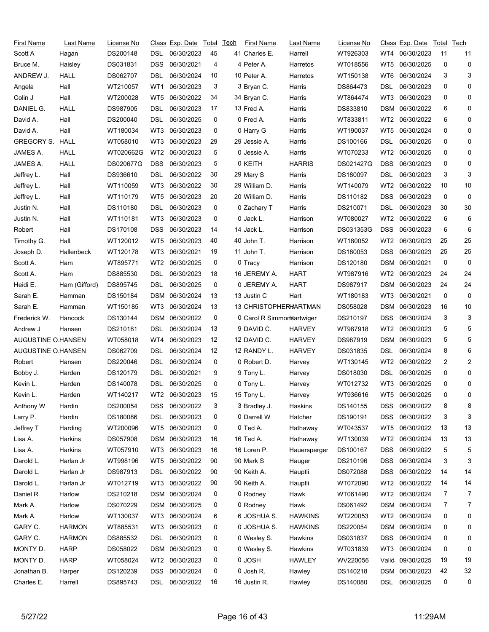| First Name             | Last Name     | License No |                 | Class Exp. Date | Total | Tech | <b>First Name</b>          | Last Name      | License No |                 | Class Exp. Date  |    | Total Tech     |
|------------------------|---------------|------------|-----------------|-----------------|-------|------|----------------------------|----------------|------------|-----------------|------------------|----|----------------|
| Scott A                | Hagan         | DS200148   | DSL             | 06/30/2023      | 45    |      | 41 Charles E.              | Harrell        | WT926303   | WT4             | 06/30/2023       | 11 | 11             |
| Bruce M.               | Haisley       | DS031831   | DSS             | 06/30/2021      | 4     |      | 4 Peter A.                 | Harretos       | WT018556   | WT5             | 06/30/2025       | 0  | 0              |
| ANDREW J.              | HALL          | DS062707   | DSL             | 06/30/2024      | 10    |      | 10 Peter A.                | Harretos       | WT150138   | WT6             | 06/30/2024       | 3  | 3              |
| Angela                 | Hall          | WT210057   | WT1             | 06/30/2023      | 3     |      | 3 Bryan C.                 | Harris         | DS864473   | DSL             | 06/30/2023       | 0  | 0              |
| Colin J                | Hall          | WT200028   | WT5             | 06/30/2022      | 34    |      | 34 Bryan C.                | Harris         | WT864474   | WT3             | 06/30/2023       | 0  | 0              |
| DANIEL G.              | HALL          | DS987905   | DSL             | 06/30/2023      | 17    |      | 13 Fred A.                 | Harris         | DS833810   | <b>DSM</b>      | 06/30/2022       | 6  | 0              |
| David A.               | Hall          | DS200040   | DSL             | 06/30/2025      | 0     |      | 0 Fred A.                  | Harris         | WT833811   | WT2             | 06/30/2022       | 6  | 0              |
| David A.               | Hall          | WT180034   | WT3             | 06/30/2023      | 0     |      | 0 Harry G                  | Harris         | WT190037   | WT5             | 06/30/2024       | 0  | 0              |
| <b>GREGORY S. HALL</b> |               | WT058010   | WT3             | 06/30/2023      | 29    |      | 29 Jessie A.               | Harris         | DS100166   | DSL             | 06/30/2025       | 0  | 0              |
| JAMES A.               | HALL          | WT020662G  | WT <sub>2</sub> | 06/30/2023      | 5     |      | 0 Jessie A.                | Harris         | WT070233   | WT2             | 06/30/2025       | 0  | 0              |
| JAMES A.               | HALL          | DS020677G  | <b>DSS</b>      | 06/30/2023      | 5     |      | 0 KEITH                    | <b>HARRIS</b>  | DS021427G  | DSS             | 06/30/2023       | 0  | 0              |
| Jeffrey L.             | Hall          | DS936610   | DSL             | 06/30/2022      | 30    |      | 29 Mary S                  | Harris         | DS180097   | DSL             | 06/30/2023       | 3  | 3              |
| Jeffrey L.             | Hall          | WT110059   | WT3             | 06/30/2022      | 30    |      | 29 William D.              | Harris         | WT140079   | WT <sub>2</sub> | 06/30/2022       | 10 | 10             |
| Jeffrey L.             | Hall          | WT110179   | WT5             | 06/30/2023      | 20    |      | 20 William D.              | Harris         | DS110182   | DSS             | 06/30/2023       | 0  | 0              |
| Justin N.              | Hall          | DS110180   | DSL             | 06/30/2023      | 0     |      | 0 Zachary T                | Harris         | DS210071   | DSL             | 06/30/2023       | 30 | 30             |
| Justin N.              | Hall          | WT110181   | WT3             | 06/30/2023      | 0     |      | 0 Jack L.                  | Harrison       | WT080027   | WT2             | 06/30/2022       | 6  | 6              |
| Robert                 | Hall          | DS170108   | DSS             | 06/30/2023      | 14    |      | 14 Jack L.                 | Harrison       | DS031353G  | <b>DSS</b>      | 06/30/2023       | 6  | 6              |
| Timothy G.             | Hall          | WT120012   | WT5             | 06/30/2023      | 40    |      | 40 John T.                 | Harrison       | WT180052   | WT <sub>2</sub> | 06/30/2023       | 25 | 25             |
| Joseph D.              | Hallenbeck    | WT120178   | WT3             | 06/30/2021      | 19    |      | 11 John T.                 | Harrison       | DS180053   | DSS             | 06/30/2023       | 25 | 25             |
| Scott A.               | Ham           | WT895771   | WT2             | 06/30/2025      | 0     |      | 0 Tracy                    | Harrison       | DS120180   | <b>DSM</b>      | 06/30/2021       | 0  | 0              |
| Scott A.               | Ham           | DS885530   | DSL             | 06/30/2023      | 18    |      | 16 JEREMY A.               | <b>HART</b>    | WT987916   | WT2             | 06/30/2023       | 24 | 24             |
| Heidi E.               | Ham (Gifford) | DS895745   | DSL             | 06/30/2025      | 0     |      | 0 JEREMY A.                | <b>HART</b>    | DS987917   | <b>DSM</b>      | 06/30/2023       | 24 | 24             |
| Sarah E.               | Hamman        | DS150184   | DSM             | 06/30/2024      | 13    |      | 13 Justin C                | Hart           | WT180183   | WT3             | 06/30/2021       | 0  | 0              |
| Sarah E.               | Hamman        | WT150185   | WT3             | 06/30/2024      | 13    |      | 13 CHRISTOPHERHARTMAN      |                | DS058028   | DSM             | 06/30/2023       | 16 | 10             |
| Frederick W.           | Hancock       | DS130144   | DSM             | 06/30/2022      | 0     |      | 0 Carol R Simmortsartwiger |                | DS210197   | DSS             | 06/30/2024       | 3  | 3              |
| Andrew J               | Hansen        | DS210181   | DSL             | 06/30/2024      | 13    |      | 9 DAVID C.                 | <b>HARVEY</b>  | WT987918   | WT2             | 06/30/2023       | 5  | 5              |
| AUGUSTINE O.HANSEN     |               | WT058018   | WT4             | 06/30/2023      | 12    |      | 12 DAVID C.                | <b>HARVEY</b>  | DS987919   | <b>DSM</b>      | 06/30/2023       | 5  | 5              |
| AUGUSTINE O.HANSEN     |               | DS062709   | DSL             | 06/30/2024      | 12    |      | 12 RANDY L.                | <b>HARVEY</b>  | DS031835   | DSL             | 06/30/2024       | 8  | 6              |
| Robert                 | Hansen        | DS220046   | DSL             | 06/30/2024      | 0     |      | 0 Robert D.                | Harvey         | WT130145   | WT2             | 06/30/2022       | 2  | $\overline{c}$ |
| Bobby J.               | Harden        | DS120179   | DSL             | 06/30/2021      | 9     |      | 9 Tony L.                  | Harvey         | DS018030   | DSL             | 06/30/2025       | 0  | 0              |
| Kevin L.               | Harden        | DS140078   | DSL             | 06/30/2025      | 0     |      | 0 Tony L.                  | Harvey         | WT012732   | WT3             | 06/30/2025       | 0  | 0              |
| Kevin L.               | Harden        | WT140217   |                 | WT2 06/30/2023  | 15    |      | 15 Tony L.                 | Harvey         | WT936616   |                 | WT5 06/30/2025   | 0  | 0              |
| Anthony W              | Hardin        | DS200054   | DSS             | 06/30/2022      | 3     |      | 3 Bradley J.               | Haskins        | DS140155   | DSS             | 06/30/2022       | 8  | 8              |
| Larry P.               | Hardin        | DS180086   | DSL             | 06/30/2023      | 0     |      | 0 Darrell W                | Hatcher        | DS190191   | <b>DSS</b>      | 06/30/2022       | 3  | 3              |
| Jeffrey T              | Harding       | WT200096   | WT5             | 06/30/2023      | 0     |      | 0 Ted A.                   | Hathaway       | WT043537   | WT5             | 06/30/2022       | 13 | 13             |
| Lisa A.                | Harkins       | DS057908   |                 | DSM 06/30/2023  | 16    |      | 16 Ted A.                  | Hathaway       | WT130039   | WT2             | 06/30/2024       | 13 | 13             |
| Lisa A.                | Harkins       | WT057910   | WT3             | 06/30/2023      | 16    |      | 16 Loren P.                | Hauersperger   | DS100167   | <b>DSS</b>      | 06/30/2022       | 5  | 5              |
| Darold L.              | Harlan Jr     | WT998196   | WT5             | 06/30/2022      | 90    |      | 90 Mark S                  | Hauger         | DS210196   | <b>DSS</b>      | 06/30/2024       | 3  | 3              |
| Darold L.              | Harlan Jr     | DS987913   | DSL             | 06/30/2022      | 90    |      | 90 Keith A.                | Hauptli        | DS072088   | DSS             | 06/30/2022       | 14 | 14             |
| Darold L.              | Harlan Jr     | WT012719   | WT3             | 06/30/2022      | 90    |      | 90 Keith A.                | Hauptli        | WT072090   | WT2             | 06/30/2022       | 14 | 14             |
| Daniel R               | Harlow        | DS210218   | DSM             | 06/30/2024      | 0     |      | 0 Rodney                   | Hawk           | WT061490   | WT2             | 06/30/2024       | 7  | 7              |
| Mark A.                | Harlow        | DS070229   |                 | DSM 06/30/2025  | 0     |      | 0 Rodney                   | Hawk           | DS061492   | DSM             | 06/30/2024       | 7  | 7              |
| Mark A.                | Harlow        | WT130037   | WT3             | 06/30/2024      | 6     |      | 6 JOSHUA S.                | <b>HAWKINS</b> | WT220053   | WT <sub>2</sub> | 06/30/2024       | 0  | 0              |
| GARY C.                | <b>HARMON</b> | WT885531   | WT3             | 06/30/2023      | 0     |      | 0 JOSHUA S.                | <b>HAWKINS</b> | DS220054   | DSM             | 06/30/2024       | 0  | 0              |
| GARY C.                | <b>HARMON</b> | DS885532   | DSL             | 06/30/2023      | 0     |      | 0 Wesley S.                | Hawkins        | DS031837   | DSS             | 06/30/2024       | 0  | 0              |
| MONTY D.               | <b>HARP</b>   | DS058022   | DSM             | 06/30/2023      | 0     |      | 0 Wesley S.                | Hawkins        | WT031839   | WT3             | 06/30/2024       | 0  | 0              |
| MONTY D.               | <b>HARP</b>   | WT058024   | WT2             | 06/30/2023      | 0     |      | 0 JOSH                     | <b>HAWLEY</b>  | WV220056   |                 | Valid 09/30/2025 | 19 | 19             |
| Jonathan B.            | Harper        | DS120239   | <b>DSS</b>      | 06/30/2024      | 0     |      | 0 Josh R.                  | Hawley         | DS140218   | <b>DSM</b>      | 06/30/2023       | 42 | 32             |
| Charles E.             | Harrell       | DS895743   |                 | DSL 06/30/2022  | 16    |      | 16 Justin R.               | Hawley         | DS140080   |                 | DSL 06/30/2025   | 0  | 0              |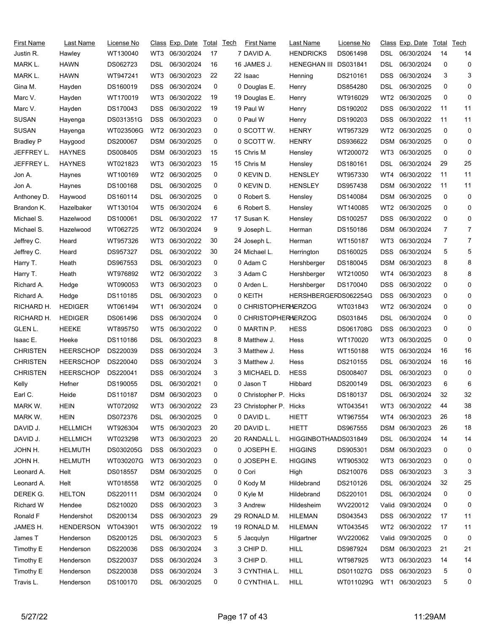| First Name       | Last Name        | License No |                 | Class Exp. Date | Total | Tech | <b>First Name</b>       | Last Name            | License No |                 | Class Exp. Date  | Total | Tech           |
|------------------|------------------|------------|-----------------|-----------------|-------|------|-------------------------|----------------------|------------|-----------------|------------------|-------|----------------|
| Justin R.        | Hawley           | WT130040   | WT3             | 06/30/2024      | 17    |      | 7 DAVID A.              | <b>HENDRICKS</b>     | DS061498   | DSL             | 06/30/2024       | 14    | 14             |
| MARK L.          | <b>HAWN</b>      | DS062723   | DSL             | 06/30/2024      | 16    |      | 16 JAMES J.             | <b>HENEGHAN III</b>  | DS031841   | DSL             | 06/30/2024       | 0     | 0              |
| MARK L.          | <b>HAWN</b>      | WT947241   | WT3             | 06/30/2023      | 22    |      | 22 Isaac                | Henning              | DS210161   | DSS             | 06/30/2024       | 3     | 3              |
| Gina M.          | Hayden           | DS160019   | DSS             | 06/30/2024      | 0     |      | 0 Douglas E.            | Henry                | DS854280   | DSL             | 06/30/2025       | 0     | 0              |
| Marc V.          | Hayden           | WT170019   | WT3             | 06/30/2022      | 19    |      | 19 Douglas E.           | Henry                | WT916029   | WT <sub>2</sub> | 06/30/2025       | 0     | 0              |
| Marc V.          | Hayden           | DS170043   | <b>DSS</b>      | 06/30/2022      | 19    |      | 19 Paul W               | Henry                | DS190202   | DSS             | 06/30/2022       | 11    | 11             |
| <b>SUSAN</b>     | Hayenga          | DS031351G  | <b>DSS</b>      | 06/30/2023      | 0     |      | 0 Paul W                | Henry                | DS190203   | DSS             | 06/30/2022       | 11    | 11             |
| <b>SUSAN</b>     | Hayenga          | WT023506G  | WT <sub>2</sub> | 06/30/2023      | 0     |      | 0 SCOTT W.              | <b>HENRY</b>         | WT957329   | WT <sub>2</sub> | 06/30/2025       | 0     | 0              |
| <b>Bradley P</b> | Haygood          | DS200067   | DSM             | 06/30/2025      | 0     |      | 0 SCOTT W.              | <b>HENRY</b>         | DS936622   | DSM             | 06/30/2025       | 0     | 0              |
| JEFFREY L.       | <b>HAYNES</b>    | DS008405   | DSM             | 06/30/2023      | 15    |      | 15 Chris M              | Hensley              | WT200072   | WT3             | 06/30/2025       | 0     | 0              |
| JEFFREY L.       | <b>HAYNES</b>    | WT021823   | WT3             | 06/30/2023      | 15    |      | 15 Chris M              | Hensley              | DS180161   | DSL             | 06/30/2024       | 29    | 25             |
| Jon A.           | Haynes           | WT100169   | WT2             | 06/30/2025      | 0     |      | 0 KEVIN D.              | <b>HENSLEY</b>       | WT957330   | WT4             | 06/30/2022       | 11    | 11             |
| Jon A.           | Haynes           | DS100168   | DSL             | 06/30/2025      | 0     |      | 0 KEVIN D.              | <b>HENSLEY</b>       | DS957438   | <b>DSM</b>      | 06/30/2022       | 11    | 11             |
| Anthoney D.      | Haywood          | DS160114   | DSL             | 06/30/2025      | 0     |      | 0 Robert S.             | Hensley              | DS140084   | DSM             | 06/30/2025       | 0     | 0              |
| Brandon K.       | Hazelbaker       | WT130104   | WT <sub>5</sub> | 06/30/2024      | 6     |      | 6 Robert S.             | Hensley              | WT140085   | WT <sub>2</sub> | 06/30/2025       | 0     | 0              |
| Michael S.       | Hazelwood        | DS100061   | DSL             | 06/30/2022      | 17    |      | 17 Susan K.             | Hensley              | DS100257   | DSS             | 06/30/2022       | 0     | 0              |
| Michael S.       | Hazelwood        | WT062725   | WT2             | 06/30/2024      | 9     |      | 9 Joseph L.             | Herman               | DS150186   | DSM             | 06/30/2024       | 7     | 7              |
| Jeffrey C.       | Heard            | WT957326   | WT3             | 06/30/2022      | 30    |      | 24 Joseph L.            | Herman               | WT150187   | WT3             | 06/30/2024       | 7     | $\overline{7}$ |
| Jeffrey C.       | Heard            | DS957327   | DSL             | 06/30/2022      | 30    |      | 24 Michael L.           | Herrington           | DS160025   | DSS             | 06/30/2024       | 5     | 5              |
| Harry T.         | Heath            | DS967553   | DSL             | 06/30/2023      | 0     |      | 0 Adam C                | Hershberger          | DS180045   | DSM             | 06/30/2023       | 8     | 8              |
| Harry T.         | Heath            | WT976892   | WT2             | 06/30/2022      | 3     |      | 3 Adam C                | Hershberger          | WT210050   | WT4             | 06/30/2023       | 8     | 8              |
| Richard A.       | Hedge            | WT090053   | WT3             | 06/30/2023      | 0     |      | 0 Arden L.              | Hershberger          | DS170040   | DSS             | 06/30/2022       | 0     | 0              |
| Richard A.       | Hedge            | DS110185   | DSL             | 06/30/2023      | 0     |      | 0 KEITH                 | HERSHBERGEFDS062254G |            | <b>DSS</b>      | 06/30/2023       | 0     | 0              |
| RICHARD H.       | <b>HEDIGER</b>   | WT061494   | WT1             | 06/30/2024      | 0     |      | 0 CHRISTOPHERHERZOG     |                      | WT031843   | WT <sub>2</sub> | 06/30/2024       | 0     | 0              |
| RICHARD H.       | <b>HEDIGER</b>   | DS061496   | DSS             | 06/30/2024      | 0     |      | 0 CHRISTOPHERHERZOG     |                      | DS031845   | DSL             | 06/30/2024       | 0     | 0              |
| GLEN L.          | HEEKE            | WT895750   | WT5             | 06/30/2022      | 0     |      | 0 MARTIN P.             | <b>HESS</b>          | DS061708G  | DSS             | 06/30/2023       | 0     | 0              |
| Isaac E.         | Heeke            | DS110186   | DSL             | 06/30/2023      | 8     |      | 8 Matthew J.            | Hess                 | WT170020   | WT3             | 06/30/2025       | 0     | 0              |
| <b>CHRISTEN</b>  | <b>HEERSCHOP</b> | DS220039   | <b>DSS</b>      | 06/30/2024      | 3     |      | 3 Matthew J.            | Hess                 | WT150188   | WT5             | 06/30/2024       | 16    | 16             |
| <b>CHRISTEN</b>  | <b>HEERSCHOP</b> | DS220040   | DSS             | 06/30/2024      | 3     |      | 3 Matthew J.            | Hess                 | DS210155   | DSL             | 06/30/2024       | 16    | 16             |
| <b>CHRISTEN</b>  | <b>HEERSCHOP</b> | DS220041   | <b>DSS</b>      | 06/30/2024      | 3     |      | 3 MICHAEL D.            | <b>HESS</b>          | DS008407   | DSL             | 06/30/2023       | 0     | 0              |
| Kelly            | Hefner           | DS190055   | DSL             | 06/30/2021      | 0     |      | 0 Jason T               | Hibbard              | DS200149   | DSL             | 06/30/2023       | 6     | 6              |
| Earl C.          | Heide            | DS110187   |                 | DSM 06/30/2023  | 0     |      | 0 Christopher P. Hicks  |                      | DS180137   | <b>DSL</b>      | 06/30/2024       | 32    | 32             |
| MARK W.          | <b>HEIN</b>      | WT072092   | WT3             | 06/30/2022      | 23    |      | 23 Christopher P. Hicks |                      | WT043541   | WT3             | 06/30/2022       | 44    | 38             |
| MARK W.          | <b>HEIN</b>      | DS072376   | DSL.            | 06/30/2025      | 0     |      | 0 DAVID L.              | <b>HIETT</b>         | WT967554   | WT4             | 06/30/2023       | 26    | 18             |
| DAVID J.         | <b>HELLMICH</b>  | WT926304   | WT5             | 06/30/2023      | 20    |      | 20 DAVID L.             | <b>HIETT</b>         | DS967555   | DSM             | 06/30/2023       | 26    | 18             |
| DAVID J.         | <b>HELLMICH</b>  | WT023298   |                 | WT3 06/30/2023  | 20    |      | 20 RANDALL L.           | HIGGINBOTHAMDS031849 |            | DSL             | 06/30/2024       | 14    | 14             |
| JOHN H.          | <b>HELMUTH</b>   | DS030205G  | <b>DSS</b>      | 06/30/2023      | 0     |      | 0 JOSEPH E.             | <b>HIGGINS</b>       | DS905301   |                 | DSM 06/30/2023   | 0     | 0              |
| JOHN H.          | <b>HELMUTH</b>   | WT030207G  | WT3             | 06/30/2023      | 0     |      | 0 JOSEPH E.             | <b>HIGGINS</b>       | WT905302   | WT3             | 06/30/2023       | 0     | 0              |
| Leonard A.       | Helt             | DS018557   |                 | DSM 06/30/2025  | 0     |      | 0 Cori                  | High                 | DS210076   | DSS             | 06/30/2023       | 3     | 3              |
| Leonard A.       | Helt             | WT018558   |                 | WT2 06/30/2025  | 0     |      | 0 Kody M                | Hildebrand           | DS210126   | <b>DSL</b>      | 06/30/2024       | 32    | 25             |
| DEREK G.         | <b>HELTON</b>    | DS220111   |                 | DSM 06/30/2024  | 0     |      | 0 Kyle M                | Hildebrand           | DS220101   | DSL             | 06/30/2024       | 0     | 0              |
| Richard W        | Hendee           | DS210020   | DSS.            | 06/30/2023      | 3     |      | 3 Andrew                | Hildesheim           | WV220012   |                 | Valid 09/30/2024 | 0     | 0              |
| Ronald F         | Hendershot       | DS200134   | DSS.            | 06/30/2023      | 29    |      | 29 RONALD M.            | <b>HILEMAN</b>       | DS043543   |                 | DSS 06/30/2022   | 17    | 11             |
| JAMES H.         | <b>HENDERSON</b> | WT043901   | WT5             | 06/30/2022      | 19    |      | 19 RONALD M.            | <b>HILEMAN</b>       | WT043545   | WT2             | 06/30/2022       | 17    | 11             |
| James T          | Henderson        | DS200125   | DSL             | 06/30/2023      | 5     |      | 5 Jacqulyn              | Hilgartner           | WV220062   | Valid           | 09/30/2025       | 0     | 0              |
| Timothy E        | Henderson        | DS220036   | <b>DSS</b>      | 06/30/2024      | 3     |      | 3 CHIP D.               | <b>HILL</b>          | DS987924   | DSM             | 06/30/2023       | 21    | 21             |
| Timothy E        | Henderson        | DS220037   | <b>DSS</b>      | 06/30/2024      | 3     |      | 3 CHIP D.               | <b>HILL</b>          | WT987925   | WT3             | 06/30/2023       | 14    | 14             |
| Timothy E        | Henderson        | DS220038   | <b>DSS</b>      | 06/30/2024      | 3     |      | 3 CYNTHIA L.            | <b>HILL</b>          | DS011027G  | <b>DSS</b>      | 06/30/2023       | 5     | 0              |
| Travis L.        | Henderson        | DS100170   |                 | DSL 06/30/2025  | 0     |      | 0 CYNTHIA L.            | HILL                 | WT011029G  | WT1             | 06/30/2023       | 5     | 0              |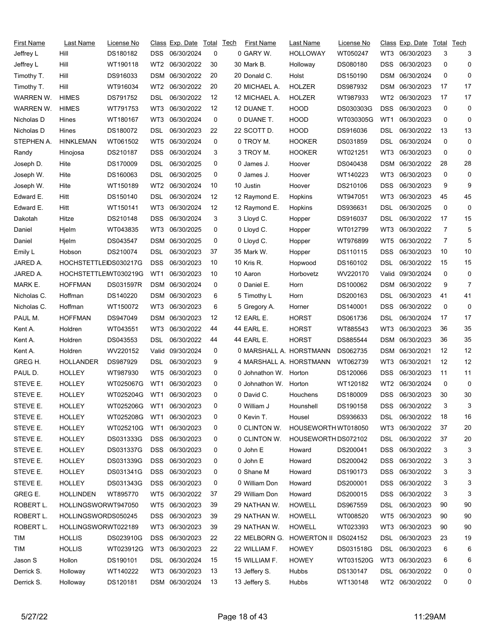| First Name  | Last Name             | License No               |                 | Class Exp. Date | Total | Tech | <b>First Name</b>       | Last Name           | License No |                 | Class Exp. Date | Total | Tech |
|-------------|-----------------------|--------------------------|-----------------|-----------------|-------|------|-------------------------|---------------------|------------|-----------------|-----------------|-------|------|
| Jeffrey L   | Hill                  | DS180182                 | DSS.            | 06/30/2024      | 0     |      | 0 GARY W.               | <b>HOLLOWAY</b>     | WT050247   | WT3             | 06/30/2023      | 3     | 3    |
| Jeffrey L   | Hill                  | WT190118                 | WT <sub>2</sub> | 06/30/2022      | 30    |      | 30 Mark B.              | Holloway            | DS080180   | DSS             | 06/30/2023      | 0     | 0    |
| Timothy T.  | Hill                  | DS916033                 | <b>DSM</b>      | 06/30/2022      | 20    |      | 20 Donald C.            | Holst               | DS150190   | DSM             | 06/30/2024      | 0     | 0    |
| Timothy T.  | Hill                  | WT916034                 | WT2             | 06/30/2022      | 20    |      | 20 MICHAEL A.           | <b>HOLZER</b>       | DS987932   | DSM             | 06/30/2023      | 17    | 17   |
| WARREN W.   | <b>HIMES</b>          | DS791752                 | DSL             | 06/30/2022      | 12    |      | 12 MICHAEL A.           | <b>HOLZER</b>       | WT987933   | WT <sub>2</sub> | 06/30/2023      | 17    | 17   |
| WARREN W.   | <b>HIMES</b>          | WT791753                 | WT3             | 06/30/2022      | 12    |      | 12 DUANE T.             | <b>HOOD</b>         | DS030303G  | <b>DSS</b>      | 06/30/2023      | 0     | 0    |
| Nicholas D  | Hines                 | WT180167                 | WT3             | 06/30/2024      | 0     |      | 0 DUANE T.              | <b>HOOD</b>         | WT030305G  | WT1             | 06/30/2023      | 0     | 0    |
| Nicholas D  | Hines                 | DS180072                 | DSL             | 06/30/2023      | 22    |      | 22 SCOTT D.             | <b>HOOD</b>         | DS916036   | DSL             | 06/30/2022      | 13    | 13   |
| STEPHEN A.  | <b>HINKLEMAN</b>      | WT061502                 | WT5             | 06/30/2024      | 0     |      | 0 TROY M.               | <b>HOOKER</b>       | DS031859   | DSL             | 06/30/2024      | 0     | 0    |
| Randy       | Hinojosa              | DS210187                 | <b>DSS</b>      | 06/30/2024      | 3     |      | 3 TROY M.               | <b>HOOKER</b>       | WT021251   | WT3             | 06/30/2023      | 0     | 0    |
| Joseph D.   | Hite                  | DS170009                 | DSL             | 06/30/2025      | 0     |      | 0 James J.              | Hoover              | DS040438   | DSM             | 06/30/2022      | 28    | 28   |
| Joseph W.   | Hite                  | DS160063                 | DSL             | 06/30/2025      | 0     |      | 0 James J.              | Hoover              | WT140223   | WT3             | 06/30/2023      | 0     | 0    |
| Joseph W.   | Hite                  | WT150189                 | WT2             | 06/30/2024      | 10    |      | 10 Justin               | Hoover              | DS210106   | <b>DSS</b>      | 06/30/2023      | 9     | 9    |
| Edward E.   | Hitt                  | DS150140                 | DSL             | 06/30/2024      | 12    |      | 12 Raymond E.           | Hopkins             | WT947051   | WT3             | 06/30/2023      | 45    | 45   |
| Edward E.   | Hitt                  | WT150141                 | WT3             | 06/30/2024      | 12    |      | 12 Raymond E.           | Hopkins             | DS936631   | DSL             | 06/30/2025      | 0     | 0    |
| Dakotah     | Hitze                 | DS210148                 | <b>DSS</b>      | 06/30/2024      | 3     |      | 3 Lloyd C.              | Hopper              | DS916037   | DSL             | 06/30/2022      | 17    | 15   |
| Daniel      | Hjelm                 | WT043835                 | WT3             | 06/30/2025      | 0     |      | 0 Lloyd C.              | Hopper              | WT012799   | WT3             | 06/30/2022      | 7     | 5    |
| Daniel      | Hjelm                 | DS043547                 | <b>DSM</b>      | 06/30/2025      | 0     |      | 0 Lloyd C.              | Hopper              | WT976899   | WT5             | 06/30/2022      | 7     | 5    |
| Emily L     | Hobson                | DS210074                 | DSL             | 06/30/2023      | 37    |      | 35 Mark W.              | Hopper              | DS110115   | DSS             | 06/30/2023      | 10    | 10   |
| JARED A.    | HOCHSTETTLEIDS030217G |                          | <b>DSS</b>      | 06/30/2023      | 10    |      | 10 Kris R.              | Hopwood             | DS160102   | DSL             | 06/30/2022      | 15    | 15   |
| JARED A.    | HOCHSTETTLEMT030219G  |                          | WT1             | 06/30/2023      | 10    |      | 10 Aaron                | Horbovetz           | WV220170   | Valid           | 09/30/2024      | 0     | 0    |
| MARK E.     | <b>HOFFMAN</b>        | DS031597R                | DSM             | 06/30/2024      | 0     |      | 0 Daniel E.             | Horn                | DS100062   | DSM             | 06/30/2022      | 9     | 7    |
| Nicholas C. | Hoffman               | DS140220                 | DSM             | 06/30/2023      | 6     |      | 5 Timothy L             | Horn                | DS200163   | DSL             | 06/30/2023      | 41    | 41   |
| Nicholas C. | Hoffman               | WT150072                 | WT3             | 06/30/2023      | 6     |      | 5 Gregory A.            | Horner              | DS140001   | <b>DSS</b>      | 06/30/2022      | 0     | 0    |
| PAUL M.     | <b>HOFFMAN</b>        | DS947049                 | DSM             | 06/30/2023      | 12    |      | 12 EARL E.              | <b>HORST</b>        | DS061736   | DSL             | 06/30/2024      | 17    | 17   |
| Kent A.     | Holdren               | WT043551                 | WT3             | 06/30/2022      | 44    |      | <b>44 EARL E.</b>       | <b>HORST</b>        | WT885543   | WT3             | 06/30/2023      | 36    | 35   |
| Kent A.     | Holdren               | DS043553                 | DSL             | 06/30/2022      | 44    |      | 44 EARL E.              | <b>HORST</b>        | DS885544   | DSM             | 06/30/2023      | 36    | 35   |
| Kent A.     | Holdren               | WV220152                 | Valid           | 09/30/2024      | 0     |      | 0 MARSHALL A. HORSTMANN |                     | DS062735   | <b>DSM</b>      | 06/30/2021      | 12    | 12   |
| GREG H.     | <b>HOLLANDER</b>      | DS987929                 | DSL             | 06/30/2023      | 9     |      | 4 MARSHALL A. HORSTMANN |                     | WT062739   | WT3             | 06/30/2021      | 12    | 12   |
| PAUL D.     | <b>HOLLEY</b>         | WT987930                 | WT5             | 06/30/2023      | 0     |      | 0 Johnathon W. Horton   |                     | DS120066   | <b>DSS</b>      | 06/30/2023      | 11    | 11   |
| STEVE E.    | <b>HOLLEY</b>         | WT025067G                | WT1             | 06/30/2023      | 0     |      | 0 Johnathon W. Horton   |                     | WT120182   | WT2             | 06/30/2024      | 0     | 0    |
| STEVE E.    | <b>HOLLEY</b>         | WT025204G WT1 06/30/2023 |                 |                 | 0     |      | 0 David C.              | Houchens            | DS180009   |                 | DSS 06/30/2023  | 30    | 30   |
| STEVE E.    | <b>HOLLEY</b>         | WT025206G                | WT1             | 06/30/2023      | 0     |      | 0 William J             | Hounshell           | DS190158   |                 | DSS 06/30/2022  | 3     | 3    |
| STEVE E.    | <b>HOLLEY</b>         | WT025208G                | WT1             | 06/30/2023      | 0     |      | 0 Kevin T.              | Housel              | DS936633   | DSL             | 06/30/2022      | 18    | 16   |
| STEVE E.    | <b>HOLLEY</b>         | WT025210G                | WT1             | 06/30/2023      | 0     |      | 0 CLINTON W.            | HOUSEWORTH WT018050 |            | WT3             | 06/30/2022      | 37    | 20   |
| STEVE E.    | <b>HOLLEY</b>         | DS031333G                | DSS             | 06/30/2023      | 0     |      | 0 CLINTON W.            | HOUSEWORTH DS072102 |            | DSL             | 06/30/2022      | 37    | 20   |
| STEVE E.    | <b>HOLLEY</b>         | DS031337G                | <b>DSS</b>      | 06/30/2023      | 0     |      | 0 John E                | Howard              | DS200041   | <b>DSS</b>      | 06/30/2022      | 3     | 3    |
| STEVE E.    | <b>HOLLEY</b>         | DS031339G                |                 | DSS 06/30/2023  | 0     |      | 0 John E                | Howard              | DS200042   | <b>DSS</b>      | 06/30/2022      | 3     | 3    |
| STEVE E.    | <b>HOLLEY</b>         | DS031341G                | DSS             | 06/30/2023      | 0     |      | 0 Shane M               | Howard              | DS190173   | <b>DSS</b>      | 06/30/2022      | 3     | 3    |
| STEVE E.    | <b>HOLLEY</b>         | DS031343G                | DSS             | 06/30/2023      | 0     |      | 0 William Don           | Howard              | DS200001   | <b>DSS</b>      | 06/30/2022      | 3     | 3    |
| GREG E.     | <b>HOLLINDEN</b>      | WT895770                 | WT5             | 06/30/2022      | 37    |      | 29 William Don          | Howard              | DS200015   | DSS             | 06/30/2022      | 3     | 3    |
| ROBERT L.   | HOLLINGSWORWT947050   |                          | WT5             | 06/30/2023      | 39    |      | 29 NATHAN W.            | <b>HOWELL</b>       | DS967559   | <b>DSL</b>      | 06/30/2023      | 90    | 90   |
| ROBERT L.   | HOLLINGSWORDS050245   |                          | DSS.            | 06/30/2023      | 39    |      | 29 NATHAN W.            | <b>HOWELL</b>       | WT008520   | WT5             | 06/30/2023      | 90    | 90   |
| ROBERT L.   | HOLLINGSWORWT022189   |                          | WT3             | 06/30/2023      | 39    |      | 29 NATHAN W.            | <b>HOWELL</b>       | WT023393   | WT3             | 06/30/2023      | 90    | 90   |
| <b>TIM</b>  | <b>HOLLIS</b>         | DS023910G                | <b>DSS</b>      | 06/30/2023      | 22    |      | 22 MELBORN G.           | <b>HOWERTON II</b>  | DS024152   | <b>DSL</b>      | 06/30/2023      | 23    | 19   |
| TIM         | <b>HOLLIS</b>         | WT023912G                | WT3             | 06/30/2023      | 22    |      | 22 WILLIAM F.           | <b>HOWEY</b>        | DS031518G  | <b>DSL</b>      | 06/30/2023      | 6     | 6    |
| Jason S     | Hollon                | DS190101                 | DSL.            | 06/30/2024      | 15    |      | 15 WILLIAM F.           | <b>HOWEY</b>        | WT031520G  | WT3             | 06/30/2023      | 6     | 6    |
| Derrick S.  | Holloway              | WT140222                 | WT3             | 06/30/2023      | 13    |      | 13 Jeffery S.           | Hubbs               | DS130147   | DSL             | 06/30/2022      | 0     | 0    |
| Derrick S.  | Holloway              | DS120181                 |                 | DSM 06/30/2024  | 13    |      | 13 Jeffery S.           | Hubbs               | WT130148   |                 | WT2 06/30/2022  | 0     | 0    |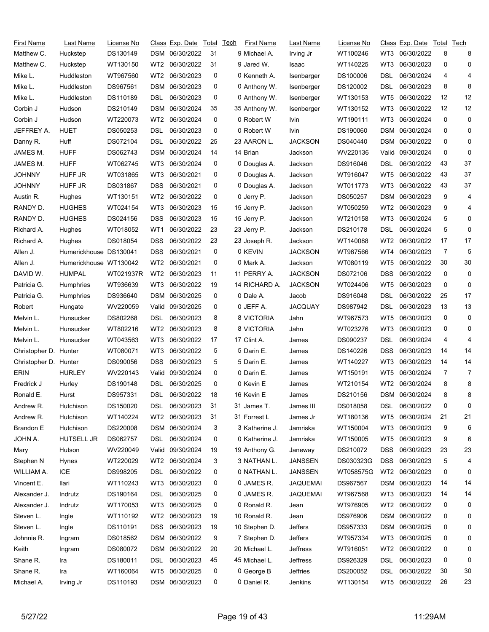| <b>First Name</b>     | Last Name              | License No |                 | <u>Class</u> Exp. Date | Total | Tech | First Name     | Last Name       | License No |            | Class Exp. Date | Total | Tech |
|-----------------------|------------------------|------------|-----------------|------------------------|-------|------|----------------|-----------------|------------|------------|-----------------|-------|------|
| Matthew C.            | Huckstep               | DS130149   |                 | DSM 06/30/2022         | 31    |      | 9 Michael A.   | Irving Jr       | WT100246   | WT3        | 06/30/2022      | 8     | 8    |
| Matthew C.            | Huckstep               | WT130150   | WT2             | 06/30/2022             | 31    |      | 9 Jared W.     | Isaac           | WT140225   | WT3        | 06/30/2023      | 0     | 0    |
| Mike L.               | Huddleston             | WT967560   | WT <sub>2</sub> | 06/30/2023             | 0     |      | 0 Kenneth A.   | Isenbarger      | DS100006   | DSL        | 06/30/2024      | 4     | 4    |
| Mike L.               | Huddleston             | DS967561   | DSM             | 06/30/2023             | 0     |      | 0 Anthony W.   | Isenberger      | DS120002   | DSL        | 06/30/2023      | 8     | 8    |
| Mike L.               | Huddleston             | DS110189   | DSL             | 06/30/2023             | 0     |      | 0 Anthony W.   | Isenberger      | WT130153   | WT5        | 06/30/2022      | 12    | 12   |
| Corbin J              | Hudson                 | DS210149   | DSM             | 06/30/2024             | 35    |      | 35 Anthony W.  | Isenberger      | WT130152   | WT3        | 06/30/2022      | 12    | 12   |
| Corbin J              | Hudson                 | WT220073   | WT2             | 06/30/2024             | 0     |      | 0 Robert W     | Ivin            | WT190111   | WT3        | 06/30/2024      | 0     | 0    |
| JEFFREY A.            | <b>HUET</b>            | DS050253   | DSL             | 06/30/2023             | 0     |      | 0 Robert W     | Ivin            | DS190060   | <b>DSM</b> | 06/30/2024      | 0     | 0    |
| Danny R.              | Huff                   | DS072104   | DSL             | 06/30/2022             | 25    |      | 23 AARON L.    | <b>JACKSON</b>  | DS040440   | DSM        | 06/30/2022      | 0     | 0    |
| JAMES M.              | <b>HUFF</b>            | DS062743   | DSM             | 06/30/2024             | 14    |      | 14 Brian       | Jackson         | WV220136   | Valid      | 09/30/2024      | 0     | 0    |
| JAMES M.              | <b>HUFF</b>            | WT062745   | WT3             | 06/30/2024             | 0     |      | 0 Douglas A.   | Jackson         | DS916046   | DSL        | 06/30/2022      | 43    | 37   |
| JOHNNY                | HUFF JR                | WT031865   | WT3             | 06/30/2021             | 0     |      | 0 Douglas A.   | Jackson         | WT916047   | WT5        | 06/30/2022      | 43    | 37   |
| JOHNNY                | HUFF JR                | DS031867   | DSS             | 06/30/2021             | 0     |      | 0 Douglas A.   | Jackson         | WT011773   | WT3        | 06/30/2022      | 43    | 37   |
| Austin R.             | Hughes                 | WT130151   | WT2             | 06/30/2022             | 0     |      | 0 Jerry P.     | Jackson         | DS050257   | DSM        | 06/30/2023      | 9     | 4    |
| RANDY D.              | <b>HUGHES</b>          | WT024154   | WT3             | 06/30/2023             | 15    |      | 15 Jerry P.    | Jackson         | WT050259   | WT2        | 06/30/2023      | 9     | 4    |
| RANDY D.              | <b>HUGHES</b>          | DS024156   | DSS             | 06/30/2023             | 15    |      | 15 Jerry P.    | Jackson         | WT210158   | WT3        | 06/30/2024      | 5     | 0    |
| Richard A.            | Hughes                 | WT018052   | WT1             | 06/30/2022             | 23    |      | 23 Jerry P.    | Jackson         | DS210178   | DSL        | 06/30/2024      | 5     | 0    |
| Richard A.            | Hughes                 | DS018054   | DSS             | 06/30/2022             | 23    |      | 23 Joseph R.   | Jackson         | WT140088   | WT2        | 06/30/2022      | 17    | 17   |
| Allen J.              | Humerickhouse DS130041 |            | DSS             | 06/30/2021             | 0     |      | 0 KEVIN        | <b>JACKSON</b>  | WT967566   | WT4        | 06/30/2023      | 7     | 5    |
| Allen J.              | Humerickhouse WT130042 |            | WT2             | 06/30/2021             | 0     |      | 0 Mark A.      | Jackson         | WT080119   | WT5        | 06/30/2022      | 30    | 30   |
| DAVID W.              | <b>HUMPAL</b>          | WT021937R  | WT2             | 06/30/2023             | 11    |      | 11 PERRY A.    | <b>JACKSON</b>  | DS072106   | DSS        | 06/30/2022      | 0     | 0    |
| Patricia G.           | <b>Humphries</b>       | WT936639   | WT3             | 06/30/2022             | 19    |      | 14 RICHARD A.  | <b>JACKSON</b>  | WT024406   | WT5        | 06/30/2023      | 0     | 0    |
| Patricia G.           | <b>Humphries</b>       | DS936640   | DSM             | 06/30/2025             | 0     |      | 0 Dale A.      | Jacob           | DS916048   | DSL        | 06/30/2022      | 25    | 17   |
| Robert                | Hungate                | WV220059   | Valid           | 09/30/2025             | 0     |      | 0 JEFF A.      | <b>JACQUAY</b>  | DS987942   | DSL        | 06/30/2023      | 13    | 13   |
| Melvin L.             | Hunsucker              | DS802268   | DSL             | 06/30/2023             | 8     |      | 8 VICTORIA     | Jahn            | WT967573   | WT5        | 06/30/2023      | 0     | 0    |
| Melvin L.             | Hunsucker              | WT802216   | WT2             | 06/30/2023             | 8     |      | 8 VICTORIA     | Jahn            | WT023276   | WT3        | 06/30/2023      | 0     | 0    |
| Melvin L.             | Hunsucker              | WT043563   | WT3             | 06/30/2022             | 17    |      | 17 Clint A.    | James           | DS090237   | DSL        | 06/30/2024      | 4     | 4    |
| Christopher D.        | Hunter                 | WT080071   | WT3             | 06/30/2022             | 5     |      | 5 Darin E.     | James           | DS140226   | DSS        | 06/30/2023      | 14    | 14   |
| Christopher D. Hunter |                        | DS090056   | DSS             | 06/30/2023             | 5     |      | 5 Darin E.     | James           | WT140227   | WT3        | 06/30/2023      | 14    | 14   |
| ERIN                  | <b>HURLEY</b>          | WV220143   | Valid           | 09/30/2024             | 0     |      | 0 Darin E.     | James           | WT150191   | WT5        | 06/30/2024      | 7     | 7    |
| Fredrick J            | Hurley                 | DS190148   | DSL             | 06/30/2025             | 0     |      | 0 Kevin E      | James           | WT210154   | WT2        | 06/30/2024      | 8     | 8    |
| Ronald E.             | Hurst                  | DS957331   | <b>DSL</b>      | 06/30/2022             | 18    |      | 16 Kevin E     | James           | DS210156   |            | DSM 06/30/2024  | 8     |      |
| Andrew R.             | Hutchison              | DS150020   | DSL             | 06/30/2023             | 31    |      | 31 James T.    | James III       | DS018058   | DSL        | 06/30/2022      | 0     | 0    |
| Andrew R.             | Hutchison              | WT140224   | WT2             | 06/30/2023             | 31    |      | 31 Forrest L   | James Jr        | WT180136   | WT5        | 06/30/2024      | 21    | 21   |
| Brandon E             | Hutchison              | DS220008   |                 | DSM 06/30/2024         | 3     |      | 3 Katherine J. | Jamriska        | WT150004   | WT3        | 06/30/2023      | 9     | 6    |
| JOHN A.               | HUTSELL JR             | DS062757   | DSL             | 06/30/2024             | 0     |      | 0 Katherine J. | Jamriska        | WT150005   | WT5        | 06/30/2023      | 9     | 6    |
| Mary                  | Hutson                 | WV220049   |                 | Valid 09/30/2024       | 19    |      | 19 Anthony G.  | Janeway         | DS210072   | <b>DSS</b> | 06/30/2023      | 23    | 23   |
| Stephen N             | <b>Hynes</b>           | WT220029   | WT <sub>2</sub> | 06/30/2024             | 3     |      | 3 NATHAN L.    | <b>JANSSEN</b>  | DS030323G  | <b>DSS</b> | 06/30/2023      | 5     | 4    |
| WILLIAM A.            | ICE                    | DS998205   | DSL             | 06/30/2022             | 0     |      | 0 NATHAN L.    | <b>JANSSEN</b>  | WT058575G  | WT2        | 06/30/2023      | 0     | 0    |
| Vincent E.            | llari                  | WT110243   | WT3             | 06/30/2023             | 0     |      | 0 JAMES R.     | JAQUEMAI        | DS967567   |            | DSM 06/30/2023  | 14    | 14   |
| Alexander J.          | Indrutz                | DS190164   | DSL             | 06/30/2025             | 0     |      | 0 JAMES R.     | <b>JAQUEMAI</b> | WT967568   | WT3        | 06/30/2023      | 14    | 14   |
| Alexander J.          | Indrutz                | WT170053   | WT3             | 06/30/2025             | 0     |      | 0 Ronald R.    | Jean            | WT976905   | WT2        | 06/30/2022      | 0     | 0    |
| Steven L.             | Ingle                  | WT110192   | WT2             | 06/30/2023             | 19    |      | 10 Ronald R.   | Jean            | DS976906   | DSM        | 06/30/2022      | 0     | 0    |
| Steven L.             | Ingle                  | DS110191   | DSS             | 06/30/2023             | 19    |      | 10 Stephen D.  | Jeffers         | DS957333   | DSM        | 06/30/2025      | 0     | 0    |
| Johnnie R.            | Ingram                 | DS018562   | DSM             | 06/30/2022             | 9     |      | 7 Stephen D.   | Jeffers         | WT957334   | WT3        | 06/30/2025      | 0     | 0    |
| Keith                 | Ingram                 | DS080072   |                 | DSM 06/30/2022         | 20    |      | 20 Michael L.  | Jeffress        | WT916051   | WT2        | 06/30/2022      | 0     | 0    |
| Shane R.              |                        | DS180011   | DSL             | 06/30/2023             | 45    |      | 45 Michael L.  | Jeffress        | DS926329   | DSL        | 06/30/2023      | 0     | 0    |
| Shane R.              | Ira                    | WT160064   |                 | 06/30/2025             | 0     |      |                | Jeffries        | DS200052   | <b>DSL</b> | 06/30/2022      | 30    | 30   |
|                       | Ira                    |            | WT5             |                        |       |      | 0 George B     |                 |            |            |                 |       |      |
| Michael A.            | Irving Jr              | DS110193   |                 | DSM 06/30/2023         | 0     |      | 0 Daniel R.    | Jenkins         | WT130154   | WT5        | 06/30/2022      | 26    | 23   |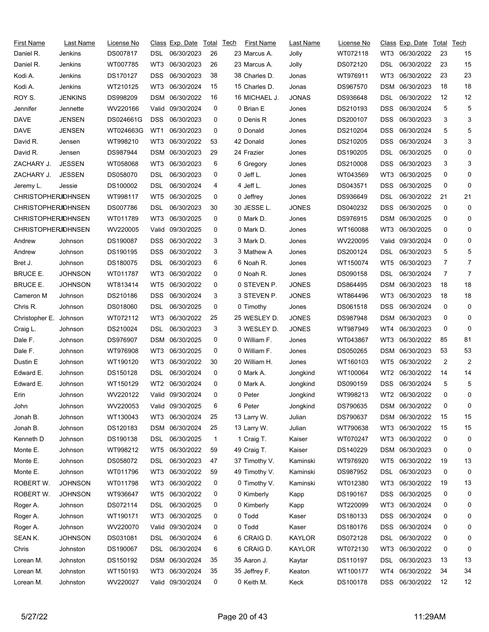| <b>First Name</b>          | Last Name      | <u>License No</u> |            | Class Exp. Date  | Total        | Tech | <b>First Name</b>            | Last Name          | License No |            | Class Exp. Date | Total          | <u>Tech</u>    |
|----------------------------|----------------|-------------------|------------|------------------|--------------|------|------------------------------|--------------------|------------|------------|-----------------|----------------|----------------|
| Daniel R.                  | Jenkins        | DS007817          | DSL        | 06/30/2023       | 26           |      | 23 Marcus A.                 | Jolly              | WT072118   | WT3        | 06/30/2022      | 23             | 15             |
| Daniel R.                  | Jenkins        | WT007785          | WT3        | 06/30/2023       | 26           |      | 23 Marcus A.                 | Jolly              | DS072120   | DSL        | 06/30/2022      | 23             | 15             |
| Kodi A.                    | Jenkins        | DS170127          | DSS        | 06/30/2023       | 38           |      | 38 Charles D.                | Jonas              | WT976911   | WT3        | 06/30/2022      | 23             | 23             |
| Kodi A.                    | Jenkins        | WT210125          | WT3        | 06/30/2024       | 15           |      | 15 Charles D.                | Jonas              | DS967570   | DSM        | 06/30/2023      | 18             | 18             |
| ROY S.                     | <b>JENKINS</b> | DS998209          | DSM        | 06/30/2022       | 16           |      | 16 MICHAEL J.                | <b>JONAS</b>       | DS936648   | DSL        | 06/30/2022      | 12             | 12             |
| Jennifer                   | Jennette       | WV220166          | Valid      | 09/30/2024       | 0            |      | 0 Brian E                    | Jones              | DS210193   | <b>DSS</b> | 06/30/2024      | 5              | 5              |
| <b>DAVE</b>                | <b>JENSEN</b>  | DS024661G         | DSS        | 06/30/2023       | 0            |      | 0 Denis R                    | Jones              | DS200107   | <b>DSS</b> | 06/30/2023      | 3              | 3              |
| <b>DAVE</b>                | <b>JENSEN</b>  | WT024663G         | WT1        | 06/30/2023       | 0            |      | 0 Donald                     | Jones              | DS210204   | <b>DSS</b> | 06/30/2024      | 5              | 5              |
| David R.                   | Jensen         | WT998210          | WT3        | 06/30/2022       | 53           |      | 42 Donald                    | Jones              | DS210205   | DSS        | 06/30/2024      | 3              | 3              |
| David R.                   | Jensen         | DS987944          | DSM        | 06/30/2023       | 29           |      | 24 Frazier                   | Jones              | DS190205   | DSL        | 06/30/2025      | 0              | 0              |
| ZACHARY J.                 | <b>JESSEN</b>  | WT058068          | WT3        | 06/30/2023       | 6            |      | 6 Gregory                    | Jones              | DS210008   | <b>DSS</b> | 06/30/2023      | 3              | 3              |
| ZACHARY J.                 | <b>JESSEN</b>  | DS058070          | DSL        | 06/30/2023       | 0            |      | 0 Jeff L.                    | Jones              | WT043569   | WT3        | 06/30/2025      | 0              | 0              |
| Jeremy L.                  | Jessie         | DS100002          | DSL        | 06/30/2024       | 4            |      | 4 Jeff L.                    | Jones              | DS043571   | <b>DSS</b> | 06/30/2025      | 0              | 0              |
| <b>CHRISTOPHERJOHNSEN</b>  |                | WT998117          | WT5        | 06/30/2025       | 0            |      | 0 Jeffrey                    | Jones              | DS936649   | DSL        | 06/30/2022      | 21             | 21             |
| <b>CHRISTOPHERJOHNSEN</b>  |                | DS007786          | DSL        | 06/30/2023       | 30           |      | 30 JESSE L.                  | <b>JONES</b>       | DS040232   | DSS        | 06/30/2025      | 0              | 0              |
| <b>CHRISTOPHERJIOHNSEN</b> |                | WT011789          | WT3        | 06/30/2025       | 0            |      | 0 Mark D.                    | Jones              | DS976915   | <b>DSM</b> | 06/30/2025      | 0              | 0              |
| <b>CHRISTOPHERJOHNSEN</b>  |                | WV220005          | Valid      | 09/30/2025       | 0            |      | 0 Mark D.                    | Jones              | WT160088   | WT3        | 06/30/2025      | 0              | 0              |
| Andrew                     | Johnson        | DS190087          | DSS        | 06/30/2022       | 3            |      | 3 Mark D.                    | Jones              | WV220095   | Valid      | 09/30/2024      | 0              | 0              |
| Andrew                     | Johnson        | DS190195          | DSS        | 06/30/2022       | 3            |      | 3 Mathew A                   | Jones              | DS200124   | DSL        | 06/30/2023      | 5              | 5              |
| Bret J.                    | Johnson        | DS180075          | DSL        | 06/30/2023       | 6            |      | 6 Noah R.                    | Jones              | WT150074   | WT5        | 06/30/2023      | 7              | $\overline{7}$ |
| <b>BRUCE E.</b>            | <b>JOHNSON</b> | WT011787          | WT3        | 06/30/2022       | 0            |      | 0 Noah R.                    | Jones              | DS090158   | DSL        | 06/30/2024      | $\overline{7}$ | $\overline{7}$ |
| <b>BRUCE E.</b>            | <b>JOHNSON</b> | WT813414          | WT5        | 06/30/2022       | 0            |      | 0 STEVEN P.                  | <b>JONES</b>       | DS864495   | <b>DSM</b> | 06/30/2023      | 18             | 18             |
| Cameron M                  | Johnson        | DS210186          | DSS        | 06/30/2024       | 3            |      | 3 STEVEN P.                  | <b>JONES</b>       | WT864496   | WT3        | 06/30/2023      | 18             | 18             |
| Chris R.                   | Johnson        | DS018060          | DSL        | 06/30/2025       | 0            |      | 0 Timothy                    | Jones              | DS061518   | <b>DSS</b> | 06/30/2024      | 0              | 0              |
| Christopher E. Johnson     |                | WT072112          | WT3        | 06/30/2022       | 25           |      | 25 WESLEY D.                 | <b>JONES</b>       | DS987948   | <b>DSM</b> | 06/30/2023      | 0              | 0              |
| Craig L.                   | Johnson        | DS210024          | DSL        | 06/30/2023       | 3            |      | 3 WESLEY D.                  | <b>JONES</b>       | WT987949   | WT4        | 06/30/2023      | 0              | 0              |
| Dale F.                    | Johnson        | DS976907          | DSM        | 06/30/2025       | 0            |      | 0 William F.                 | Jones              | WT043867   | WT3        | 06/30/2022      | 85             | 81             |
| Dale F.                    | Johnson        | WT976908          | WT3        | 06/30/2025       | 0            |      | 0 William F.                 | Jones              | DS050265   | DSM        | 06/30/2023      | 53             | 53             |
| Dustin E                   | Johnson        | WT190120          | WT3        | 06/30/2022       | 30           |      | 20 William H.                | Jones              | WT160103   | WT5        | 06/30/2022      | $\overline{2}$ | $\overline{2}$ |
| Edward E.                  | Johnson        | DS150128          | DSL        | 06/30/2024       | 0            |      | 0 Mark A.                    | Jongkind           | WT100064   | WT2        | 06/30/2022      | 14             | 14             |
| Edward E.                  | Johnson        | WT150129          | WT2        | 06/30/2024       | 0            |      | 0 Mark A.                    | Jongkind           | DS090159   | <b>DSS</b> | 06/30/2024      | 5              | 5              |
| Erin                       | Johnson        | WV220122          |            | Valid 09/30/2024 | 0            |      | 0 Peter                      | Jongkind           | WT998213   |            | WT2 06/30/2022  | 0              | 0              |
| John                       | Johnson        | WV220053          |            | Valid 09/30/2025 | 6            |      | 6 Peter                      |                    | DS790635   |            | DSM 06/30/2022  | 0              | 0              |
| Jonah B.                   | Johnson        | WT130043          | WT3        | 06/30/2024       | 25           |      | 13 Larry W.                  | Jongkind<br>Julian | DS790637   |            | DSM 06/30/2022  | 15             | 15             |
| Jonah B.                   | Johnson        | DS120183          | DSM        | 06/30/2024       | 25           |      | 13 Larry W.                  | Julian             | WT790638   | WT3        | 06/30/2022      | 15             | 15             |
| Kenneth D                  | Johnson        | DS190138          | DSL        | 06/30/2025       | $\mathbf{1}$ |      | 1 Craig T.                   | Kaiser             | WT070247   | WT3        | 06/30/2022      | 0              | 0              |
|                            |                | WT998212          | WT5        | 06/30/2022       | 59           |      |                              | Kaiser             | DS140229   |            | 06/30/2023      | 0              | 0              |
| Monte E.<br>Monte E.       | Johnson        | DS058072          |            | 06/30/2023       | 47           |      | 49 Craig T.<br>37 Timothy V. | Kaminski           | WT976920   | DSM        | 06/30/2022      | 19             | 13             |
| Monte E.                   | Johnson        | WT011796          | DSL        | 06/30/2022       |              |      | 49 Timothy V.                | Kaminski           |            | WT5        | 06/30/2023      |                |                |
|                            | Johnson        |                   | WT3        |                  | 59           |      |                              |                    | DS987952   | DSL        | 06/30/2022      | 0              | 0              |
| ROBERT W.                  | <b>JOHNSON</b> | WT011798          | WT3        | 06/30/2022       | 0            |      | 0 Timothy V.                 | Kaminski           | WT012380   | WT3        | 06/30/2025      | 19             | 13             |
| ROBERT W.                  | <b>JOHNSON</b> | WT936647          | WT5        | 06/30/2022       | 0            |      | 0 Kimberly                   | Kapp               | DS190167   | <b>DSS</b> |                 | 0              | 0              |
| Roger A.                   | Johnson        | DS072114          | <b>DSL</b> | 06/30/2025       | 0            |      | 0 Kimberly                   | Kapp               | WT220099   | WT3        | 06/30/2024      | 0              | 0              |
| Roger A.                   | Johnson        | WT190171          | WT3        | 06/30/2025       | 0            |      | 0 Todd                       | Kaser              | DS180133   | DSS        | 06/30/2024      | 0              | 0              |
| Roger A.                   | Johnson        | WV220070          |            | Valid 09/30/2024 | 0            |      | 0 Todd                       | Kaser              | DS180176   | DSS        | 06/30/2024      | 0              | 0              |
| SEAN K.                    | <b>JOHNSON</b> | DS031081          | DSL        | 06/30/2024       | 6            |      | 6 CRAIG D.                   | <b>KAYLOR</b>      | DS072128   | DSL        | 06/30/2022      | 0              | 0              |
| Chris                      | Johnston       | DS190067          | DSL        | 06/30/2024       | 6            |      | 6 CRAIG D.                   | KAYLOR             | WT072130   | WT3        | 06/30/2022      | 0              | 0              |
| Lorean M.                  | Johnston       | DS150192          |            | DSM 06/30/2024   | 35           |      | 35 Aaron J.                  | Kaytar             | DS110197   | <b>DSL</b> | 06/30/2023      | 13             | 13             |
| Lorean M.                  | Johnston       | WT150193          | WT3        | 06/30/2024       | 35           |      | 35 Jeffrey F.                | Keaton             | WT100177   | WT4        | 06/30/2022      | 34             | 34             |
| Lorean M.                  | Johnston       | WV220027          |            | Valid 09/30/2024 | 0            |      | 0 Keith M.                   | Keck               | DS100178   | <b>DSS</b> | 06/30/2022      | 12             | 12             |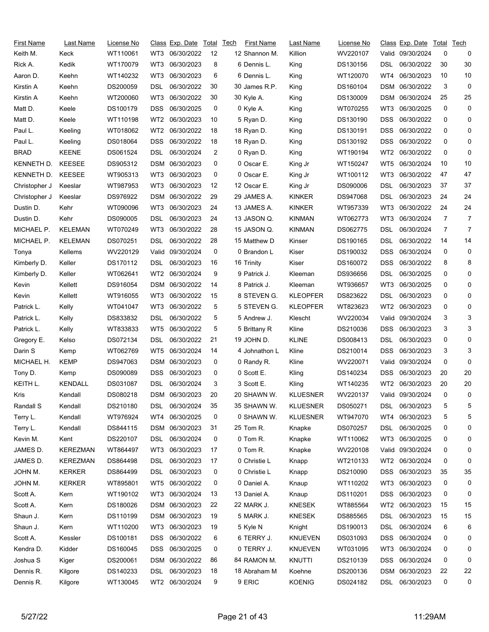| First Name    | Last Name       | License No |                 | Class Exp. Date | Total | <b>Tech</b> | First Name    | Last Name       | License No |                 | Class Exp. Date   | Total    | Tech           |
|---------------|-----------------|------------|-----------------|-----------------|-------|-------------|---------------|-----------------|------------|-----------------|-------------------|----------|----------------|
| Keith M.      | Keck            | WT110061   | WT3             | 06/30/2022      | 12    |             | 12 Shannon M. | Killion         | WV220107   |                 | Valid 09/30/2024  | 0        | 0              |
| Rick A.       | Kedik           | WT170079   | WT3             | 06/30/2023      | 8     |             | 6 Dennis L.   | King            | DS130156   | DSL             | 06/30/2022        | 30       | 30             |
| Aaron D.      | Keehn           | WT140232   | WT3             | 06/30/2023      | 6     |             | 6 Dennis L.   | King            | WT120070   | WT4             | 06/30/2023        | 10       | 10             |
| Kirstin A     | Keehn           | DS200059   | DSL             | 06/30/2022      | 30    |             | 30 James R.P. | King            | DS160104   | DSM             | 06/30/2022        | 3        | 0              |
| Kirstin A     | Keehn           | WT200060   | WT3             | 06/30/2022      | 30    |             | 30 Kyle A.    | King            | DS130009   | DSM             | 06/30/2024        | 25       | 25             |
| Matt D.       | Keele           | DS100179   | DSS.            | 06/30/2025      | 0     |             | 0 Kyle A.     | King            | WT070255   | WT3             | 06/30/2025        | 0        | 0              |
| Matt D.       | Keele           | WT110198   | WT2             | 06/30/2023      | 10    |             | 5 Ryan D.     | King            | DS130190   | DSS             | 06/30/2022        | 0        | 0              |
| Paul L.       | Keeling         | WT018062   | WT <sub>2</sub> | 06/30/2022      | 18    |             | 18 Ryan D.    | King            | DS130191   | DSS             | 06/30/2022        | 0        | 0              |
| Paul L.       | Keeling         | DS018064   | DSS             | 06/30/2022      | 18    |             | 18 Ryan D.    | King            | DS130192   | DSS             | 06/30/2022        | 0        | 0              |
| <b>BRAD</b>   | <b>KEENE</b>    | DS061524   | DSL             | 06/30/2024      | 2     |             | 0 Ryan D.     | King            | WT190194   | WT <sub>2</sub> | 06/30/2022        | 0        | 0              |
| KENNETH D.    | <b>KEESEE</b>   | DS905312   | DSM             | 06/30/2023      | 0     |             | 0 Oscar E.    | King Jr         | WT150247   | WT5             | 06/30/2024        | 10       | 10             |
| KENNETH D.    | <b>KEESEE</b>   | WT905313   | WT3             | 06/30/2023      | 0     |             | 0 Oscar E.    | King Jr         | WT100112   | WT3             | 06/30/2022        | 47       | 47             |
| Christopher J | Keeslar         | WT987953   | WT3             | 06/30/2023      | 12    |             | 12 Oscar E.   | King Jr         | DS090006   | <b>DSL</b>      | 06/30/2023        | 37       | 37             |
| Christopher J | Keeslar         | DS976922   |                 | DSM 06/30/2022  | 29    |             | 29 JAMES A.   | KINKER          | DS947068   | DSL             | 06/30/2023        | 24       | 24             |
| Dustin D.     | Kehr            | WT090096   | WT3             | 06/30/2023      | 24    |             | 13 JAMES A.   | <b>KINKER</b>   | WT957339   | WT3             | 06/30/2022        | 24       | 24             |
| Dustin D.     | Kehr            | DS090005   | <b>DSL</b>      | 06/30/2023      | 24    |             | 13 JASON Q.   | <b>KINMAN</b>   | WT062773   | WT3             | 06/30/2024        | 7        | $\overline{7}$ |
| MICHAEL P.    | <b>KELEMAN</b>  | WT070249   | WT3             | 06/30/2022      | 28    |             | 15 JASON Q.   | <b>KINMAN</b>   | DS062775   | DSL             | 06/30/2024        | 7        | 7              |
| MICHAEL P.    | <b>KELEMAN</b>  | DS070251   | DSL             | 06/30/2022      | 28    |             | 15 Matthew D  | Kinser          | DS190165   | DSL             | 06/30/2022        | 14       | 14             |
| Tonya         | Kellems         | WV220129   | Valid           | 09/30/2024      | 0     |             | 0 Brandon L   | Kiser           | DS190032   | DSS             | 06/30/2024        | 0        | 0              |
| Kimberly D.   | Keller          | DS170112   | DSL             | 06/30/2023      | 16    |             | 16 Trinity    | Kiser           | DS160072   | DSS             | 06/30/2022        | 8        | 8              |
| Kimberly D.   | Keller          | WT062641   | WT2             | 06/30/2024      | 9     |             | 9 Patrick J.  | Kleeman         | DS936656   | DSL             | 06/30/2025        | 0        | 0              |
| Kevin         | Kellett         | DS916054   |                 | DSM 06/30/2022  | 14    |             | 8 Patrick J.  | Kleeman         | WT936657   | WT3             | 06/30/2025        | 0        | 0              |
| Kevin         | Kellett         | WT916055   | WT3             | 06/30/2022      | 15    |             | 8 STEVEN G.   | <b>KLEOPFER</b> | DS823622   | DSL             | 06/30/2023        | 0        | 0              |
| Patrick L.    | Kelly           | WT041047   | WT3             | 06/30/2022      | 5     |             | 5 STEVEN G.   | <b>KLEOPFER</b> | WT823623   | WT <sub>2</sub> | 06/30/2023        | 0        | 0              |
| Patrick L.    | Kelly           | DS833832   | DSL             | 06/30/2022      | 5     |             | 5 Andrew J.   | Klescht         | WV220034   | Valid           | 09/30/2024        | 3        | 3              |
| Patrick L.    | Kelly           | WT833833   | WT5             | 06/30/2022      | 5     |             | 5 Brittany R  | Kline           | DS210036   | DSS             | 06/30/2023        | 3        | 3              |
| Gregory E.    | Kelso           | DS072134   | DSL             | 06/30/2022      | 21    |             | 19 JOHN D.    | <b>KLINE</b>    | DS008413   | DSL             | 06/30/2023        | 0        | 0              |
| Darin S       | Kemp            | WT062769   | WT <sub>5</sub> | 06/30/2024      | 14    |             | 4 Johnathon L | Kline           | DS210014   | DSS             | 06/30/2023        | 3        | 3              |
| MICHAEL H.    | <b>KEMP</b>     | DS947063   | DSM             | 06/30/2023      | 0     |             | 0 Randy R.    | Kline           | WV220071   | Valid.          | 09/30/2024        | 0        | 0              |
| Tony D.       | Kemp            | DS090089   | <b>DSS</b>      | 06/30/2023      | 0     |             | 0 Scott E.    | Kling           | DS140234   | DSS             | 06/30/2023        | 20       | 20             |
| KEITH L.      | <b>KENDALL</b>  | DS031087   | DSL             | 06/30/2024      | 3     |             | 3 Scott E.    | Kling           | WT140235   | WT2             | 06/30/2023        | 20       | 20             |
| Kris          | Kendall         | DS080218   |                 | DSM 06/30/2023  | 20    |             | 20 SHAWN W.   | <b>KLUESNER</b> | WV220137   |                 | Valid 09/30/2024  | $\Omega$ | 0              |
| Randall S     | Kendall         | DS210180   | DSL             | 06/30/2024      | 35    |             | 35 SHAWN W.   | <b>KLUESNER</b> | DS050271   | DSL             | 06/30/2023        | 5        | 5              |
| Terry L.      | Kendall         | WT976924   | WT4             | 06/30/2025      | 0     |             | 0 SHAWN W.    | <b>KLUESNER</b> | WT947070   | WT4             | 06/30/2023        | 5        | 5              |
| Terry L.      | Kendall         | DS844115   |                 | DSM 06/30/2023  | 31    |             | 25 Tom R.     | Knapke          | DS070257   | <b>DSL</b>      | 06/30/2025        | 0        | 0              |
| Kevin M.      | Kent            | DS220107   | DSL             | 06/30/2024      | 0     |             | 0 Tom R.      | Knapke          | WT110062   | WT3             | 06/30/2025        | 0        | 0              |
| JAMES D.      | <b>KEREZMAN</b> | WT864497   | WT3             | 06/30/2023      | 17    |             | 0 Tom R.      | Knapke          | WV220108   |                 | Valid: 09/30/2024 | 0        | 0              |
| JAMES D.      | <b>KEREZMAN</b> | DS864498   | <b>DSL</b>      | 06/30/2023      | 17    |             | 0 Christie L  | Knapp           | WT210133   | WT <sub>2</sub> | 06/30/2024        | 0        | 0              |
| JOHN M.       | <b>KERKER</b>   | DS864499   | DSL.            | 06/30/2023      | 0     |             | 0 Christie L  | Knapp           | DS210090   | DSS             | 06/30/2023        | 35       | 35             |
| JOHN M.       | <b>KERKER</b>   | WT895801   | WT5             | 06/30/2022      | 0     |             | 0 Daniel A.   | Knaup           | WT110202   | WT3             | 06/30/2023        | 0        | 0              |
| Scott A.      | Kern            | WT190102   | WT3             | 06/30/2024      | 13    |             | 13 Daniel A.  | Knaup           | DS110201   | DSS             | 06/30/2023        | 0        | 0              |
| Scott A.      | Kern            | DS180026   |                 | DSM 06/30/2023  | 22    |             | 22 MARK J.    | <b>KNESEK</b>   | WT885564   | WT2             | 06/30/2023        | 15       | 15             |
| Shaun J.      | Kern            | DS110199   |                 | DSM 06/30/2023  | 19    |             | 5 MARK J.     | <b>KNESEK</b>   | DS885565   | <b>DSL</b>      | 06/30/2023        | 15       | 15             |
| Shaun J.      | Kern            | WT110200   | WT3             | 06/30/2023      | 19    |             | 5 Kyle N      | Knight          | DS190013   | DSL             | 06/30/2024        | 6        | 6              |
| Scott A.      | Kessler         | DS100181   | <b>DSS</b>      | 06/30/2022      | 6     |             | 6 TERRY J.    | <b>KNUEVEN</b>  | DS031093   | DSS             | 06/30/2024        | 0        | 0              |
| Kendra D.     | Kidder          | DS160045   | DSS.            | 06/30/2025      | 0     |             | 0 TERRY J.    | <b>KNUEVEN</b>  | WT031095   | WT3             | 06/30/2024        | 0        | 0              |
| Joshua S      | Kiger           | DS200061   |                 | DSM 06/30/2022  | 86    |             | 84 RAMON M.   | <b>KNUTTI</b>   | DS210139   | <b>DSS</b>      | 06/30/2024        | 0        | 0              |
| Dennis R.     | Kilgore         | DS140233   | <b>DSL</b>      | 06/30/2023      | 18    |             | 18 Abraham M  | Koehne          | DS200136   | <b>DSM</b>      | 06/30/2023        | 22       | 22             |
| Dennis R.     | Kilgore         | WT130045   |                 | WT2 06/30/2024  | 9     |             | 9 ERIC        | <b>KOENIG</b>   | DS024182   | <b>DSL</b>      | 06/30/2023        | 0        | 0              |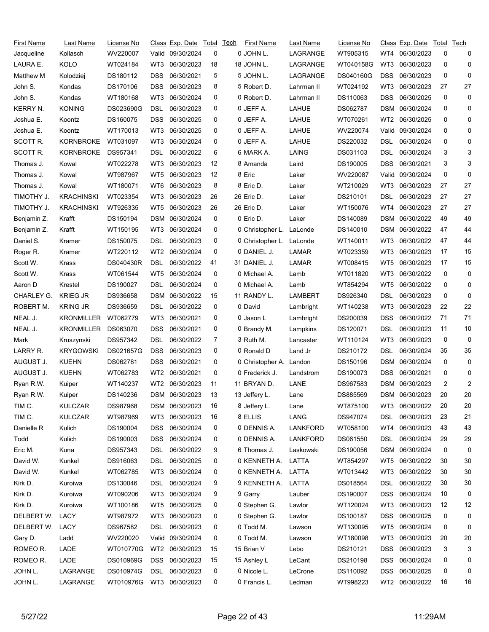| First Name      | Last Name         | License No               |            | Class Exp. Date Total |                | Tech | <b>First Name</b> | Last Name       | License No |            | Class Exp. Date | Total | Tech           |
|-----------------|-------------------|--------------------------|------------|-----------------------|----------------|------|-------------------|-----------------|------------|------------|-----------------|-------|----------------|
| Jacqueline      | Kollasch          | WV220007                 |            | Valid 09/30/2024      | 0              |      | 0 JOHN L.         | LAGRANGE        | WT905315   | WT4        | 06/30/2023      | 0     | 0              |
| LAURA E.        | <b>KOLO</b>       | WT024184                 | WT3        | 06/30/2023            | 18             |      | 18 JOHN L.        | LAGRANGE        | WT040158G  | WT3        | 06/30/2023      | 0     | 0              |
| Matthew M       | Kolodziej         | DS180112                 | DSS        | 06/30/2021            | 5              |      | 5 JOHN L.         | LAGRANGE        | DS040160G  | <b>DSS</b> | 06/30/2023      | 0     | 0              |
| John S.         | Kondas            | DS170106                 | DSS        | 06/30/2023            | 8              |      | 5 Robert D.       | Lahrman II      | WT024192   | WT3        | 06/30/2023      | 27    | 27             |
| John S.         | Kondas            | WT180168                 | WT3        | 06/30/2024            | 0              |      | 0 Robert D.       | Lahrman II      | DS110063   | DSS        | 06/30/2025      | 0     | 0              |
| <b>KERRY N.</b> | <b>KONING</b>     | DS023690G                | DSL        | 06/30/2023            | 0              |      | 0 JEFF A.         | LAHUE           | DS062787   | DSM        | 06/30/2024      | 0     | 0              |
| Joshua E.       | Koontz            | DS160075                 | DSS        | 06/30/2025            | 0              |      | 0 JEFF A.         | LAHUE           | WT070261   | WT2        | 06/30/2025      | 0     | 0              |
| Joshua E.       | Koontz            | WT170013                 | WT3        | 06/30/2025            | 0              |      | 0 JEFF A.         | LAHUE           | WV220074   | Valid      | 09/30/2024      | 0     | 0              |
| SCOTT R.        | KORNBROKE         | WT031097                 | WT3        | 06/30/2024            | 0              |      | 0 JEFF A.         | LAHUE           | DS220032   | DSL        | 06/30/2024      | 0     | 0              |
| SCOTT R.        | <b>KORNBROKE</b>  | DS957341                 | DSL        | 06/30/2022            | 6              |      | 6 MARK A.         | LAING           | DS031103   | DSL        | 06/30/2024      | 3     | 3              |
| Thomas J.       | Kowal             | WT022278                 | WT3        | 06/30/2023            | 12             |      | 8 Amanda          | Laird           | DS190005   | DSS        | 06/30/2021      | 3     | 3              |
| Thomas J.       | Kowal             | WT987967                 | WT5        | 06/30/2023            | 12             |      | 8 Eric            | Laker           | WV220087   | Valid      | 09/30/2024      | 0     | 0              |
| Thomas J.       | Kowal             | WT180071                 | WT6        | 06/30/2023            | 8              |      | 8 Eric D.         | Laker           | WT210029   | WT3        | 06/30/2023      | 27    | 27             |
| TIMOTHY J.      | KRACHINSKI        | WT023354                 | WT3        | 06/30/2023            | 26             |      | 26 Eric D.        | Laker           | DS210101   | DSL        | 06/30/2023      | 27    | 27             |
| TIMOTHY J.      | <b>KRACHINSKI</b> | WT926335                 | WT5        | 06/30/2023            | 26             |      | 26 Eric D.        | Laker           | WT150076   | WT4        | 06/30/2023      | 27    | 27             |
| Benjamin Z.     | Krafft            | DS150194                 | DSM        | 06/30/2024            | 0              |      | 0 Eric D.         | Laker           | DS140089   | <b>DSM</b> | 06/30/2022      | 49    | 49             |
| Benjamin Z.     | Krafft            | WT150195                 | WT3        | 06/30/2024            | 0              |      | 0 Christopher L.  | LaLonde         | DS140010   | DSM        | 06/30/2022      | 47    | 44             |
| Daniel S.       | Kramer            | DS150075                 | DSL        | 06/30/2023            | 0              |      | 0 Christopher L.  | LaLonde         | WT140011   | WT3        | 06/30/2022      | 47    | 44             |
| Roger R.        | Kramer            | WT220112                 | WT2        | 06/30/2024            | 0              |      | 0 DANIEL J.       | LAMAR           | WT023359   | WT3        | 06/30/2023      | 17    | 15             |
| Scott W.        | Krass             | DS040430R                | DSL        | 06/30/2022            | 41             |      | 31 DANIEL J.      | LAMAR           | WT008415   | WT5        | 06/30/2023      | 17    | 15             |
| Scott W.        | Krass             | WT061544                 | WT5        | 06/30/2024            | 0              |      | 0 Michael A.      | Lamb            | WT011820   | WT3        | 06/30/2022      | 0     | 0              |
| Aaron D         | Krestel           | DS190027                 | DSL        | 06/30/2024            | 0              |      | 0 Michael A.      | Lamb            | WT854294   | WT5        | 06/30/2022      | 0     | 0              |
| CHARLEY G.      | <b>KRIEG JR</b>   | DS936658                 | DSM        | 06/30/2022            | 15             |      | 11 RANDY L.       | LAMBERT         | DS926340   | DSL        | 06/30/2023      | 0     | 0              |
| ROBERT M.       | <b>KRING JR</b>   | DS936659                 | DSL        | 06/30/2022            | 0              |      | 0 David           | Lambright       | WT140238   | WT3        | 06/30/2023      | 22    | 22             |
| NEAL J.         | <b>KRONMILLER</b> | WT062779                 | WT3        | 06/30/2021            | 0              |      | 0 Jason L         | Lambright       | DS200039   | DSS        | 06/30/2022      | 71    | 71             |
| NEAL J.         | KRONMILLER        | DS063070                 | DSS        | 06/30/2021            | 0              |      | 0 Brandy M.       | Lampkins        | DS120071   | DSL        | 06/30/2023      | 11    | 10             |
| Mark            | Kruszynski        | DS957342                 | DSL        | 06/30/2022            | $\overline{7}$ |      | 3 Ruth M.         | Lancaster       | WT110124   | WT3        | 06/30/2023      | 0     | 0              |
| LARRY R.        | <b>KRYGOWSKI</b>  | DS021657G                | <b>DSS</b> | 06/30/2023            | 0              |      | 0 Ronald D        | Land Jr         | DS210172   | DSL        | 06/30/2024      | 35    | 35             |
| AUGUST J.       | <b>KUEHN</b>      | DS062781                 | DSS        | 06/30/2021            | 0              |      | 0 Christopher A.  | Landon          | DS150196   | DSM        | 06/30/2024      | 0     | 0              |
| AUGUST J.       | <b>KUEHN</b>      | WT062783                 | WT2        | 06/30/2021            | 0              |      | 0 Frederick J.    | Landstrom       | DS190073   | <b>DSS</b> | 06/30/2021      | 0     | 0              |
| Ryan R.W.       | Kuiper            | WT140237                 | WT2        | 06/30/2023            | 11             |      | 11 BRYAN D.       | LANE            | DS967583   |            | DSM 06/30/2023  | 2     | $\overline{c}$ |
| Ryan R.W.       | Kuiper            | DS140236                 |            | DSM 06/30/2023        | 13             |      | 13 Jeffery L.     | Lane            | DS885569   |            | DSM 06/30/2023  | 20    | 20             |
| TIM C.          | <b>KULCZAR</b>    | DS987968                 |            | DSM 06/30/2023        | 16             |      | 8 Jeffery L.      | Lane            | WT875100   | WT3        | 06/30/2022      | 20    | 20             |
| TIM C.          | <b>KULCZAR</b>    | WT987969                 | WT3        | 06/30/2023            | 16             |      | 8 ELLIS           | LANG            | DS947074   | DSL        | 06/30/2023      | 23    | 21             |
| Danielle R      | Kulich            | DS190004                 | DSS        | 06/30/2024            | 0              |      | 0 DENNIS A.       | <b>LANKFORD</b> | WT058100   | WT4        | 06/30/2023      | 43    | 43             |
| Todd            | Kulich            | DS190003                 | <b>DSS</b> | 06/30/2024            | 0              |      | 0 DENNIS A.       | <b>LANKFORD</b> | DS061550   | DSL        | 06/30/2024      | 29    | 29             |
| Eric M.         | Kuna              | DS957343                 | DSL        | 06/30/2022            | 9              |      | 6 Thomas J.       | Laskowski       | DS190056   |            | DSM 06/30/2024  | 0     | 0              |
| David W.        | Kunkel            | DS916063                 | DSL        | 06/30/2025            | 0              |      | 0 KENNETH A.      | LATTA           | WT854297   | WT5        | 06/30/2022      | 30    | 30             |
| David W.        | Kunkel            | WT062785                 | WT3        | 06/30/2024            | 0              |      | 0 KENNETH A.      | LATTA           | WT013442   | WT3        | 06/30/2022      | 30    | 30             |
| Kirk D.         | Kuroiwa           | DS130046                 | DSL        | 06/30/2024            | 9              |      | 9 KENNETH A.      | LATTA           | DS018564   | DSL.       | 06/30/2022      | 30    | 30             |
| Kirk D.         | Kuroiwa           | WT090206                 | WT3        | 06/30/2024            | 9              |      | 9 Garry           | Lauber          | DS190007   | DSS.       | 06/30/2024      | 10    | 0              |
| Kirk D.         | Kuroiwa           | WT100186                 | WT5        | 06/30/2025            | 0              |      | 0 Stephen G.      | Lawlor          | WT120024   | WT3        | 06/30/2023      | 12    | 12             |
| DELBERT W.      | LACY              | WT987972                 | WT3        | 06/30/2023            | 0              |      | 0 Stephen G.      | Lawlor          | DS100187   | <b>DSS</b> | 06/30/2025      | 0     | 0              |
| DELBERT W.      | LACY              | DS967582                 | DSL        | 06/30/2023            | 0              |      | 0 Todd M.         | Lawson          | WT130095   | WT5        | 06/30/2024      | 0     | 0              |
| Gary D.         | Ladd              | WV220020                 |            | Valid 09/30/2024      | 0              |      | 0 Todd M.         | Lawson          | WT180098   | WT3        | 06/30/2023      | 20    | 20             |
| ROMEO R.        | LADE              | WT010770G                |            | WT2 06/30/2023        | 15             |      | 15 Brian V        | Lebo            | DS210121   | <b>DSS</b> | 06/30/2023      | 3     | 3              |
| ROMEO R.        | LADE              | DS010969G                | <b>DSS</b> | 06/30/2023            | 15             |      | 15 Ashley L       | LeCant          | DS210198   | <b>DSS</b> | 06/30/2024      | 0     | 0              |
| JOHN L.         | LAGRANGE          | DS010974G                | <b>DSL</b> | 06/30/2023            | 0              |      | 0 Nicole L.       | LeCrone         | DS110092   | <b>DSS</b> | 06/30/2025      | 0     | 0              |
| JOHN L.         | LAGRANGE          | WT010976G WT3 06/30/2023 |            |                       | 0              |      | 0 Francis L.      | Ledman          | WT998223   |            | WT2 06/30/2022  | 16    | 16             |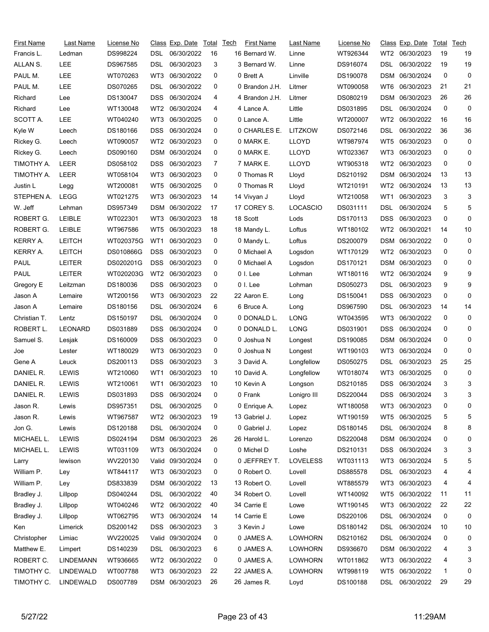| First Name      | Last Name        | License No |                 | Class Exp. Date  | Total        | Tech | First Name     | Last Name       | License No |                 | <u>Class</u> Exp. Date | Total | Tech |
|-----------------|------------------|------------|-----------------|------------------|--------------|------|----------------|-----------------|------------|-----------------|------------------------|-------|------|
| Francis L.      | Ledman           | DS998224   | DSL             | 06/30/2022       | 16           |      | 16 Bernard W.  | Linne           | WT926344   | WT2             | 06/30/2023             | 19    | 19   |
| ALLAN S.        | <b>LEE</b>       | DS967585   | DSL             | 06/30/2023       | 3            |      | 3 Bernard W.   | Linne           | DS916074   | DSL             | 06/30/2022             | 19    | 19   |
| PAUL M.         | LEE              | WT070263   | WT3             | 06/30/2022       | 0            |      | 0 Brett A      | Linville        | DS190078   | DSM             | 06/30/2024             | 0     | 0    |
| PAUL M.         | LEE              | DS070265   | DSL             | 06/30/2022       | 0            |      | 0 Brandon J.H. | Litmer          | WT090058   | WT6             | 06/30/2023             | 21    | 21   |
| Richard         | Lee              | DS130047   | <b>DSS</b>      | 06/30/2024       | 4            |      | 4 Brandon J.H. | Litmer          | DS080219   | DSM             | 06/30/2023             | 26    | 26   |
| Richard         | Lee              | WT130048   | WT2             | 06/30/2024       | 4            |      | 4 Lance A.     | Little          | DS031895   | DSL             | 06/30/2024             | 0     | 0    |
| SCOTT A.        | <b>LEE</b>       | WT040240   | WT3             | 06/30/2025       | 0            |      | 0 Lance A.     | Little          | WT200007   | WT <sub>2</sub> | 06/30/2022             | 16    | 16   |
| Kyle W          | Leech            | DS180166   | <b>DSS</b>      | 06/30/2024       | 0            |      | 0 CHARLES E.   | LITZKOW         | DS072146   | DSL             | 06/30/2022             | 36    | 36   |
| Rickey G.       | Leech            | WT090057   | WT2             | 06/30/2023       | 0            |      | 0 MARK E.      | <b>LLOYD</b>    | WT987974   | WT5             | 06/30/2023             | 0     | 0    |
| Rickey G.       | Leech            | DS090160   | DSM             | 06/30/2024       | 0            |      | 0 MARK E.      | <b>LLOYD</b>    | WT023367   | WT3             | 06/30/2023             | 0     | 0    |
| TIMOTHY A.      | LEER             | DS058102   | DSS             | 06/30/2023       | 7            |      | 7 MARK E.      | <b>LLOYD</b>    | WT905318   | WT <sub>2</sub> | 06/30/2023             | 0     | 0    |
| TIMOTHY A.      | LEER             | WT058104   | WT3             | 06/30/2023       | 0            |      | 0 Thomas R     | Lloyd           | DS210192   | <b>DSM</b>      | 06/30/2024             | 13    | 13   |
| Justin L        | Legg             | WT200081   | WT5             | 06/30/2025       | 0            |      | 0 Thomas R     | Lloyd           | WT210191   | WT <sub>2</sub> | 06/30/2024             | 13    | 13   |
| STEPHEN A.      | LEGG             | WT021275   | WT3             | 06/30/2023       | 14           |      | 14 Vivyan J    | Lloyd           | WT210058   | WT <sub>1</sub> | 06/30/2023             | 3     | 3    |
| W. Jeff         | Lehman           | DS957349   | DSM             | 06/30/2022       | 17           |      | 17 COREY S.    | <b>LOCASCIO</b> | DS031111   | DSL             | 06/30/2024             | 5     | 5    |
| ROBERT G.       | LEIBLE           | WT022301   | WT3             | 06/30/2023       | 18           |      | 18 Scott       | Lods            | DS170113   | DSS             | 06/30/2023             | 0     | 0    |
| ROBERT G.       | <b>LEIBLE</b>    | WT967586   | WT5             | 06/30/2023       | 18           |      | 18 Mandy L.    | Loftus          | WT180102   | WT <sub>2</sub> | 06/30/2021             | 14    | 10   |
| <b>KERRY A.</b> | <b>LEITCH</b>    | WT020375G  | WT <sub>1</sub> | 06/30/2023       | 0            |      | 0 Mandy L.     | Loftus          | DS200079   | DSM             | 06/30/2022             | 0     | 0    |
| <b>KERRY A.</b> | <b>LEITCH</b>    | DS010866G  | <b>DSS</b>      | 06/30/2023       | 0            |      | 0 Michael A    | Logsdon         | WT170129   | WT2             | 06/30/2023             | 0     | 0    |
| PAUL            | <b>LEITER</b>    | DS020201G  | <b>DSS</b>      | 06/30/2023       | 0            |      | 0 Michael A    | Logsdon         | DS170121   | DSM             | 06/30/2023             | 0     | 0    |
| PAUL            | <b>LEITER</b>    | WT020203G  | WT <sub>2</sub> | 06/30/2023       | 0            |      | 0 I. Lee       | Lohman          | WT180116   | WT2             | 06/30/2024             | 9     | 9    |
| Gregory E       | Leitzman         | DS180036   | <b>DSS</b>      | 06/30/2023       | 0            |      | 0 I. Lee       | Lohman          | DS050273   | DSL             | 06/30/2023             | 9     | 9    |
| Jason A         | Lemaire          | WT200156   | WT3             | 06/30/2023       | 22           |      | 22 Aaron E.    | Long            | DS150041   | <b>DSS</b>      | 06/30/2023             | 0     | 0    |
| Jason A         | Lemaire          | DS180156   | DSL             | 06/30/2024       | 6            |      | 6 Bruce A.     | Long            | DS967590   | DSL             | 06/30/2023             | 14    | 14   |
| Christian T.    | Lentz            | DS150197   | DSL             | 06/30/2024       | 0            |      | 0 DONALD L.    | <b>LONG</b>     | WT043595   | WT3             | 06/30/2022             | 0     | 0    |
| ROBERT L.       | LEONARD          | DS031889   | DSS.            | 06/30/2024       | 0            |      | 0 DONALD L.    | <b>LONG</b>     | DS031901   | DSS             | 06/30/2024             | 0     | 0    |
| Samuel S.       | Lesjak           | DS160009   | <b>DSS</b>      | 06/30/2023       | 0            |      | 0 Joshua N     | Longest         | DS190085   | DSM             | 06/30/2024             | 0     | 0    |
| Joe             | Lester           | WT180029   | WT3             | 06/30/2023       | 0            |      | 0 Joshua N     | Longest         | WT190103   | WT3             | 06/30/2024             | 0     | 0    |
| Gene A          | Leuck            | DS200113   | DSS             | 06/30/2023       | 3            |      | 3 David A.     | Longfellow      | DS050275   | DSL             | 06/30/2023             | 25    | 25   |
| DANIEL R.       | LEWIS            | WT210060   | WT1             | 06/30/2023       | 10           |      | 10 David A.    | Longfellow      | WT018074   | WT3             | 06/30/2025             | 0     | 0    |
| DANIEL R.       | <b>LEWIS</b>     | WT210061   | WT1             | 06/30/2023       | 10           |      | 10 Kevin A     | Longson         | DS210185   | DSS             | 06/30/2024             | 3     | 3    |
| DANIEL R.       | <b>LEWIS</b>     | DS031893   |                 | DSS 06/30/2024   | $\mathbf{0}$ |      | 0 Frank        | Lonigro III     | DS220044   |                 | DSS 06/30/2024         | 3     | 3    |
| Jason R.        | Lewis            | DS957351   | DSL             | 06/30/2025       | 0            |      | 0 Enrique A.   | Lopez           | WT180058   | WT3             | 06/30/2023             | 0     | 0    |
| Jason R.        | Lewis            | WT967587   | WT2             | 06/30/2023       | 19           |      | 13 Gabriel J.  | Lopez           | WT190159   | WT5             | 06/30/2025             | 5     | 5    |
| Jon G.          | Lewis            | DS120188   | DSL             | 06/30/2024       | 0            |      | 0 Gabriel J.   | Lopez           | DS180145   | <b>DSL</b>      | 06/30/2024             | 8     | 8    |
| MICHAEL L.      | <b>LEWIS</b>     | DS024194   |                 | DSM 06/30/2023   | 26           |      | 26 Harold L.   | Lorenzo         | DS220048   | DSM             | 06/30/2024             | 0     | 0    |
| MICHAEL L.      | <b>LEWIS</b>     | WT031109   | WT3             | 06/30/2024       | 0            |      | 0 Michel D     | Loshe           | DS210131   | <b>DSS</b>      | 06/30/2024             | 3     | 3    |
| Larry           | lewison          | WV220130   |                 | Valid 09/30/2024 | 0            |      | 0 JEFFREY T.   | <b>LOVELESS</b> | WT031113   | WT3             | 06/30/2024             | 5     | 5    |
| William P.      | Ley              | WT844117   | WT3             | 06/30/2023       | 0            |      | 0 Robert O.    | Lovell          | DS885578   | DSL             | 06/30/2023             | 4     | 4    |
| William P.      | Ley              | DS833839   |                 | DSM 06/30/2022   | 13           |      | 13 Robert O.   | Lovell          | WT885579   | WT3             | 06/30/2023             | 4     | 4    |
| Bradley J.      | Lillpop          | DS040244   | DSL             | 06/30/2022       | 40           |      | 34 Robert O.   | Lovell          | WT140092   | WT5             | 06/30/2022             | 11    | 11   |
| Bradley J.      | Lillpop          | WT040246   | WT2             | 06/30/2022       | 40           |      | 34 Carrie E    | Lowe            | WT190145   | WT3             | 06/30/2022             | 22    | 22   |
| Bradley J.      | Lillpop          | WT062795   | WT3             | 06/30/2024       | 14           |      | 14 Carrie E    | Lowe            | DS220106   | <b>DSL</b>      | 06/30/2024             | 0     | 0    |
| Ken             | Limerick         | DS200142   | DSS.            | 06/30/2023       | 3            |      | 3 Kevin J      | Lowe            | DS180142   | DSL             | 06/30/2024             | 10    | 10   |
| Christopher     | Limiac           | WV220025   |                 | Valid 09/30/2024 | 0            |      | 0 JAMES A.     | <b>LOWHORN</b>  | DS210162   | <b>DSL</b>      | 06/30/2024             | 0     | 0    |
| Matthew E.      | Limpert          | DS140239   | DSL             | 06/30/2023       | 6            |      | 0 JAMES A.     | LOWHORN         | DS936670   | DSM             | 06/30/2022             | 4     | 3    |
| ROBERT C.       | <b>LINDEMANN</b> | WT936665   | WT2             | 06/30/2022       | 0            |      | 0 JAMES A.     | <b>LOWHORN</b>  | WT011862   | WT3             | 06/30/2022             | 4     | 3    |
| TIMOTHY C.      | LINDEWALD        | WT007788   | WT3             | 06/30/2023       | 22           |      | 22 JAMES A.    | <b>LOWHORN</b>  | WT998119   | WT5             | 06/30/2022             | 1     | 0    |
| TIMOTHY C.      | <b>LINDEWALD</b> | DS007789   |                 | DSM 06/30/2023   | 26           |      | 26 James R.    | Loyd            | DS100188   | DSL             | 06/30/2022             | 29    | 29   |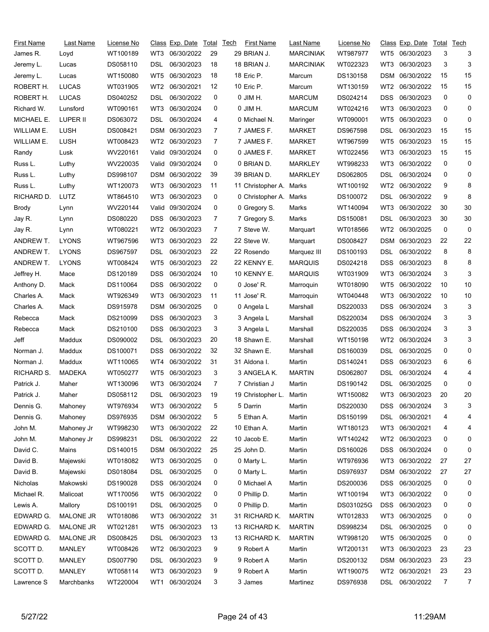| First Name | Last Name        | License No |                 | Class Exp. Date | Total | <b>Tech</b> | <b>First Name</b> | Last Name        | License No |                 | Class Exp. Date | Total | Tech |
|------------|------------------|------------|-----------------|-----------------|-------|-------------|-------------------|------------------|------------|-----------------|-----------------|-------|------|
| James R.   | Loyd             | WT100189   | WT3             | 06/30/2022      | 29    |             | 29 BRIAN J.       | <b>MARCINIAK</b> | WT987977   | WT5             | 06/30/2023      | 3     | 3    |
| Jeremy L.  | Lucas            | DS058110   | DSL             | 06/30/2023      | 18    |             | 18 BRIAN J.       | <b>MARCINIAK</b> | WT022323   | WT3             | 06/30/2023      | 3     | 3    |
| Jeremy L.  | Lucas            | WT150080   | WT5             | 06/30/2023      | 18    |             | 18 Eric P.        | Marcum           | DS130158   | <b>DSM</b>      | 06/30/2022      | 15    | 15   |
| ROBERT H.  | <b>LUCAS</b>     | WT031905   | WT2             | 06/30/2021      | 12    |             | 10 Eric P.        | Marcum           | WT130159   | WT2             | 06/30/2022      | 15    | 15   |
| ROBERT H.  | <b>LUCAS</b>     | DS040252   | DSL             | 06/30/2022      | 0     |             | 0 JIM H.          | <b>MARCUM</b>    | DS024214   | <b>DSS</b>      | 06/30/2023      | 0     | 0    |
| Richard W. | Lunsford         | WT090161   | WT3             | 06/30/2024      | 0     |             | 0 JIM H.          | <b>MARCUM</b>    | WT024216   | WT3             | 06/30/2023      | 0     | 0    |
| MICHAEL E. | LUPER II         | DS063072   | DSL             | 06/30/2024      | 4     |             | 0 Michael N.      | Maringer         | WT090001   | WT5             | 06/30/2023      | 0     | 0    |
| WILLIAM E. | <b>LUSH</b>      | DS008421   | DSM             | 06/30/2023      | 7     |             | 7 JAMES F.        | <b>MARKET</b>    | DS967598   | DSL             | 06/30/2023      | 15    | 15   |
| WILLIAM E. | <b>LUSH</b>      | WT008423   | WT2             | 06/30/2023      | 7     |             | 7 JAMES F.        | <b>MARKET</b>    | WT967599   | WT5             | 06/30/2023      | 15    | 15   |
| Randy      | Lusk             | WV220161   | Valid           | 09/30/2024      | 0     |             | 0 JAMES F.        | <b>MARKET</b>    | WT022456   | WT3             | 06/30/2023      | 15    | 15   |
| Russ L.    | Luthy            | WV220035   | Valid           | 09/30/2024      | 0     |             | 0 BRIAN D.        | <b>MARKLEY</b>   | WT998233   | WT3             | 06/30/2022      | 0     | 0    |
| Russ L.    | Luthy            | DS998107   | DSM             | 06/30/2022      | 39    |             | 39 BRIAN D.       | <b>MARKLEY</b>   | DS062805   | DSL             | 06/30/2024      | 0     | 0    |
| Russ L.    | Luthy            | WT120073   | WT3             | 06/30/2023      | 11    |             | 11 Christopher A. | Marks            | WT100192   | WT2             | 06/30/2022      | 9     | 8    |
| RICHARD D. | LUTZ             | WT864510   | WT3             | 06/30/2023      | 0     |             | 0 Christopher A.  | Marks            | DS100072   | DSL             | 06/30/2022      | 9     | 8    |
| Brody      | Lynn             | WV220144   | Valid           | 09/30/2024      | 0     |             | 0 Gregory S.      | Marks            | WT140094   | WT3             | 06/30/2022      | 30    | 30   |
| Jay R.     | Lynn             | DS080220   | DSS             | 06/30/2023      | 7     |             | 7 Gregory S.      | Marks            | DS150081   | DSL             | 06/30/2023      | 30    | 30   |
| Jay R.     | Lynn             | WT080221   | WT2             | 06/30/2023      | 7     |             | 7 Steve W.        | Marquart         | WT018566   | WT2             | 06/30/2025      | 0     | 0    |
| ANDREW T.  | <b>LYONS</b>     | WT967596   | WT3             | 06/30/2023      | 22    |             | 22 Steve W.       | Marquart         | DS008427   | DSM             | 06/30/2023      | 22    | 22   |
| ANDREW T.  | <b>LYONS</b>     | DS967597   | DSL             | 06/30/2023      | 22    |             | 22 Rosendo        | Marquez III      | DS100193   | DSL             | 06/30/2022      | 8     | 8    |
| ANDREW T.  | <b>LYONS</b>     | WT008424   | WT <sub>5</sub> | 06/30/2023      | 22    |             | 22 KENNY E.       | <b>MARQUIS</b>   | DS024218   | <b>DSS</b>      | 06/30/2023      | 8     | 8    |
| Jeffrey H. | Mace             | DS120189   | DSS             | 06/30/2024      | 10    |             | 10 KENNY E.       | <b>MARQUIS</b>   | WT031909   | WT3             | 06/30/2024      | 3     | 3    |
| Anthony D. | Mack             | DS110064   | DSS             | 06/30/2022      | 0     |             | 0 Jose' R.        | Marroquin        | WT018090   | WT5             | 06/30/2022      | 10    | 10   |
| Charles A. | Mack             | WT926349   | WT3             | 06/30/2023      | 11    |             | 11 Jose' R.       | Marroquin        | WT040448   | WT3             | 06/30/2022      | 10    | 10   |
| Charles A. | Mack             | DS915978   | <b>DSM</b>      | 06/30/2025      | 0     |             | 0 Angela L        | Marshall         | DS220033   | <b>DSS</b>      | 06/30/2024      | 3     | 3    |
| Rebecca    | Mack             | DS210099   | DSS             | 06/30/2023      | 3     |             | 3 Angela L        | Marshall         | DS220034   | <b>DSS</b>      | 06/30/2024      | 3     | 3    |
| Rebecca    | Mack             | DS210100   | DSS             | 06/30/2023      | 3     |             | 3 Angela L        | Marshall         | DS220035   | DSS             | 06/30/2024      | 3     | 3    |
| Jeff       | Maddux           | DS090002   | DSL             | 06/30/2023      | 20    |             | 18 Shawn E.       | Marshall         | WT150198   | WT <sub>2</sub> | 06/30/2024      | 3     | 3    |
| Norman J.  | Maddux           | DS100071   | DSS             | 06/30/2022      | 32    |             | 32 Shawn E.       | Marshall         | DS160039   | DSL             | 06/30/2025      | 0     | 0    |
| Norman J.  | Maddux           | WT110065   | WT4             | 06/30/2022      | 31    |             | 31 Aldona I.      | Martin           | DS140241   | DSS             | 06/30/2023      | 6     | 6    |
| RICHARD S. | <b>MADEKA</b>    | WT050277   | WT5             | 06/30/2023      | 3     |             | 3 ANGELA K.       | <b>MARTIN</b>    | DS062807   | DSL             | 06/30/2024      | 4     | 4    |
| Patrick J. | Maher            | WT130096   | WT3             | 06/30/2024      | 7     |             | 7 Christian J     | Martin           | DS190142   | DSL             | 06/30/2025      | 0     | 0    |
| Patrick J. | Maher            | DS058112   | <b>DSL</b>      | 06/30/2023      | 19    |             | 19 Christopher L. | Martin           | WT150082   |                 | WT3 06/30/2023  | 20    | 20   |
| Dennis G.  | Mahoney          | WT976934   | WT3             | 06/30/2022      | 5     |             | 5 Darrin          | Martin           | DS220030   | <b>DSS</b>      | 06/30/2024      | 3     | 3    |
| Dennis G.  | Mahoney          | DS976935   | DSM             | 06/30/2022      | 5     |             | 5 Ethan A.        | Martin           | DS150199   | <b>DSL</b>      | 06/30/2021      | 4     | 4    |
| John M.    | Mahoney Jr       | WT998230   | WT3             | 06/30/2022      | 22    |             | 10 Ethan A.       | Martin           | WT180123   | WT3             | 06/30/2021      | 4     | 4    |
| John M.    | Mahoney Jr       | DS998231   | DSL             | 06/30/2022      | 22    |             | 10 Jacob E.       | Martin           | WT140242   | WT2             | 06/30/2023      | 0     | 0    |
| David C.   | Mains            | DS140015   |                 | DSM 06/30/2022  | 25    |             | 25 John D.        | Martin           | DS160026   | DSS.            | 06/30/2024      | 0     | 0    |
| David B.   | Majewski         | WT018082   | WT3             | 06/30/2025      | 0     |             | 0 Marty L.        | Martin           | WT976936   | WT3             | 06/30/2022      | 27    | 27   |
| David B.   | Majewski         | DS018084   | DSL             | 06/30/2025      | 0     |             | 0 Marty L.        | Martin           | DS976937   | DSM             | 06/30/2022      | 27    | 27   |
| Nicholas   | Makowski         | DS190028   | <b>DSS</b>      | 06/30/2024      | 0     |             | 0 Michael A       | Martin           | DS200036   | <b>DSS</b>      | 06/30/2025      | 0     | 0    |
| Michael R. | Malicoat         | WT170056   | WT5             | 06/30/2022      | 0     |             | 0 Phillip D.      | Martin           | WT100194   | WT3             | 06/30/2022      | 0     | 0    |
| Lewis A.   | Mallory          | DS100191   | DSL             | 06/30/2025      | 0     |             | 0 Phillip D.      | Martin           | DS031025G  | <b>DSS</b>      | 06/30/2023      | 0     | 0    |
| EDWARD G.  | MALONE JR        | WT018086   | WT3             | 06/30/2022      | 31    |             | 31 RICHARD K.     | <b>MARTIN</b>    | WT012833   | WT3             | 06/30/2025      | 0     | 0    |
| EDWARD G.  | <b>MALONE JR</b> | WT021281   | WT5             | 06/30/2023      | 13    |             | 13 RICHARD K.     | <b>MARTIN</b>    | DS998234   | DSL             | 06/30/2025      | 0     | 0    |
| EDWARD G.  | <b>MALONE JR</b> | DS008425   | DSL             | 06/30/2023      | 13    |             | 13 RICHARD K.     | <b>MARTIN</b>    | WT998120   | WT5             | 06/30/2025      | 0     | 0    |
| SCOTT D.   | MANLEY           | WT008426   | WT2             | 06/30/2023      | 9     |             | 9 Robert A        | Martin           | WT200131   | WT3             | 06/30/2023      | 23    | 23   |
| SCOTT D.   | <b>MANLEY</b>    | DS007790   | DSL             | 06/30/2023      | 9     |             | 9 Robert A        | Martin           | DS200132   | DSM             | 06/30/2023      | 23    | 23   |
| SCOTT D.   | <b>MANLEY</b>    | WT058114   | WT3             | 06/30/2023      | 9     |             | 9 Robert A        | Martin           | WT190075   | WT <sub>2</sub> | 06/30/2021      | 23    | 23   |
| Lawrence S | Marchbanks       | WT220004   | WT1             | 06/30/2024      | 3     |             | 3 James           | Martinez         | DS976938   |                 | DSL 06/30/2022  | 7     | 7    |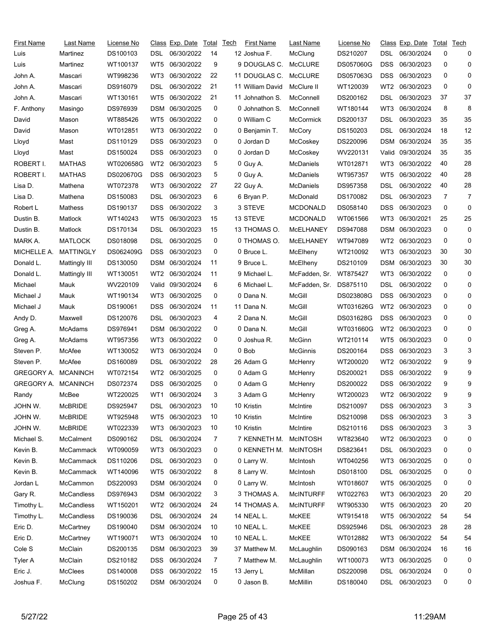| <b>First Name</b>   | Last Name         | <u>License No</u> |                 | Class Exp. Date | Total | Tech | First Name       | Last Name        | License No       |                 | <u>Class</u> Exp. Date | Total | Tech           |
|---------------------|-------------------|-------------------|-----------------|-----------------|-------|------|------------------|------------------|------------------|-----------------|------------------------|-------|----------------|
| Luis                | Martinez          | DS100103          | DSL             | 06/30/2022      | 14    |      | 12 Joshua F.     | McClung          | DS210207         | DSL             | 06/30/2024             | 0     | 0              |
| Luis                | Martinez          | WT100137          | WT5             | 06/30/2022      | 9     |      | 9 DOUGLAS C.     | <b>McCLURE</b>   | <b>DS057060G</b> | DSS             | 06/30/2023             | 0     | 0              |
| John A.             | Mascari           | WT998236          | WT3             | 06/30/2022      | 22    |      | 11 DOUGLAS C.    | McCLURE          | DS057063G        | DSS             | 06/30/2023             | 0     | 0              |
| John A.             | Mascari           | DS916079          | DSL             | 06/30/2022      | 21    |      | 11 William David | McClure II       | WT120039         | WT2             | 06/30/2023             | 0     | 0              |
| John A.             | Mascari           | WT130161          | WT5             | 06/30/2022      | 21    |      | 11 Johnathon S.  | McConnell        | DS200162         | DSL             | 06/30/2023             | 37    | 37             |
| F. Anthony          | Masingo           | DS976939          | DSM             | 06/30/2025      | 0     |      | 0 Johnathon S.   | McConnell        | WT180144         | WT3             | 06/30/2024             | 8     | 8              |
| David               | Mason             | WT885426          | WT5             | 06/30/2022      | 0     |      | 0 William C      | <b>McCormick</b> | DS200137         | DSL             | 06/30/2023             | 35    | 35             |
| David               | Mason             | WT012851          | WT3             | 06/30/2022      | 0     |      | 0 Benjamin T.    | McCory           | DS150203         | DSL             | 06/30/2024             | 18    | 12             |
| Lloyd               | Mast              | DS110129          | DSS             | 06/30/2023      | 0     |      | 0 Jordan D       | McCoskey         | DS220096         | DSM             | 06/30/2024             | 35    | 35             |
| Lloyd               | Mast              | DS150024          | <b>DSS</b>      | 06/30/2023      | 0     |      | 0 Jordan D       | McCoskey         | WV220131         |                 | Valid 09/30/2024       | 35    | 35             |
| ROBERT I.           | <b>MATHAS</b>     | WT020658G         | WT <sub>2</sub> | 06/30/2023      | 5     |      | 0 Guy A.         | McDaniels        | WT012871         | WT3             | 06/30/2022             | 40    | 28             |
| ROBERT I.           | <b>MATHAS</b>     | DS020670G         | <b>DSS</b>      | 06/30/2023      | 5     |      | 0 Guy A.         | McDaniels        | WT957357         | WT5             | 06/30/2022             | 40    | 28             |
| Lisa D.             | Mathena           | WT072378          | WT3             | 06/30/2022      | 27    |      | 22 Guy A.        | McDaniels        | DS957358         | DSL             | 06/30/2022             | 40    | 28             |
| Lisa D.             | Mathena           | DS150083          | DSL.            | 06/30/2023      | 6     |      | 6 Bryan P.       | McDonald         | DS170082         | DSL             | 06/30/2023             | 7     | $\overline{7}$ |
| Robert L            | Mathess           | DS190137          | DSS             | 06/30/2022      | 3     |      | 3 STEVE          | <b>MCDONALD</b>  | DS058140         | DSS             | 06/30/2023             | 0     | 0              |
| Dustin B.           | Matlock           | WT140243          | WT5             | 06/30/2023      | 15    |      | 13 STEVE         | <b>MCDONALD</b>  | WT061566         | WT3             | 06/30/2021             | 25    | 25             |
| Dustin B.           | Matlock           | DS170134          | DSL             | 06/30/2023      | 15    |      | 13 THOMAS O.     | MCELHANEY        | DS947088         |                 | DSM 06/30/2023         | 0     | 0              |
| MARK A.             | <b>MATLOCK</b>    | DS018098          | DSL             | 06/30/2025      | 0     |      | 0 THOMAS O.      | MCELHANEY        | WT947089         | WT2             | 06/30/2023             | 0     | 0              |
| MICHELLE A.         | MATTINGLY         | DS062409G         | <b>DSS</b>      | 06/30/2023      | 0     |      | 0 Bruce L.       | McElheny         | WT210092         | WT3             | 06/30/2023             | 30    | 30             |
| Donald L.           | Mattingly III     | DS130050          | DSM             | 06/30/2024      | 11    |      | 9 Bruce L.       | McElheny         | DS210109         | DSM             | 06/30/2023             | 30    | 30             |
| Donald L.           | Mattingly III     | WT130051          | WT2             | 06/30/2024      | 11    |      | 9 Michael L.     | McFadden, Sr.    | WT875427         | WT3             | 06/30/2022             | 0     | 0              |
| Michael             | Mauk              | WV220109          | Valid           | 09/30/2024      | 6     |      | 6 Michael L.     | McFadden, Sr.    | DS875110         | DSL             | 06/30/2022             | 0     | 0              |
| Michael J           | Mauk              | WT190134          | WT3             | 06/30/2025      | 0     |      | 0 Dana N.        | McGill           | DS023808G        | DSS             | 06/30/2023             | 0     | 0              |
| Michael J           | Mauk              | DS190061          | DSS             | 06/30/2024      | 11    |      | 11 Dana N.       | <b>McGill</b>    | WT031626G        | WT <sub>2</sub> | 06/30/2023             | 0     | 0              |
| Andy D.             | Maxwell           | DS120076          | DSL             | 06/30/2023      | 4     |      | 2 Dana N.        | <b>McGill</b>    | DS031628G        | DSS             | 06/30/2023             | 0     | 0              |
| Greg A.             | McAdams           | DS976941          |                 | DSM 06/30/2022  | 0     |      | 0 Dana N.        | McGill           | WT031660G        | WT2             | 06/30/2023             | 0     | 0              |
| Greg A.             | McAdams           | WT957356          | WT3             | 06/30/2022      | 0     |      | 0 Joshua R.      | McGinn           | WT210114         | WT5             | 06/30/2023             | 0     | 0              |
| Steven P.           | McAfee            | WT130052          | WT3             | 06/30/2024      | 0     |      | 0 Bob            | <b>McGinnis</b>  | DS200164         | DSS             | 06/30/2023             | 3     | 3              |
| Steven P.           | McAfee            | DS160089          | DSL             | 06/30/2022      | 28    |      | 26 Adam G        | McHenry          | WT200020         | WT <sub>2</sub> | 06/30/2022             | 9     | 9              |
| GREGORY A.          | <b>MCANINCH</b>   | WT072154          | WT2             | 06/30/2025      | 0     |      | 0 Adam G         | McHenry          | DS200021         | DSS             | 06/30/2022             | 9     | 9              |
| GREGORY A. MCANINCH |                   | DS072374          | DSS.            | 06/30/2025      | 0     |      | 0 Adam G         | McHenry          | DS200022         | DSS             | 06/30/2022             | 9     | 9              |
| Randy               | McBee             | WT220025          |                 | WT1 06/30/2024  | 3     |      | 3 Adam G         | McHenry          | WT200023         |                 | WT2 06/30/2022         | g     | Я              |
| John W.             | <b>McBRIDE</b>    | DS925947          | DSL.            | 06/30/2023      | 10    |      | 10 Kristin       | McIntire         | DS210097         | DSS             | 06/30/2023             | 3     | 3              |
| JOHN W.             | <b>McBRIDE</b>    | WT925948          | WT5             | 06/30/2023      | 10    |      | 10 Kristin       | McIntire         | DS210098         | DSS.            | 06/30/2023             | 3     | 3              |
| JOHN W.             | <b>McBRIDE</b>    | WT022339          | WT3             | 06/30/2023      | 10    |      | 10 Kristin       | McIntire         | DS210116         | <b>DSS</b>      | 06/30/2023             | 3     | 3              |
| Michael S.          | McCalment         | DS090162          | DSL.            | 06/30/2024      | 7     |      | 7 KENNETH M.     | <b>McINTOSH</b>  | WT823640         | WT2             | 06/30/2023             | 0     | 0              |
| Kevin B.            | McCammack         | WT090059          | WT3             | 06/30/2023      | 0     |      | 0 KENNETH M.     | <b>McINTOSH</b>  | DS823641         | DSL             | 06/30/2023             | 0     | 0              |
| Kevin B.            | McCammack         | DS110206          | DSL.            | 06/30/2023      | 0     |      | 0 Larry W.       | McIntosh         | WT040256         | WT3             | 06/30/2025             | 0     | 0              |
| Kevin B.            | McCammack         | WT140096          | WT5             | 06/30/2022      | 8     |      | 8 Larry W.       | McIntosh         | DS018100         | DSL             | 06/30/2025             | 0     | 0              |
| Jordan L            | McCammon          | DS220093          |                 | DSM 06/30/2024  | 0     |      | 0 Larry W.       | McIntosh         | WT018607         | WT5             | 06/30/2025             | 0     | 0              |
| Gary R.             | McCandless        | DS976943          |                 | DSM 06/30/2022  | 3     |      | 3 THOMAS A.      | <b>MCINTURFF</b> | WT022763         | WT3             | 06/30/2023             | 20    | 20             |
| Timothy L.          | <b>McCandless</b> | WT150201          | WT2             | 06/30/2024      | 24    |      | 14 THOMAS A.     | <b>MCINTURFF</b> | WT905330         | WT5             | 06/30/2023             | 20    | 20             |
| Timothy L.          | McCandless        | DS190036          | DSL             | 06/30/2024      | 24    |      | 14 NEAL L.       | McKEE            | WT915418         | WT5             | 06/30/2022             | 54    | 54             |
| Eric D.             | McCartney         | DS190040          |                 | DSM 06/30/2024  | 10    |      | 10 NEAL L.       | McKEE            | DS925946         | DSL             | 06/30/2023             | 28    | 28             |
| Eric D.             | McCartney         | WT190071          | WT3             | 06/30/2024      | 10    |      | 10 NEAL L.       | McKEE            | WT012882         | WT3             | 06/30/2022             | 54    | 54             |
| Cole <sub>S</sub>   | McClain           | DS200135          |                 | DSM 06/30/2023  | 39    |      | 37 Matthew M.    | McLaughlin       | DS090163         |                 | DSM 06/30/2024         | 16    | 16             |
| Tyler A             | McClain           | DS210182          | <b>DSS</b>      | 06/30/2024      | 7     |      | 7 Matthew M.     | McLaughlin       | WT100073         | WT3             | 06/30/2025             | 0     | 0              |
| Eric J.             | <b>McClees</b>    | DS140008          | <b>DSS</b>      | 06/30/2022      | 15    |      | 13 Jerry L       | McMillan         | DS220098         | <b>DSL</b>      | 06/30/2024             | 0     | 0              |
| Joshua F.           | McClung           | DS150202          |                 | DSM 06/30/2024  | 0     |      | 0 Jason B.       | McMillin         | DS180040         | DSL             | 06/30/2023             | 0     | 0              |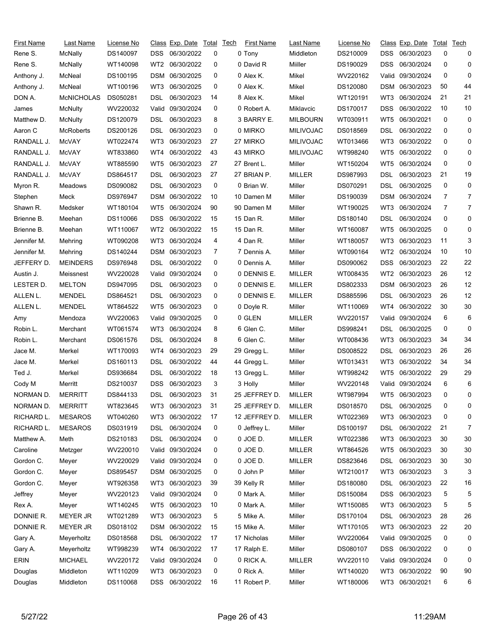| First Name  | Last Name         | License No |                 | Class Exp. Date  | Total | Tech | <b>First Name</b> | Last Name        | License No |                 | Class Exp. Date   | Total        | Tech           |
|-------------|-------------------|------------|-----------------|------------------|-------|------|-------------------|------------------|------------|-----------------|-------------------|--------------|----------------|
| Rene S.     | McNally           | DS140097   | DSS.            | 06/30/2022       | 0     |      | 0 Tony            | Middleton        | DS210009   | DSS             | 06/30/2023        | 0            | 0              |
| Rene S.     | McNally           | WT140098   | WT2             | 06/30/2022       | 0     |      | 0 David R         | Miiller          | DS190029   | DSS             | 06/30/2024        | 0            | 0              |
| Anthony J.  | McNeal            | DS100195   | DSM             | 06/30/2025       | 0     |      | 0 Alex K.         | Mikel            | WV220162   | Valid.          | 09/30/2024        | 0            | 0              |
| Anthony J.  | McNeal            | WT100196   | WT3             | 06/30/2025       | 0     |      | 0 Alex K.         | Mikel            | DS120080   | DSM             | 06/30/2023        | 50           | 44             |
| DON A.      | <b>McNICHOLAS</b> | DS050281   | DSL             | 06/30/2023       | 14    |      | 8 Alex K.         | Mikel            | WT120191   | WT3             | 06/30/2024        | 21           | 21             |
| James       | McNulty           | WV220032   | Valid           | 09/30/2024       | 0     |      | 0 Robert A.       | Miklavcic        | DS170017   | DSS             | 06/30/2022        | 10           | 10             |
| Matthew D.  | McNulty           | DS120079   | DSL.            | 06/30/2023       | 8     |      | 3 BARRY E.        | <b>MILBOURN</b>  | WT030911   | WT5             | 06/30/2021        | 0            | 0              |
| Aaron C     | <b>McRoberts</b>  | DS200126   | DSL             | 06/30/2023       | 0     |      | 0 MIRKO           | <b>MILIVOJAC</b> | DS018569   | DSL             | 06/30/2022        | 0            | 0              |
| RANDALL J.  | McVAY             | WT022474   | WT3             | 06/30/2023       | 27    |      | 27 MIRKO          | <b>MILIVOJAC</b> | WT013466   | WT3             | 06/30/2022        | 0            | 0              |
| RANDALL J.  | McVAY             | WT833860   | WT4             | 06/30/2022       | 43    |      | 43 MIRKO          | <b>MILIVOJAC</b> | WT998240   | WT5             | 06/30/2022        | 0            | 0              |
| RANDALL J.  | McVAY             | WT885590   | WT5             | 06/30/2023       | 27    |      | 27 Brent L.       | Miller           | WT150204   | WT5             | 06/30/2024        | 0            | 0              |
| RANDALL J.  | McVAY             | DS864517   | DSL             | 06/30/2023       | 27    |      | 27 BRIAN P.       | <b>MILLER</b>    | DS987993   | DSL             | 06/30/2023        | 21           | 19             |
| Myron R.    | Meadows           | DS090082   | DSL.            | 06/30/2023       | 0     |      | 0 Brian W.        | Miller           | DS070291   | DSL             | 06/30/2025        | 0            | 0              |
| Stephen     | Meck              | DS976947   |                 | DSM 06/30/2022   | 10    |      | 10 Damen M        | Miller           | DS190039   | DSM             | 06/30/2024        | 7            | $\overline{7}$ |
| Shawn R.    | Medsker           | WT180104   | WT <sub>5</sub> | 06/30/2024       | 90    |      | 90 Damen M        | Miller           | WT190025   | WT3             | 06/30/2024        | 7            | 7              |
| Brienne B.  | Meehan            | DS110066   | DSS             | 06/30/2022       | 15    |      | 15 Dan R.         | Miller           | DS180140   | DSL             | 06/30/2024        | 0            | 0              |
| Brienne B.  | Meehan            | WT110067   | WT2             | 06/30/2022       | 15    |      | 15 Dan R.         | Miller           | WT160087   | WT5             | 06/30/2025        | 0            | 0              |
| Jennifer M. | Mehring           | WT090208   | WT3             | 06/30/2024       | 4     |      | 4 Dan R.          | Miller           | WT180057   | WT3             | 06/30/2023        | 11           | 3              |
| Jennifer M. | Mehring           | DS140244   | DSM             | 06/30/2023       | 7     |      | 7 Dennis A.       | Miller           | WT090164   | WT <sub>2</sub> | 06/30/2024        | 10           | 10             |
| JEFFERY D.  | <b>MEINDERS</b>   | DS976948   | DSL             | 06/30/2022       | 0     |      | 0 Dennis A.       | Miller           | DS090062   | <b>DSS</b>      | 06/30/2023        | 22           | 22             |
| Austin J.   | Meissnest         | WV220028   | Valid           | 09/30/2024       | 0     |      | 0 DENNIS E.       | <b>MILLER</b>    | WT008435   | WT2             | 06/30/2023        | 26           | 12             |
| LESTER D.   | <b>MELTON</b>     | DS947095   | DSL             | 06/30/2023       | 0     |      | 0 DENNIS E.       | <b>MILLER</b>    | DS802333   | DSM             | 06/30/2023        | 26           | 12             |
| ALLEN L.    | <b>MENDEL</b>     | DS864521   | DSL             | 06/30/2023       | 0     |      | 0 DENNIS E.       | MILLER           | DS885596   | DSL             | 06/30/2023        | 26           | 12             |
| ALLEN L.    | <b>MENDEL</b>     | WT864522   | WT5             | 06/30/2023       | 0     |      | 0 Doyle R.        | Miller           | WT110069   | WT4             | 06/30/2022        | 30           | 30             |
| Amy         | Mendoza           | WV220063   | Valid           | 09/30/2025       | 0     |      | 0 GLEN            | <b>MILLER</b>    | WV220157   | Valid           | 09/30/2024        | 6            | 6              |
| Robin L.    | Merchant          | WT061574   | WT3             | 06/30/2024       | 8     |      | 6 Glen C.         | Miller           | DS998241   | DSL             | 06/30/2025        | 0            | 0              |
| Robin L.    | Merchant          | DS061576   | DSL             | 06/30/2024       | 8     |      | 6 Glen C.         | Miller           | WT008436   | WT3             | 06/30/2023        | 34           | 34             |
| Jace M.     | Merkel            | WT170093   | WT4             | 06/30/2023       | 29    |      | 29 Gregg L.       | Miller           | DS008522   | DSL             | 06/30/2023        | 26           | 26             |
| Jace M.     | Merkel            | DS160113   | DSL             | 06/30/2022       | 44    |      | 44 Gregg L.       | Miller           | WT013431   | WT3             | 06/30/2022        | 34           | 34             |
| Ted J.      | Merkel            | DS936684   | DSL             | 06/30/2022       | 18    |      | 13 Gregg L.       | Miller           | WT998242   | WT5             | 06/30/2022        | 29           | 29             |
| Cody M      | Merritt           | DS210037   | <b>DSS</b>      | 06/30/2023       | 3     |      | 3 Holly           | Miller           | WV220148   |                 | Valid: 09/30/2024 | 6            | 6              |
| NORMAN D.   | <b>MERRITT</b>    | DS844133   | <b>DSL</b>      | 06/30/2023       | 31    |      | 25 JEFFREY D.     | <b>MILLER</b>    | WT987994   |                 | WT5 06/30/2023    | <sup>n</sup> | <sup>0</sup>   |
| NORMAN D.   | <b>MERRITT</b>    | WT823645   | WT3             | 06/30/2023       | 31    |      | 25 JEFFREY D.     | MILLER           | DS018570   | DSL.            | 06/30/2025        | 0            | 0              |
| RICHARD L.  | <b>MESAROS</b>    | WT040260   | WT3             | 06/30/2022       | 17    |      | 12 JEFFREY D.     | <b>MILLER</b>    | WT022369   | WT3             | 06/30/2023        | 0            | 0              |
| RICHARD L.  | <b>MESAROS</b>    | DS031919   | <b>DSL</b>      | 06/30/2024       | 0     |      | 0 Jeffrey L.      | Miller           | DS100197   | <b>DSL</b>      | 06/30/2022        | 21           | 7              |
| Matthew A.  | Meth              | DS210183   | DSL             | 06/30/2024       | 0     |      | 0 JOE D.          | <b>MILLER</b>    | WT022386   | WT3             | 06/30/2023        | 30           | 30             |
| Caroline    | Metzger           | WV220010   |                 | Valid 09/30/2024 | 0     |      | 0 JOE D.          | <b>MILLER</b>    | WT864526   | WT5             | 06/30/2023        | 30           | 30             |
| Gordon C.   | Meyer             | WV220029   |                 | Valid 09/30/2024 | 0     |      | 0 JOE D.          | <b>MILLER</b>    | DS823646   | DSL             | 06/30/2023        | 30           | 30             |
| Gordon C.   | Meyer             | DS895457   |                 | DSM 06/30/2025   | 0     |      | 0 John P          | Miller           | WT210017   | WT3             | 06/30/2023        | 3            | 3              |
| Gordon C.   | Meyer             | WT926358   | WT3             | 06/30/2023       | 39    |      | 39 Kelly R        | Miller           | DS180080   | <b>DSL</b>      | 06/30/2023        | 22           | 16             |
| Jeffrey     | Meyer             | WV220123   |                 | Valid 09/30/2024 | 0     |      | 0 Mark A.         | Miller           | DS150084   | <b>DSS</b>      | 06/30/2023        | 5            | 5              |
| Rex A.      | Meyer             | WT140245   | WT5             | 06/30/2023       | 10    |      | 0 Mark A.         | Miller           | WT150085   | WT3             | 06/30/2023        | 5            | 5              |
| DONNIE R.   | <b>MEYER JR</b>   | WT021289   | WT3             | 06/30/2023       | 5     |      | 5 Mike A.         | Miller           | DS170104   | <b>DSL</b>      | 06/30/2023        | 28           | 26             |
| DONNIE R.   | <b>MEYER JR</b>   | DS018102   |                 | DSM 06/30/2022   | 15    |      | 15 Mike A.        | Miller           | WT170105   | WT3             | 06/30/2023        | 22           | 20             |
| Gary A.     | Meyerholtz        | DS018568   | DSL             | 06/30/2022       | 17    |      | 17 Nicholas       | Miller           | WV220064   | Valid           | 09/30/2025        | 0            | 0              |
| Gary A.     | Meyerholtz        | WT998239   | WT4             | 06/30/2022       | 17    |      | 17 Ralph E.       | Miller           | DS080107   | DSS             | 06/30/2022        | 0            | 0              |
| <b>ERIN</b> | <b>MICHAEL</b>    | WV220172   |                 | Valid 09/30/2024 | 0     |      | 0 RICK A.         | <b>MILLER</b>    | WV220110   |                 | Valid 09/30/2024  | 0            | 0              |
| Douglas     | Middleton         | WT110209   | WT3             | 06/30/2023       | 0     |      | 0 Rick A.         | Miller           | WT140020   | WT3             | 06/30/2022        | 90           | 90             |
| Douglas     | Middleton         | DS110068   | DSS.            | 06/30/2022       | 16    |      | 11 Robert P.      | Miller           | WT180006   | WT3             | 06/30/2021        | 6            | 6              |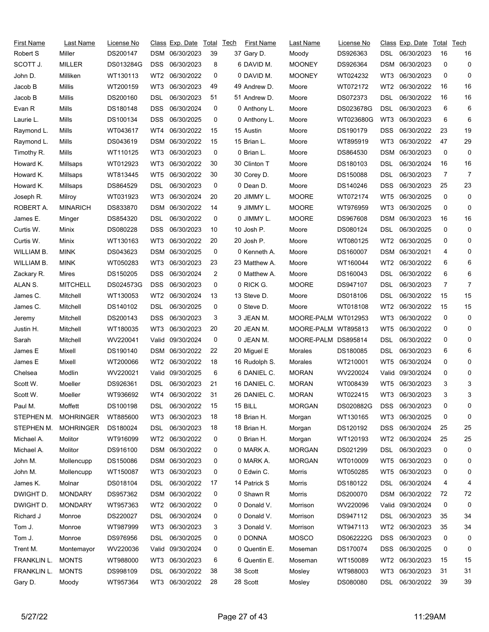| <b>First Name</b> | Last Name        | License No |            | Class Exp. Date  | Total | Tech | <b>First Name</b> | Last Name           | License No |            | Class Exp. Date | Total | Tech           |
|-------------------|------------------|------------|------------|------------------|-------|------|-------------------|---------------------|------------|------------|-----------------|-------|----------------|
| Robert S          | Miller           | DS200147   |            | DSM 06/30/2023   | 39    |      | 37 Gary D.        | Moody               | DS926363   | DSL.       | 06/30/2023      | 16    | 16             |
| SCOTT J.          | MILLER           | DS013284G  | <b>DSS</b> | 06/30/2023       | 8     |      | 6 DAVID M.        | <b>MOONEY</b>       | DS926364   | DSM        | 06/30/2023      | 0     | 0              |
| John D.           | Milliken         | WT130113   | WT2        | 06/30/2022       | 0     |      | 0 DAVID M.        | <b>MOONEY</b>       | WT024232   | WT3        | 06/30/2023      | 0     | 0              |
| Jacob B           | Millis           | WT200159   | WT3        | 06/30/2023       | 49    |      | 49 Andrew D.      | Moore               | WT072172   | WT2        | 06/30/2022      | 16    | 16             |
| Jacob B           | Millis           | DS200160   | DSL        | 06/30/2023       | 51    |      | 51 Andrew D.      | Moore               | DS072373   | DSL        | 06/30/2022      | 16    | 16             |
| Evan R            | Mills            | DS180148   | <b>DSS</b> | 06/30/2024       | 0     |      | 0 Anthony L.      | Moore               | DS023678G  | DSL.       | 06/30/2023      | 6     | 6              |
| Laurie L.         | Mills            | DS100134   | <b>DSS</b> | 06/30/2025       | 0     |      | 0 Anthony L.      | Moore               | WT023680G  | WT3        | 06/30/2023      | 6     | 6              |
| Raymond L.        | Mills            | WT043617   | WT4        | 06/30/2022       | 15    |      | 15 Austin         | Moore               | DS190179   | DSS        | 06/30/2022      | 23    | 19             |
| Raymond L.        | Mills            | DS043619   | <b>DSM</b> | 06/30/2022       | 15    |      | 15 Brian L.       | Moore               | WT895919   | WT3        | 06/30/2022      | 47    | 29             |
| Timothy R.        | Mills            | WT110125   | WT3        | 06/30/2023       | 0     |      | 0 Brian L.        | Moore               | DS864530   | <b>DSM</b> | 06/30/2023      | 0     | 0              |
| Howard K.         | Millsaps         | WT012923   | WT3        | 06/30/2022       | 30    |      | 30 Clinton T      | Moore               | DS180103   | DSL        | 06/30/2024      | 16    | 16             |
| Howard K.         | Millsaps         | WT813445   | WT5        | 06/30/2022       | 30    |      | 30 Corey D.       | Moore               | DS150088   | DSL        | 06/30/2023      | 7     | 7              |
| Howard K.         | Millsaps         | DS864529   | DSL        | 06/30/2023       | 0     |      | 0 Dean D.         | Moore               | DS140246   | DSS        | 06/30/2023      | 25    | 23             |
| Joseph R.         | Milroy           | WT031923   | WT3        | 06/30/2024       | 20    |      | 20 JIMMY L.       | <b>MOORE</b>        | WT072174   | WT5        | 06/30/2025      | 0     | 0              |
| ROBERT A.         | <b>MINARICH</b>  | DS833870   | <b>DSM</b> | 06/30/2022       | 14    |      | 9 JIMMY L.        | <b>MOORE</b>        | WT976959   | WT3        | 06/30/2025      | 0     | 0              |
| James E.          | Minger           | DS854320   | DSL        | 06/30/2022       | 0     |      | 0 JIMMY L.        | <b>MOORE</b>        | DS967608   | <b>DSM</b> | 06/30/2023      | 16    | 16             |
| Curtis W.         | Minix            | DS080228   | <b>DSS</b> | 06/30/2023       | 10    |      | 10 Josh P.        | Moore               | DS080124   | DSL.       | 06/30/2025      | 0     | 0              |
| Curtis W.         | Minix            | WT130163   | WT3        | 06/30/2022       | 20    |      | 20 Josh P.        | Moore               | WT080125   | WT2        | 06/30/2025      | 0     | 0              |
| WILLIAM B.        | MINK             | DS043623   | <b>DSM</b> | 06/30/2025       | 0     |      | 0 Kenneth A.      | Moore               | DS160007   | DSM        | 06/30/2021      | 4     | 0              |
| WILLIAM B.        | <b>MINK</b>      | WT050283   | WT3        | 06/30/2023       | 23    |      | 23 Matthew A.     | Moore               | WT160044   | WT2        | 06/30/2022      | 6     | 6              |
| Zackary R.        | Mires            | DS150205   | <b>DSS</b> | 06/30/2024       | 2     |      | 0 Matthew A.      | Moore               | DS160043   | DSL        | 06/30/2022      | 6     | 6              |
| ALAN S.           | <b>MITCHELL</b>  | DS024573G  | <b>DSS</b> | 06/30/2023       | 0     |      | 0 RICK G.         | <b>MOORE</b>        | DS947107   | DSL        | 06/30/2023      | 7     | $\overline{7}$ |
| James C.          | Mitchell         | WT130053   | WT2        | 06/30/2024       | 13    |      | 13 Steve D.       | Moore               | DS018106   | DSL        | 06/30/2022      | 15    | 15             |
| James C.          | Mitchell         | DS140102   | DSL        | 06/30/2025       | 0     |      | 0 Steve D.        | Moore               | WT018108   | WT2        | 06/30/2022      | 15    | 15             |
| Jeremy            | Mitchell         | DS200143   | <b>DSS</b> | 06/30/2023       | 3     |      | 3 JEAN M.         | MOORE-PALM          | WT012953   | WT3        | 06/30/2022      | 0     | 0              |
| Justin H.         | Mitchell         | WT180035   | WT3        | 06/30/2023       | 20    |      | 20 JEAN M.        | MOORE-PALM WT895813 |            | WT5        | 06/30/2022      | 0     | 0              |
| Sarah             | Mitchell         | WV220041   | Valid      | 09/30/2024       | 0     |      | 0 JEAN M.         | MOORE-PALM DS895814 |            | DSL        | 06/30/2022      | 0     | 0              |
| James E           | Mixell           | DS190140   | <b>DSM</b> | 06/30/2022       | 22    |      | 20 Miguel E       | Morales             | DS180085   | DSL        | 06/30/2023      | 6     | 6              |
| James E           | Mixell           | WT200066   | WT2        | 06/30/2022       | 18    |      | 16 Rudolph S.     | Morales             | WT210001   | WT5        | 06/30/2024      | 0     | 0              |
| Chelsea           | Modlin           | WV220021   | Valid      | 09/30/2025       | 6     |      | 6 DANIEL C.       | <b>MORAN</b>        | WV220024   | Valid      | 09/30/2024      | 0     | 0              |
| Scott W.          | Moeller          | DS926361   | DSL        | 06/30/2023       | 21    |      | 16 DANIEL C.      | <b>MORAN</b>        | WT008439   | WT5        | 06/30/2023      | 3     | 3              |
| Scott W.          | Moeller          | WT936692   | WT4        | 06/30/2022       | 31    |      | 26 DANIEL C.      | <b>MORAN</b>        | WT022415   |            | WT3 06/30/2023  | 3     | 3              |
| Paul M.           | Moffett          | DS100198   | DSL.       | 06/30/2022       | 15    |      | 15 BILL           | <b>MORGAN</b>       | DS020882G  | <b>DSS</b> | 06/30/2023      | 0     | 0              |
| STEPHEN M.        | <b>MOHRINGER</b> | WT885600   | WT3        | 06/30/2023       | 18    |      | 18 Brian H.       | Morgan              | WT130165   | WT3        | 06/30/2025      | 0     | 0              |
| STEPHEN M.        | <b>MOHRINGER</b> | DS180024   | <b>DSL</b> | 06/30/2023       | 18    |      | 18 Brian H.       | Morgan              | DS120192   | <b>DSS</b> | 06/30/2024      | 25    | 25             |
| Michael A.        | Molitor          | WT916099   |            | WT2 06/30/2022   | 0     |      | 0 Brian H.        | Morgan              | WT120193   | WT2        | 06/30/2024      | 25    | 25             |
| Michael A.        | Molitor          | DS916100   |            | DSM 06/30/2022   | 0     |      | 0 MARK A.         | <b>MORGAN</b>       | DS021299   | DSL.       | 06/30/2023      | 0     | 0              |
| John M.           | Mollencupp       | DS150086   | DSM        | 06/30/2023       | 0     |      | 0 MARK A.         | <b>MORGAN</b>       | WT010009   | WT5        | 06/30/2023      | 0     | 0              |
| John M.           | Mollencupp       | WT150087   | WT3        | 06/30/2023       | 0     |      | 0 Edwin C.        | Morris              | WT050285   | WT5        | 06/30/2023      | 0     | 0              |
| James K.          | Molnar           | DS018104   | <b>DSL</b> | 06/30/2022       | 17    |      | 14 Patrick S      | Morris              | DS180122   | <b>DSL</b> | 06/30/2024      | 4     | 4              |
| DWIGHT D.         | <b>MONDARY</b>   | DS957362   |            | DSM 06/30/2022   | 0     |      | 0 Shawn R         | Morris              | DS200070   | <b>DSM</b> | 06/30/2022      | 72    | 72             |
| DWIGHT D.         | MONDARY          | WT957363   | WT2        | 06/30/2022       | 0     |      | 0 Donald V.       | Morrison            | WV220096   | Valid      | 09/30/2024      | 0     | 0              |
| Richard J         | Monroe           | DS220027   | DSL.       | 06/30/2024       | 0     |      | 0 Donald V.       | Morrison            | DS947112   | DSL        | 06/30/2023      | 35    | 34             |
| Tom J.            | Monroe           | WT987999   | WT3        | 06/30/2023       | 3     |      | 3 Donald V.       | Morrison            | WT947113   | WT2        | 06/30/2023      | 35    | 34             |
| Tom J.            | Monroe           | DS976956   | <b>DSL</b> | 06/30/2025       | 0     |      | 0 DONNA           | <b>MOSCO</b>        | DS062222G  | <b>DSS</b> | 06/30/2023      | 0     | 0              |
| Trent M.          | Montemayor       | WV220036   |            | Valid 09/30/2024 | 0     |      | 0 Quentin E.      | Moseman             | DS170074   | <b>DSS</b> | 06/30/2025      | 0     | 0              |
| FRANKLIN L.       | <b>MONTS</b>     | WT988000   | WT3        | 06/30/2023       | 6     |      | 6 Quentin E.      | Moseman             | WT150089   | WT2        | 06/30/2023      | 15    | 15             |
| FRANKLIN L.       | <b>MONTS</b>     | DS998109   | DSL        | 06/30/2022       | 38    |      | 38 Scott          | Mosley              | WT988003   | WT3        | 06/30/2023      | 31    | 31             |
| Gary D.           | Moody            | WT957364   |            | WT3 06/30/2022   | 28    |      | 28 Scott          | Mosley              | DS080080   | DSL.       | 06/30/2022      | 39    | 39             |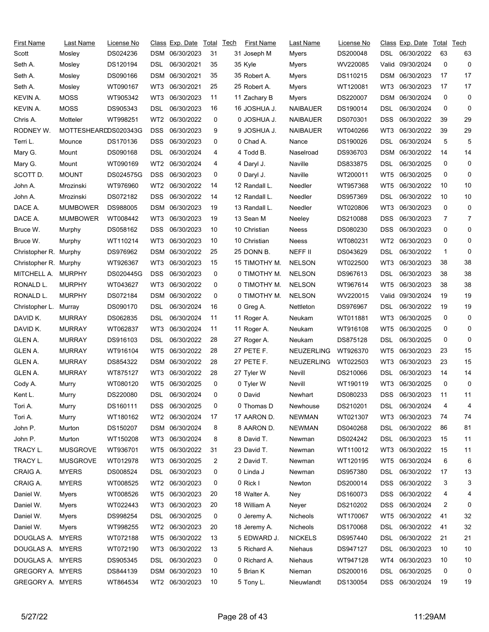| <b>First Name</b>     | Last Name            | License No |                 | Class Exp. Date | Total | Tech | First Name         | Last Name         | License No |            | Class Exp. Date | Total | Tech |
|-----------------------|----------------------|------------|-----------------|-----------------|-------|------|--------------------|-------------------|------------|------------|-----------------|-------|------|
| Scott                 | Mosley               | DS024236   |                 | DSM 06/30/2023  | 31    |      | 31 Joseph M        | Myers             | DS200048   | DSL        | 06/30/2022      | 63    | 63   |
| Seth A.               | Mosley               | DS120194   | DSL             | 06/30/2021      | 35    |      | 35 Kyle            | <b>Myers</b>      | WV220085   | Valid      | 09/30/2024      | 0     | 0    |
| Seth A.               | Mosley               | DS090166   | DSM             | 06/30/2021      | 35    |      | 35 Robert A.       | Myers             | DS110215   | <b>DSM</b> | 06/30/2023      | 17    | 17   |
| Seth A.               | Mosley               | WT090167   | WT3             | 06/30/2021      | 25    |      | 25 Robert A.       | Myers             | WT120081   | WT3        | 06/30/2023      | 17    | 17   |
| KEVIN A.              | <b>MOSS</b>          | WT905342   | WT3             | 06/30/2023      | 11    |      | 11 Zachary B       | Myers             | DS220007   | DSM        | 06/30/2024      | 0     | 0    |
| KEVIN A.              | <b>MOSS</b>          | DS905343   | DSL             | 06/30/2023      | 16    |      | 16 JOSHUA J.       | <b>NAIBAUER</b>   | DS190014   | DSL        | 06/30/2024      | 0     | 0    |
| Chris A.              | Motteler             | WT998251   | WT2             | 06/30/2022      | 0     |      | <b>0 JOSHUA J.</b> | NAIBAUER          | DS070301   | <b>DSS</b> | 06/30/2022      | 39    | 29   |
| RODNEY W.             | MOTTESHEARDDS020343G |            | DSS.            | 06/30/2023      | 9     |      | 9 JOSHUA J.        | <b>NAIBAUER</b>   | WT040266   | WT3        | 06/30/2022      | 39    | 29   |
| Terri L.              | Mounce               | DS170136   | DSS             | 06/30/2023      | 0     |      | 0 Chad A.          | Nance             | DS190026   | DSL        | 06/30/2024      | 5     | 5    |
| Mary G.               | Mount                | DS090168   | DSL             | 06/30/2024      | 4     |      | 4 Todd B.          | Naselroad         | DS936703   | <b>DSM</b> | 06/30/2022      | 14    | 14   |
| Mary G.               | Mount                | WT090169   | WT <sub>2</sub> | 06/30/2024      | 4     |      | 4 Daryl J.         | Naville           | DS833875   | DSL        | 06/30/2025      | 0     | 0    |
| SCOTT D.              | <b>MOUNT</b>         | DS024575G  | <b>DSS</b>      | 06/30/2023      | 0     |      | 0 Daryl J.         | Naville           | WT200011   | WT5        | 06/30/2025      | 0     | 0    |
| John A.               | Mrozinski            | WT976960   | WT2             | 06/30/2022      | 14    |      | 12 Randall L.      | Needler           | WT957368   | WT5        | 06/30/2022      | 10    | 10   |
| John A.               | Mrozinski            | DS072182   | DSS             | 06/30/2022      | 14    |      | 12 Randall L.      | Needler           | DS957369   | DSL        | 06/30/2022      | 10    | 10   |
| DACE A.               | <b>MUMBOWER</b>      | DS988005   | DSM             | 06/30/2023      | 19    |      | 13 Randall L.      | Needler           | WT020806   | WT3        | 06/30/2023      | 0     | 0    |
| DACE A.               | <b>MUMBOWER</b>      | WT008442   | WT3             | 06/30/2023      | 19    |      | 13 Sean M          | Neeley            | DS210088   | DSS        | 06/30/2023      | 7     | 7    |
| Bruce W.              | Murphy               | DS058162   | DSS             | 06/30/2023      | 10    |      | 10 Christian       | Neess             | DS080230   | DSS        | 06/30/2023      | 0     | 0    |
| Bruce W.              | Murphy               | WT110214   | WT3             | 06/30/2023      | 10    |      | 10 Christian       | Neess             | WT080231   | WT2        | 06/30/2023      | 0     | 0    |
| Christopher R.        | Murphy               | DS976962   | DSM             | 06/30/2022      | 25    |      | 25 DONN B.         | NEFF II           | DS043629   | DSL        | 06/30/2022      | 1     | 0    |
| Christopher R. Murphy |                      | WT926367   | WT3             | 06/30/2023      | 15    |      | 15 TIMOTHY M.      | <b>NELSON</b>     | WT022500   | WT3        | 06/30/2023      | 38    | 38   |
| MITCHELL A.           | MURPHY               | DS020445G  | <b>DSS</b>      | 06/30/2023      | 0     |      | 0 TIMOTHY M.       | <b>NELSON</b>     | DS967613   | DSL        | 06/30/2023      | 38    | 38   |
| RONALD L.             | <b>MURPHY</b>        | WT043627   | WT3             | 06/30/2022      | 0     |      | 0 TIMOTHY M.       | <b>NELSON</b>     | WT967614   | WT5        | 06/30/2023      | 38    | 38   |
| RONALD L.             | <b>MURPHY</b>        | DS072184   | DSM             | 06/30/2022      | 0     |      | 0 TIMOTHY M.       | <b>NELSON</b>     | WV220015   | Valid      | 09/30/2024      | 19    | 19   |
| Christopher L.        | Murray               | DS090170   | DSL             | 06/30/2024      | 16    |      | 0 Greg A.          | Nettleton         | DS976967   | DSL        | 06/30/2022      | 19    | 19   |
| DAVID K.              | <b>MURRAY</b>        | DS062835   | DSL             | 06/30/2024      | 11    |      | 11 Roger A.        | Neukam            | WT011881   | WT3        | 06/30/2025      | 0     | 0    |
| DAVID K.              | <b>MURRAY</b>        | WT062837   | WT3             | 06/30/2024      | 11    |      | 11 Roger A.        | Neukam            | WT916108   | WT5        | 06/30/2025      | 0     | 0    |
| GLEN A.               | <b>MURRAY</b>        | DS916103   | DSL             | 06/30/2022      | 28    |      | 27 Roger A.        | Neukam            | DS875128   | DSL        | 06/30/2025      | 0     | 0    |
| <b>GLEN A.</b>        | <b>MURRAY</b>        | WT916104   | WT5             | 06/30/2022      | 28    |      | 27 PETE F.         | NEUZERLING        | WT926370   | WT5        | 06/30/2023      | 23    | 15   |
| GLEN A.               | <b>MURRAY</b>        | DS854322   | DSM             | 06/30/2022      | 28    |      | 27 PETE F.         | <b>NEUZERLING</b> | WT022503   | WT3        | 06/30/2023      | 23    | 15   |
| GLEN A.               | <b>MURRAY</b>        | WT875127   | WT3             | 06/30/2022      | 28    |      | 27 Tyler W         | Nevill            | DS210066   | DSL        | 06/30/2023      | 14    | 14   |
| Cody A.               | Murry                | WT080120   | WT5             | 06/30/2025      | 0     |      | 0 Tyler W          | Nevill            | WT190119   | WT3        | 06/30/2025      | 0     | 0    |
| Kent L.               | Murry                | DS220080   | <b>DSL</b>      | 06/30/2024      | 0     |      | 0 David            | Newhart           | DS080233   |            | DSS 06/30/2023  | 11    | 11   |
| Tori A.               | Murry                | DS160111   | DSS.            | 06/30/2025      | 0     |      | 0 Thomas D         | Newhouse          | DS210201   | DSL.       | 06/30/2024      | 4     | 4    |
| Tori A.               | Murry                | WT180162   | WT2             | 06/30/2024      | 17    |      | 17 AARON D.        | <b>NEWMAN</b>     | WT021307   | WT3        | 06/30/2023      | 74    | 74   |
| John P.               | Murton               | DS150207   |                 | DSM 06/30/2024  | 8     |      | 8 AARON D.         | <b>NEWMAN</b>     | DS040268   | <b>DSL</b> | 06/30/2022      | 86    | 81   |
| John P.               | Murton               | WT150208   | WT3             | 06/30/2024      | 8     |      | 8 David T.         | Newman            | DS024242   | DSL        | 06/30/2023      | 15    | 11   |
| TRACY L.              | <b>MUSGROVE</b>      | WT936701   | WT5             | 06/30/2022      | 31    |      | 23 David T.        | Newman            | WT110012   | WT3        | 06/30/2022      | 15    | 11   |
| TRACY L.              | <b>MUSGROVE</b>      | WT012978   | WT3             | 06/30/2025      | 2     |      | 2 David T.         | Newman            | WT120195   | WT5        | 06/30/2024      | 6     | 6    |
| CRAIG A.              | <b>MYERS</b>         | DS008524   | DSL             | 06/30/2023      | 0     |      | 0 Linda J          | Newman            | DS957380   | <b>DSL</b> | 06/30/2022      | 17    | 13   |
| CRAIG A.              | <b>MYERS</b>         | WT008525   | WT2             | 06/30/2023      | 0     |      | 0 Rick I           | Newton            | DS200014   | <b>DSS</b> | 06/30/2022      | 3     | 3    |
| Daniel W.             | Myers                | WT008526   | WT5             | 06/30/2023      | 20    |      | 18 Walter A.       | Ney               | DS160073   | <b>DSS</b> | 06/30/2022      | 4     | 4    |
| Daniel W.             | Myers                | WT022443   | WT3             | 06/30/2023      | 20    |      | 18 William A       | Neyer             | DS210202   | <b>DSS</b> | 06/30/2024      | 2     | 0    |
| Daniel W.             | Myers                | DS998254   | DSL             | 06/30/2025      | 0     |      | 0 Jeremy A.        | Nicheols          | WT170067   | WT5        | 06/30/2022      | 41    | 32   |
| Daniel W.             | Myers                | WT998255   | WT2             | 06/30/2023      | 20    |      | 18 Jeremy A.       | Nicheols          | DS170068   | DSL.       | 06/30/2022      | 41    | 32   |
| DOUGLAS A.            | <b>MYERS</b>         | WT072188   | WT5             | 06/30/2022      | 13    |      | 5 EDWARD J.        | <b>NICKELS</b>    | DS957440   | <b>DSL</b> | 06/30/2022      | 21    | 21   |
| DOUGLAS A.            | <b>MYERS</b>         | WT072190   | WT3             | 06/30/2022      | 13    |      | 5 Richard A.       | Niehaus           | DS947127   | DSL        | 06/30/2023      | 10    | 10   |
| DOUGLAS A.            | <b>MYERS</b>         | DS905345   | DSL             | 06/30/2023      | 0     |      | 0 Richard A.       | Niehaus           | WT947128   | WT4        | 06/30/2023      | 10    | 10   |
| GREGORY A. MYERS      |                      | DS844139   |                 | DSM 06/30/2023  | 10    |      | 5 Brian K          | Nieman            | DS200016   | DSL        | 06/30/2025      | 0     | 0    |
| GREGORY A. MYERS      |                      | WT864534   |                 | WT2 06/30/2023  | 10    |      | 5 Tony L.          | Nieuwlandt        | DS130054   | DSS.       | 06/30/2024      | 19    | 19   |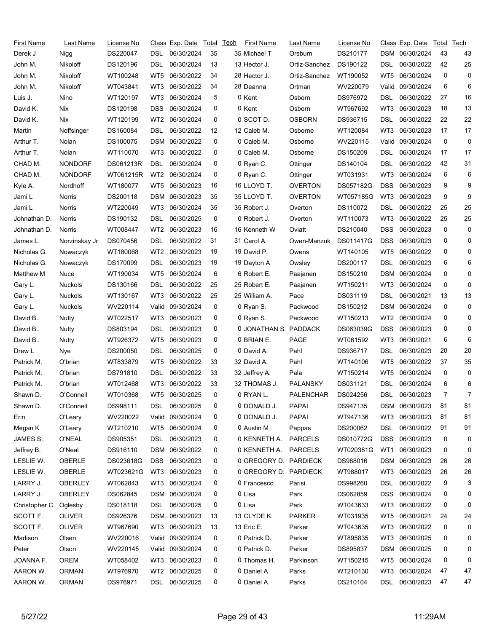| First Name     | Last Name      | License No |       | Class Exp. Date  | Total       | Tech | First Name            | Last Name      | License No |            | Class Exp. Date | Total | Tech |
|----------------|----------------|------------|-------|------------------|-------------|------|-----------------------|----------------|------------|------------|-----------------|-------|------|
| Derek J        | Nigg           | DS220047   | DSL   | 06/30/2024       | 35          |      | 35 Michael T          | Orsburn        | DS210177   |            | DSM 06/30/2024  | 43    | 43   |
| John M.        | Nikoloff       | DS120196   | DSL   | 06/30/2024       | 13          |      | 13 Hector J.          | Ortiz-Sanchez  | DS190122   | DSL        | 06/30/2022      | 42    | 25   |
| John M.        | Nikoloff       | WT100248   | WT5   | 06/30/2022       | 34          |      | 28 Hector J.          | Ortiz-Sanchez  | WT190052   | WT5        | 06/30/2024      | 0     | 0    |
| John M.        | Nikoloff       | WT043841   | WT3   | 06/30/2022       | 34          |      | 28 Deanna             | Ortman         | WV220079   | Valid      | 09/30/2024      | 6     | 6    |
| Luis J.        | Nino           | WT120197   | WT3   | 06/30/2024       | 5           |      | 0 Kent                | Osborn         | DS976972   | DSL        | 06/30/2022      | 27    | 16   |
| David K.       | Nix            | DS120198   | DSS.  | 06/30/2024       | 0           |      | 0 Kent                | Osborn         | WT967692   | WT3        | 06/30/2023      | 18    | 13   |
| David K.       | Nix            | WT120199   | WT2   | 06/30/2024       | 0           |      | 0 SCOT D.             | <b>OSBORN</b>  | DS936715   | DSL        | 06/30/2022      | 22    | 22   |
| Martin         | Noffsinger     | DS160084   | DSL   | 06/30/2022       | 12          |      | 12 Caleb M.           | Osborne        | WT120084   | WT3        | 06/30/2023      | 17    | 17   |
| Arthur T.      | Nolan          | DS100075   | DSM   | 06/30/2022       | 0           |      | 0 Caleb M.            | Osborne        | WV220115   | Valid      | 09/30/2024      | 0     | 0    |
| Arthur T.      | Nolan          | WT110070   | WT3   | 06/30/2022       | 0           |      | 0 Caleb M.            | Osborne        | DS150209   | DSL        | 06/30/2024      | 17    | 17   |
| CHAD M.        | <b>NONDORF</b> | DS061213R  | DSL   | 06/30/2024       | 0           |      | 0 Ryan C.             | Ottinger       | DS140104   | DSL        | 06/30/2022      | 42    | 31   |
| CHAD M.        | <b>NONDORF</b> | WT061215R  | WT2   | 06/30/2024       | 0           |      | 0 Ryan C.             | Ottinger       | WT031931   | WT3        | 06/30/2024      | 6     | 6    |
| Kyle A.        | Nordhoff       | WT180077   | WT5   | 06/30/2023       | 16          |      | 16 LLOYD T.           | <b>OVERTON</b> | DS057182G  | <b>DSS</b> | 06/30/2023      | 9     | 9    |
| Jami L         | Norris         | DS200118   |       | DSM 06/30/2023   | 35          |      | 35 LLOYD T.           | <b>OVERTON</b> | WT057185G  | WT3        | 06/30/2023      | 9     | 9    |
| Jami L         | Norris         | WT220049   | WT3   | 06/30/2024       | 35          |      | 35 Robert J.          | Overton        | DS110072   | DSL        | 06/30/2022      | 25    | 25   |
| Johnathan D.   | Norris         | DS190132   | DSL   | 06/30/2025       | 0           |      | 0 Robert J.           | Overton        | WT110073   | WT3        | 06/30/2022      | 25    | 25   |
| Johnathan D.   | Norris         | WT008447   | WT2   | 06/30/2023       | 16          |      | 16 Kenneth W          | Oviatt         | DS210040   | DSS        | 06/30/2023      | 0     | 0    |
| James L.       | Norzinskay Jr  | DS070456   | DSL   | 06/30/2022       | 31          |      | 31 Carol A.           | Owen-Manzuk    | DS011417G  | <b>DSS</b> | 06/30/2023      | 0     | 0    |
| Nicholas G.    | Nowaczyk       | WT180068   | WT2   | 06/30/2023       | 19          |      | 19 David P.           | Owens          | WT140105   | WT5        | 06/30/2022      | 0     | 0    |
| Nicholas G.    | Nowaczyk       | DS170099   | DSL   | 06/30/2023       | 19          |      | 19 Dayton A           | Owsley         | DS200117   | DSL        | 06/30/2023      | 6     | 6    |
| Matthew M      | Nuce           | WT190034   | WT5   | 06/30/2024       | 6           |      | 6 Robert E.           | Paajanen       | DS150210   | DSM        | 06/30/2024      | 0     | 0    |
| Gary L.        | <b>Nuckols</b> | DS130166   | DSL   | 06/30/2022       | 25          |      | 25 Robert E.          | Paajanen       | WT150211   | WT3        | 06/30/2024      | 0     | 0    |
| Gary L.        | Nuckols        | WT130167   | WT3   | 06/30/2022       | 25          |      | 25 William A.         | Pace           | DS031119   | DSL        | 06/30/2021      | 13    | 13   |
| Gary L.        | Nuckols        | WV220114   | Valid | 09/30/2024       | 0           |      | 0 Ryan S.             | Packwood       | DS150212   | DSM        | 06/30/2024      | 0     | 0    |
| David B        | Nutty          | WT022517   | WT3   | 06/30/2023       | 0           |      | 0 Ryan S.             | Packwood       | WT150213   | WT2        | 06/30/2024      | 0     | 0    |
| David B        | Nutty          | DS803194   | DSL   | 06/30/2023       | 0           |      | 0 JONATHAN S. PADDACK |                | DS063039G  | DSS        | 06/30/2023      | 0     | 0    |
| David B        | Nutty          | WT926372   | WT5   | 06/30/2023       | 0           |      | 0 BRIAN E.            | <b>PAGE</b>    | WT061592   | WT3        | 06/30/2021      | 6     | 6    |
| Drew L         | Nye            | DS200050   | DSL   | 06/30/2025       | 0           |      | 0 David A.            | Pahl           | DS936717   | DSL        | 06/30/2023      | 20    | 20   |
| Patrick M.     | O'brian        | WT833879   | WT5   | 06/30/2022       | 33          |      | 32 David A.           | Pahl           | WT140106   | WT5        | 06/30/2022      | 37    | 35   |
| Patrick M.     | O'brian        | DS791810   | DSL   | 06/30/2022       | 33          |      | 32 Jeffrey A.         | Pala           | WT150214   | WT5        | 06/30/2024      | 0     | 0    |
| Patrick M.     | O'brian        | WT012468   | WT3   | 06/30/2022       | 33          |      | 32 THOMAS J.          | PALANSKY       | DS031121   | DSL        | 06/30/2024      | 6     | 6    |
| Shawn D.       | O'Connell      | WT010368   |       | WT5 06/30/2025   | $\mathbf 0$ |      | 0 RYAN L.             | PALENCHAR      | DS024256   | <b>DSL</b> | 06/30/2023      |       | 7    |
| Shawn D.       | O'Connell      | DS998111   | DSL   | 06/30/2025       | 0           |      | 0 DONALD J.           | <b>PAPAI</b>   | DS947135   | DSM        | 06/30/2023      | 81    | 81   |
| Erin           | O'Leary        | WV220022   |       | Valid 09/30/2024 | 0           |      | 0 DONALD J.           | <b>PAPAI</b>   | WT947136   | WT3        | 06/30/2023      | 81    | 81   |
| Megan K        | O'Leary        | WT210210   | WT5   | 06/30/2024       | 0           |      | 0 Austin M            | Pappas         | DS200062   | <b>DSL</b> | 06/30/2022      | 91    | 91   |
| JAMES S.       | <b>O'NEAL</b>  | DS905351   | DSL   | 06/30/2023       | 0           |      | 0 KENNETH A.          | <b>PARCELS</b> | DS010772G  | <b>DSS</b> | 06/30/2023      | 0     | 0    |
| Jeffrey B.     | O'Neal         | DS916110   |       | DSM 06/30/2022   | 0           |      | 0 KENNETH A.          | <b>PARCELS</b> | WT020381G  | WT1        | 06/30/2023      | 0     | 0    |
| LESLIE W.      | OBERLE         | DS023618G  | DSS   | 06/30/2023       | 0           |      | 0 GREGORY D. PARDIECK |                | DS988016   | DSM        | 06/30/2023      | 26    | 26   |
| LESLIE W.      | <b>OBERLE</b>  | WT023621G  | WT3   | 06/30/2023       | 0           |      | 0 GREGORY D. PARDIECK |                | WT988017   | WT3        | 06/30/2023      | 26    | 26   |
| LARRY J.       | <b>OBERLEY</b> | WT062843   | WT3   | 06/30/2024       | 0           |      | 0 Francesco           | Parisi         | DS998260   | <b>DSL</b> | 06/30/2022      | 9     | 3    |
| LARRY J.       | <b>OBERLEY</b> | DS062845   |       | DSM 06/30/2024   | 0           |      | 0 Lisa                | Park           | DS062859   | DSS        | 06/30/2024      | 0     | 0    |
| Christopher C. | Oglesby        | DS018118   | DSL   | 06/30/2025       | 0           |      | 0 Lisa                | Park           | WT043633   | WT3        | 06/30/2022      | 0     | 0    |
| SCOTT F.       | <b>OLIVER</b>  | DS926376   |       | DSM 06/30/2023   | 13          |      | 13 CLYDE K.           | <b>PARKER</b>  | WT031935   | WT5        | 06/30/2021      | 24    | 24   |
| SCOTT F.       | <b>OLIVER</b>  | WT967690   | WT3   | 06/30/2023       | 13          |      | 13 Eric E.            | Parker         | WT043635   | WT3        | 06/30/2022      | 0     | 0    |
| Madison        | Olsen          | WV220016   |       | Valid 09/30/2024 | 0           |      | 0 Patrick D.          | Parker         | WT895835   | WT3        | 06/30/2025      | 0     | 0    |
| Peter          | Olson          | WV220145   |       | Valid 09/30/2024 | 0           |      | 0 Patrick D.          | Parker         | DS895837   | DSM        | 06/30/2025      | 0     | 0    |
| JOANNA F.      | <b>OREM</b>    | WT058402   | WT3   | 06/30/2023       | 0           |      | 0 Thomas H.           | Parkinson      | WT150215   | WT5        | 06/30/2024      | 0     | 0    |
| AARON W.       | <b>ORMAN</b>   | WT976970   | WT2   | 06/30/2025       | 0           |      | 0 Daniel A            | Parks          | WT210130   | WT3        | 06/30/2024      | 47    | 47   |
| AARON W.       | <b>ORMAN</b>   | DS976971   |       | DSL 06/30/2025   | 0           |      | 0 Daniel A            | Parks          | DS210104   | DSL        | 06/30/2023      | 47    | 47   |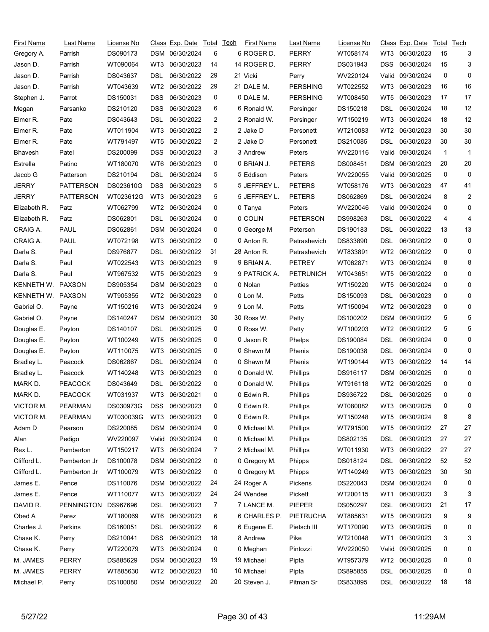| First Name        | Last Name         | License No |                 | Class Exp. Date  | Total        | <b>Tech</b> | <b>First Name</b> | Last Name        | License No |                 | Class Exp. Date | Total | Tech           |
|-------------------|-------------------|------------|-----------------|------------------|--------------|-------------|-------------------|------------------|------------|-----------------|-----------------|-------|----------------|
| Gregory A.        | Parrish           | DS090173   | DSM             | 06/30/2024       | 6            |             | 6 ROGER D.        | <b>PERRY</b>     | WT058174   | WT3             | 06/30/2023      | 15    | 3              |
| Jason D.          | Parrish           | WT090064   | WT3             | 06/30/2023       | 14           |             | 14 ROGER D.       | <b>PERRY</b>     | DS031943   | DSS             | 06/30/2024      | 15    | 3              |
| Jason D.          | Parrish           | DS043637   | DSL             | 06/30/2022       | 29           |             | 21 Vicki          | Perry            | WV220124   | Valid.          | 09/30/2024      | 0     | 0              |
| Jason D.          | Parrish           | WT043639   | WT2             | 06/30/2022       | 29           |             | 21 DALE M.        | <b>PERSHING</b>  | WT022552   | WT3             | 06/30/2023      | 16    | 16             |
| Stephen J.        | Parrot            | DS150031   | DSS             | 06/30/2023       | 0            |             | 0 DALE M.         | <b>PERSHING</b>  | WT008450   | WT <sub>5</sub> | 06/30/2023      | 17    | 17             |
| Megan             | Parsanko          | DS210120   | DSS             | 06/30/2023       | 6            |             | 6 Ronald W.       | Persinger        | DS150218   | DSL             | 06/30/2024      | 18    | 12             |
| Elmer R.          | Pate              | DS043643   | DSL             | 06/30/2022       | 2            |             | 2 Ronald W.       | Persinger        | WT150219   | WT3             | 06/30/2024      | 18    | 12             |
| Elmer R.          | Pate              | WT011904   | WT3             | 06/30/2022       | 2            |             | 2 Jake D          | Personett        | WT210083   | WT <sub>2</sub> | 06/30/2023      | 30    | 30             |
| Elmer R.          | Pate              | WT791497   | WT5             | 06/30/2022       | 2            |             | 2 Jake D          | Personett        | DS210085   | DSL             | 06/30/2023      | 30    | 30             |
| <b>Bhavesh</b>    | Patel             | DS200099   | DSS             | 06/30/2023       | 3            |             | 3 Andrew          | Peters           | WV220116   | Valid.          | 09/30/2024      | 1     | 1              |
| Estrella          | Patino            | WT180070   | WT6             | 06/30/2023       | 0            |             | 0 BRIAN J.        | <b>PETERS</b>    | DS008451   | DSM             | 06/30/2023      | 20    | 20             |
| Jacob G           | Patterson         | DS210194   | DSL             | 06/30/2024       | 5            |             | 5 Eddison         | Peters           | WV220055   | Valid           | 09/30/2025      | 0     | 0              |
| <b>JERRY</b>      | <b>PATTERSON</b>  | DS023610G  | DSS             | 06/30/2023       | 5            |             | 5 JEFFREY L.      | <b>PETERS</b>    | WT058176   | WT3             | 06/30/2023      | 47    | 41             |
| <b>JERRY</b>      | <b>PATTERSON</b>  | WT023612G  | WT3             | 06/30/2023       | 5            |             | 5 JEFFREY L.      | <b>PETERS</b>    | DS062869   | DSL             | 06/30/2024      | 8     | $\overline{2}$ |
| Elizabeth R.      | Patz              | WT062799   | WT2             | 06/30/2024       | 0            |             | 0 Tanya           | Peters           | WV220046   | Valid           | 09/30/2024      | 0     | 0              |
| Elizabeth R.      | Patz              | DS062801   | DSL             | 06/30/2024       | 0            |             | 0 COLIN           | <b>PETERSON</b>  | DS998263   | DSL             | 06/30/2022      | 4     | 4              |
| CRAIG A.          | PAUL              | DS062861   | DSM             | 06/30/2024       | 0            |             | 0 George M        | Peterson         | DS190183   | DSL             | 06/30/2022      | 13    | 13             |
| CRAIG A.          | PAUL              | WT072198   | WT3             | 06/30/2022       | 0            |             | 0 Anton R.        | Petrashevich     | DS833890   | DSL             | 06/30/2022      | 0     | 0              |
| Darla S.          | Paul              | DS976877   | DSL             | 06/30/2022       | 31           |             | 28 Anton R.       | Petrashevich     | WT833891   | WT2             | 06/30/2022      | 0     | 0              |
| Darla S.          | Paul              | WT022543   | WT3             | 06/30/2023       | 9            |             | 9 BRIAN A.        | <b>PETREY</b>    | WT062871   | WT3             | 06/30/2024      | 8     | 8              |
| Darla S.          | Paul              | WT967532   | WT5             | 06/30/2023       | 9            |             | 9 PATRICK A.      | <b>PETRUNICH</b> | WT043651   | WT5             | 06/30/2022      | 0     | 0              |
| KENNETH W. PAXSON |                   | DS905354   | DSM             | 06/30/2023       | 0            |             | 0 Nolan           | Petties          | WT150220   | WT5             | 06/30/2024      | 0     | 0              |
| KENNETH W. PAXSON |                   | WT905355   | WT2             | 06/30/2023       | 0            |             | 0 Lon M.          | Petts            | DS150093   | DSL             | 06/30/2023      | 0     | 0              |
| Gabriel O.        | Payne             | WT150216   | WT3             | 06/30/2024       | 9            |             | 9 Lon M.          | Petts            | WT150094   | WT2             | 06/30/2023      | 0     | 0              |
| Gabriel O.        | Payne             | DS140247   | DSM             | 06/30/2023       | 30           |             | 30 Ross W.        | Petty            | DS100202   | DSM             | 06/30/2022      | 5     | 5              |
| Douglas E.        | Payton            | DS140107   | DSL             | 06/30/2025       | 0            |             | 0 Ross W.         | Petty            | WT100203   | WT2             | 06/30/2022      | 5     | 5              |
| Douglas E.        | Payton            | WT100249   | WT5             | 06/30/2025       | 0            |             | 0 Jason R         | Phelps           | DS190084   | DSL             | 06/30/2024      | 0     | 0              |
| Douglas E.        | Payton            | WT110075   | WT3             | 06/30/2025       | 0            |             | 0 Shawn M         | Phenis           | DS190038   | DSL             | 06/30/2024      | 0     | 0              |
| Bradley L.        | Peacock           | DS062867   | DSL             | 06/30/2024       | 0            |             | 0 Shawn M         | Phenis           | WT190144   | WT3             | 06/30/2022      | 14    | 14             |
| Bradley L.        | Peacock           | WT140248   | WT3             | 06/30/2023       | 0            |             | 0 Donald W.       | Phillips         | DS916117   | <b>DSM</b>      | 06/30/2025      | 0     | 0              |
| MARK D.           | <b>PEACOCK</b>    | DS043649   | DSL             | 06/30/2022       | 0            |             | 0 Donald W.       | Phillips         | WT916118   | WT2             | 06/30/2025      | 0     | 0              |
| MARK D.           | <b>PEACOCK</b>    | WT031937   |                 | WT3 06/30/2021   | $\mathbf{0}$ |             | 0 Edwin R.        | Phillips         | DS936722   | <b>DSL</b>      | 06/30/2025      | 0     | $\Omega$       |
| VICTOR M.         | <b>PEARMAN</b>    | DS030973G  | DSS             | 06/30/2023       | 0            |             | 0 Edwin R.        | Phillips         | WT080082   | WT3             | 06/30/2025      | 0     | 0              |
| VICTOR M.         | <b>PEARMAN</b>    | WT030039G  | WT3             | 06/30/2023       | 0            |             | 0 Edwin R.        | Phillips         | WT150248   | WT5             | 06/30/2024      | 8     | 8              |
| Adam D            | Pearson           | DS220085   | <b>DSM</b>      | 06/30/2024       | 0            |             | 0 Michael M.      | Phillips         | WT791500   | WT5             | 06/30/2022      | 27    | 27             |
| Alan              | Pedigo            | WV220097   |                 | Valid 09/30/2024 | 0            |             | 0 Michael M.      | <b>Phillips</b>  | DS802135   | DSL             | 06/30/2023      | 27    | 27             |
| Rex L.            | Pemberton         | WT150217   | WT3             | 06/30/2024       | 7            |             | 2 Michael M.      | Phillips         | WT011930   | WT3             | 06/30/2022      | 27    | 27             |
| Clifford L.       | Pemberton Jr      | DS100078   | DSM             | 06/30/2022       | 0            |             | 0 Gregory M.      | Phipps           | DS018124   | <b>DSL</b>      | 06/30/2022      | 52    | 52             |
| Clifford L.       | Pemberton Jr      | WT100079   | WT3             | 06/30/2022       | 0            |             | 0 Gregory M.      | Phipps           | WT140249   | WT3             | 06/30/2023      | 30    | 30             |
| James E.          | Pence             | DS110076   | DSM             | 06/30/2022       | 24           |             | 24 Roger A        | Pickens          | DS220043   | DSM             | 06/30/2024      | 0     | 0              |
| James E.          | Pence             | WT110077   | WT3             | 06/30/2022       | 24           |             | 24 Wendee         | Pickett          | WT200115   | WT1             | 06/30/2023      | 3     | 3              |
| DAVID R.          | <b>PENNINGTON</b> | DS967696   | DSL             | 06/30/2023       | 7            |             | 7 LANCE M.        | <b>PIEPER</b>    | DS050297   | DSL             | 06/30/2023      | 21    | 17             |
| Obed A            | Perez             | WT180069   | WT6             | 06/30/2023       | 6            |             | 6 CHARLES P.      | PIETRUCHA        | WT885631   | WT5             | 06/30/2023      | 9     | 9              |
| Charles J.        | Perkins           | DS160051   | DSL             | 06/30/2022       | 6            |             | 6 Eugene E.       | Pietsch III      | WT170090   | WT3             | 06/30/2025      | 0     | 0              |
| Chase K.          | Perry             | DS210041   | DSS             | 06/30/2023       | 18           |             | 8 Andrew          | Pike             | WT210048   | WT1             | 06/30/2023      | 3     | 3              |
| Chase K.          | Perry             | WT220079   | WT3             | 06/30/2024       | 0            |             | 0 Meghan          | Pintozzi         | WV220050   | Valid           | 09/30/2025      | 0     | 0              |
| M. JAMES          | <b>PERRY</b>      | DS885629   | DSM             | 06/30/2023       | 19           |             | 19 Michael        | Pipta            | WT957379   | WT2             | 06/30/2025      | 0     | 0              |
| M. JAMES          | <b>PERRY</b>      | WT885630   | WT <sub>2</sub> | 06/30/2023       | 10           |             | 10 Michael        | Pipta            | DS895855   | <b>DSL</b>      | 06/30/2025      | 0     | 0              |
| Michael P.        | Perry             | DS100080   |                 | DSM 06/30/2022   | 20           |             | 20 Steven J.      | Pitman Sr        | DS833895   | DSL             | 06/30/2022      | 18    | 18             |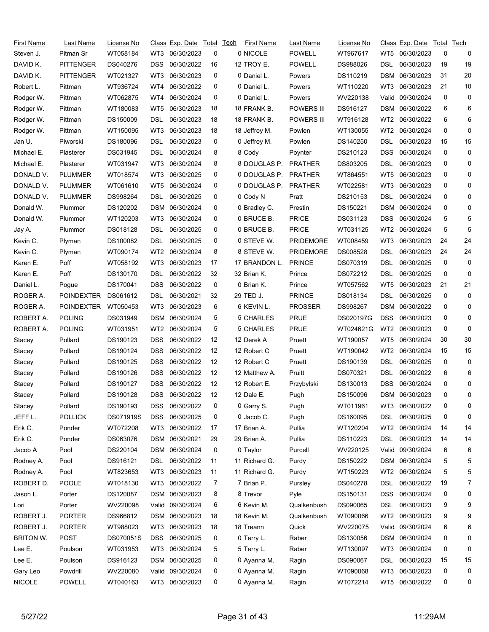| <b>First Name</b> | Last Name         | License No |            | Class Exp. Date  | Total | <b>Tech</b> | <b>First Name</b> | <u>Last Name</u> | License No |                 | Class Exp. Date  | Total        | Tech         |
|-------------------|-------------------|------------|------------|------------------|-------|-------------|-------------------|------------------|------------|-----------------|------------------|--------------|--------------|
| Steven J.         | Pitman Sr         | WT058184   | WT3        | 06/30/2023       | 0     |             | 0 NICOLE          | <b>POWELL</b>    | WT967617   | WT5             | 06/30/2023       | 0            | 0            |
| DAVID K.          | <b>PITTENGER</b>  | DS040276   | <b>DSS</b> | 06/30/2022       | 16    |             | 12 TROY E.        | <b>POWELL</b>    | DS988026   | DSL             | 06/30/2023       | 19           | 19           |
| DAVID K.          | <b>PITTENGER</b>  | WT021327   | WT3        | 06/30/2023       | 0     |             | 0 Daniel L.       | Powers           | DS110219   | DSM             | 06/30/2023       | 31           | 20           |
| Robert L.         | Pittman           | WT936724   | WT4        | 06/30/2022       | 0     |             | 0 Daniel L.       | Powers           | WT110220   | WT3             | 06/30/2023       | 21           | 10           |
| Rodger W.         | Pittman           | WT062875   | WT4        | 06/30/2024       | 0     |             | 0 Daniel L.       | Powers           | WV220138   | Valid           | 09/30/2024       | 0            | 0            |
| Rodger W.         | Pittman           | WT180083   | WT5        | 06/30/2023       | 18    |             | 18 FRANK B.       | POWERS III       | DS916127   | DSM             | 06/30/2022       | 6            | 6            |
| Rodger W.         | Pittman           | DS150009   | DSL        | 06/30/2023       | 18    |             | 18 FRANK B.       | POWERS III       | WT916128   | WT2             | 06/30/2022       | 6            | 6            |
| Rodger W.         | Pittman           | WT150095   | WT3        | 06/30/2023       | 18    |             | 18 Jeffrey M.     | Powlen           | WT130055   | WT <sub>2</sub> | 06/30/2024       | 0            | 0            |
| Jan U.            | Piworski          | DS180096   | DSL        | 06/30/2023       | 0     |             | 0 Jeffrey M.      | Powlen           | DS140250   | DSL             | 06/30/2023       | 15           | 15           |
| Michael E.        | Plasterer         | DS031945   | DSL        | 06/30/2024       | 8     |             | 8 Cody            | Poynter          | DS210123   | DSS             | 06/30/2024       | 0            | 0            |
| Michael E.        | Plasterer         | WT031947   | WT3        | 06/30/2024       | 8     |             | 8 DOUGLAS P.      | <b>PRATHER</b>   | DS803205   | DSL             | 06/30/2023       | 0            | 0            |
| DONALD V.         | <b>PLUMMER</b>    | WT018574   | WT3        | 06/30/2025       | 0     |             | 0 DOUGLAS P.      | <b>PRATHER</b>   | WT864551   | WT5             | 06/30/2023       | 0            | 0            |
| DONALD V.         | <b>PLUMMER</b>    | WT061610   | WT5        | 06/30/2024       | 0     |             | 0 DOUGLAS P.      | <b>PRATHER</b>   | WT022581   | WT3             | 06/30/2023       | 0            | 0            |
| DONALD V.         | <b>PLUMMER</b>    | DS998264   | DSL.       | 06/30/2025       | 0     |             | 0 Cody N          | Pratt            | DS210153   | DSL             | 06/30/2024       | 0            | 0            |
| Donald W.         | Plummer           | DS120202   | <b>DSM</b> | 06/30/2024       | 0     |             | 0 Bradley C.      | Prestin          | DS150221   | DSM             | 06/30/2024       | 0            | 0            |
| Donald W.         | Plummer           | WT120203   | WT3        | 06/30/2024       | 0     |             | 0 BRUCE B.        | <b>PRICE</b>     | DS031123   | DSS             | 06/30/2024       | 5            | 5            |
| Jay A.            | Plummer           | DS018128   | DSL        | 06/30/2025       | 0     |             | 0 BRUCE B.        | <b>PRICE</b>     | WT031125   | WT <sub>2</sub> | 06/30/2024       | 5            | 5            |
| Kevin C.          | Plyman            | DS100082   | DSL        | 06/30/2025       | 0     |             | 0 STEVE W.        | <b>PRIDEMORE</b> | WT008459   | WT3             | 06/30/2023       | 24           | 24           |
| Kevin C.          | Plyman            | WT090174   | WT2        | 06/30/2024       | 8     |             | 8 STEVE W.        | <b>PRIDEMORE</b> | DS008528   | DSL             | 06/30/2023       | 24           | 24           |
| Karen E.          | Poff              | WT058192   | WT3        | 06/30/2023       | 17    |             | 17 BRANDON L.     | <b>PRINCE</b>    | DS070319   | DSL             | 06/30/2025       | 0            | 0            |
| Karen E.          | Poff              | DS130170   | DSL        | 06/30/2022       | 32    |             | 32 Brian K.       | Prince           | DS072212   | DSL             | 06/30/2025       | 0            | 0            |
| Daniel L.         | Pogue             | DS170041   | <b>DSS</b> | 06/30/2022       | 0     |             | 0 Brian K.        | Prince           | WT057562   | WT5             | 06/30/2023       | 21           | 21           |
| ROGER A.          | <b>POINDEXTER</b> | DS061612   | DSL        | 06/30/2021       | 32    |             | 29 TED J.         | <b>PRINCE</b>    | DS018134   | DSL             | 06/30/2025       | 0            | 0            |
| ROGER A.          | POINDEXTER        | WT050453   | WT3        | 06/30/2023       | 6     |             | 6 KEVIN L.        | <b>PROSSER</b>   | DS998267   | DSM             | 06/30/2022       | 0            | 0            |
| ROBERT A.         | <b>POLING</b>     | DS031949   | DSM        | 06/30/2024       | 5     |             | 5 CHARLES         | <b>PRUE</b>      | DS020197G  | <b>DSS</b>      | 06/30/2023       | 0            | 0            |
| ROBERT A.         | <b>POLING</b>     | WT031951   | WT2        | 06/30/2024       | 5     |             | 5 CHARLES         | <b>PRUE</b>      | WT024621G  | WT2             | 06/30/2023       | 0            | 0            |
| Stacey            | Pollard           | DS190123   | <b>DSS</b> | 06/30/2022       | 12    |             | 12 Derek A        | Pruett           | WT190057   | WT5             | 06/30/2024       | 30           | 30           |
| Stacey            | Pollard           | DS190124   | DSS        | 06/30/2022       | 12    |             | 12 Robert C       | Pruett           | WT190042   | WT <sub>2</sub> | 06/30/2024       | 15           | 15           |
| Stacey            | Pollard           | DS190125   | <b>DSS</b> | 06/30/2022       | 12    |             | 12 Robert C       | Pruett           | DS190139   | DSL             | 06/30/2025       | 0            | 0            |
| Stacey            | Pollard           | DS190126   | <b>DSS</b> | 06/30/2022       | 12    |             | 12 Matthew A.     | Pruitt           | DS070321   | <b>DSL</b>      | 06/30/2022       | 6            | 6            |
| Stacey            | Pollard           | DS190127   | <b>DSS</b> | 06/30/2022       | 12    |             | 12 Robert E.      | Przybylski       | DS130013   | DSS             | 06/30/2024       | 0            | 0            |
| Stacey            | Pollard           | DS190128   |            | DSS 06/30/2022   | 12    |             | 12 Dale E.        | Pugh             | DS150096   |                 | DSM 06/30/2023   | <sup>n</sup> | <sup>0</sup> |
| Stacey            | Pollard           | DS190193   | DSS.       | 06/30/2022       | 0     |             | 0 Garry S.        | Pugh             | WT011961   | WT3             | 06/30/2022       | 0            | 0            |
| JEFF L.           | <b>POLLICK</b>    | DS071919S  | <b>DSS</b> | 06/30/2025       | 0     |             | 0 Jacob C.        | Pugh             | DS160095   | DSL             | 06/30/2025       | 0            | 0            |
| Erik C.           | Ponder            | WT072208   | WT3        | 06/30/2022       | 17    |             | 17 Brian A.       | Pullia           | WT120204   | WT <sub>2</sub> | 06/30/2024       | 14           | 14           |
| Erik C.           | Ponder            | DS063076   |            | DSM 06/30/2021   | 29    |             | 29 Brian A.       | Pullia           | DS110223   | DSL             | 06/30/2023       | 14           | 14           |
| Jacob A           | Pool              | DS220104   |            | DSM 06/30/2024   | 0     |             | 0 Taylor          | Purcell          | WV220125   |                 | Valid 09/30/2024 | 6            | 6            |
| Rodney A.         | Pool              | DS916121   | DSL        | 06/30/2022       | 11    |             | 11 Richard G.     | Purdy            | DS150222   | DSM             | 06/30/2024       | 5            | 5            |
| Rodney A.         | Pool              | WT823653   | WT3        | 06/30/2023       | 11    |             | 11 Richard G.     | Purdy            | WT150223   | WT2             | 06/30/2024       | 5            | 5            |
| ROBERT D.         | POOLE             | WT018130   | WT3        | 06/30/2022       | 7     |             | 7 Brian P.        | Pursley          | DS040278   | DSL             | 06/30/2022       | 19           | 7            |
| Jason L.          | Porter            | DS120087   |            | DSM 06/30/2023   | 8     |             | 8 Trevor          | Pyle             | DS150131   | DSS             | 06/30/2024       | 0            | 0            |
| Lori              | Porter            | WV220098   |            | Valid 09/30/2024 | 6     |             | 6 Kevin M.        | Qualkenbush      | DS090065   | <b>DSL</b>      | 06/30/2023       | 9            | 9            |
| ROBERT J.         | <b>PORTER</b>     | DS966812   |            | DSM 06/30/2023   | 18    |             | 18 Kevin M.       | Qualkenbush      | WT090066   | WT2             | 06/30/2023       | 9            | 9            |
| ROBERT J.         | <b>PORTER</b>     | WT988023   | WT3        | 06/30/2023       | 18    |             | 18 Treann         | Quick            | WV220075   |                 | Valid 09/30/2024 | 6            | 6            |
| <b>BRITON W.</b>  | <b>POST</b>       | DS070051S  | <b>DSS</b> | 06/30/2025       | 0     |             | 0 Terry L.        | Raber            | DS130056   | <b>DSM</b>      | 06/30/2024       | 0            | 0            |
| Lee E.            | Poulson           | WT031953   | WT3        | 06/30/2024       | 5     |             | 5 Terry L.        | Raber            | WT130097   | WT3             | 06/30/2024       | 0            | 0            |
| Lee E.            | Poulson           | DS916123   |            | DSM 06/30/2025   | 0     |             | 0 Ayanna M.       | Ragin            | DS090067   | DSL             | 06/30/2023       | 15           | 15           |
| Gary Leo          | Powdrill          | WV220080   |            | Valid 09/30/2024 | 0     |             | 0 Ayanna M.       | Ragin            | WT090068   | WT3             | 06/30/2023       | 0            | 0            |
| <b>NICOLE</b>     | <b>POWELL</b>     | WT040163   |            | WT3 06/30/2023   | 0     |             | 0 Ayanna M.       | Ragin            | WT072214   | WT5             | 06/30/2022       | 0            | 0            |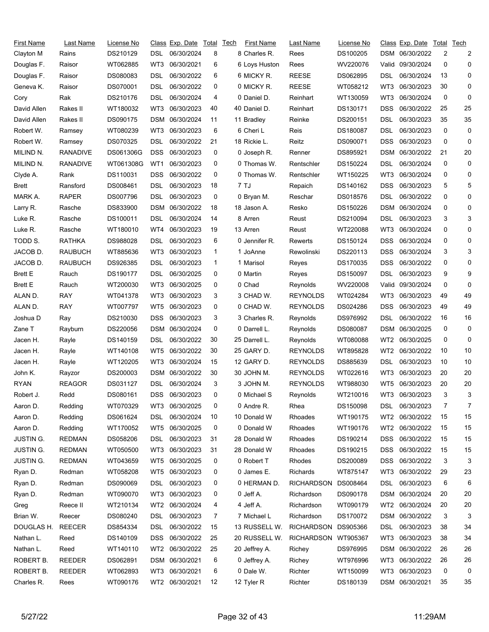| First Name            | Last Name       | License No |            | Class Exp. Date | Total | Tech | First Name    | Last Name         | License No |                 | <u>Class</u> Exp. Date | Total | Tech           |
|-----------------------|-----------------|------------|------------|-----------------|-------|------|---------------|-------------------|------------|-----------------|------------------------|-------|----------------|
| Clayton M             | Rains           | DS210129   | DSL.       | 06/30/2024      | 8     |      | 8 Charles R.  | Rees              | DS100205   | DSM             | 06/30/2022             | 2     | $\overline{2}$ |
| Douglas F.            | Raisor          | WT062885   | WT3        | 06/30/2021      | 6     |      | 6 Loys Huston | Rees              | WV220076   | Valid           | 09/30/2024             | 0     | 0              |
| Douglas F.            | Raisor          | DS080083   | DSL        | 06/30/2022      | 6     |      | 6 MICKY R.    | <b>REESE</b>      | DS062895   | DSL             | 06/30/2024             | 13    | 0              |
| Geneva K.             | Raisor          | DS070001   | DSL        | 06/30/2022      | 0     |      | 0 MICKY R.    | <b>REESE</b>      | WT058212   | WT3             | 06/30/2023             | 30    | 0              |
| Cory                  | Rak             | DS210176   | DSL        | 06/30/2024      | 4     |      | 0 Daniel D.   | Reinhart          | WT130059   | WT3             | 06/30/2024             | 0     | 0              |
| David Allen           | Rakes II        | WT180032   | WT3        | 06/30/2023      | 40    |      | 40 Daniel D.  | Reinhart          | DS130171   | DSS             | 06/30/2022             | 25    | 25             |
| David Allen           | Rakes II        | DS090175   | DSM        | 06/30/2024      | 11    |      | 11 Bradley    | Reinke            | DS200151   | DSL             | 06/30/2023             | 35    | 35             |
| Robert W.             | Ramsey          | WT080239   | WT3        | 06/30/2023      | 6     |      | 6 Cheri L     | Reis              | DS180087   | DSL             | 06/30/2023             | 0     | 0              |
| Robert W.             | Ramsey          | DS070325   | DSL        | 06/30/2022      | 21    |      | 18 Rickie L.  | Reitz             | DS090071   | <b>DSS</b>      | 06/30/2023             | 0     | 0              |
| MILIND <sub>N</sub> . | <b>RANADIVE</b> | DS061306G  | <b>DSS</b> | 06/30/2023      | 0     |      | 0 Joseph R.   | Renner            | DS895921   | <b>DSM</b>      | 06/30/2022             | 21    | 20             |
| MILIND N.             | <b>RANADIVE</b> | WT061308G  | WT1        | 06/30/2023      | 0     |      | 0 Thomas W.   | Rentschler        | DS150224   | DSL             | 06/30/2024             | 0     | 0              |
| Clyde A.              | Rank            | DS110031   | <b>DSS</b> | 06/30/2022      | 0     |      | 0 Thomas W.   | Rentschler        | WT150225   | WT3             | 06/30/2024             | 0     | 0              |
| Brett                 | Ransford        | DS008461   | DSL        | 06/30/2023      | 18    |      | 7 TJ          | Repaich           | DS140162   | <b>DSS</b>      | 06/30/2023             | 5     | 5              |
| MARK A.               | <b>RAPER</b>    | DS007796   | DSL        | 06/30/2023      | 0     |      | 0 Bryan M.    | Reschar           | DS018576   | DSL             | 06/30/2022             | 0     | 0              |
| Larry R.              | Rasche          | DS833900   | <b>DSM</b> | 06/30/2022      | 18    |      | 18 Jason A.   | Resko             | DS150226   | <b>DSM</b>      | 06/30/2024             | 0     | 0              |
| Luke R.               | Rasche          | DS100011   | DSL        | 06/30/2024      | 14    |      | 8 Arren       | Reust             | DS210094   | DSL             | 06/30/2023             | 3     | 3              |
| Luke R.               | Rasche          | WT180010   | WT4        | 06/30/2023      | 19    |      | 13 Arren      | Reust             | WT220088   | WT3             | 06/30/2024             | 0     | 0              |
| TODD S.               | RATHKA          | DS988028   | DSL        | 06/30/2023      | 6     |      | 0 Jennifer R. | Rewerts           | DS150124   | <b>DSS</b>      | 06/30/2024             | 0     | 0              |
| JACOB D.              | RAUBUCH         | WT885636   | WT3        | 06/30/2023      | 1     |      | 1 JoAnne      | Rewolinski        | DS220113   | DSS             | 06/30/2024             | 3     | 3              |
| JACOB D.              | <b>RAUBUCH</b>  | DS926385   | DSL        | 06/30/2023      | 1     |      | 1 Marisol     | Reyes             | DS170035   | <b>DSS</b>      | 06/30/2022             | 0     | 0              |
| <b>Brett E</b>        | Rauch           | DS190177   | DSL        | 06/30/2025      | 0     |      | 0 Martin      | Reyes             | DS150097   | DSL             | 06/30/2023             | 9     | 9              |
| <b>Brett E</b>        | Rauch           | WT200030   | WT3        | 06/30/2025      | 0     |      | 0 Chad        | Reynolds          | WV220008   | Valid           | 09/30/2024             | 0     | 0              |
| ALAN D.               | RAY             | WT041378   | WT3        | 06/30/2023      | 3     |      | 3 CHAD W.     | <b>REYNOLDS</b>   | WT024284   | WT3             | 06/30/2023             | 49    | 49             |
| ALAN D.               | RAY             | WT007797   | WT5        | 06/30/2023      | 0     |      | 0 CHAD W.     | <b>REYNOLDS</b>   | DS024286   | DSS             | 06/30/2023             | 49    | 49             |
| Joshua D              | Ray             | DS210030   | <b>DSS</b> | 06/30/2023      | 3     |      | 3 Charles R.  | Reynolds          | DS976992   | DSL             | 06/30/2022             | 16    | 16             |
| Zane T                | Rayburn         | DS220056   | DSM        | 06/30/2024      | 0     |      | 0 Darrell L.  | Reynolds          | DS080087   | <b>DSM</b>      | 06/30/2025             | 0     | 0              |
| Jacen H.              | Rayle           | DS140159   | DSL        | 06/30/2022      | 30    |      | 25 Darrell L. | Reynolds          | WT080088   | WT2             | 06/30/2025             | 0     | 0              |
| Jacen H.              | Rayle           | WT140108   | WT5        | 06/30/2022      | 30    |      | 25 GARY D.    | <b>REYNOLDS</b>   | WT895828   | WT <sub>2</sub> | 06/30/2022             | 10    | 10             |
| Jacen H.              | Rayle           | WT120205   | WT3        | 06/30/2024      | 15    |      | 12 GARY D.    | <b>REYNOLDS</b>   | DS885639   | DSL             | 06/30/2023             | 10    | 10             |
| John K.               | Rayzor          | DS200003   | DSM        | 06/30/2022      | 30    |      | 30 JOHN M.    | <b>REYNOLDS</b>   | WT022616   | WT3             | 06/30/2023             | 20    | 20             |
| <b>RYAN</b>           | <b>REAGOR</b>   | DS031127   | DSL        | 06/30/2024      | 3     |      | 3 JOHN M.     | <b>REYNOLDS</b>   | WT988030   | WT5             | 06/30/2023             | 20    | 20             |
| Robert J.             | Redd            | DS080161   |            | DSS 06/30/2023  | 0     |      | 0 Michael S   | Reynolds          | WT210016   |                 | WT3 06/30/2023         | 3     | 3              |
| Aaron D.              | Redding         | WT070329   | WT3        | 06/30/2025      | 0     |      | 0 Andre R.    | Rhea              | DS150098   | DSL             | 06/30/2023             | 7     | 7              |
| Aaron D.              | Redding         | DS061624   | DSL.       | 06/30/2024      | 10    |      | 10 Donald W   | Rhoades           | WT190175   | WT2             | 06/30/2022             | 15    | 15             |
| Aaron D.              | Redding         | WT170052   | WT5        | 06/30/2025      | 0     |      | 0 Donald W    | Rhoades           | WT190176   | WT2             | 06/30/2022             | 15    | 15             |
| <b>JUSTIN G.</b>      | <b>REDMAN</b>   | DS058206   | DSL        | 06/30/2023      | 31    |      | 28 Donald W   | Rhoades           | DS190214   | <b>DSS</b>      | 06/30/2022             | 15    | 15             |
| <b>JUSTIN G.</b>      | <b>REDMAN</b>   | WT050500   | WT3        | 06/30/2023      | 31    |      | 28 Donald W   | Rhoades           | DS190215   | <b>DSS</b>      | 06/30/2022             | 15    | 15             |
| JUSTIN G.             | <b>REDMAN</b>   | WT043659   | WT5        | 06/30/2025      | 0     |      | 0 Robert T    | Rhodes            | DS200089   | <b>DSS</b>      | 06/30/2022             | 3     | 3              |
| Ryan D.               | Redman          | WT058208   | WT5        | 06/30/2023      | 0     |      | 0 James E.    | Richards          | WT875147   | WT3             | 06/30/2022             | 29    | 23             |
| Ryan D.               | Redman          | DS090069   | DSL.       | 06/30/2023      | 0     |      | 0 HERMAN D.   | <b>RICHARDSON</b> | DS008464   | DSL             | 06/30/2023             | 6     | 6              |
| Ryan D.               | Redman          | WT090070   | WT3        | 06/30/2023      | 0     |      | 0 Jeff A.     | Richardson        | DS090178   | DSM             | 06/30/2024             | 20    | 20             |
| Greg                  | Reece II        | WT210134   |            | WT2 06/30/2024  | 4     |      | 4 Jeff A.     | Richardson        | WT090179   | WT2             | 06/30/2024             | 20    | 20             |
| Brian W.              | Reecer          | DS080240   | <b>DSL</b> | 06/30/2023      | 7     |      | 7 Michael L   | Richardson        | DS170072   | <b>DSM</b>      | 06/30/2022             | 3     | 3              |
| DOUGLAS H.            | <b>REECER</b>   | DS854334   | DSL        | 06/30/2022      | 15    |      | 13 RUSSELL W. | RICHARDSON        | DS905366   | DSL.            | 06/30/2023             | 38    | 34             |
| Nathan L.             | Reed            | DS140109   | <b>DSS</b> | 06/30/2022      | 25    |      | 20 RUSSELL W. | <b>RICHARDSON</b> | WT905367   | WT3             | 06/30/2023             | 38    | 34             |
| Nathan L.             | Reed            | WT140110   |            | WT2 06/30/2022  | 25    |      | 20 Jeffrey A. | Richey            | DS976995   | <b>DSM</b>      | 06/30/2022             | 26    | 26             |
| ROBERT B.             | <b>REEDER</b>   | DS062891   |            | DSM 06/30/2021  | 6     |      | 0 Jeffrey A.  | Richey            | WT976996   | WT3             | 06/30/2022             | 26    | 26             |
| ROBERT B.             | <b>REEDER</b>   | WT062893   | WT3        | 06/30/2021      | 6     |      | 0 Dale W.     | Richter           | WT150099   | WT3             | 06/30/2023             | 0     | 0              |
| Charles R.            | Rees            | WT090176   |            | WT2 06/30/2021  | 12    |      | 12 Tyler R    | Richter           | DS180139   |                 | DSM 06/30/2021         | 35    | 35             |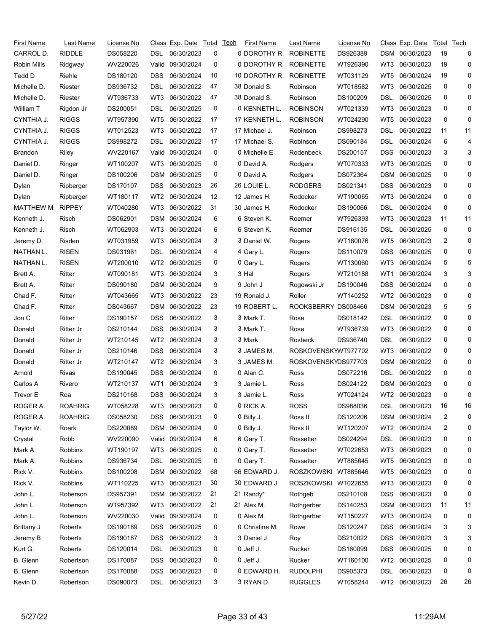| First Name     | Last Name      | License No |                 | Class Exp. Date  | Total | Tech | <b>First Name</b> | Last Name           | License No |                 | Class Exp. Date | Total        | Tech         |
|----------------|----------------|------------|-----------------|------------------|-------|------|-------------------|---------------------|------------|-----------------|-----------------|--------------|--------------|
| CARROL D.      | <b>RIDDLE</b>  | DS058220   | DSL             | 06/30/2023       | 0     |      | 0 DOROTHY R.      | <b>ROBINETTE</b>    | DS926389   |                 | DSM 06/30/2023  | 19           | 0            |
| Robin Mills    | Ridgway        | WV220026   | Valid           | 09/30/2024       | 0     |      | 0 DOROTHY R.      | <b>ROBINETTE</b>    | WT926390   | WT3             | 06/30/2023      | 19           | 0            |
| Tedd D         | Riehle         | DS180120   | DSS             | 06/30/2024       | 10    |      | 10 DOROTHY R.     | <b>ROBINETTE</b>    | WT031129   | WT5             | 06/30/2024      | 19           | 0            |
| Michelle D.    | Riester        | DS936732   | DSL             | 06/30/2022       | 47    |      | 38 Donald S.      | Robinson            | WT018582   | WT3             | 06/30/2025      | 0            | 0            |
| Michelle D.    | Riester        | WT936733   | WT3             | 06/30/2022       | 47    |      | 38 Donald S.      | Robinson            | DS100209   | DSL             | 06/30/2025      | 0            | 0            |
| William T      | Rigdon Jr      | DS200051   | DSL             | 06/30/2025       | 0     |      | 0 KENNETH L.      | <b>ROBINSON</b>     | WT021339   | WT3             | 06/30/2023      | 0            | 0            |
| CYNTHIA J.     | <b>RIGGS</b>   | WT957390   | WT5             | 06/30/2022       | 17    |      | 17 KENNETH L.     | <b>ROBINSON</b>     | WT024290   | WT5             | 06/30/2023      | 0            | 0            |
| CYNTHIA J.     | <b>RIGGS</b>   | WT012523   | WT3             | 06/30/2022       | 17    |      | 17 Michael J.     | Robinson            | DS998273   | DSL             | 06/30/2022      | 11           | 11           |
| CYNTHIA J.     | <b>RIGGS</b>   | DS998272   | DSL             | 06/30/2022       | 17    |      | 17 Michael S.     | Robinson            | DS090184   | DSL             | 06/30/2024      | 6            | 4            |
| <b>Brandon</b> | Riley          | WV220167   | Valid           | 09/30/2024       | 0     |      | 0 Michelle E      | Rodenbeck           | DS200157   | DSS             | 06/30/2023      | 3            | 3            |
| Daniel D.      | Ringer         | WT100207   | WT3             | 06/30/2025       | 0     |      | 0 David A.        | Rodgers             | WT070333   | WT3             | 06/30/2025      | 0            | 0            |
| Daniel D.      | Ringer         | DS100206   | DSM             | 06/30/2025       | 0     |      | 0 David A.        | Rodgers             | DS072364   | DSM             | 06/30/2025      | 0            | 0            |
| Dylan          | Ripberger      | DS170107   | DSS.            | 06/30/2023       | 26    |      | 26 LOUIE L.       | <b>RODGERS</b>      | DS021341   | <b>DSS</b>      | 06/30/2023      | 0            | 0            |
| Dylan          | Ripberger      | WT180117   | WT2             | 06/30/2024       | 12    |      | 12 James H.       | Rodocker            | WT190065   | WT3             | 06/30/2024      | 0            | 0            |
| MATTHEW M.     | <b>RIPPEY</b>  | WT040280   | WT3             | 06/30/2022       | 31    |      | 30 James H.       | Rodocker            | DS190066   | DSL             | 06/30/2024      | 0            | 0            |
| Kenneth J.     | Risch          | DS062901   | DSM             | 06/30/2024       | 6     |      | 6 Steven K.       | Roemer              | WT926393   | WT3             | 06/30/2023      | 11           | 11           |
| Kenneth J.     | Risch          | WT062903   | WT3             | 06/30/2024       | 6     |      | 6 Steven K.       | Roemer              | DS916135   | DSL             | 06/30/2025      | 0            | 0            |
| Jeremy D.      | Risden         | WT031959   | WT3             | 06/30/2024       | 3     |      | 3 Daniel W.       | Rogers              | WT180076   | WT5             | 06/30/2023      | 2            | 0            |
| NATHAN L.      | <b>RISEN</b>   | DS031961   | DSL             | 06/30/2024       | 4     |      | 4 Gary L.         | Rogers              | DS110079   | DSS             | 06/30/2025      | 0            | 0            |
| NATHAN L.      | <b>RISEN</b>   | WT200010   | WT2             | 06/30/2025       | 0     |      | 0 Gary L.         | Rogers              | WT130060   | WT3             | 06/30/2024      | 5            | 5            |
| Brett A.       | Ritter         | WT090181   | WT3             | 06/30/2024       | 3     |      | 3 Hal             | Rogers              | WT210188   | WT1             | 06/30/2024      | 3            | 3            |
| Brett A.       | Ritter         | DS090180   | DSM             | 06/30/2024       | 9     |      | 9 John J          | Rogowski Jr         | DS190046   | DSS             | 06/30/2024      | 0            | 0            |
| Chad F.        | Ritter         | WT043665   | WT3             | 06/30/2022       | 23    |      | 19 Ronald J.      | Roller              | WT140252   | WT2             | 06/30/2023      | 0            | 0            |
| Chad F.        | Ritter         | DS043667   | <b>DSM</b>      | 06/30/2022       | 23    |      | 19 ROBERT L.      | <b>ROOKSBERRY</b>   | DS008466   | DSM             | 06/30/2023      | 5            | 5            |
| Jon C          | Ritter         | DS190157   | <b>DSS</b>      | 06/30/2022       | 3     |      | 3 Mark T.         | Rose                | DS018142   | DSL             | 06/30/2022      | 0            | 0            |
| Donald         | Ritter Jr      | DS210144   | <b>DSS</b>      | 06/30/2024       | 3     |      | 3 Mark T.         | Rose                | WT936739   | WT3             | 06/30/2022      | 0            | 0            |
| Donald         | Ritter Jr      | WT210145   | WT <sub>2</sub> | 06/30/2024       | 3     |      | 3 Mark            | Rosheck             | DS936740   | DSL             | 06/30/2022      | 0            | 0            |
| Donald         | Ritter Jr      | DS210146   | <b>DSS</b>      | 06/30/2024       | 3     |      | 3 JAMES M.        | ROSKOVENSKYWT977702 |            | WT <sub>3</sub> | 06/30/2022      | 0            | 0            |
| Donald         | Ritter Jr      | WT210147   | WT2             | 06/30/2024       | 3     |      | 3 JAMES M.        | ROSKOVENSKYDS977703 |            | DSM             | 06/30/2022      | 0            | 0            |
| Arnold         | Rivas          | DS190045   | DSS             | 06/30/2024       | 0     |      | 0 Alan C.         | Ross                | DS072216   | DSL             | 06/30/2022      | 0            | 0            |
| Carlos A       | Rivero         | WT210137   | WT1             | 06/30/2024       | 3     |      | 3 Jamie L.        | Ross                | DS024122   |                 | DSM 06/30/2023  | 0            | 0            |
| Trevor E       | Roa            | DS210168   |                 | DSS 06/30/2024   | 3     |      | 3 Jamie L.        | Ross                | WT024124   |                 | WT2 06/30/2023  | <sup>n</sup> | <sup>0</sup> |
| ROGER A.       | <b>ROAHRIG</b> | WT058228   | WT3             | 06/30/2023       | 0     |      | 0 RICK A.         | ROSS                | DS988036   | DSL.            | 06/30/2023      | 16           | 16           |
| ROGER A.       | <b>ROAHRIG</b> | DS058230   | <b>DSS</b>      | 06/30/2023       | 0     |      | 0 Billy J.        | Ross II             | DS120206   |                 | DSM 06/30/2024  | 2            | 0            |
| Taylor W.      | Roark          | DS220089   | DSM             | 06/30/2024       | 0     |      | 0 Billy J.        | Ross II             | WT120207   | WT <sub>2</sub> | 06/30/2024      | 2            | 0            |
| Crystal        | Robb           | WV220090   |                 | Valid 09/30/2024 | 6     |      | 6 Gary T.         | Rossetter           | DS024294   | DSL             | 06/30/2023      | 0            | 0            |
| Mark A.        | Robbins        | WT190197   | WT3             | 06/30/2025       | 0     |      | 0 Gary T.         | Rossetter           | WT022653   | WT3             | 06/30/2023      | 0            | 0            |
| Mark A.        | Robbins        | DS936734   | DSL.            | 06/30/2025       | 0     |      | 0 Gary T.         | Rossetter           | WT885645   | WT5             | 06/30/2023      | 0            | 0            |
| Rick V.        | Robbins        | DS100208   |                 | DSM 06/30/2022   | 68    |      | 66 EDWARD J.      | ROSZKOWSKI WT885646 |            | WT5             | 06/30/2023      | 0            | 0            |
| Rick V.        | Robbins        | WT110225   | WT3             | 06/30/2023       | 30    |      | 30 EDWARD J.      | <b>ROSZKOWSKI</b>   | WT022655   | WT3             | 06/30/2023      | 0            | 0            |
| John L.        | Roberson       | DS957391   |                 | DSM 06/30/2022   | 21    |      | 21 Randy*         | Rothgeb             | DS210108   | DSS             | 06/30/2023      | 0            | 0            |
| John L.        | Roberson       | WT957392   | WT3             | 06/30/2022       | 21    |      | 21 Alex M.        | Rothgerber          | DS140253   | DSM             | 06/30/2023      | 11           | 11           |
| John L.        | Roberson       | WV220030   |                 | Valid 09/30/2024 | 0     |      | 0 Alex M.         | Rothgerber          | WT150227   | WT3             | 06/30/2024      | 0            | 0            |
| Brittany J     | Roberts        | DS190189   | DSS.            | 06/30/2025       | 0     |      | 0 Christine M.    | Rowe                | DS120247   | DSS             | 06/30/2024      | 3            | 3            |
| Jeremy B       | Roberts        | DS190187   | <b>DSS</b>      | 06/30/2022       | 3     |      | 3 Daniel J        | Roy                 | DS210022   | DSS             | 06/30/2023      | 3            | 3            |
| Kurt G.        | Roberts        | DS120014   | DSL.            | 06/30/2023       | 0     |      | 0 Jeff J.         | Rucker              | DS160099   | DSS             | 06/30/2025      | 0            | 0            |
| B. Glenn       | Robertson      | DS170087   | <b>DSS</b>      | 06/30/2023       | 0     |      | 0 Jeff J.         | Rucker              | WT160100   | WT <sub>2</sub> | 06/30/2025      | 0            | 0            |
| B. Glenn       | Robertson      | DS170088   | <b>DSS</b>      | 06/30/2023       | 0     |      | 0 EDWARD H.       | <b>RUDOLPHI</b>     | DS905373   | <b>DSL</b>      | 06/30/2023      | 0            | 0            |
| Kevin D.       | Robertson      | DS090073   | DSL             | 06/30/2023       | 3     |      | 3 RYAN D.         | <b>RUGGLES</b>      | WT058244   | WT2             | 06/30/2023      | 26           | 26           |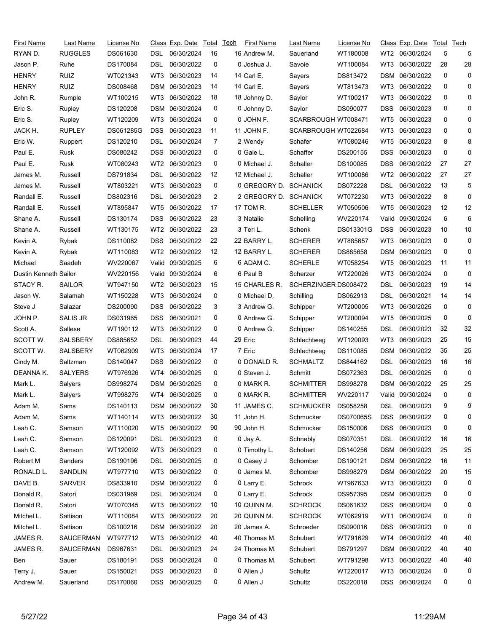| First Name            | Last Name       | License No |                 | Class Exp. Date | Total | <b>Tech</b> | First Name            | Last Name            | License No |                 | Class Exp. Date  | Total    | Tech |
|-----------------------|-----------------|------------|-----------------|-----------------|-------|-------------|-----------------------|----------------------|------------|-----------------|------------------|----------|------|
| RYAN D.               | <b>RUGGLES</b>  | DS061630   | DSL             | 06/30/2024      | 16    |             | 16 Andrew M.          | Sauerland            | WT180008   | WT2             | 06/30/2024       | 5        | 5    |
| Jason P.              | Ruhe            | DS170084   | DSL             | 06/30/2022      | 0     |             | 0 Joshua J.           | Savoie               | WT100084   | WT3             | 06/30/2022       | 28       | 28   |
| <b>HENRY</b>          | <b>RUIZ</b>     | WT021343   | WT3             | 06/30/2023      | 14    |             | 14 Carl E.            | Sayers               | DS813472   | DSM             | 06/30/2022       | 0        | 0    |
| <b>HENRY</b>          | <b>RUIZ</b>     | DS008468   | <b>DSM</b>      | 06/30/2023      | 14    |             | 14 Carl E.            | Sayers               | WT813473   | WT3             | 06/30/2022       | 0        | 0    |
| John R.               | Rumple          | WT100215   | WT3             | 06/30/2022      | 18    |             | 18 Johnny D.          | Saylor               | WT100217   | WT3             | 06/30/2022       | 0        | 0    |
| Eric S.               | Rupley          | DS120208   | DSM             | 06/30/2024      | 0     |             | 0 Johnny D.           | Saylor               | DS090077   | DSS             | 06/30/2023       | 0        | 0    |
| Eric S.               | Rupley          | WT120209   | WT3             | 06/30/2024      | 0     |             | 0 JOHN F.             | SCARBROUGH WT008471  |            | WT5             | 06/30/2023       | 0        | 0    |
| JACK H.               | <b>RUPLEY</b>   | DS061285G  | <b>DSS</b>      | 06/30/2023      | 11    |             | 11 JOHN F.            | SCARBROUGH WT022684  |            | WT3             | 06/30/2023       | 0        | 0    |
| Eric W.               | Ruppert         | DS120210   | DSL             | 06/30/2024      | 7     |             | 2 Wendy               | Schafer              | WT080246   | WT5             | 06/30/2023       | 8        | 8    |
| Paul E.               | Rusk            | DS080242   | <b>DSS</b>      | 06/30/2023      | 0     |             | 0 Gale L.             | Schaffer             | DS200155   | DSS             | 06/30/2023       | 0        | 0    |
| Paul E.               | Rusk            | WT080243   | WT <sub>2</sub> | 06/30/2023      | 0     |             | 0 Michael J.          | Schaller             | DS100085   | DSS             | 06/30/2022       | 27       | 27   |
| James M.              | Russell         | DS791834   | DSL             | 06/30/2022      | 12    |             | 12 Michael J.         | Schaller             | WT100086   | WT <sub>2</sub> | 06/30/2022       | 27       | 27   |
| James M.              | Russell         | WT803221   | WT3             | 06/30/2023      | 0     |             | 0 GREGORY D. SCHANICK |                      | DS072228   | <b>DSL</b>      | 06/30/2022       | 13       | 5    |
| Randall E.            | Russell         | DS802316   | DSL             | 06/30/2023      | 2     |             | 2 GREGORY D. SCHANICK |                      | WT072230   | WT3             | 06/30/2022       | 8        | 0    |
| Randall E.            | Russell         | WT895847   | WT <sub>5</sub> | 06/30/2022      | 17    |             | 17 TOM R.             | <b>SCHELLER</b>      | WT050506   | WT5             | 06/30/2023       | 12       | 12   |
| Shane A.              | Russell         | DS130174   | DSS             | 06/30/2022      | 23    |             | 3 Natalie             | Schelling            | WV220174   | Valid.          | 09/30/2024       | 6        | 6    |
| Shane A.              | Russell         | WT130175   | WT2             | 06/30/2022      | 23    |             | 3 Teri L.             | Schenk               | DS013301G  | <b>DSS</b>      | 06/30/2023       | 10       | 10   |
| Kevin A.              | Rybak           | DS110082   | <b>DSS</b>      | 06/30/2022      | 22    |             | 22 BARRY L.           | <b>SCHERER</b>       | WT885657   | WT3             | 06/30/2023       | 0        | 0    |
| Kevin A.              | Rybak           | WT110083   | WT2             | 06/30/2022      | 12    |             | 12 BARRY L.           | <b>SCHERER</b>       | DS885658   | DSM             | 06/30/2023       | 0        | 0    |
| Michael               | Saadeh          | WV220067   | Valid           | 09/30/2025      | 6     |             | 6 ADAM C.             | <b>SCHERLE</b>       | WT058254   | WT5             | 06/30/2023       | 11       | 11   |
| Dustin Kenneth Sailor |                 | WV220156   | Valid           | 09/30/2024      | 6     |             | 6 Paul B              | Scherzer             | WT220026   | WT3             | 06/30/2024       | 0        | 0    |
| STACY R.              | <b>SAILOR</b>   | WT947150   | WT2             | 06/30/2023      | 15    |             | 15 CHARLES R.         | SCHERZINGER DS008472 |            | DSL             | 06/30/2023       | 19       | 14   |
| Jason W.              | Salamah         | WT150228   | WT3             | 06/30/2024      | 0     |             | 0 Michael D.          | Schilling            | DS062913   | DSL             | 06/30/2021       | 14       | 14   |
| Steve J               | Salazar         | DS200090   | <b>DSS</b>      | 06/30/2022      | 3     |             | 3 Andrew G.           | Schipper             | WT200005   | WT3             | 06/30/2025       | 0        | 0    |
| JOHN P.               | <b>SALIS JR</b> | DS031965   | <b>DSS</b>      | 06/30/2021      | 0     |             | 0 Andrew G.           | Schipper             | WT200094   | WT5             | 06/30/2025       | 0        | 0    |
| Scott A.              | Sallese         | WT190112   | WT3             | 06/30/2022      | 0     |             | 0 Andrew G.           | Schipper             | DS140255   | DSL             | 06/30/2023       | 32       | 32   |
| SCOTT W.              | <b>SALSBERY</b> | DS885652   | DSL             | 06/30/2023      | 44    |             | 29 Eric               | Schlechtweg          | WT120093   | WT3             | 06/30/2023       | 25       | 15   |
| SCOTT W.              | <b>SALSBERY</b> | WT062909   | WT3             | 06/30/2024      | 17    |             | 7 Eric                | Schlechtweg          | DS110085   | <b>DSM</b>      | 06/30/2022       | 35       | 25   |
| Cindy M.              | Saltzman        | DS140047   | DSS             | 06/30/2022      | 0     |             | 0 DONALD R.           | <b>SCHMALTZ</b>      | DS844162   | DSL             | 06/30/2023       | 16       | 16   |
| DEANNA K.             | <b>SALYERS</b>  | WT976926   | WT4             | 06/30/2025      | 0     |             | 0 Steven J.           | Schmitt              | DS072363   | DSL             | 06/30/2025       | 0        | 0    |
| Mark L.               | Salyers         | DS998274   |                 | DSM 06/30/2025  | 0     |             | 0 MARK R.             | <b>SCHMITTER</b>     | DS998278   |                 | DSM 06/30/2022   | 25       | 25   |
| Mark L.               | Salyers         | WT998275   |                 | WT4 06/30/2025  | 0     |             | 0 MARK R.             | <b>SCHMITTER</b>     | WV220117   |                 | Valid 09/30/2024 | $\Omega$ | 0    |
| Adam M.               | Sams            | DS140113   |                 | DSM 06/30/2022  | 30    |             | 11 JAMES C.           | <b>SCHMUCKER</b>     | DS058258   | DSL             | 06/30/2023       | 9        | 9    |
| Adam M.               | Sams            | WT140114   | WT3             | 06/30/2022      | 30    |             | 11 John H.            | Schmucker            | DS070065S  | DSS             | 06/30/2022       | 0        | 0    |
| Leah C.               | Samson          | WT110020   | WT5             | 06/30/2022      | 90    |             | 90 John H.            | Schmucker            | DS150006   | DSS             | 06/30/2023       | 0        | 0    |
| Leah C.               | Samson          | DS120091   | DSL             | 06/30/2023      | 0     |             | 0 Jay A.              | Schnebly             | DS070351   | DSL             | 06/30/2022       | 16       | 16   |
| Leah C.               | Samson          | WT120092   | WT3             | 06/30/2023      | 0     |             | 0 Timothy L.          | Schobert             | DS140256   |                 | DSM 06/30/2023   | 25       | 25   |
| Robert M              | Sanders         | DS190196   | DSL             | 06/30/2025      | 0     |             | 0 Casey J             | Schomber             | DS190121   | DSM             | 06/30/2022       | 16       | 11   |
| RONALD L.             | SANDLIN         | WT977710   | WT3             | 06/30/2022      | 0     |             | 0 James M.            | Schomber             | DS998279   | DSM             | 06/30/2022       | 20       | 15   |
| DAVE B.               | <b>SARVER</b>   | DS833910   |                 | DSM 06/30/2022  | 0     |             | 0 Larry E.            | Schrock              | WT967633   | WT3             | 06/30/2023       | 0        | 0    |
| Donald R.             | Satori          | DS031969   | DSL             | 06/30/2024      | 0     |             | 0 Larry E.            | Schrock              | DS957395   | DSM             | 06/30/2025       | 0        | 0    |
| Donald R.             | Satori          | WT070345   | WT3             | 06/30/2022      | 10    |             | 10 QUINN M.           | <b>SCHROCK</b>       | DS061632   | <b>DSS</b>      | 06/30/2024       | 0        | 0    |
| Mitchel L.            | Sattison        | WT110084   | WT3             | 06/30/2022      | 20    |             | 20 QUINN M.           | <b>SCHROCK</b>       | WT062919   | WT1             | 06/30/2024       | 0        | 0    |
| Mitchel L.            | Sattison        | DS100216   |                 | DSM 06/30/2022  | 20    |             | 20 James A.           | Schroeder            | DS090016   | DSS             | 06/30/2023       | 0        | 0    |
| JAMES R.              | SAUCERMAN       | WT977712   | WT3             | 06/30/2022      | 40    |             | 40 Thomas M.          | Schubert             | WT791629   | WT4             | 06/30/2022       | 40       | 40   |
| JAMES R.              | SAUCERMAN       | DS967631   | DSL.            | 06/30/2023      | 24    |             | 24 Thomas M.          | Schubert             | DS791297   | DSM             | 06/30/2022       | 40       | 40   |
| Ben                   | Sauer           | DS180191   | <b>DSS</b>      | 06/30/2024      | 0     |             | 0 Thomas M.           | Schubert             | WT791298   | WT3             | 06/30/2022       | 40       | 40   |
| Terry J.              | Sauer           | DS150021   | <b>DSS</b>      | 06/30/2023      | 0     |             | 0 Allen J             | Schultz              | WT220017   | WT3             | 06/30/2024       | 0        | 0    |
| Andrew M.             | Sauerland       | DS170060   |                 | DSS 06/30/2025  | 0     |             | 0 Allen J             | Schultz              | DS220018   |                 | DSS 06/30/2024   | 0        | 0    |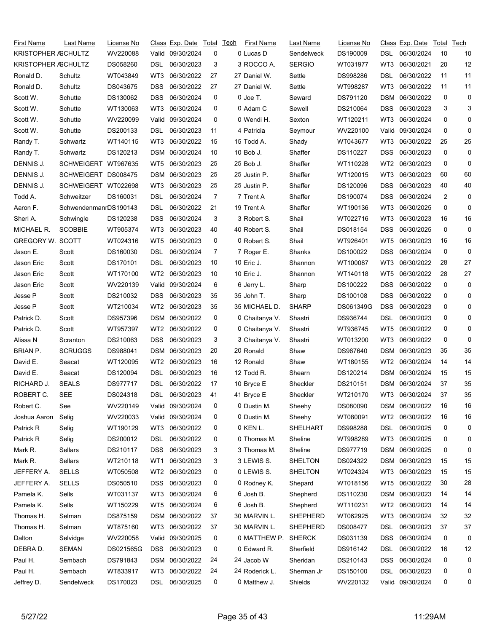| First Name              | Last Name             | License No |                 | Class Exp. Date  | Total | <b>Tech</b> | <b>First Name</b> | Last Name      | License No |                 | Class Exp. Date  | Total | Tech |
|-------------------------|-----------------------|------------|-----------------|------------------|-------|-------------|-------------------|----------------|------------|-----------------|------------------|-------|------|
| KRISTOPHER ASCHULTZ     |                       | WV220088   |                 | Valid 09/30/2024 | 0     |             | 0 Lucas D         | Sendelweck     | DS190009   | DSL             | 06/30/2024       | 10    | 10   |
| KRISTOPHER ASCHULTZ     |                       | DS058260   | DSL             | 06/30/2023       | 3     |             | 3 ROCCO A.        | <b>SERGIO</b>  | WT031977   | WT3             | 06/30/2021       | 20    | 12   |
| Ronald D.               | Schultz               | WT043849   | WT3             | 06/30/2022       | 27    |             | 27 Daniel W.      | Settle         | DS998286   | DSL             | 06/30/2022       | 11    | 11   |
| Ronald D.               | Schultz               | DS043675   | <b>DSS</b>      | 06/30/2022       | 27    |             | 27 Daniel W.      | Settle         | WT998287   | WT3             | 06/30/2022       | 11    | 11   |
| Scott W.                | Schutte               | DS130062   | <b>DSS</b>      | 06/30/2024       | 0     |             | 0 Joe T.          | Seward         | DS791120   | DSM             | 06/30/2022       | 0     | 0    |
| Scott W.                | Schutte               | WT130063   | WT3             | 06/30/2024       | 0     |             | 0 Adam C          | Sewell         | DS210064   | <b>DSS</b>      | 06/30/2023       | 3     | 3    |
| Scott W.                | Schutte               | WV220099   | Valid           | 09/30/2024       | 0     |             | 0 Wendi H.        | Sexton         | WT120211   | WT3             | 06/30/2024       | 0     | 0    |
| Scott W.                | Schutte               | DS200133   | DSL             | 06/30/2023       | 11    |             | 4 Patricia        | Seymour        | WV220100   | Valid           | 09/30/2024       | 0     | 0    |
| Randy T.                | Schwartz              | WT140115   | WT3             | 06/30/2022       | 15    |             | 15 Todd A.        | Shady          | WT043677   | WT3             | 06/30/2022       | 25    | 25   |
| Randy T.                | Schwartz              | DS120213   | DSM             | 06/30/2024       | 10    |             | 10 Bob J.         | Shaffer        | DS110227   | DSS             | 06/30/2023       | 0     | 0    |
| DENNIS J.               | SCHWEIGERT WT967635   |            | WT5             | 06/30/2023       | 25    |             | 25 Bob J.         | Shaffer        | WT110228   | WT2             | 06/30/2023       | 0     | 0    |
| DENNIS J.               | SCHWEIGERT DS008475   |            | DSM             | 06/30/2023       | 25    |             | 25 Justin P.      | Shaffer        | WT120015   | WT3             | 06/30/2023       | 60    | 60   |
| DENNIS J.               | SCHWEIGERT WT022698   |            | WT3             | 06/30/2023       | 25    |             | 25 Justin P.      | Shaffer        | DS120096   | <b>DSS</b>      | 06/30/2023       | 40    | 40   |
| Todd A.                 | Schweitzer            | DS160031   | DSL             | 06/30/2024       | 7     |             | 7 Trent A         | Shaffer        | DS190074   | <b>DSS</b>      | 06/30/2024       | 2     | 0    |
| Aaron F.                | SchwendenmanrDS190143 |            | DSL             | 06/30/2022       | 21    |             | 19 Trent A        | Shaffer        | WT190136   | WT3             | 06/30/2025       | 0     | 0    |
| Sheri A.                | Schwingle             | DS120238   | <b>DSS</b>      | 06/30/2024       | 3     |             | 3 Robert S.       | Shail          | WT022716   | WT3             | 06/30/2023       | 16    | 16   |
| MICHAEL R.              | <b>SCOBBIE</b>        | WT905374   | WT3             | 06/30/2023       | 40    |             | 40 Robert S.      | Shail          | DS018154   | DSS             | 06/30/2025       | 0     | 0    |
| <b>GREGORY W. SCOTT</b> |                       | WT024316   | WT <sub>5</sub> | 06/30/2023       | 0     |             | 0 Robert S.       | Shail          | WT926401   | WT5             | 06/30/2023       | 16    | 16   |
| Jason E.                | Scott                 | DS160030   | DSL             | 06/30/2024       | 7     |             | 7 Roger E.        | Shanks         | DS100022   | <b>DSS</b>      | 06/30/2024       | 0     | 0    |
| Jason Eric              | Scott                 | DS170101   | DSL             | 06/30/2023       | 10    |             | 10 Eric J.        | Shannon        | WT100087   | WT3             | 06/30/2022       | 28    | 27   |
| Jason Eric              | Scott                 | WT170100   | WT2             | 06/30/2023       | 10    |             | 10 Eric J.        | Shannon        | WT140118   | WT5             | 06/30/2022       | 28    | 27   |
| Jason Eric              | Scott                 | WV220139   | Valid           | 09/30/2024       | 6     |             | 6 Jerry L.        | Sharp          | DS100222   | DSS             | 06/30/2022       | 0     | 0    |
| Jesse P                 | Scott                 | DS210032   | DSS.            | 06/30/2023       | 35    |             | 35 John T.        | Sharp          | DS100108   | <b>DSS</b>      | 06/30/2022       | 0     | 0    |
| Jesse P                 | Scott                 | WT210034   | WT2             | 06/30/2023       | 35    |             | 35 MICHAEL D.     | <b>SHARP</b>   | DS061349G  | <b>DSS</b>      | 06/30/2023       | 0     | 0    |
| Patrick D.              | Scott                 | DS957396   | <b>DSM</b>      | 06/30/2022       | 0     |             | 0 Chaitanya V.    | Shastri        | DS936744   | DSL             | 06/30/2023       | 0     | 0    |
| Patrick D.              | Scott                 | WT957397   | WT2             | 06/30/2022       | 0     |             | 0 Chaitanya V.    | Shastri        | WT936745   | WT5             | 06/30/2022       | 0     | 0    |
| Alissa N                | Scranton              | DS210063   | <b>DSS</b>      | 06/30/2023       | 3     |             | 3 Chaitanya V.    | Shastri        | WT013200   | WT3             | 06/30/2022       | 0     | 0    |
| <b>BRIAN P.</b>         | <b>SCRUGGS</b>        | DS988041   | <b>DSM</b>      | 06/30/2023       | 20    |             | 20 Ronald         | Shaw           | DS967640   | <b>DSM</b>      | 06/30/2023       | 35    | 35   |
| David E.                | Seacat                | WT120095   | WT2             | 06/30/2023       | 16    |             | 12 Ronald         | Shaw           | WT180155   | WT <sub>2</sub> | 06/30/2024       | 14    | 14   |
| David E.                | Seacat                | DS120094   | DSL             | 06/30/2023       | 16    |             | 12 Todd R.        | Shearn         | DS120214   | <b>DSM</b>      | 06/30/2024       | 15    | 15   |
| RICHARD J.              | <b>SEALS</b>          | DS977717   | DSL             | 06/30/2022       | 17    |             | 10 Bryce E        | Sheckler       | DS210151   |                 | DSM 06/30/2024   | 37    | 35   |
| ROBERT C.               | <b>SEE</b>            | DS024318   | DSL             | 06/30/2023 41    |       |             | 41 Bryce E        | Sheckler       | WT210170   |                 | WT3 06/30/2024   | 37    | 35   |
| Robert C.               | See                   | WV220149   |                 | Valid 09/30/2024 | 0     |             | 0 Dustin M.       | Sheehy         | DS080090   |                 | DSM 06/30/2022   | 16    | 16   |
| Joshua Aaron            | Selig                 | WV220033   |                 | Valid 09/30/2024 | 0     |             | 0 Dustin M.       | Sheehy         | WT080091   | WT2             | 06/30/2022       | 16    | 16   |
| Patrick R               | Selig                 | WT190129   | WT3             | 06/30/2022       | 0     |             | 0 KEN L.          | SHELHART       | DS998288   | <b>DSL</b>      | 06/30/2025       | 0     | 0    |
| Patrick R               | Selig                 | DS200012   | DSL.            | 06/30/2022       | 0     |             | 0 Thomas M.       | Sheline        | WT998289   | WT3             | 06/30/2025       | 0     | 0    |
| Mark R.                 | Sellars               | DS210117   | <b>DSS</b>      | 06/30/2023       | 3     |             | 3 Thomas M.       | Sheline        | DS977719   | DSM             | 06/30/2025       | 0     | 0    |
| Mark R.                 | Sellars               | WT210118   | WT1             | 06/30/2023       | 3     |             | 3 LEWIS S.        | <b>SHELTON</b> | DS024322   |                 | DSM 06/30/2023   | 15    | 15   |
| JEFFERY A.              | <b>SELLS</b>          | WT050508   | WT2             | 06/30/2023       | 0     |             | 0 LEWIS S.        | <b>SHELTON</b> | WT024324   | WT3             | 06/30/2023       | 15    | 15   |
| JEFFERY A.              | <b>SELLS</b>          | DS050510   | DSS             | 06/30/2023       | 0     |             | 0 Rodney K.       | Shepard        | WT018156   | WT5             | 06/30/2022       | 30    | 28   |
| Pamela K.               | Sells                 | WT031137   | WT3             | 06/30/2024       | 6     |             | 6 Josh B.         | Shepherd       | DS110230   | DSM             | 06/30/2023       | 14    | 14   |
| Pamela K.               | Sells                 | WT150229   | WT5             | 06/30/2024       | 6     |             | 6 Josh B.         | Shepherd       | WT110231   | WT <sub>2</sub> | 06/30/2023       | 14    | 14   |
| Thomas H.               | Selman                | DS875159   |                 | DSM 06/30/2022   | 37    |             | 30 MARVIN L.      | SHEPHERD       | WT062925   | WT3             | 06/30/2024       | 32    | 32   |
| Thomas H.               | Selman                | WT875160   | WT3             | 06/30/2022       | 37    |             | 30 MARVIN L.      | SHEPHERD       | DS008477   | DSL             | 06/30/2023       | 37    | 37   |
| Dalton                  | Selvidge              | WV220058   | Valid           | 09/30/2025       | 0     |             | 0 MATTHEW P.      | <b>SHERCK</b>  | DS031139   | DSS             | 06/30/2024       | 0     | 0    |
| DEBRA D.                | SEMAN                 | DS021565G  | <b>DSS</b>      | 06/30/2023       | 0     |             | 0 Edward R.       | Sherfield      | DS916142   | DSL             | 06/30/2022       | 16    | 12   |
| Paul H.                 | Sembach               | DS791843   |                 | DSM 06/30/2022   | 24    |             | 24 Jacob W        | Sheridan       | DS210143   | DSS             | 06/30/2024       | 0     | 0    |
| Paul H.                 | Sembach               | WT833917   | WT3             | 06/30/2022       | 24    |             | 24 Roderick L.    | Sherman Jr     | DS150100   | <b>DSL</b>      | 06/30/2023       | 0     | 0    |
| Jeffrey D.              | Sendelweck            | DS170023   |                 | DSL 06/30/2025   | 0     |             | 0 Matthew J.      | Shields        | WV220132   |                 | Valid 09/30/2024 | 0     | 0    |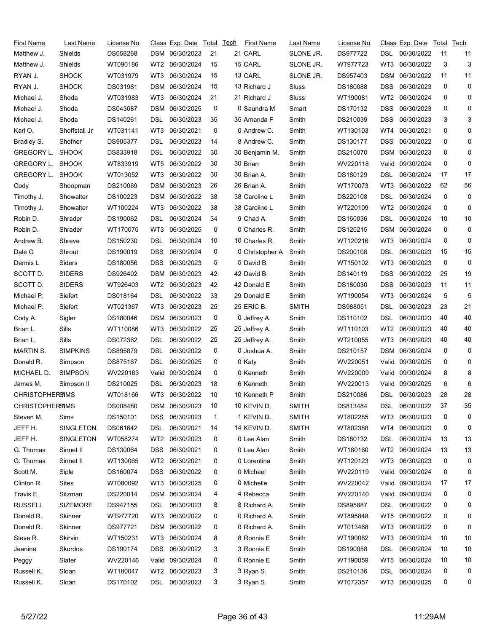| First Name             | Last Name        | License No |            | Class Exp. Date  | Total | Tech | First Name      | Last Name    | License No |                 | <u>Class</u> Exp. Date | Total | Tech |
|------------------------|------------------|------------|------------|------------------|-------|------|-----------------|--------------|------------|-----------------|------------------------|-------|------|
| Matthew J.             | Shields          | DS058268   |            | DSM 06/30/2023   | 21    |      | 21 CARL         | SLONE JR.    | DS977722   | DSL             | 06/30/2022             | 11    | 11   |
| Matthew J.             | Shields          | WT090186   | WT2        | 06/30/2024       | 15    |      | 15 CARL         | SLONE JR.    | WT977723   | WT3             | 06/30/2022             | 3     | 3    |
| RYAN J.                | <b>SHOCK</b>     | WT031979   | WT3        | 06/30/2024       | 15    |      | 13 CARL         | SLONE JR.    | DS957403   | <b>DSM</b>      | 06/30/2022             | 11    | 11   |
| RYAN J.                | <b>SHOCK</b>     | DS031981   | DSM        | 06/30/2024       | 15    |      | 13 Richard J    | Sluss        | DS180088   | DSS             | 06/30/2023             | 0     | 0    |
| Michael J.             | Shoda            | WT031983   | WT3        | 06/30/2024       | 21    |      | 21 Richard J    | Sluss        | WT190081   | WT <sub>2</sub> | 06/30/2024             | 0     | 0    |
| Michael J.             | Shoda            | DS043687   | DSM        | 06/30/2025       | 0     |      | 0 Saundra M     | Smart        | DS170132   | DSS             | 06/30/2023             | 0     | 0    |
| Michael J.             | Shoda            | DS140261   | DSL        | 06/30/2023       | 35    |      | 35 Amanda F     | Smith        | DS210039   | <b>DSS</b>      | 06/30/2023             | 3     | 3    |
| Karl O.                | Shoffstall Jr    | WT031141   | WT3        | 06/30/2021       | 0     |      | 0 Andrew C.     | Smith        | WT130103   | WT4             | 06/30/2021             | 0     | 0    |
| Bradley S.             | Shofner          | DS905377   | DSL        | 06/30/2023       | 14    |      | 8 Andrew C.     | Smith        | DS130177   | DSS             | 06/30/2022             | 0     | 0    |
| GREGORY L.             | <b>SHOOK</b>     | DS833918   | DSL        | 06/30/2022       | 30    |      | 30 Benjamin M.  | Smith        | DS210070   |                 | DSM 06/30/2023         | 0     | 0    |
| GREGORY L.             | <b>SHOOK</b>     | WT833919   | WT5        | 06/30/2022       | 30    |      | 30 Brian        | Smith        | WV220118   |                 | Valid 09/30/2024       | 0     | 0    |
| GREGORY L.             | <b>SHOOK</b>     | WT013052   | WT3        | 06/30/2022       | 30    |      | 30 Brian A.     | Smith        | DS180129   | DSL             | 06/30/2024             | 17    | 17   |
| Cody                   | Shoopman         | DS210069   | DSM        | 06/30/2023       | 26    |      | 26 Brian A.     | Smith        | WT170073   | WT3             | 06/30/2022             | 62    | 56   |
| Timothy J.             | Showalter        | DS100223   | DSM        | 06/30/2022       | 38    |      | 38 Caroline L   | Smith        | DS220108   | DSL             | 06/30/2024             | 0     | 0    |
| Timothy J.             | Showalter        | WT100224   | WT3        | 06/30/2022       | 38    |      | 38 Caroline L   | Smith        | WT220109   | WT <sub>2</sub> | 06/30/2024             | 0     | 0    |
| Robin D.               | Shrader          | DS190062   | DSL        | 06/30/2024       | 34    |      | 9 Chad A.       | Smith        | DS160036   | DSL             | 06/30/2024             | 10    | 10   |
| Robin D.               | Shrader          | WT170075   | WT3        | 06/30/2025       | 0     |      | 0 Charles R.    | Smith        | DS120215   |                 | DSM 06/30/2024         | 0     | 0    |
| Andrew B.              | Shreve           | DS150230   | DSL        | 06/30/2024       | 10    |      | 10 Charles R.   | Smith        | WT120216   | WT3             | 06/30/2024             | 0     | 0    |
| Dale G                 | Shrout           | DS190019   | DSS        | 06/30/2024       | 0     |      | 0 Christopher A | Smith        | DS200108   | DSL             | 06/30/2023             | 15    | 15   |
| Dennis L               | Siders           | DS180056   | DSS        | 06/30/2023       | 5     |      | 5 David B.      | Smith        | WT150102   | WT3             | 06/30/2023             | 0     | 0    |
| SCOTT D.               | <b>SIDERS</b>    | DS926402   | DSM        | 06/30/2023       | 42    |      | 42 David B.     | Smith        | DS140119   | DSS             | 06/30/2022             | 25    | 19   |
| SCOTT D.               | <b>SIDERS</b>    | WT926403   | WT2        | 06/30/2023       | 42    |      | 42 Donald E     | Smith        | DS180030   | DSS             | 06/30/2023             | 11    | 11   |
| Michael P.             | Siefert          | DS018164   | DSL        | 06/30/2022       | 33    |      | 29 Donald E     | Smith        | WT190054   | WT3             | 06/30/2024             | 5     | 5    |
| Michael P.             | Siefert          | WT021367   | WT3        | 06/30/2023       | 25    |      | 25 ERIC B.      | <b>SMITH</b> | DS988051   | DSL             | 06/30/2023             | 23    | 21   |
| Cody A.                | Sigler           | DS180046   | DSM        | 06/30/2023       | 0     |      | 0 Jeffrey A.    | Smith        | DS110102   | DSL             | 06/30/2023             | 40    | 40   |
| Brian L.               | Sills            | WT110086   | WT3        | 06/30/2022       | 25    |      | 25 Jeffrey A.   | Smith        | WT110103   | WT2             | 06/30/2023             | 40    | 40   |
| Brian L.               | Sills            | DS072362   | DSL        | 06/30/2022       | 25    |      | 25 Jeffrey A.   | Smith        | WT210055   | WT3             | 06/30/2023             | 40    | 40   |
| <b>MARTIN S.</b>       | <b>SIMPKINS</b>  | DS895879   | DSL        | 06/30/2022       | 0     |      | 0 Joshua A.     | Smith        | DS210157   |                 | DSM 06/30/2024         | 0     | 0    |
| Donald R.              | Simpson          | DS875167   | DSL        | 06/30/2025       | 0     |      | 0 Katy          | Smith        | WV220051   |                 | Valid 09/30/2025       | 0     | 0    |
| MICHAEL D.             | <b>SIMPSON</b>   | WV220163   | Valid      | 09/30/2024       | 0     |      | 0 Kenneth       | Smith        | WV220009   |                 | Valid 09/30/2024       | 8     | 8    |
| James M.               | Simpson II       | DS210025   | DSL        | 06/30/2023       | 18    |      | 6 Kenneth       | Smith        | WV220013   |                 | Valid 09/30/2025       | 6     | 6    |
| <b>CHRISTOPHERSIMS</b> |                  | WT018166   |            | WT3 06/30/2022   | 10    |      | 10 Kenneth P    | Smith        | DS210086   |                 | DSL 06/30/2023         | 28    | 28   |
| <b>CHRISTOPHERSIMS</b> |                  | DS008480   | DSM        | 06/30/2023       | 10    |      | 10 KEVIN D.     | <b>SMITH</b> | DS813484   | DSL             | 06/30/2022             | 37    | 35   |
| Steven M.              | Sims             | DS150101   | <b>DSS</b> | 06/30/2023       | 1     |      | 1 KEVIN D.      | <b>SMITH</b> | WT802285   | WT3             | 06/30/2023             | 0     | 0    |
| JEFF H.                | <b>SINGLETON</b> | DS061642   | DSL        | 06/30/2021       | 14    |      | 14 KEVIN D.     | <b>SMITH</b> | WT802388   | WT4             | 06/30/2023             | 0     | 0    |
| JEFF H.                | <b>SINGLETON</b> | WT058274   |            | WT2 06/30/2023   | 0     |      | 0 Lee Alan      | Smith        | DS180132   | DSL             | 06/30/2024             | 13    | 13   |
| G. Thomas              | Sinnet II        | DS130064   | DSS        | 06/30/2021       | 0     |      | 0 Lee Alan      | Smith        | WT180160   | WT2             | 06/30/2024             | 13    | 13   |
| G. Thomas              | Sinnet II        | WT130065   | WT2        | 06/30/2021       | 0     |      | 0 Lorentina     | Smith        | WT120123   | WT3             | 06/30/2023             | 0     | 0    |
| Scott M.               | Siple            | DS160074   | DSS        | 06/30/2022       | 0     |      | 0 Michael       | Smith        | WV220119   |                 | Valid 09/30/2024       | 0     | 0    |
| Clinton R.             | Sites            | WT080092   | WT3        | 06/30/2025       | 0     |      | 0 Michelle      | Smith        | WV220042   |                 | Valid 09/30/2024       | 17    | 17   |
| Travis E.              | Sitzman          | DS220014   | DSM        | 06/30/2024       | 4     |      | 4 Rebecca       | Smith        | WV220140   |                 | Valid 09/30/2024       | 0     | 0    |
| <b>RUSSELL</b>         | <b>SIZEMORE</b>  | DS947155   | DSL        | 06/30/2023       | 8     |      | 8 Richard A.    | Smith        | DS895887   | DSL             | 06/30/2022             | 0     | 0    |
| Donald R.              | Skinner          | WT977720   | WT3        | 06/30/2022       | 0     |      | 0 Richard A.    | Smith        | WT895848   | WT5             | 06/30/2022             | 0     | 0    |
| Donald R.              | Skinner          | DS977721   | DSM        | 06/30/2022       | 0     |      | 0 Richard A.    | Smith        | WT013468   | WT3             | 06/30/2022             | 0     | 0    |
| Steve R.               | Skirvin          | WT150231   | WT3        | 06/30/2024       | 8     |      | 8 Ronnie E      | Smith        | WT190082   | WT3             | 06/30/2024             | 10    | 10   |
| Jeanine                | Skordos          | DS190174   | DSS        | 06/30/2022       | 3     |      | 3 Ronnie E      | Smith        | DS190058   | DSL             | 06/30/2024             | 10    | 10   |
| Peggy                  | Slater           | WV220146   |            | Valid 09/30/2024 | 0     |      | 0 Ronnie E      | Smith        | WT190059   | WT5             | 06/30/2024             | 10    | 10   |
| Russell K.             | Sloan            | WT180047   | WT2        | 06/30/2023       | 3     |      | 3 Ryan S.       | Smith        | DS210136   | <b>DSL</b>      | 06/30/2024             | 0     | 0    |
| Russell K.             | Sloan            | DS170102   |            | DSL 06/30/2023   | 3     |      | 3 Ryan S.       | Smith        | WT072357   | WT3             | 06/30/2025             | 0     | 0    |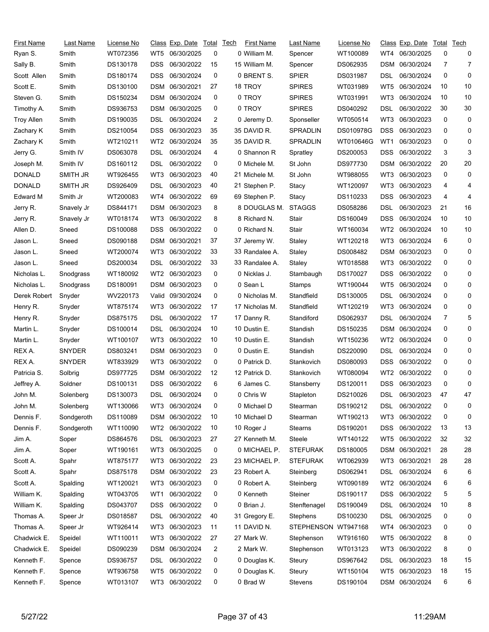| First Name        | Last Name     | <u>License No</u> |            | Class Exp. Date | Total | <b>Tech</b> | First Name     | Last Name         | License No |                 | <u>Class</u> Exp. Date | Total | Tech |
|-------------------|---------------|-------------------|------------|-----------------|-------|-------------|----------------|-------------------|------------|-----------------|------------------------|-------|------|
| Ryan S.           | Smith         | WT072356          | WT5        | 06/30/2025      | 0     |             | 0 William M.   | Spencer           | WT100089   | WT4             | 06/30/2025             | 0     | 0    |
| Sally B.          | Smith         | DS130178          | DSS        | 06/30/2022      | 15    |             | 15 William M.  | Spencer           | DS062935   | DSM             | 06/30/2024             | 7     | 7    |
| Scott Allen       | Smith         | DS180174          | <b>DSS</b> | 06/30/2024      | 0     |             | 0 BRENT S.     | <b>SPIER</b>      | DS031987   | DSL             | 06/30/2024             | 0     | 0    |
| Scott E.          | Smith         | DS130100          | <b>DSM</b> | 06/30/2021      | 27    |             | 18 TROY        | <b>SPIRES</b>     | WT031989   | WT5             | 06/30/2024             | 10    | 10   |
| Steven G.         | Smith         | DS150234          | <b>DSM</b> | 06/30/2024      | 0     |             | 0 TROY         | <b>SPIRES</b>     | WT031991   | WT3             | 06/30/2024             | 10    | 10   |
| Timothy A.        | Smith         | DS936753          | DSM        | 06/30/2025      | 0     |             | 0 TROY         | <b>SPIRES</b>     | DS040292   | DSL             | 06/30/2022             | 30    | 30   |
| <b>Troy Allen</b> | Smith         | DS190035          | DSL        | 06/30/2024      | 2     |             | 0 Jeremy D.    | Sponseller        | WT050514   | WT3             | 06/30/2023             | 0     | 0    |
| Zachary K         | Smith         | DS210054          | DSS        | 06/30/2023      | 35    |             | 35 DAVID R.    | SPRADLIN          | DS010978G  | DSS             | 06/30/2023             | 0     | 0    |
| Zachary K         | Smith         | WT210211          | WT2        | 06/30/2024      | 35    |             | 35 DAVID R.    | <b>SPRADLIN</b>   | WT010646G  | WT1             | 06/30/2023             | 0     | 0    |
| Jerry G.          | Smith IV      | DS063078          | DSL        | 06/30/2024      | 4     |             | 0 Shannon R    | Spratley          | DS200053   | DSS             | 06/30/2022             | 3     | 3    |
| Joseph M.         | Smith IV      | DS160112          | DSL        | 06/30/2022      | 0     |             | 0 Michele M.   | St John           | DS977730   | DSM             | 06/30/2022             | 20    | 20   |
| <b>DONALD</b>     | SMITH JR      | WT926455          | WT3        | 06/30/2023      | 40    |             | 21 Michele M.  | St John           | WT988055   | WT3             | 06/30/2023             | 0     | 0    |
| <b>DONALD</b>     | SMITH JR      | DS926409          | DSL        | 06/30/2023      | 40    |             | 21 Stephen P.  | Stacy             | WT120097   | WT3             | 06/30/2023             | 4     | 4    |
| Edward M          | Smith Jr      | WT200083          | WT4        | 06/30/2022      | 69    |             | 69 Stephen P.  | Stacy             | DS110233   | DSS             | 06/30/2023             | 4     | 4    |
| Jerry R.          | Snavely Jr    | DS844171          | DSM        | 06/30/2023      | 8     |             | 8 DOUGLAS M.   | <b>STAGGS</b>     | DS058286   | DSL             | 06/30/2023             | 21    | 16   |
| Jerry R.          | Snavely Jr    | WT018174          | WT3        | 06/30/2022      | 8     |             | 8 Richard N.   | Stair             | DS160049   | DSS             | 06/30/2024             | 10    | 10   |
| Allen D.          | Sneed         | DS100088          | DSS        | 06/30/2022      | 0     |             | 0 Richard N.   | Stair             | WT160034   | WT <sub>2</sub> | 06/30/2024             | 10    | 10   |
| Jason L.          | Sneed         | DS090188          | DSM        | 06/30/2021      | 37    |             | 37 Jeremy W.   | Staley            | WT120218   | WT3             | 06/30/2024             | 6     | 0    |
| Jason L.          | Sneed         | WT200074          | WT3        | 06/30/2022      | 33    |             | 33 Randalee A. | Staley            | DS008482   | DSM             | 06/30/2023             | 0     | 0    |
| Jason L.          | Sneed         | DS200034          | DSL        | 06/30/2022      | 33    |             | 33 Randalee A. | Staley            | WT018588   | WT3             | 06/30/2022             | 0     | 0    |
| Nicholas L.       | Snodgrass     | WT180092          | WT2        | 06/30/2023      | 0     |             | 0 Nicklas J.   | Stambaugh         | DS170027   | DSS             | 06/30/2022             | 0     | 0    |
| Nicholas L.       | Snodgrass     | DS180091          | DSM        | 06/30/2023      | 0     |             | 0 Sean L       | Stamps            | WT190044   | WT5             | 06/30/2024             | 0     | 0    |
| Derek Robert      | Snyder        | WV220173          | Valid      | 09/30/2024      | 0     |             | 0 Nicholas M.  | Standfield        | DS130005   | DSL             | 06/30/2024             | 0     | 0    |
| Henry R.          | Snyder        | WT875174          | WT3        | 06/30/2022      | 17    |             | 17 Nicholas M. | Standfield        | WT120219   | WT3             | 06/30/2024             | 0     | 0    |
| Henry R.          | Snyder        | DS875175          | DSL        | 06/30/2022      | 17    |             | 17 Danny R.    | Standiford        | DS062937   | DSL             | 06/30/2024             | 7     | 5    |
| Martin L.         | Snyder        | DS100014          | DSL        | 06/30/2024      | 10    |             | 10 Dustin E.   | Standish          | DS150235   | DSM             | 06/30/2024             | 0     | 0    |
| Martin L.         | Snyder        | WT100107          | WT3        | 06/30/2022      | 10    |             | 10 Dustin E.   | Standish          | WT150236   | WT <sub>2</sub> | 06/30/2024             | 0     | 0    |
| REX A.            | <b>SNYDER</b> | DS803241          | DSM        | 06/30/2023      | 0     |             | 0 Dustin E.    | Standish          | DS220090   | DSL             | 06/30/2024             | 0     | 0    |
| REX A.            | <b>SNYDER</b> | WT833929          | WT3        | 06/30/2022      | 0     |             | 0 Patrick D.   | Stankovich        | DS080093   | DSS             | 06/30/2022             | 0     | 0    |
| Patricia S.       | Solbrig       | DS977725          | <b>DSM</b> | 06/30/2022      | 12    |             | 12 Patrick D.  | Stankovich        | WT080094   | WT <sub>2</sub> | 06/30/2022             | 0     | 0    |
| Jeffrey A.        | Soldner       | DS100131          | DSS        | 06/30/2022      | 6     |             | 6 James C.     | Stansberry        | DS120011   | DSS             | 06/30/2023             | 0     | 0    |
| John M.           | Solenberg     | DS130073          | <b>DSL</b> | 06/30/2024      |       |             | 0 Chris W      | Stapleton         | DS210026   | <b>DSL</b>      | 06/30/2023             | 47    | 47   |
| John M.           | Solenberg     | WT130066          | WT3        | 06/30/2024      | 0     |             | 0 Michael D    | Stearman          | DS190212   | DSL             | 06/30/2022             | 0     | 0    |
| Dennis F.         | Sondgeroth    | DS110089          |            | DSM 06/30/2022  | 10    |             | 10 Michael D   | Stearman          | WT190213   | WT3             | 06/30/2022             | 0     | 0    |
| Dennis F.         | Sondgeroth    | WT110090          | WT2        | 06/30/2022      | 10    |             | 10 Roger J     | Stearns           | DS190201   | DSS             | 06/30/2022             | 13    | 13   |
| Jim A.            | Soper         | DS864576          | DSL.       | 06/30/2023      | 27    |             | 27 Kenneth M.  | Steele            | WT140122   | WT5             | 06/30/2022             | 32    | 32   |
| Jim A.            | Soper         | WT190161          | WT3        | 06/30/2025      | 0     |             | 0 MICHAEL P.   | <b>STEFURAK</b>   | DS180005   | DSM             | 06/30/2021             | 28    | 28   |
| Scott A.          | Spahr         | WT875177          | WT3        | 06/30/2022      | 23    |             | 23 MICHAEL P.  | <b>STEFURAK</b>   | WT062939   | WT3             | 06/30/2021             | 28    | 28   |
| Scott A.          | Spahr         | DS875178          |            | DSM 06/30/2022  | 23    |             | 23 Robert A.   | Steinberg         | DS062941   | DSL             | 06/30/2024             | 6     | 6    |
| Scott A.          | Spalding      | WT120021          | WT3        | 06/30/2023      | 0     |             | 0 Robert A.    | Steinberg         | WT090189   | WT <sub>2</sub> | 06/30/2024             | 6     | 6    |
| William K.        | Spalding      | WT043705          | WT1        | 06/30/2022      | 0     |             | 0 Kenneth      | Steiner           | DS190117   | DSS             | 06/30/2022             | 5     | 5    |
| William K.        | Spalding      | DS043707          | <b>DSS</b> | 06/30/2022      | 0     |             | 0 Brian J.     | Stenftenagel      | DS190049   | DSL             | 06/30/2024             | 10    | 8    |
| Thomas A.         | Speer Jr      | DS018587          | DSL        | 06/30/2022      | 40    |             | 31 Gregory E.  | Stephens          | DS100230   | <b>DSL</b>      | 06/30/2025             | 0     | 0    |
| Thomas A.         | Speer Jr      | WT926414          | WT3        | 06/30/2023      | 11    |             | 11 DAVID N.    | <b>STEPHENSON</b> | WT947168   | WT4             | 06/30/2023             | 0     | 0    |
| Chadwick E.       | Speidel       | WT110011          | WT3        | 06/30/2022      | 27    |             | 27 Mark W.     | Stephenson        | WT916160   | WT5             | 06/30/2022             | 8     | 0    |
| Chadwick E.       | Speidel       | DS090239          |            | DSM 06/30/2024  | 2     |             | 2 Mark W.      | Stephenson        | WT013123   | WT3             | 06/30/2022             | 8     | 0    |
| Kenneth F.        | Spence        | DS936757          | DSL        | 06/30/2022      | 0     |             | 0 Douglas K.   | Steury            | DS967642   | DSL             | 06/30/2023             | 18    | 15   |
| Kenneth F.        | Spence        | WT936758          | WT5        | 06/30/2022      | 0     |             | 0 Douglas K.   | Steury            | WT150104   | WT5             | 06/30/2023             | 18    | 15   |
| Kenneth F.        | Spence        | WT013107          | WT3        | 06/30/2022      | 0     |             | 0 Brad W       | Stevens           | DS190104   | DSM             | 06/30/2024             | 6     | 6    |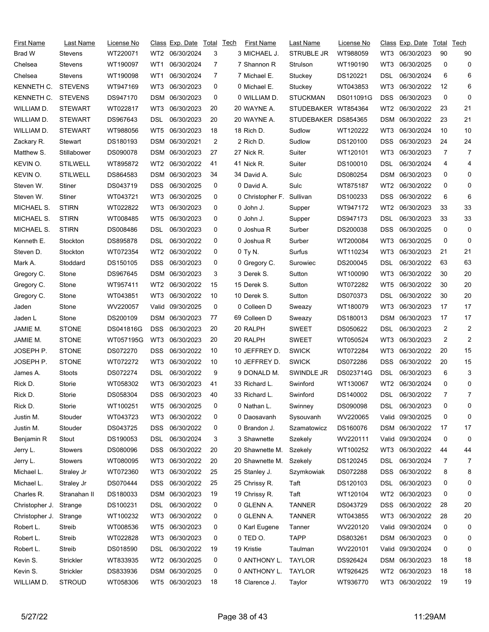| First Name     | Last Name       | License No |            | Class Exp. Date   | Total | <b>Tech</b> | <b>First Name</b> | Last Name           | License No |                 | <u>Class</u> Exp. Date | Total | Tech           |
|----------------|-----------------|------------|------------|-------------------|-------|-------------|-------------------|---------------------|------------|-----------------|------------------------|-------|----------------|
| Brad W         | Stevens         | WT220071   |            | WT2 06/30/2024    | 3     |             | 3 MICHAEL J.      | <b>STRUBLE JR</b>   | WT988059   | WT3             | 06/30/2023             | 90    | 90             |
| Chelsea        | <b>Stevens</b>  | WT190097   | WT1        | 06/30/2024        | 7     |             | 7 Shannon R       | Strulson            | WT190190   | WT3             | 06/30/2025             | 0     | 0              |
| Chelsea        | <b>Stevens</b>  | WT190098   | WT1        | 06/30/2024        | 7     |             | 7 Michael E.      | Stuckey             | DS120221   | DSL             | 06/30/2024             | 6     | 6              |
| KENNETH C.     | <b>STEVENS</b>  | WT947169   | WT3        | 06/30/2023        | 0     |             | 0 Michael E.      | Stuckey             | WT043853   | WT3             | 06/30/2022             | 12    | 6              |
| KENNETH C.     | <b>STEVENS</b>  | DS947170   | DSM        | 06/30/2023        | 0     |             | 0 WILLIAM D.      | <b>STUCKMAN</b>     | DS011091G  | <b>DSS</b>      | 06/30/2023             | 0     | 0              |
| WILLIAM D.     | <b>STEWART</b>  | WT022817   | WT3        | 06/30/2023        | 20    |             | 20 WAYNE A.       | STUDEBAKER WT854364 |            | WT2             | 06/30/2022             | 23    | 21             |
| WILLIAM D.     | <b>STEWART</b>  | DS967643   | DSL        | 06/30/2023        | 20    |             | 20 WAYNE A.       | STUDEBAKER DS854365 |            | DSM             | 06/30/2022             | 23    | 21             |
| WILLIAM D.     | <b>STEWART</b>  | WT988056   | WT5        | 06/30/2023        | 18    |             | 18 Rich D.        | Sudlow              | WT120222   | WT3             | 06/30/2024             | 10    | 10             |
| Zackary R.     | Stewart         | DS180193   | DSM        | 06/30/2021        | 2     |             | 2 Rich D.         | Sudlow              | DS120100   | DSS             | 06/30/2023             | 24    | 24             |
| Matthew S.     | Stillabower     | DS090078   | DSM        | 06/30/2023        | 27    |             | 27 Nick R.        | Suiter              | WT120101   | WT3             | 06/30/2023             | 7     | 7              |
| KEVIN O.       | <b>STILWELL</b> | WT895872   | WT2        | 06/30/2022        | 41    |             | 41 Nick R.        | Suiter              | DS100010   | DSL             | 06/30/2024             | 4     | 4              |
| KEVIN O.       | <b>STILWELL</b> | DS864583   | DSM        | 06/30/2023        | 34    |             | 34 David A.       | Sulc                | DS080254   | <b>DSM</b>      | 06/30/2023             | 0     | 0              |
| Steven W.      | Stiner          | DS043719   | DSS        | 06/30/2025        | 0     |             | 0 David A.        | Sulc                | WT875187   | WT <sub>2</sub> | 06/30/2022             | 0     | 0              |
| Steven W.      | Stiner          | WT043721   | WT3        | 06/30/2025        | 0     |             | 0 Christopher F.  | Sullivan            | DS100233   | <b>DSS</b>      | 06/30/2022             | 6     | 6              |
| MICHAEL S.     | <b>STIRN</b>    | WT022822   | WT3        | 06/30/2023        | 0     |             | 0 John J.         | Supper              | WT947172   | WT <sub>2</sub> | 06/30/2023             | 33    | 33             |
| MICHAEL S.     | <b>STIRN</b>    | WT008485   | WT5        | 06/30/2023        | 0     |             | 0 John J.         | Supper              | DS947173   | DSL             | 06/30/2023             | 33    | 33             |
| MICHAEL S.     | <b>STIRN</b>    | DS008486   | DSL        | 06/30/2023        | 0     |             | 0 Joshua R        | Surber              | DS200038   | <b>DSS</b>      | 06/30/2025             | 0     | 0              |
| Kenneth E.     | Stockton        | DS895878   | DSL        | 06/30/2022        | 0     |             | 0 Joshua R        | Surber              | WT200084   | WT3             | 06/30/2025             | 0     | 0              |
| Steven D.      | Stockton        | WT072354   | WT2        | 06/30/2022        | 0     |             | 0 Ty N.           | Surfus              | WT110234   | WT3             | 06/30/2023             | 21    | 21             |
| Mark A.        | Stoddard        | DS150105   | DSS        | 06/30/2023        | 0     |             | 0 Gregory C.      | Surowiec            | DS200045   | DSL             | 06/30/2022             | 63    | 63             |
| Gregory C.     | Stone           | DS967645   | DSM        | 06/30/2023        | 3     |             | 3 Derek S.        | Sutton              | WT100090   | WT3             | 06/30/2022             | 30    | 20             |
| Gregory C.     | Stone           | WT957411   | WT2        | 06/30/2022        | 15    |             | 15 Derek S.       | Sutton              | WT072282   | WT5             | 06/30/2022             | 30    | 20             |
| Gregory C.     | Stone           | WT043851   | WT3        | 06/30/2022        | 10    |             | 10 Derek S.       | Sutton              | DS070373   | DSL             | 06/30/2022             | 30    | 20             |
| Jaden          | Stone           | WV220057   | Valid      | 09/30/2025        | 0     |             | 0 Colleen D       | Sweazy              | WT180079   | WT3             | 06/30/2023             | 17    | 17             |
| Jaden L        | Stone           | DS200109   | DSM        | 06/30/2023        | 77    |             | 69 Colleen D      | Sweazy              | DS180013   | DSM             | 06/30/2023             | 17    | 17             |
| JAMIE M.       | <b>STONE</b>    | DS041816G  | <b>DSS</b> | 06/30/2023        | 20    |             | 20 RALPH          | <b>SWEET</b>        | DS050622   | DSL             | 06/30/2023             | 2     | $\overline{2}$ |
| JAMIE M.       | <b>STONE</b>    | WT057195G  | WT3        | 06/30/2023        | 20    |             | 20 RALPH          | <b>SWEET</b>        | WT050524   | WT3             | 06/30/2023             | 2     | $\overline{2}$ |
| JOSEPH P.      | <b>STONE</b>    | DS072270   | DSS        | 06/30/2022        | 10    |             | 10 JEFFREY D.     | <b>SWICK</b>        | WT072284   | WT3             | 06/30/2022             | 20    | 15             |
| JOSEPH P.      | <b>STONE</b>    | WT072272   | WT3        | 06/30/2022        | 10    |             | 10 JEFFREY D.     | <b>SWICK</b>        | DS072286   | <b>DSS</b>      | 06/30/2022             | 20    | 15             |
| James A.       | Stoots          | DS072274   | DSL        | 06/30/2022        | 9     |             | 9 DONALD M.       | SWINDLE JR          | DS023714G  | <b>DSL</b>      | 06/30/2023             | 6     | 3              |
| Rick D.        | Storie          | WT058302   | WT3        | 06/30/2023        | 41    |             | 33 Richard L.     | Swinford            | WT130067   | WT2             | 06/30/2024             | 0     | 0              |
| Rick D.        | Storie          | DS058304   |            | DSS 06/30/2023 40 |       |             | 33 Richard L.     | Swinford            | DS140002   | <b>DSL</b>      | 06/30/2022             | 7     | 7              |
| Rick D.        | Storie          | WT100251   | WT5        | 06/30/2025        | 0     |             | 0 Nathan L.       | Swinney             | DS090098   | DSL             | 06/30/2023             | 0     | 0              |
| Justin M.      | Stouder         | WT043723   | WT3        | 06/30/2022        | 0     |             | 0 Daosavanh       | Sysouvanh           | WV220065   |                 | Valid 09/30/2025       | 0     | 0              |
| Justin M.      | Stouder         | DS043725   | <b>DSS</b> | 06/30/2022        | 0     |             | 0 Brandon J.      | Szamatowicz         | DS160076   | DSM             | 06/30/2022             | 17    | 17             |
| Benjamin R     | Stout           | DS190053   | DSL        | 06/30/2024        | 3     |             | 3 Shawnette       | Szekely             | WV220111   |                 | Valid 09/30/2024       | 0     | 0              |
| Jerry L.       | <b>Stowers</b>  | DS080096   | DSS        | 06/30/2022        | 20    |             | 20 Shawnette M.   | Szekely             | WT100252   | WT3             | 06/30/2022             | 44    | 44             |
| Jerry L.       | <b>Stowers</b>  | WT080095   | WT3        | 06/30/2022        | 20    |             | 20 Shawnette M.   | Szekely             | DS120245   | <b>DSL</b>      | 06/30/2024             | 7     | 7              |
| Michael L.     | Straley Jr      | WT072360   | WT3        | 06/30/2022        | 25    |             | 25 Stanley J.     | Szymkowiak          | DS072288   | DSS             | 06/30/2022             | 8     | 8              |
| Michael L.     | Straley Jr      | DS070444   | <b>DSS</b> | 06/30/2022        | 25    |             | 25 Chrissy R.     | Taft                | DS120103   | <b>DSL</b>      | 06/30/2023             | 0     | 0              |
| Charles R.     | Stranahan II    | DS180033   | DSM        | 06/30/2023        | 19    |             | 19 Chrissy R.     | Taft                | WT120104   | WT2             | 06/30/2023             | 0     | 0              |
| Christopher J. | Strange         | DS100231   | DSL        | 06/30/2022        | 0     |             | 0 GLENN A.        | <b>TANNER</b>       | DS043729   | <b>DSS</b>      | 06/30/2022             | 28    | 20             |
| Christopher J. | Strange         | WT100232   | WT3        | 06/30/2022        | 0     |             | 0 GLENN A.        | <b>TANNER</b>       | WT043855   | WT3             | 06/30/2022             | 28    | 20             |
| Robert L.      | Streib          | WT008536   | WT5        | 06/30/2023        | 0     |             | 0 Karl Eugene     | Tanner              | WV220120   |                 | Valid 09/30/2024       | 0     | 0              |
| Robert L.      | Streib          | WT022828   | WT3        | 06/30/2023        | 0     |             | 0 TED O.          | <b>TAPP</b>         | DS803261   | DSM             | 06/30/2023             | 0     | 0              |
| Robert L.      | Streib          | DS018590   | DSL        | 06/30/2022        | 19    |             | 19 Kristie        | Taulman             | WV220101   | Valid           | 09/30/2024             | 0     | 0              |
| Kevin S.       | Strickler       | WT833935   | WT2        | 06/30/2025        | 0     |             | 0 ANTHONY L.      | <b>TAYLOR</b>       | DS926424   | DSM             | 06/30/2023             | 18    | 18             |
| Kevin S.       | Strickler       | DS833936   | DSM        | 06/30/2025        | 0     |             | 0 ANTHONY L.      | <b>TAYLOR</b>       | WT926425   | WT <sub>2</sub> | 06/30/2023             | 18    | 18             |
| WILLIAM D.     | <b>STROUD</b>   | WT058306   |            | WT5 06/30/2023    | 18    |             | 18 Clarence J.    | Taylor              | WT936770   |                 | WT3 06/30/2022         | 19    | 19             |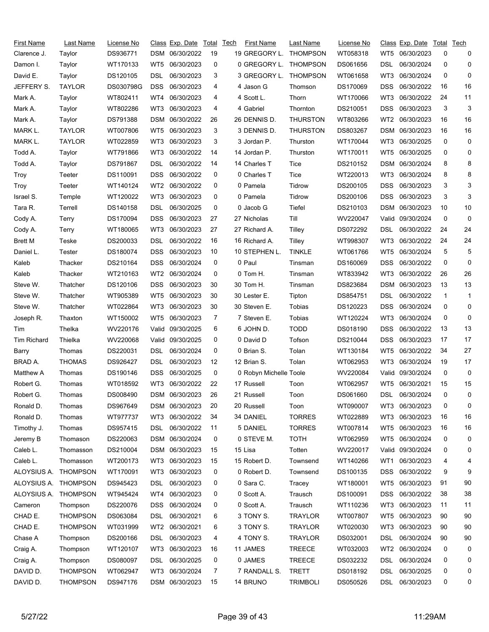| First Name         | Last Name       | License No |                 | Class Exp. Date  | Total | Tech | First Name             | Last Name       | License No |                 | Class Exp. Date  | Total        | Tech         |
|--------------------|-----------------|------------|-----------------|------------------|-------|------|------------------------|-----------------|------------|-----------------|------------------|--------------|--------------|
| Clarence J.        | Taylor          | DS936771   |                 | DSM 06/30/2022   | 19    |      | 19 GREGORY L.          | <b>THOMPSON</b> | WT058318   | WT5             | 06/30/2023       | 0            | 0            |
| Damon I.           | Taylor          | WT170133   | WT5             | 06/30/2023       | 0     |      | 0 GREGORY L.           | <b>THOMPSON</b> | DS061656   | DSL             | 06/30/2024       | 0            | 0            |
| David E.           | Taylor          | DS120105   | DSL             | 06/30/2023       | 3     |      | 3 GREGORY L.           | <b>THOMPSON</b> | WT061658   | WT3             | 06/30/2024       | 0            | 0            |
| JEFFERY S.         | <b>TAYLOR</b>   | DS030798G  | <b>DSS</b>      | 06/30/2023       | 4     |      | 4 Jason G              | Thomson         | DS170069   | DSS             | 06/30/2022       | 16           | 16           |
| Mark A.            | Taylor          | WT802411   | WT4             | 06/30/2023       | 4     |      | 4 Scott L.             | Thorn           | WT170066   | WT3             | 06/30/2022       | 24           | 11           |
| Mark A.            | Taylor          | WT802286   | WT3             | 06/30/2023       | 4     |      | 4 Gabriel              | Thornton        | DS210051   | <b>DSS</b>      | 06/30/2023       | 3            | 3            |
| Mark A.            | Taylor          | DS791388   | DSM             | 06/30/2022       | 26    |      | 26 DENNIS D.           | <b>THURSTON</b> | WT803266   | WT <sub>2</sub> | 06/30/2023       | 16           | 16           |
| MARK L.            | <b>TAYLOR</b>   | WT007806   | WT5             | 06/30/2023       | 3     |      | 3 DENNIS D.            | <b>THURSTON</b> | DS803267   | <b>DSM</b>      | 06/30/2023       | 16           | 16           |
| MARK L.            | <b>TAYLOR</b>   | WT022859   | WT3             | 06/30/2023       | 3     |      | 3 Jordan P.            | Thurston        | WT170044   | WT3             | 06/30/2025       | 0            | 0            |
| Todd A.            | Taylor          | WT791866   | WT3             | 06/30/2022       | 14    |      | 14 Jordan P.           | Thurston        | WT170011   | WT5             | 06/30/2025       | 0            | 0            |
| Todd A.            | Taylor          | DS791867   | DSL             | 06/30/2022       | 14    |      | 14 Charles T           | Tice            | DS210152   | DSM             | 06/30/2024       | 8            | 8            |
| Troy               | Teeter          | DS110091   | <b>DSS</b>      | 06/30/2022       | 0     |      | 0 Charles T            | Tice            | WT220013   | WT3             | 06/30/2024       | 8            | 8            |
| Troy               | Teeter          | WT140124   | WT2             | 06/30/2022       | 0     |      | 0 Pamela               | Tidrow          | DS200105   | <b>DSS</b>      | 06/30/2023       | 3            | 3            |
| Israel S.          | Temple          | WT120022   | WT3             | 06/30/2023       | 0     |      | 0 Pamela               | Tidrow          | DS200106   | <b>DSS</b>      | 06/30/2023       | 3            | 3            |
| Tara R.            | Terrell         | DS140158   | DSL             | 06/30/2025       | 0     |      | 0 Jacob G              | Tiefel          | DS210103   | DSM             | 06/30/2023       | 10           | 10           |
| Cody A.            | Terry           | DS170094   | <b>DSS</b>      | 06/30/2023       | 27    |      | 27 Nicholas            | Till            | WV220047   | Valid           | 09/30/2024       | 0            | 0            |
| Cody A.            | Terry           | WT180065   | WT3             | 06/30/2023       | 27    |      | 27 Richard A.          | Tilley          | DS072292   | DSL             | 06/30/2022       | 24           | 24           |
| <b>Brett M</b>     | Teske           | DS200033   | DSL             | 06/30/2022       | 16    |      | 16 Richard A.          | Tilley          | WT998307   | WT3             | 06/30/2022       | 24           | 24           |
| Daniel L.          | Tester          | DS180074   | DSS.            | 06/30/2023       | 10    |      | 10 STEPHEN L.          | <b>TINKLE</b>   | WT061766   | WT5             | 06/30/2024       | 5            | 5            |
| Kaleb              | Thacker         | DS210164   | <b>DSS</b>      | 06/30/2024       | 0     |      | 0 Paul                 | Tinsman         | DS160069   | <b>DSS</b>      | 06/30/2022       | 0            | 0            |
| Kaleb              | Thacker         | WT210163   | WT2             | 06/30/2024       | 0     |      | 0 Tom H.               | Tinsman         | WT833942   | WT3             | 06/30/2022       | 26           | 26           |
| Steve W.           | Thatcher        | DS120106   | <b>DSS</b>      | 06/30/2023       | 30    |      | 30 Tom H.              | Tinsman         | DS823684   | DSM             | 06/30/2023       | 13           | 13           |
| Steve W.           | Thatcher        | WT905389   | WT5             | 06/30/2023       | 30    |      | 30 Lester E.           | Tipton          | DS854751   | DSL             | 06/30/2022       | $\mathbf{1}$ | 1            |
| Steve W.           | Thatcher        | WT022864   | WT3             | 06/30/2023       | 30    |      | 30 Steven E.           | Tobias          | DS120223   | <b>DSS</b>      | 06/30/2024       | 0            | 0            |
| Joseph R.          | Thaxton         | WT150002   | WT <sub>5</sub> | 06/30/2023       | 7     |      | 7 Steven E.            | Tobias          | WT120224   | WT3             | 06/30/2024       | 0            | 0            |
| Tim                | Thelka          | WV220176   |                 | Valid 09/30/2025 | 6     |      | 6 JOHN D.              | <b>TODD</b>     | DS018190   | DSS             | 06/30/2022       | 13           | 13           |
| <b>Tim Richard</b> | Thielka         | WV220068   | Valid           | 09/30/2025       | 0     |      | 0 David D              | Tofson          | DS210044   | <b>DSS</b>      | 06/30/2023       | 17           | 17           |
| Barry              | Thomas          | DS220031   | DSL             | 06/30/2024       | 0     |      | 0 Brian S.             | Tolan           | WT130184   | WT5             | 06/30/2022       | 34           | 27           |
| BRAD A.            | <b>THOMAS</b>   | DS926427   | DSL             | 06/30/2023       | 12    |      | 12 Brian S.            | Tolan           | WT062953   | WT3             | 06/30/2024       | 19           | 17           |
| Matthew A          | Thomas          | DS190146   | <b>DSS</b>      | 06/30/2025       | 0     |      | 0 Robyn Michelle Toole |                 | WV220084   | Valid.          | 09/30/2024       | 0            | 0            |
| Robert G.          | Thomas          | WT018592   | WT3             | 06/30/2022       | 22    |      | 17 Russell             | Toon            | WT062957   | WT5             | 06/30/2021       | 15           | 15           |
| Robert G.          | Thomas          | DS008490   |                 | DSM 06/30/2023   | 26    |      | 21 Russell             | Toon            | DS061660   | <b>DSL</b>      | 06/30/2024       | <sup>n</sup> | <sup>0</sup> |
| Ronald D.          | Thomas          | DS967649   |                 | DSM 06/30/2023   | 20    |      | 20 Russell             | Toon            | WT090007   | WT3             | 06/30/2023       | 0            | 0            |
| Ronald D.          | Thomas          | WT977737   | WT3             | 06/30/2022       | 34    |      | 34 DANIEL              | <b>TORRES</b>   | WT022889   | WT3             | 06/30/2023       | 16           | 16           |
| Timothy J.         | Thomas          | DS957415   | <b>DSL</b>      | 06/30/2022       | 11    |      | 5 DANIEL               | <b>TORRES</b>   | WT007814   | WT5             | 06/30/2023       | 16           | 16           |
| Jeremy B           | Thomason        | DS220063   |                 | DSM 06/30/2024   | 0     |      | 0 STEVE M.             | <b>TOTH</b>     | WT062959   | WT5             | 06/30/2024       | 0            | 0            |
| Caleb L.           | Thomasson       | DS210004   |                 | DSM 06/30/2023   | 15    |      | 15 Lisa                | Totten          | WV220017   |                 | Valid 09/30/2024 | 0            | 0            |
| Caleb L.           | Thomasson       | WT200173   | WT3             | 06/30/2023       | 15    |      | 15 Robert D.           | Townsend        | WT140266   | WT1             | 06/30/2023       | 4            | 4            |
| ALOYSIUS A.        | <b>THOMPSON</b> | WT170091   | WT3             | 06/30/2023       | 0     |      | 0 Robert D.            | Townsend        | DS100135   | <b>DSS</b>      | 06/30/2022       | 9            | 9            |
| ALOYSIUS A.        | <b>THOMPSON</b> | DS945423   | DSL.            | 06/30/2023       | 0     |      | 0 Sara C.              | Tracey          | WT180001   | WT5             | 06/30/2023       | 91           | 90           |
| ALOYSIUS A.        | <b>THOMPSON</b> | WT945424   | WT4             | 06/30/2023       | 0     |      | 0 Scott A.             | Trausch         | DS100091   | DSS             | 06/30/2022       | 38           | 38           |
| Cameron            | Thompson        | DS220076   | DSS.            | 06/30/2024       | 0     |      | 0 Scott A.             | Trausch         | WT110236   | WT3             | 06/30/2023       | 11           | 11           |
| CHAD E.            | <b>THOMPSON</b> | DS063084   | DSL             | 06/30/2021       | 6     |      | 3 TONY S.              | <b>TRAYLOR</b>  | WT007807   | WT5             | 06/30/2023       | 90           | 90           |
| CHAD E.            | <b>THOMPSON</b> | WT031999   |                 | WT2 06/30/2021   | 6     |      | 3 TONY S.              | <b>TRAYLOR</b>  | WT020030   | WT3             | 06/30/2023       | 90           | 90           |
| Chase A            | Thompson        | DS200166   | DSL             | 06/30/2023       | 4     |      | 4 TONY S.              | <b>TRAYLOR</b>  | DS032001   | <b>DSL</b>      | 06/30/2024       | 90           | 90           |
| Craig A.           | Thompson        | WT120107   | WT3             | 06/30/2023       | 16    |      | 11 JAMES               | <b>TREECE</b>   | WT032003   | WT2             | 06/30/2024       | 0            | 0            |
| Craig A.           | Thompson        | DS080097   | DSL.            | 06/30/2025       | 0     |      | 0 JAMES                | <b>TREECE</b>   | DS032232   | DSL             | 06/30/2024       | 0            | 0            |
| DAVID D.           | <b>THOMPSON</b> | WT062947   | WT3             | 06/30/2024       | 7     |      | 7 RANDALL S.           | <b>TRETT</b>    | DS018192   | <b>DSL</b>      | 06/30/2025       | 0            | 0            |
| DAVID D.           | <b>THOMPSON</b> | DS947176   |                 | DSM 06/30/2023   | 15    |      | 14 BRUNO               | <b>TRIMBOLI</b> | DS050526   | DSL             | 06/30/2023       | 0            | 0            |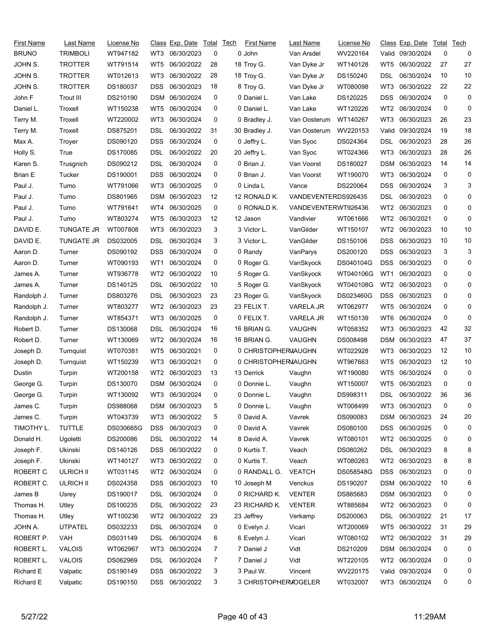| First Name     | Last Name         | License No |            | <u>Class Exp. Date Total</u> |    | Tech | <b>First Name</b>    | Last Name           | License No |                 | <u>Class</u> Exp. Date | Total Tech |    |
|----------------|-------------------|------------|------------|------------------------------|----|------|----------------------|---------------------|------------|-----------------|------------------------|------------|----|
| <b>BRUNO</b>   | <b>TRIMBOLI</b>   | WT947182   | WT3        | 06/30/2023                   | 0  |      | 0 John               | Van Arsdel          | WV220164   |                 | Valid 09/30/2024       | 0          | 0  |
| JOHN S.        | <b>TROTTER</b>    | WT791514   | WT5        | 06/30/2022                   | 28 |      | 18 Troy G.           | Van Dyke Jr         | WT140128   | WT5             | 06/30/2022             | 27         | 27 |
| JOHN S.        | <b>TROTTER</b>    | WT012613   | WT3        | 06/30/2022                   | 28 |      | 18 Troy G.           | Van Dyke Jr         | DS150240   | DSL             | 06/30/2024             | 10         | 10 |
| JOHN S.        | <b>TROTTER</b>    | DS180037   | <b>DSS</b> | 06/30/2023                   | 18 |      | 8 Troy G.            | Van Dyke Jr         | WT080098   | WT3             | 06/30/2022             | 22         | 22 |
| John F         | Trout III         | DS210190   | DSM        | 06/30/2024                   | 0  |      | 0 Daniel L.          | Van Lake            | DS120225   | DSS             | 06/30/2024             | 0          | 0  |
| Daniel L.      | Troxell           | WT150238   | WT5        | 06/30/2024                   | 0  |      | 0 Daniel L.          | Van Lake            | WT120226   | WT <sub>2</sub> | 06/30/2024             | 0          | 0  |
| Terry M.       | Troxell           | WT220002   | WT3        | 06/30/2024                   | 0  |      | 0 Bradley J.         | Van Oosterum        | WT140267   | WT3             | 06/30/2023             | 26         | 23 |
| Terry M.       | Troxell           | DS875201   | DSL        | 06/30/2022                   | 31 |      | 30 Bradley J.        | Van Oosterum        | WV220153   | Valid           | 09/30/2024             | 19         | 18 |
| Max A.         | Troyer            | DS090120   | <b>DSS</b> | 06/30/2024                   | 0  |      | 0 Jeffry L.          | Van Syoc            | DS024364   | DSL             | 06/30/2023             | 28         | 26 |
| Holly S.       | True              | DS170085   | DSL        | 06/30/2022                   | 20 |      | 20 Jeffry L.         | Van Syoc            | WT024366   | WT3             | 06/30/2023             | 28         | 26 |
| Karen S.       | Trusgnich         | DS090212   | DSL        | 06/30/2024                   | 0  |      | 0 Brian J.           | Van Voorst          | DS180027   | DSM             | 06/30/2023             | 14         | 14 |
| <b>Brian E</b> | Tucker            | DS190001   | DSS.       | 06/30/2024                   | 0  |      | 0 Brian J.           | Van Voorst          | WT190070   | WT3             | 06/30/2024             | 0          | 0  |
| Paul J.        | Tumo              | WT791066   | WT3        | 06/30/2025                   | 0  |      | 0 Linda L            | Vance               | DS220064   | DSS             | 06/30/2024             | 3          | 3  |
| Paul J.        | Tumo              | DS801965   | DSM        | 06/30/2023                   | 12 |      | 12 RONALD K.         | VANDEVENTERDS926435 |            | DSL             | 06/30/2023             | 0          | 0  |
| Paul J.        | Tumo              | WT791641   | WT4        | 06/30/2025                   | 0  |      | 0 RONALD K.          | VANDEVENTERWT926436 |            | WT <sub>2</sub> | 06/30/2023             | 0          | 0  |
| Paul J.        | Tumo              | WT803274   | WT5        | 06/30/2023                   | 12 |      | 12 Jason             | Vandivier           | WT061666   | WT <sub>2</sub> | 06/30/2021             | 0          | 0  |
| DAVID E.       | <b>TUNGATE JR</b> | WT007808   | WT3        | 06/30/2023                   | 3  |      | 3 Victor L.          | VanGilder           | WT150107   | WT <sub>2</sub> | 06/30/2023             | 10         | 10 |
| DAVID E.       | <b>TUNGATE JR</b> | DS032005   | DSL        | 06/30/2024                   | 3  |      | 3 Victor L.          | VanGilder           | DS150106   | DSS             | 06/30/2023             | 10         | 10 |
| Aaron D.       | Turner            | DS090192   | DSS.       | 06/30/2024                   | 0  |      | 0 Randy              | VanParys            | DS200120   | DSS             | 06/30/2023             | 3          | 3  |
| Aaron D.       | Turner            | WT090193   | WT1        | 06/30/2024                   | 0  |      | 0 Roger G.           | VanSkyock           | DS040104G  | DSS             | 06/30/2023             | 0          | 0  |
| James A.       | Turner            | WT936778   | WT2        | 06/30/2022                   | 10 |      | 5 Roger G.           | VanSkyock           | WT040106G  | WT1             | 06/30/2023             | 0          | 0  |
| James A.       | Turner            | DS140125   | DSL        | 06/30/2022                   | 10 |      | 5 Roger G.           | VanSkyock           | WT040108G  | WT <sub>2</sub> | 06/30/2023             | 0          | 0  |
| Randolph J.    | Turner            | DS803276   | DSL        | 06/30/2023                   | 23 |      | 23 Roger G.          | VanSkyock           | DS023460G  | DSS             | 06/30/2023             | 0          | 0  |
| Randolph J.    | Turner            | WT803277   | WT2        | 06/30/2023                   | 23 |      | 23 FELIX T.          | VARELA JR           | WT062977   | WT5             | 06/30/2024             | 0          | 0  |
| Randolph J.    | Turner            | WT854371   | WT3        | 06/30/2025                   | 0  |      | 0 FELIX T.           | VARELA JR           | WT150139   | WT6             | 06/30/2024             | 0          | 0  |
| Robert D.      | Turner            | DS130068   | DSL        | 06/30/2024                   | 16 |      | 16 BRIAN G.          | VAUGHN              | WT058352   | WT3             | 06/30/2023             | 42         | 32 |
| Robert D.      | Turner            | WT130069   | WT2        | 06/30/2024                   | 16 |      | 16 BRIAN G.          | VAUGHN              | DS008498   | DSM             | 06/30/2023             | 47         | 37 |
| Joseph D.      | Turnquist         | WT070381   | WT5        | 06/30/2021                   | 0  |      | 0 CHRISTOPHERMAUGHN  |                     | WT022928   | WT3             | 06/30/2023             | 12         | 10 |
| Joseph D.      | Turnquist         | WT150239   | WT3        | 06/30/2021                   | 0  |      | 0 CHRISTOPHERMAUGHN  |                     | WT967663   | WT5             | 06/30/2023             | 12         | 10 |
| Dustin         | Turpin            | WT200158   | WT2        | 06/30/2023                   | 13 |      | 13 Derrick           | Vaughn              | WT190080   | WT5             | 06/30/2024             | 0          | 0  |
| George G.      | Turpin            | DS130070   |            | DSM 06/30/2024               | 0  |      | 0 Donnie L.          | Vaughn              | WT150007   | WT5             | 06/30/2023             | 0          | 0  |
| George G.      | Turpin            | WT130092   |            | WT3 06/30/2024               |    |      | 0 Donnie L.          | Vaughn              | DS998311   | <b>DSL</b>      | 06/30/2022             | 36         | 36 |
| James C.       | Turpin            | DS988068   |            | DSM 06/30/2023               | 5  |      | 0 Donnie L.          | Vaughn              | WT008499   | WT3             | 06/30/2023             | 0          | 0  |
| James C.       | Turpin            | WT043739   | WT3        | 06/30/2022                   | 5  |      | 0 David A.           | Vavrek              | DS090083   | DSM             | 06/30/2023             | 24         | 20 |
| TIMOTHY L.     | <b>TUTTLE</b>     | DS030665G  | <b>DSS</b> | 06/30/2023                   | 0  |      | 0 David A.           | Vavrek              | DS080100   | DSS             | 06/30/2025             | 0          | 0  |
| Donald H.      | Ugoletti          | DS200086   | DSL        | 06/30/2022                   | 14 |      | 8 David A.           | Vavrek              | WT080101   | WT2             | 06/30/2025             | 0          | 0  |
| Joseph F.      | Ukinski           | DS140126   | DSS.       | 06/30/2022                   | 0  |      | 0 Kurtis T.          | Veach               | DS080262   | <b>DSL</b>      | 06/30/2023             | 8          | 8  |
| Joseph F.      | Ukinski           | WT140127   | WT3        | 06/30/2022                   | 0  |      | 0 Kurtis T.          | Veach               | WT080263   | WT <sub>2</sub> | 06/30/2023             | 8          | 8  |
| ROBERT C.      | <b>ULRICH II</b>  | WT031145   |            | WT2 06/30/2024               | 0  |      | 0 RANDALL G.         | <b>VEATCH</b>       | DS058548G  | <b>DSS</b>      | 06/30/2023             | 0          | 0  |
| ROBERT C.      | <b>ULRICH II</b>  | DS024358   | <b>DSS</b> | 06/30/2023                   | 10 |      | 10 Joseph M          | Venckus             | DS190207   | DSM             | 06/30/2022             | 10         | 6  |
| James B        | Usrey             | DS190017   | <b>DSL</b> | 06/30/2024                   | 0  |      | 0 RICHARD K.         | <b>VENTER</b>       | DS885683   | DSM             | 06/30/2023             | 0          | 0  |
| Thomas H.      | Utley             | DS100235   | DSL        | 06/30/2022                   | 23 |      | 23 RICHARD K.        | <b>VENTER</b>       | WT885684   | WT2             | 06/30/2023             | 0          | 0  |
| Thomas H.      | Utley             | WT100236   |            | WT2 06/30/2022               | 23 |      | 23 Jeffrey           | Verkamp             | DS200063   | <b>DSL</b>      | 06/30/2022             | 21         | 17 |
| JOHN A.        | <b>UTPATEL</b>    | DS032233   | DSL        | 06/30/2024                   | 0  |      | 0 Evelyn J.          | Vicari              | WT200069   | WT5             | 06/30/2022             | 31         | 29 |
| ROBERT P.      | VAH               | DS031149   | DSL        | 06/30/2024                   | 6  |      | 6 Evelyn J.          | Vicari              | WT080102   | WT <sub>2</sub> | 06/30/2022             | 31         | 29 |
| ROBERT L.      | <b>VALOIS</b>     | WT062967   | WT3        | 06/30/2024                   | 7  |      | 7 Daniel J           | Vidt                | DS210209   | <b>DSM</b>      | 06/30/2024             | 0          | 0  |
| ROBERT L.      | <b>VALOIS</b>     | DS062969   | <b>DSL</b> | 06/30/2024                   | 7  |      | 7 Daniel J           | Vidt                | WT220105   | WT <sub>2</sub> | 06/30/2024             | 0          | 0  |
| Richard E      | Valpatic          | DS190149   | <b>DSS</b> | 06/30/2022                   | 3  |      | 3 Paul W.            | Vincent             | WV220175   | Valid           | 09/30/2024             | 0          | 0  |
| Richard E      | Valpatic          | DS190150   |            | DSS 06/30/2022               | 3  |      | 3 CHRISTOPHERMOGELER |                     | WT032007   |                 | WT3 06/30/2024         | 0          | 0  |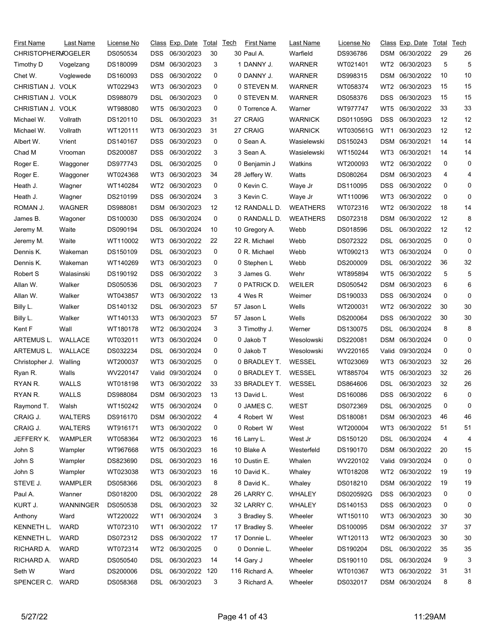| First Name                | Last Name      | License No |            | Class Exp. Date | Total | Tech | <b>First Name</b> | Last Name       | License No |                 | Class Exp. Date   | Total | Tech         |
|---------------------------|----------------|------------|------------|-----------------|-------|------|-------------------|-----------------|------------|-----------------|-------------------|-------|--------------|
| <b>CHRISTOPHERMOGELER</b> |                | DS050534   | DSS        | 06/30/2023      | 30    |      | 30 Paul A.        | Warfield        | DS936786   |                 | DSM 06/30/2022    | 29    | 26           |
| Timothy D                 | Vogelzang      | DS180099   | DSM        | 06/30/2023      | 3     |      | 1 DANNY J.        | <b>WARNER</b>   | WT021401   | WT <sub>2</sub> | 06/30/2023        | 5     | 5            |
| Chet W.                   | Voglewede      | DS160093   | DSS        | 06/30/2022      | 0     |      | 0 DANNY J.        | <b>WARNER</b>   | DS998315   | DSM             | 06/30/2022        | 10    | 10           |
| CHRISTIAN J. VOLK         |                | WT022943   | WT3        | 06/30/2023      | 0     |      | 0 STEVEN M.       | <b>WARNER</b>   | WT058374   | WT <sub>2</sub> | 06/30/2023        | 15    | 15           |
| CHRISTIAN J. VOLK         |                | DS988079   | DSL        | 06/30/2023      | 0     |      | 0 STEVEN M.       | <b>WARNER</b>   | DS058376   | DSS             | 06/30/2023        | 15    | 15           |
| CHRISTIAN J. VOLK         |                | WT988080   | WT5        | 06/30/2023      | 0     |      | 0 Torrence A.     | Warner          | WT977747   | WT5             | 06/30/2022        | 33    | 33           |
| Michael W.                | Vollrath       | DS120110   | DSL        | 06/30/2023      | 31    |      | 27 CRAIG          | <b>WARNICK</b>  | DS011059G  | DSS             | 06/30/2023        | 12    | 12           |
| Michael W.                | Vollrath       | WT120111   | WT3        | 06/30/2023      | 31    |      | 27 CRAIG          | <b>WARNICK</b>  | WT030561G  | WT <sub>1</sub> | 06/30/2023        | 12    | 12           |
| Albert W.                 | Vrient         | DS140167   | DSS        | 06/30/2023      | 0     |      | 0 Sean A.         | Wasielewski     | DS150243   | DSM             | 06/30/2021        | 14    | 14           |
| Chad M                    | Vrooman        | DS200087   | <b>DSS</b> | 06/30/2022      | 3     |      | 3 Sean A.         | Wasielewski     | WT150244   | WT3             | 06/30/2021        | 14    | 14           |
| Roger E.                  | Waggoner       | DS977743   | DSL        | 06/30/2025      | 0     |      | 0 Benjamin J      | Watkins         | WT200093   | WT <sub>2</sub> | 06/30/2022        | 0     | 0            |
| Roger E.                  | Waggoner       | WT024368   | WT3        | 06/30/2023      | 34    |      | 28 Jeffery W.     | Watts           | DS080264   | DSM             | 06/30/2023        | 4     | 4            |
| Heath J.                  | Wagner         | WT140284   | WT2        | 06/30/2023      | 0     |      | 0 Kevin C.        | Waye Jr         | DS110095   | <b>DSS</b>      | 06/30/2022        | 0     | 0            |
| Heath J.                  | Wagner         | DS210199   | <b>DSS</b> | 06/30/2024      | 3     |      | 3 Kevin C.        | Waye Jr         | WT110096   | WT3             | 06/30/2022        | 0     | 0            |
| ROMAN J.                  | <b>WAGNER</b>  | DS988081   | DSM        | 06/30/2023      | 12    |      | 12 RANDALL D.     | <b>WEATHERS</b> | WT072316   | WT <sub>2</sub> | 06/30/2022        | 18    | 14           |
| James B.                  | Wagoner        | DS100030   | DSS        | 06/30/2024      | 0     |      | 0 RANDALL D.      | <b>WEATHERS</b> | DS072318   | DSM             | 06/30/2022        | 12    | 8            |
| Jeremy M.                 | Waite          | DS090194   | DSL        | 06/30/2024      | 10    |      | 10 Gregory A.     | Webb            | DS018596   | DSL             | 06/30/2022        | 12    | 12           |
| Jeremy M.                 | Waite          | WT110002   | WT3        | 06/30/2022      | 22    |      | 22 R. Michael     | Webb            | DS072322   | DSL             | 06/30/2025        | 0     | 0            |
| Dennis K.                 | Wakeman        | DS150109   | DSL        | 06/30/2023      | 0     |      | 0 R. Michael      | Webb            | WT090213   | WT3             | 06/30/2024        | 0     | 0            |
| Dennis K.                 | Wakeman        | WT140269   | WT3        | 06/30/2023      | 0     |      | 0 Stephen L       | Webb            | DS200009   | DSL             | 06/30/2022        | 36    | 32           |
| Robert S                  | Walasinski     | DS190192   | <b>DSS</b> | 06/30/2022      | 3     |      | 3 James G.        | Wehr            | WT895894   | WT5             | 06/30/2022        | 5     | 5            |
| Allan W.                  | Walker         | DS050536   | DSL        | 06/30/2023      | 7     |      | 0 PATRICK D.      | <b>WEILER</b>   | DS050542   | DSM             | 06/30/2023        | 6     | 6            |
| Allan W.                  | Walker         | WT043857   | WT3        | 06/30/2022      | 13    |      | 4 Wes R           | Weimer          | DS190033   | <b>DSS</b>      | 06/30/2024        | 0     | 0            |
| Billy L.                  | Walker         | DS140132   | DSL        | 06/30/2023      | 57    |      | 57 Jason L        | Wells           | WT200031   | WT <sub>2</sub> | 06/30/2022        | 30    | 30           |
| Billy L.                  | Walker         | WT140133   | WT3        | 06/30/2023      | 57    |      | 57 Jason L        | Wells           | DS200064   | DSS             | 06/30/2022        | 30    | 30           |
| Kent F                    | Wall           | WT180178   | WT2        | 06/30/2024      | 3     |      | 3 Timothy J.      | Werner          | DS130075   | DSL             | 06/30/2024        | 8     | 8            |
| ARTEMUS L.                | WALLACE        | WT032011   | WT3        | 06/30/2024      | 0     |      | 0 Jakob T         | Wesolowski      | DS220081   | DSM             | 06/30/2024        | 0     | 0            |
| ARTEMUS L.                | WALLACE        | DS032234   | DSL        | 06/30/2024      | 0     |      | 0 Jakob T         | Wesolowski      | WV220165   | Valid           | 09/30/2024        | 0     | 0            |
| Christopher J.            | Walling        | WT200037   | WT3        | 06/30/2025      | 0     |      | 0 BRADLEY T.      | WESSEL          | WT023069   | WT3             | 06/30/2023        | 32    | 26           |
| Ryan R.                   | Walls          | WV220147   | Valid      | 09/30/2024      | 0     |      | 0 BRADLEY T.      | WESSEL          | WT885704   | WT5             | 06/30/2023        | 32    | 26           |
| RYAN R.                   | <b>WALLS</b>   | WT018198   | WT3        | 06/30/2022      | 33    |      | 33 BRADLEY T.     | <b>WESSEL</b>   | DS864606   | DSL             | 06/30/2023        | 32    | 26           |
| RYAN R.                   | <b>WALLS</b>   | DS988084   |            | DSM 06/30/2023  | 13    |      | 13 David L.       | West            | DS160086   |                 | DSS 06/30/2022    | 6     | <sup>0</sup> |
| Raymond T.                | Walsh          | WT150242   | WT5        | 06/30/2024      | 0     |      | 0 JAMES C.        | WEST            | DS072369   | DSL             | 06/30/2025        | 0     | 0            |
| CRAIG J.                  | <b>WALTERS</b> | DS916170   |            | DSM 06/30/2022  | 4     |      | 4 Robert W        | West            | DS180081   |                 | DSM 06/30/2023    | 46    | 46           |
| CRAIG J.                  | <b>WALTERS</b> | WT916171   | WT3        | 06/30/2022      | 0     |      | 0 Robert W        | West            | WT200004   | WT3             | 06/30/2022        | 51    | 51           |
| JEFFERY K.                | WAMPLER        | WT058364   |            | WT2 06/30/2023  | 16    |      | 16 Larry L.       | West Jr         | DS150120   | DSL             | 06/30/2024        | 4     | 4            |
| John S                    | Wampler        | WT967668   | WT5        | 06/30/2023      | 16    |      | 10 Blake A        | Westerfeld      | DS190170   |                 | DSM 06/30/2022    | 20    | 15           |
| John S                    | Wampler        | DS823690   | DSL.       | 06/30/2023      | 16    |      | 10 Dustin E.      | Whalen          | WV220102   |                 | Valid: 09/30/2024 | 0     | 0            |
| John S                    | Wampler        | WT023038   | WT3        | 06/30/2023      | 16    |      | 10 David K        | Whaley          | WT018208   | WT2             | 06/30/2022        | 19    | 19           |
| STEVE J.                  | <b>WAMPLER</b> | DS058366   | DSL        | 06/30/2023      | 8     |      | 8 David K         | Whaley          | DS018210   | DSM             | 06/30/2022        | 19    | 19           |
| Paul A.                   | Wanner         | DS018200   | DSL        | 06/30/2022      | 28    |      | 26 LARRY C.       | WHALEY          | DS020592G  | <b>DSS</b>      | 06/30/2023        | 0     | 0            |
| KURT J.                   | WANNINGER      | DS050538   | DSL        | 06/30/2023      | 32    |      | 32 LARRY C.       | WHALEY          | DS140153   | DSS             | 06/30/2023        | 0     | 0            |
| Anthony                   | Ward           | WT220022   | WT1        | 06/30/2024      | 3     |      | 3 Bradley S.      | Wheeler         | WT150110   | WT3             | 06/30/2023        | 30    | 30           |
| KENNETH L.                | <b>WARD</b>    | WT072310   | WT1        | 06/30/2022      | 17    |      | 17 Bradley S.     | Wheeler         | DS100095   | DSM             | 06/30/2022        | 37    | 37           |
| KENNETH L.                | <b>WARD</b>    | DS072312   | DSS        | 06/30/2022      | 17    |      | 17 Donnie L.      | Wheeler         | WT120113   | WT <sub>2</sub> | 06/30/2023        | 30    | 30           |
| RICHARD A.                | <b>WARD</b>    | WT072314   | WT2        | 06/30/2025      | 0     |      | 0 Donnie L.       | Wheeler         | DS190204   | DSL             | 06/30/2022        | 35    | 35           |
| RICHARD A.                | <b>WARD</b>    | DS050540   | DSL        | 06/30/2023      | 14    |      | 14 Gary J         | Wheeler         | DS190110   | DSL             | 06/30/2024        | 9     | 3            |
| Seth W                    | Ward           | DS200006   | <b>DSL</b> | 06/30/2022      | 120   |      | 116 Richard A.    | Wheeler         | WT010367   | WT3             | 06/30/2022        | 31    | 31           |
| SPENCER C.                | WARD           | DS058368   |            | DSL 06/30/2023  | 3     |      | 3 Richard A.      | Wheeler         | DS032017   |                 | DSM 06/30/2024    | 8     | 8            |
|                           |                |            |            |                 |       |      |                   |                 |            |                 |                   |       |              |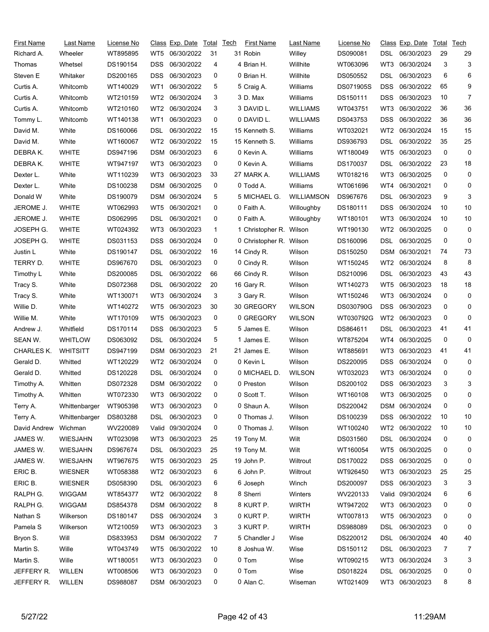| First Name        | Last Name       | <u>License No</u> |                 | Class Exp. Date | Total | <b>Tech</b> | First Name       | Last Name         | License No |                 | Class Exp. Date  | Total | Tech |
|-------------------|-----------------|-------------------|-----------------|-----------------|-------|-------------|------------------|-------------------|------------|-----------------|------------------|-------|------|
| Richard A.        | Wheeler         | WT895895          | WT5             | 06/30/2022      | 31    |             | 31 Robin         | Willey            | DS090081   | DSL             | 06/30/2023       | 29    | 29   |
| Thomas            | Whetsel         | DS190154          | DSS             | 06/30/2022      | 4     |             | 4 Brian H.       | Willhite          | WT063096   | WT3             | 06/30/2024       | 3     | 3    |
| Steven E          | Whitaker        | DS200165          | DSS             | 06/30/2023      | 0     |             | 0 Brian H.       | Willhite          | DS050552   | DSL             | 06/30/2023       | 6     | 6    |
| Curtis A.         | Whitcomb        | WT140029          | WT1             | 06/30/2022      | 5     |             | 5 Craig A.       | Williams          | DS071905S  | <b>DSS</b>      | 06/30/2022       | 65    | 9    |
| Curtis A.         | Whitcomb        | WT210159          | WT <sub>2</sub> | 06/30/2024      | 3     |             | 3 D. Max         | Williams          | DS150111   | DSS             | 06/30/2023       | 10    | 7    |
| Curtis A.         | Whitcomb        | WT210160          | WT2             | 06/30/2024      | 3     |             | 3 DAVID L.       | <b>WILLIAMS</b>   | WT043751   | WT3             | 06/30/2022       | 36    | 36   |
| Tommy L.          | Whitcomb        | WT140138          | WT1             | 06/30/2023      | 0     |             | 0 DAVID L.       | <b>WILLIAMS</b>   | DS043753   | DSS             | 06/30/2022       | 36    | 36   |
| David M.          | White           | DS160066          | DSL             | 06/30/2022      | 15    |             | 15 Kenneth S.    | Williams          | WT032021   | WT <sub>2</sub> | 06/30/2024       | 15    | 15   |
| David M.          | White           | WT160067          | WT2             | 06/30/2022      | 15    |             | 15 Kenneth S.    | Williams          | DS936793   | DSL             | 06/30/2022       | 35    | 25   |
| DEBRAK.           | <b>WHITE</b>    | DS947196          | DSM             | 06/30/2023      | 6     |             | 0 Kevin A.       | Williams          | WT180049   | WT5             | 06/30/2023       | 0     | 0    |
| DEBRA K.          | <b>WHITE</b>    | WT947197          | WT3             | 06/30/2023      | 0     |             | 0 Kevin A.       | Williams          | DS170037   | DSL             | 06/30/2022       | 23    | 18   |
| Dexter L.         | White           | WT110239          | WT3             | 06/30/2023      | 33    |             | 27 MARK A.       | <b>WILLIAMS</b>   | WT018216   | WT3             | 06/30/2025       | 0     | 0    |
| Dexter L.         | White           | DS100238          | DSM             | 06/30/2025      | 0     |             | 0 Todd A.        | Williams          | WT061696   | WT4             | 06/30/2021       | 0     | 0    |
| Donald W          | White           | DS190079          |                 | DSM 06/30/2024  | 5     |             | 5 MICHAEL G.     | <b>WILLIAMSON</b> | DS967676   | DSL             | 06/30/2023       | 9     | 3    |
| JEROME J.         | <b>WHITE</b>    | WT062993          | WT5             | 06/30/2021      | 0     |             | 0 Faith A.       | Willoughby        | DS180111   | DSS             | 06/30/2024       | 10    | 10   |
| JEROME J.         | <b>WHITE</b>    | DS062995          | DSL             | 06/30/2021      | 0     |             | 0 Faith A.       | Willoughby        | WT180101   | WT3             | 06/30/2024       | 10    | 10   |
| JOSEPH G.         | <b>WHITE</b>    | WT024392          | WT3             | 06/30/2023      | 1     |             | 1 Christopher R. | Wilson            | WT190130   | WT <sub>2</sub> | 06/30/2025       | 0     | 0    |
| JOSEPH G.         | <b>WHITE</b>    | DS031153          | <b>DSS</b>      | 06/30/2024      | 0     |             | 0 Christopher R. | Wilson            | DS160096   | DSL             | 06/30/2025       | 0     | 0    |
| Justin L          | White           | DS190147          | DSL             | 06/30/2022      | 16    |             | 14 Cindy R.      | Wilson            | DS150250   | DSM             | 06/30/2021       | 74    | 73   |
| TERRY D.          | <b>WHITE</b>    | DS967670          | DSL             | 06/30/2023      | 0     |             | 0 Cindy R.       | Wilson            | WT150245   | WT2             | 06/30/2024       | 8     | 8    |
| Timothy L         | White           | DS200085          | DSL             | 06/30/2022      | 66    |             | 66 Cindy R.      | Wilson            | DS210096   | DSL             | 06/30/2023       | 43    | 43   |
| Tracy S.          | White           | DS072368          | DSL             | 06/30/2022      | 20    |             | 16 Gary R.       | Wilson            | WT140273   | WT5             | 06/30/2023       | 18    | 18   |
| Tracy S.          | White           | WT130071          | WT3             | 06/30/2024      | 3     |             | 3 Gary R.        | Wilson            | WT150246   | WT3             | 06/30/2024       | 0     | 0    |
| Willie D.         | White           | WT140272          | WT5             | 06/30/2023      | 30    |             | 30 GREGORY       | <b>WILSON</b>     | DS030790G  | DSS             | 06/30/2023       | 0     | 0    |
| Willie M.         | White           | WT170109          | WT5             | 06/30/2023      | 0     |             | 0 GREGORY        | <b>WILSON</b>     | WT030792G  | WT <sub>2</sub> | 06/30/2023       | 0     | 0    |
| Andrew J.         | Whitfield       | DS170114          | DSS.            | 06/30/2023      | 5     |             | 5 James E.       | Wilson            | DS864611   | DSL             | 06/30/2023       | 41    | 41   |
| SEAN W.           | <b>WHITLOW</b>  | DS063092          | DSL.            | 06/30/2024      | 5     |             | 1 James E.       | Wilson            | WT875204   | WT4             | 06/30/2025       | 0     | 0    |
| <b>CHARLES K.</b> | <b>WHITSITT</b> | DS947199          | <b>DSM</b>      | 06/30/2023      | 21    |             | 21 James E.      | Wilson            | WT885691   | WT3             | 06/30/2023       | 41    | 41   |
| Gerald D.         | Whitted         | WT120229          | WT2             | 06/30/2024      | 0     |             | 0 Kevin L        | Wilson            | DS220095   | <b>DSS</b>      | 06/30/2024       | 0     | 0    |
| Gerald D.         | Whitted         | DS120228          | DSL             | 06/30/2024      | 0     |             | 0 MICHAEL D.     | <b>WILSON</b>     | WT032023   | WT3             | 06/30/2024       | 0     | 0    |
| Timothy A.        | Whitten         | DS072328          |                 | DSM 06/30/2022  | 0     |             | 0 Preston        | Wilson            | DS200102   | DSS             | 06/30/2023       | 3     | 3    |
| Timothy A.        | Whitten         | WT072330          |                 | WT3 06/30/2022  |       |             | 0 Scott T.       | Wilson            | WT160108   |                 | WT3 06/30/2025   | 0     | 0    |
| Terry A.          | Whittenbarger   | WT905398          | WT3             | 06/30/2023      | 0     |             | 0 Shaun A.       | Wilson            | DS220042   |                 | DSM 06/30/2024   | 0     | 0    |
| Terry A.          | Whittenbarger   | DS803288          | DSL             | 06/30/2023      | 0     |             | 0 Thomas J.      | Wilson            | DS100239   | DSS             | 06/30/2022       | 10    | 10   |
| David Andrew      | Wichman         | WV220089          | Valid           | 09/30/2024      | 0     |             | 0 Thomas J.      | Wilson            | WT100240   | WT <sub>2</sub> | 06/30/2022       | 10    | 10   |
| JAMES W.          | <b>WIESJAHN</b> | WT023098          | WT3             | 06/30/2023      | 25    |             | 19 Tony M.       | Wilt              | DS031560   | DSL             | 06/30/2024       | 0     | 0    |
| JAMES W.          | <b>WIESJAHN</b> | DS967674          | DSL.            | 06/30/2023      | 25    |             | 19 Tony M.       | Wilt              | WT160054   | WT5             | 06/30/2025       | 0     | 0    |
| JAMES W.          | <b>WIESJAHN</b> | WT967675          | WT5             | 06/30/2023      | 25    |             | 19 John P.       | Wiltrout          | DS170022   | DSS             | 06/30/2025       | 0     | 0    |
| ERIC B.           | <b>WIESNER</b>  | WT058388          | WT2             | 06/30/2023      | 6     |             | 6 John P.        | Wiltrout          | WT926450   | WT3             | 06/30/2023       | 25    | 25   |
| ERIC B.           | <b>WIESNER</b>  | DS058390          | DSL             | 06/30/2023      | 6     |             | 6 Joseph         | Winch             | DS200097   | DSS             | 06/30/2023       | 3     | 3    |
| RALPH G.          | WIGGAM          | WT854377          | WT2             | 06/30/2022      | 8     |             | 8 Sherri         | Winters           | WV220133   |                 | Valid 09/30/2024 | 6     | 6    |
| RALPH G.          | <b>WIGGAM</b>   | DS854378          |                 | DSM 06/30/2022  | 8     |             | 8 KURT P.        | <b>WIRTH</b>      | WT947202   | WT3             | 06/30/2023       | 0     | 0    |
| Nathan S          | Wilkerson       | DS180147          | <b>DSS</b>      | 06/30/2024      | 3     |             | 0 KURT P.        | <b>WIRTH</b>      | WT007813   | WT5             | 06/30/2023       | 0     | 0    |
| Pamela S          | Wilkerson       | WT210059          | WT3             | 06/30/2023      | 3     |             | 3 KURT P.        | <b>WIRTH</b>      | DS988089   | DSL             | 06/30/2023       | 0     | 0    |
| Bryon S.          | Will            | DS833953          |                 | DSM 06/30/2022  | 7     |             | 5 Chandler J     | Wise              | DS220012   | <b>DSL</b>      | 06/30/2024       | 40    | 40   |
| Martin S.         | Wille           | WT043749          | WT5             | 06/30/2022      | 10    |             | 8 Joshua W.      | Wise              | DS150112   | DSL             | 06/30/2023       | 7     | 7    |
| Martin S.         | Wille           | WT180051          | WT3             | 06/30/2023      | 0     |             | 0 Tom            | Wise              | WT090215   | WT3             | 06/30/2024       | 3     | 3    |
| JEFFERY R.        | WILLEN          | WT008506          | WT3             | 06/30/2023      | 0     |             | 0 Tom            | Wise              | DS018224   | <b>DSL</b>      | 06/30/2025       | 0     | 0    |
| JEFFERY R.        | WILLEN          | DS988087          |                 | DSM 06/30/2023  | 0     |             | 0 Alan C.        | Wiseman           | WT021409   | WT3             | 06/30/2023       | 8     | 8    |